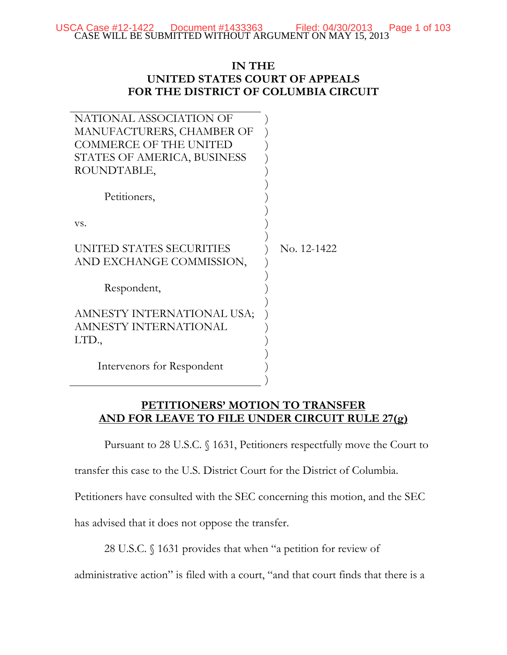CASE WILL BE SUBMITTED WITHOUT ARGUMENT ON MAY 15, 2013 USCA Case  $\#12-1422$  Document  $\#1433363$  Filed: 04/30/2013 Page 1 of 103

## **IN THE UNITED STATES COURT OF APPEALS FOR THE DISTRICT OF COLUMBIA CIRCUIT**

| NATIONAL ASSOCIATION OF       |             |
|-------------------------------|-------------|
| MANUFACTURERS, CHAMBER OF     |             |
| <b>COMMERCE OF THE UNITED</b> |             |
| STATES OF AMERICA, BUSINESS   |             |
| ROUNDTABLE,                   |             |
|                               |             |
| Petitioners,                  |             |
|                               |             |
| VS.                           |             |
|                               |             |
| UNITED STATES SECURITIES      | No. 12-1422 |
| AND EXCHANGE COMMISSION,      |             |
|                               |             |
| Respondent,                   |             |
|                               |             |
| AMNESTY INTERNATIONAL USA;    |             |
| AMNESTY INTERNATIONAL         |             |
| LTD.,                         |             |
|                               |             |
| Intervenors for Respondent    |             |
|                               |             |
|                               |             |

## **PETITIONERS' MOTION TO TRANSFER AND FOR LEAVE TO FILE UNDER CIRCUIT RULE 27(g)**

Pursuant to 28 U.S.C. § 1631, Petitioners respectfully move the Court to

transfer this case to the U.S. District Court for the District of Columbia.

Petitioners have consulted with the SEC concerning this motion, and the SEC

has advised that it does not oppose the transfer.

28 U.S.C. § 1631 provides that when "a petition for review of

administrative action" is filed with a court, "and that court finds that there is a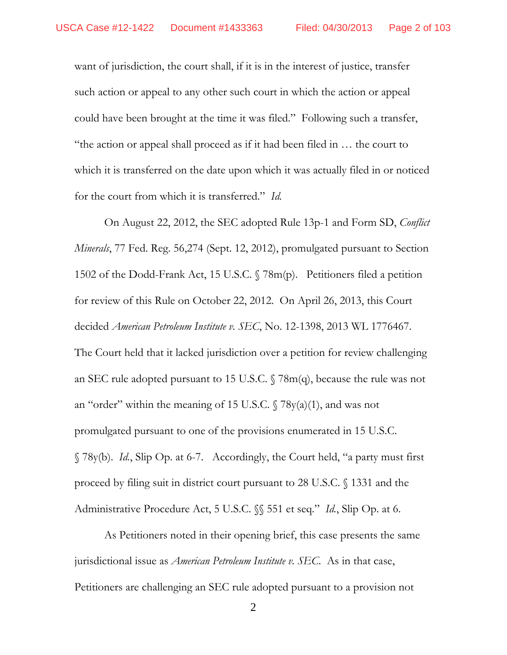want of jurisdiction, the court shall, if it is in the interest of justice, transfer such action or appeal to any other such court in which the action or appeal could have been brought at the time it was filed." Following such a transfer, "the action or appeal shall proceed as if it had been filed in … the court to which it is transferred on the date upon which it was actually filed in or noticed for the court from which it is transferred." *Id.*

 On August 22, 2012, the SEC adopted Rule 13p-1 and Form SD, *Conflict Minerals*, 77 Fed. Reg. 56,274 (Sept. 12, 2012), promulgated pursuant to Section 1502 of the Dodd-Frank Act, 15 U.S.C. § 78m(p). Petitioners filed a petition for review of this Rule on October 22, 2012. On April 26, 2013, this Court decided *American Petroleum Institute v. SEC*, No. 12-1398, 2013 WL 1776467. The Court held that it lacked jurisdiction over a petition for review challenging an SEC rule adopted pursuant to 15 U.S.C. § 78m(q), because the rule was not an "order" within the meaning of 15 U.S.C.  $\sqrt{78y(a)(1)}$ , and was not promulgated pursuant to one of the provisions enumerated in 15 U.S.C. § 78y(b). *Id.*, Slip Op. at 6-7. Accordingly, the Court held, "a party must first proceed by filing suit in district court pursuant to 28 U.S.C. § 1331 and the Administrative Procedure Act, 5 U.S.C. §§ 551 et seq." *Id.*, Slip Op. at 6.

 As Petitioners noted in their opening brief, this case presents the same jurisdictional issue as *American Petroleum Institute v. SEC*. As in that case, Petitioners are challenging an SEC rule adopted pursuant to a provision not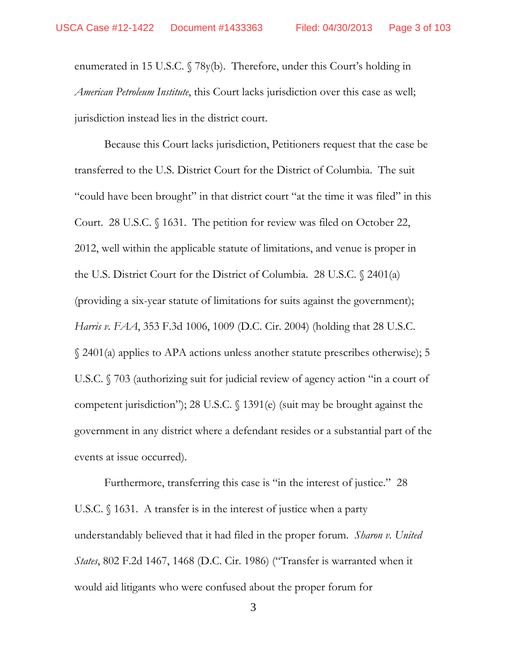enumerated in 15 U.S.C. § 78y(b). Therefore, under this Court's holding in *American Petroleum Institute*, this Court lacks jurisdiction over this case as well; jurisdiction instead lies in the district court.

 Because this Court lacks jurisdiction, Petitioners request that the case be transferred to the U.S. District Court for the District of Columbia. The suit "could have been brought" in that district court "at the time it was filed" in this Court. 28 U.S.C. § 1631. The petition for review was filed on October 22, 2012, well within the applicable statute of limitations, and venue is proper in the U.S. District Court for the District of Columbia. 28 U.S.C. § 2401(a) (providing a six-year statute of limitations for suits against the government); *Harris v. FAA*, 353 F.3d 1006, 1009 (D.C. Cir. 2004) (holding that 28 U.S.C. § 2401(a) applies to APA actions unless another statute prescribes otherwise); 5 U.S.C. § 703 (authorizing suit for judicial review of agency action "in a court of competent jurisdiction"); 28 U.S.C. § 1391(e) (suit may be brought against the government in any district where a defendant resides or a substantial part of the events at issue occurred).

 Furthermore, transferring this case is "in the interest of justice." 28 U.S.C. § 1631. A transfer is in the interest of justice when a party understandably believed that it had filed in the proper forum. *Sharon v. United States*, 802 F.2d 1467, 1468 (D.C. Cir. 1986) ("Transfer is warranted when it would aid litigants who were confused about the proper forum for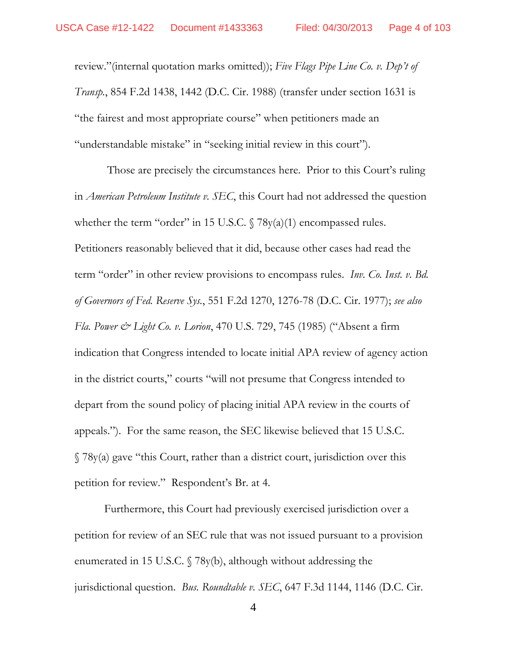review."(internal quotation marks omitted)); *Five Flags Pipe Line Co. v. Dep't of Transp.*, 854 F.2d 1438, 1442 (D.C. Cir. 1988) (transfer under section 1631 is "the fairest and most appropriate course" when petitioners made an "understandable mistake" in "seeking initial review in this court").

 Those are precisely the circumstances here. Prior to this Court's ruling in *American Petroleum Institute v. SEC*, this Court had not addressed the question whether the term "order" in 15 U.S.C.  $\sqrt{78y(a)(1)}$  encompassed rules. Petitioners reasonably believed that it did, because other cases had read the term "order" in other review provisions to encompass rules. *Inv. Co. Inst. v. Bd. of Governors of Fed. Reserve Sys.*, 551 F.2d 1270, 1276-78 (D.C. Cir. 1977); *see also Fla. Power & Light Co. v. Lorion*, 470 U.S. 729, 745 (1985) ("Absent a firm indication that Congress intended to locate initial APA review of agency action in the district courts," courts "will not presume that Congress intended to depart from the sound policy of placing initial APA review in the courts of appeals."). For the same reason, the SEC likewise believed that 15 U.S.C.  $\sqrt{78y(a)}$  gave "this Court, rather than a district court, jurisdiction over this petition for review." Respondent's Br. at 4.

 Furthermore, this Court had previously exercised jurisdiction over a petition for review of an SEC rule that was not issued pursuant to a provision enumerated in 15 U.S.C. § 78y(b), although without addressing the jurisdictional question. *Bus. Roundtable v. SEC*, 647 F.3d 1144, 1146 (D.C. Cir.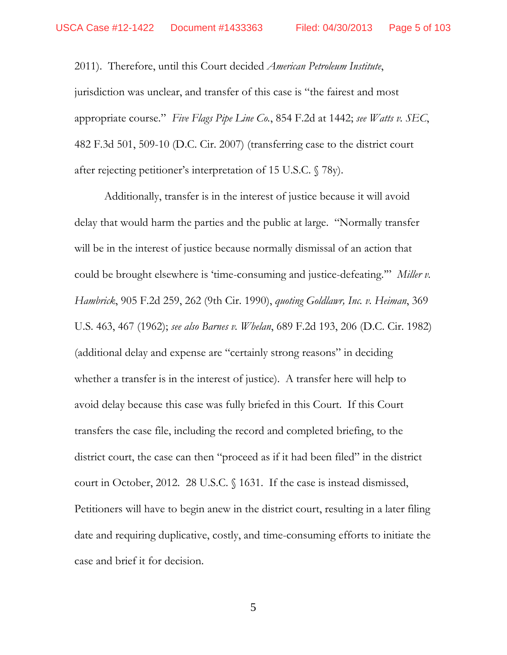2011). Therefore, until this Court decided *American Petroleum Institute*, jurisdiction was unclear, and transfer of this case is "the fairest and most appropriate course." *Five Flags Pipe Line Co.*, 854 F.2d at 1442; *see Watts v. SEC*, 482 F.3d 501, 509-10 (D.C. Cir. 2007) (transferring case to the district court after rejecting petitioner's interpretation of 15 U.S.C. § 78y).

 Additionally, transfer is in the interest of justice because it will avoid delay that would harm the parties and the public at large. "Normally transfer will be in the interest of justice because normally dismissal of an action that could be brought elsewhere is 'time-consuming and justice-defeating.'" *Miller v. Hambrick*, 905 F.2d 259, 262 (9th Cir. 1990), *quoting Goldlawr, Inc. v. Heiman*, 369 U.S. 463, 467 (1962); *see also Barnes v. Whelan*, 689 F.2d 193, 206 (D.C. Cir. 1982) (additional delay and expense are "certainly strong reasons" in deciding whether a transfer is in the interest of justice). A transfer here will help to avoid delay because this case was fully briefed in this Court. If this Court transfers the case file, including the record and completed briefing, to the district court, the case can then "proceed as if it had been filed" in the district court in October, 2012. 28 U.S.C. § 1631. If the case is instead dismissed, Petitioners will have to begin anew in the district court, resulting in a later filing date and requiring duplicative, costly, and time-consuming efforts to initiate the case and brief it for decision.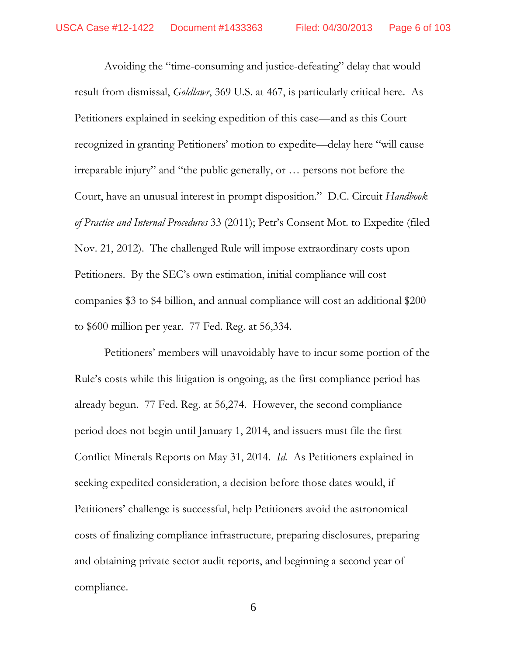Avoiding the "time-consuming and justice-defeating" delay that would result from dismissal, *Goldlawr*, 369 U.S. at 467, is particularly critical here. As Petitioners explained in seeking expedition of this case—and as this Court recognized in granting Petitioners' motion to expedite—delay here "will cause irreparable injury" and "the public generally, or … persons not before the Court, have an unusual interest in prompt disposition." D.C. Circuit *Handbook of Practice and Internal Procedures* 33 (2011); Petr's Consent Mot. to Expedite (filed Nov. 21, 2012). The challenged Rule will impose extraordinary costs upon Petitioners. By the SEC's own estimation, initial compliance will cost companies \$3 to \$4 billion, and annual compliance will cost an additional \$200 to \$600 million per year. 77 Fed. Reg. at 56,334.

 Petitioners' members will unavoidably have to incur some portion of the Rule's costs while this litigation is ongoing, as the first compliance period has already begun. 77 Fed. Reg. at 56,274. However, the second compliance period does not begin until January 1, 2014, and issuers must file the first Conflict Minerals Reports on May 31, 2014. *Id.* As Petitioners explained in seeking expedited consideration, a decision before those dates would, if Petitioners' challenge is successful, help Petitioners avoid the astronomical costs of finalizing compliance infrastructure, preparing disclosures, preparing and obtaining private sector audit reports, and beginning a second year of compliance.

6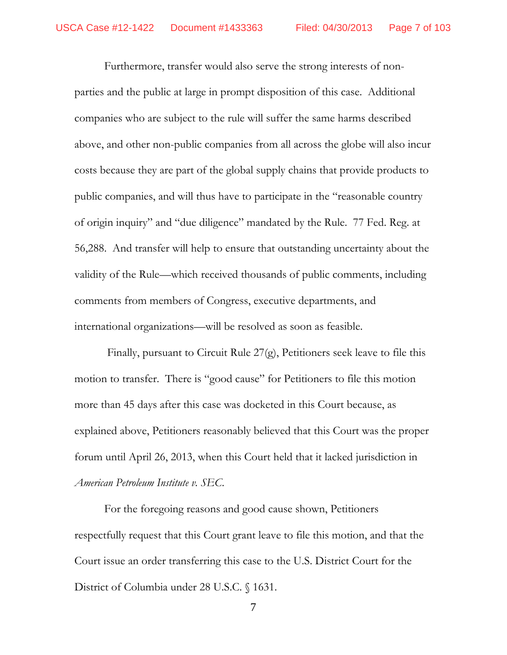Furthermore, transfer would also serve the strong interests of nonparties and the public at large in prompt disposition of this case. Additional companies who are subject to the rule will suffer the same harms described above, and other non-public companies from all across the globe will also incur costs because they are part of the global supply chains that provide products to public companies, and will thus have to participate in the "reasonable country of origin inquiry" and "due diligence" mandated by the Rule. 77 Fed. Reg. at 56,288. And transfer will help to ensure that outstanding uncertainty about the validity of the Rule—which received thousands of public comments, including comments from members of Congress, executive departments, and international organizations—will be resolved as soon as feasible.

 Finally, pursuant to Circuit Rule 27(g), Petitioners seek leave to file this motion to transfer. There is "good cause" for Petitioners to file this motion more than 45 days after this case was docketed in this Court because, as explained above, Petitioners reasonably believed that this Court was the proper forum until April 26, 2013, when this Court held that it lacked jurisdiction in *American Petroleum Institute v. SEC*.

For the foregoing reasons and good cause shown, Petitioners respectfully request that this Court grant leave to file this motion, and that the Court issue an order transferring this case to the U.S. District Court for the District of Columbia under 28 U.S.C. § 1631.

7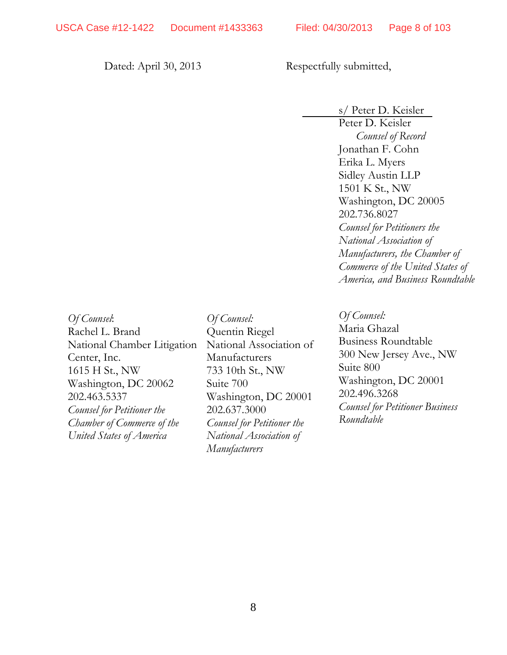Dated: April 30, 2013 Respectfully submitted,

s/ Peter D. Keisler

Peter D. Keisler *Counsel of Record*  Jonathan F. Cohn Erika L. Myers Sidley Austin LLP 1501 K St., NW Washington, DC 20005 202.736.8027 *Counsel for Petitioners the National Association of Manufacturers, the Chamber of Commerce of the United States of America, and Business Roundtable* 

*Of Counsel*: Rachel L. Brand National Chamber Litigation Center, Inc. 1615 H St., NW Washington, DC 20062 202.463.5337 *Counsel for Petitioner the Chamber of Commerce of the United States of America* 

*Of Counsel:*  Quentin Riegel National Association of Manufacturers 733 10th St., NW Suite 700 Washington, DC 20001 202.637.3000 *Counsel for Petitioner the National Association of Manufacturers* 

*Of Counsel:*  Maria Ghazal Business Roundtable 300 New Jersey Ave., NW Suite 800 Washington, DC 20001 202.496.3268 *Counsel for Petitioner Business Roundtable*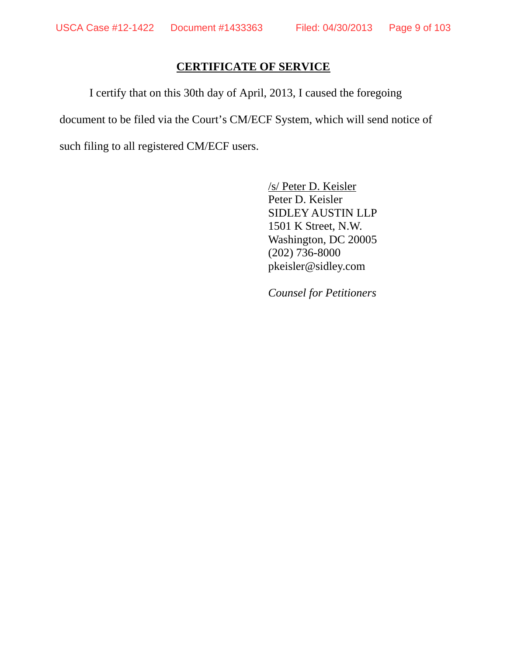## **CERTIFICATE OF SERVICE**

I certify that on this 30th day of April, 2013, I caused the foregoing document to be filed via the Court's CM/ECF System, which will send notice of such filing to all registered CM/ECF users.

> /s/ Peter D. Keisler Peter D. Keisler SIDLEY AUSTIN LLP 1501 K Street, N.W. Washington, DC 20005 (202) 736-8000 pkeisler@sidley.com

*Counsel for Petitioners*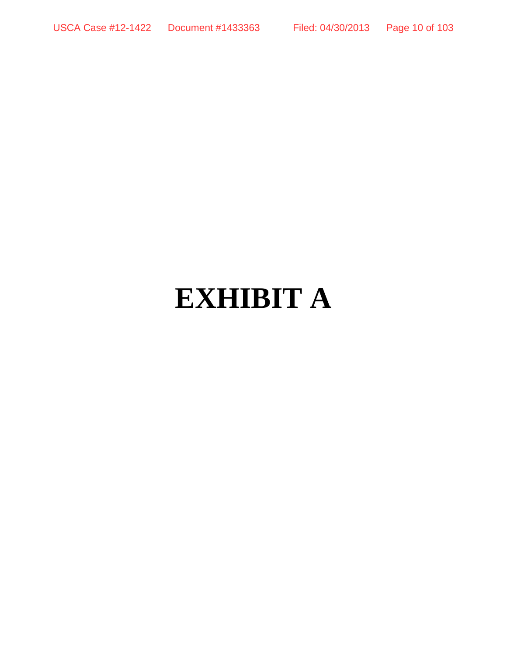# **EXHIBIT A**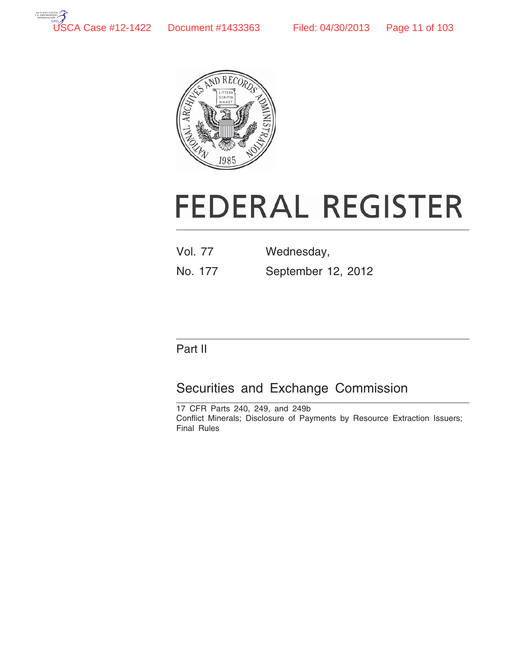



# **FEDERAL REGISTER**

- Vol. 77 Wednesday,
- No. 177 September 12, 2012

# Part II

# Securities and Exchange Commission

17 CFR Parts 240, 249, and 249b Conflict Minerals; Disclosure of Payments by Resource Extraction Issuers; Final Rules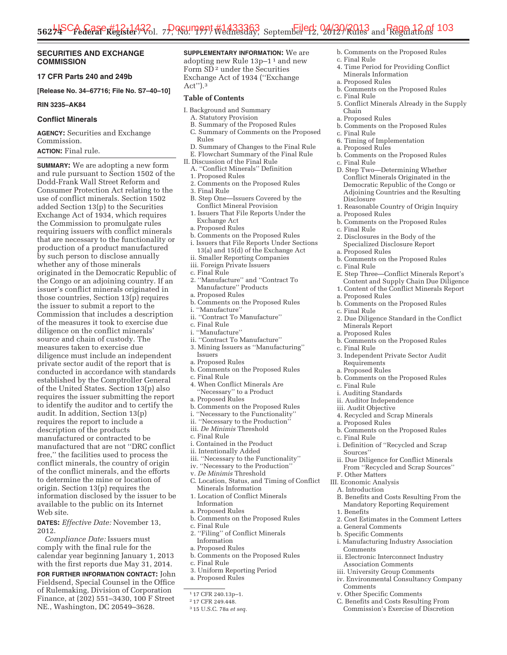#### **SECURITIES AND EXCHANGE COMMISSION**

#### **17 CFR Parts 240 and 249b**

**[Release No. 34–67716; File No. S7–40–10]** 

#### **RIN 3235–AK84**

#### **Conflict Minerals**

**AGENCY:** Securities and Exchange Commission.

### **ACTION:** Final rule.

**SUMMARY:** We are adopting a new form and rule pursuant to Section 1502 of the Dodd-Frank Wall Street Reform and Consumer Protection Act relating to the use of conflict minerals. Section 1502 added Section 13(p) to the Securities Exchange Act of 1934, which requires the Commission to promulgate rules requiring issuers with conflict minerals that are necessary to the functionality or production of a product manufactured by such person to disclose annually whether any of those minerals originated in the Democratic Republic of the Congo or an adjoining country. If an issuer's conflict minerals originated in those countries, Section 13(p) requires the issuer to submit a report to the Commission that includes a description of the measures it took to exercise due diligence on the conflict minerals' source and chain of custody. The measures taken to exercise due diligence must include an independent private sector audit of the report that is conducted in accordance with standards established by the Comptroller General of the United States. Section 13(p) also requires the issuer submitting the report to identify the auditor and to certify the audit. In addition, Section 13(p) requires the report to include a description of the products manufactured or contracted to be manufactured that are not ''DRC conflict free,'' the facilities used to process the conflict minerals, the country of origin of the conflict minerals, and the efforts to determine the mine or location of origin. Section 13(p) requires the information disclosed by the issuer to be available to the public on its Internet Web site.

**DATES:** *Effective Date:* November 13, 2012.

*Compliance Date:* Issuers must comply with the final rule for the calendar year beginning January 1, 2013 with the first reports due May 31, 2014.

**FOR FURTHER INFORMATION CONTACT:** John Fieldsend, Special Counsel in the Office of Rulemaking, Division of Corporation Finance, at (202) 551–3430, 100 F Street NE., Washington, DC 20549–3628.

#### **SUPPLEMENTARY INFORMATION:** We are adopting new Rule 13p–1 1 and new

Form SD<sup>2</sup> under the Securities Exchange Act of 1934 (''Exchange Act'').3

#### **Table of Contents**

- I. Background and Summary
	- A. Statutory Provision
	- B. Summary of the Proposed Rules C. Summary of Comments on the Proposed Rules
- D. Summary of Changes to the Final Rule
- E. Flowchart Summary of the Final Rule
- II. Discussion of the Final Rule A. ''Conflict Minerals'' Definition
	- 1. Proposed Rules
	-
- 2. Comments on the Proposed Rules
- 3. Final Rule
- B. Step One—Issuers Covered by the Conflict Mineral Provision
- 1. Issuers That File Reports Under the Exchange Act
- a. Proposed Rules
- b. Comments on the Proposed Rules i. Issuers that File Reports Under Sections
- 13(a) and 15(d) of the Exchange Act ii. Smaller Reporting Companies
- iii. Foreign Private Issuers
- c. Final Rule
- 2. ''Manufacture'' and ''Contract To Manufacture" Products
- a. Proposed Rules
- b. Comments on the Proposed Rules
- i. ''Manufacture''
- ii. ''Contract To Manufacture''
- c. Final Rule
- i. ''Manufacture''
- ii. ''Contract To Manufacture'' 3. Mining Issuers as ''Manufacturing'' Issuers
- a. Proposed Rules
- b. Comments on the Proposed Rules
- c. Final Rule
- 4. When Conflict Minerals Are ''Necessary'' to a Product
- a. Proposed Rules
- b. Comments on the Proposed Rules
- i. ''Necessary to the Functionality''
- ii. ''Necessary to the Production''
- iii. *De Minimis* Threshold
- c. Final Rule
- i. Contained in the Product
- ii. Intentionally Added
- iii. ''Necessary to the Functionality''
- iv. ''Necessary to the Production''
- v. *De Minimis* Threshold
- C. Location, Status, and Timing of Conflict Minerals Information
- 1. Location of Conflict Minerals Information
- a. Proposed Rules
- b. Comments on the Proposed Rules c. Final Rule
- 
- 2. ''Filing'' of Conflict Minerals Information
- a. Proposed Rules
- b. Comments on the Proposed Rules
- c. Final Rule
- 3. Uniform Reporting Period
- a. Proposed Rules

- 2 17 CFR 249.448.
- 3 15 U.S.C. 78a *et seq.*
- b. Comments on the Proposed Rules
- c. Final Rule
	- 4. Time Period for Providing Conflict Minerals Information
- a. Proposed Rules
	- b. Comments on the Proposed Rules
	- c. Final Rule
	- 5. Conflict Minerals Already in the Supply Chain
	- a. Proposed Rules
	- b. Comments on the Proposed Rules
	- c. Final Rule
	- 6. Timing of Implementation
	- a. Proposed Rules
	- b. Comments on the Proposed Rules
	- c. Final Rule
	- D. Step Two—Determining Whether Conflict Minerals Originated in the Democratic Republic of the Congo or Adjoining Countries and the Resulting **Disclosure**
	- 1. Reasonable Country of Origin Inquiry
	- a. Proposed Rules
	- b. Comments on the Proposed Rules
	- c. Final Rule
	- 2. Disclosures in the Body of the Specialized Disclosure Report
	- a. Proposed Rules
	- b. Comments on the Proposed Rules
	- c. Final Rule
	- E. Step Three—Conflict Minerals Report's Content and Supply Chain Due Diligence 1. Content of the Conflict Minerals Report
	- a. Proposed Rules
	- b. Comments on the Proposed Rules
	- c. Final Rule
	- 2. Due Diligence Standard in the Conflict Minerals Report
	- a. Proposed Rules

Requirements a. Proposed Rules

a. Proposed Rules

c. Final Rule

Sources''

F. Other Matters III. Economic Analysis A. Introduction

a. General Comments b. Specific Comments

1. Benefits

Comments

Comments

b. Comments on the Proposed Rules

b. Comments on the Proposed Rules

4. Recycled and Scrap Minerals

b. Comments on the Proposed Rules

i. Definition of ''Recycled and Scrap

ii. Due Diligence for Conflict Minerals From ''Recycled and Scrap Sources''

B. Benefits and Costs Resulting From the Mandatory Reporting Requirement

2. Cost Estimates in the Comment Letters

i. Manufacturing Industry Association

ii. Electronic Interconnect Industry Association Comments iii. University Group Comments iv. Environmental Consultancy Company

v. Other Specific Comments C. Benefits and Costs Resulting From Commission's Exercise of Discretion

c. Final Rule 3. Independent Private Sector Audit

c. Final Rule i. Auditing Standards ii. Auditor Independence iii. Audit Objective

<sup>1</sup> 17 CFR 240.13p–1.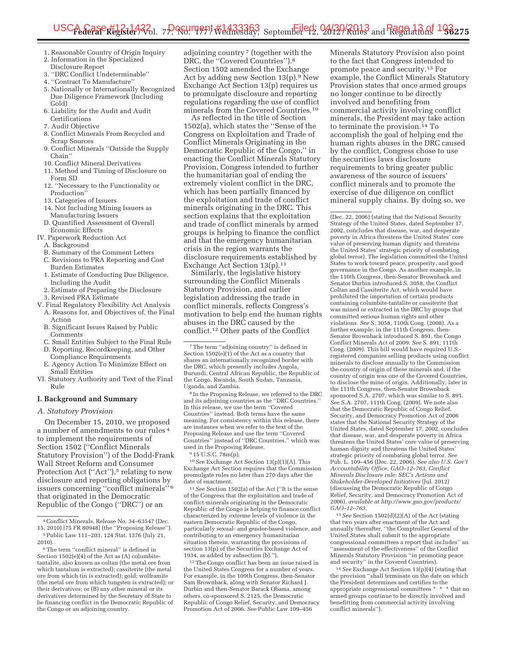- 1. Reasonable Country of Origin Inquiry
- 2. Information in the Specialized
- Disclosure Report 3. ''DRC Conflict Undeterminable''
- 4. ''Contract To Manufacture''
- 5. Nationally or Internationally Recognized Due Diligence Framework (Including Gold)
- 6. Liability for the Audit and Audit Certifications
- 7. Audit Objective
- 8. Conflict Minerals From Recycled and Scrap Sources
- 9. Conflict Minerals ''Outside the Supply Chain''
- 10. Conflict Mineral Derivatives
- 11. Method and Timing of Disclosure on
- Form SD 12. ''Necessary to the Functionality or Production'<sup>\*</sup>
- 13. Categories of Issuers
- 14. Not Including Mining Issuers as Manufacturing Issuers
- D. Quantified Assessment of Overall Economic Effects
- IV. Paperwork Reduction Act
	- A. Background
	- B. Summary of the Comment Letters
	- C. Revisions to PRA Reporting and Cost Burden Estimates
	- 1. Estimate of Conducting Due Diligence, Including the Audit
	- 2. Estimate of Preparing the Disclosure
	- 3. Revised PRA Estimate
- V. Final Regulatory Flexibility Act Analysis A. Reasons for, and Objectives of, the Final Action
	- B. Significant Issues Raised by Public **Comments**
	- C. Small Entities Subject to the Final Rule
	- D. Reporting, Recordkeeping, and Other Compliance Requirements
	- E. Agency Action To Minimize Effect on Small Entities
- VI. Statutory Authority and Text of the Final Rule

#### **I. Background and Summary**

#### *A. Statutory Provision*

On December 15, 2010, we proposed a number of amendments to our rules 4 to implement the requirements of Section 1502 (''Conflict Minerals Statutory Provision'') of the Dodd-Frank Wall Street Reform and Consumer Protection Act ("Act"),<sup>5</sup> relating to new disclosure and reporting obligations by issuers concerning ''conflict minerals'' 6 that originated in the Democratic Republic of the Congo (''DRC'') or an

adjoining country 7 (together with the DRC, the "Covered Countries").<sup>8</sup> Section 1502 amended the Exchange Act by adding new Section 13(p).9 New Exchange Act Section 13(p) requires us to promulgate disclosure and reporting regulations regarding the use of conflict minerals from the Covered Countries.10

As reflected in the title of Section 1502(a), which states the ''Sense of the Congress on Exploitation and Trade of Conflict Minerals Originating in the Democratic Republic of the Congo,'' in enacting the Conflict Minerals Statutory Provision, Congress intended to further the humanitarian goal of ending the extremely violent conflict in the DRC, which has been partially financed by the exploitation and trade of conflict minerals originating in the DRC. This section explains that the exploitation and trade of conflict minerals by armed groups is helping to finance the conflict and that the emergency humanitarian crisis in the region warrants the disclosure requirements established by Exchange Act Section 13(p).<sup>11</sup>

Similarly, the legislative history surrounding the Conflict Minerals Statutory Provision, and earlier legislation addressing the trade in conflict minerals, reflects Congress's motivation to help end the human rights abuses in the DRC caused by the conflict.12 Other parts of the Conflict

8 In the Proposing Release, we referred to the DRC and its adjoining countries as the "DRC Countries. In this release, we use the term ''Covered Countries'' instead. Both terms have the same meaning. For consistency within this release, there are instances when we refer to the text of the Proposing Release and use the term ''Covered Countries'' instead of ''DRC Countries,'' which was used in the Proposing Release.

9 15 U.S.C. 78m(p).

10*See* Exchange Act Section 13(p)(1)(A). This Exchange Act Section requires that the Commission promulgate rules no later than 270 days after the date of enactment.

11*See* Section 1502(a) of the Act (''It is the sense of the Congress that the exploitation and trade of conflict minerals originating in the Democratic Republic of the Congo is helping to finance conflict characterized by extreme levels of violence in the eastern Democratic Republic of the Congo, particularly sexual- and gender-based violence, and contributing to an emergency humanitarian situation therein, warranting the provisions of section 13(p) of the Securities Exchange Act of 1934, as added by subsection (b).'').

12The Congo conflict has been an issue raised in the United States Congress for a number of years. For example, in the 109th Congress, then-Senator Sam Brownback, along with Senator Richard J. Durbin and then-Senator Barack Obama, among others, co-sponsored S. 2125, the Democratic Republic of Congo Relief, Security, and Democracy Promotion Act of 2006. *See* Public Law 109–456

Minerals Statutory Provision also point to the fact that Congress intended to promote peace and security.13 For example, the Conflict Minerals Statutory Provision states that once armed groups no longer continue to be directly involved and benefiting from commercial activity involving conflict minerals, the President may take action to terminate the provision.<sup>14</sup> To accomplish the goal of helping end the human rights abuses in the DRC caused by the conflict, Congress chose to use the securities laws disclosure requirements to bring greater public awareness of the source of issuers' conflict minerals and to promote the exercise of due diligence on conflict mineral supply chains. By doing so, we

(Dec. 22, 2006) (stating that the National Security Strategy of the United States, dated September 17, 2002, concludes that disease, war, and desperate poverty in Africa threatens the United States' core value of preserving human dignity and threatens the United States' strategic priority of combating global terror). The legislation committed the United States to work toward peace, prosperity, and good governance in the Congo. As another example, in the 110th Congress, then-Senator Brownback and Senator Durbin introduced S. 3058, the Conflict Coltan and Cassiterite Act, which would have prohibited the importation of certain products containing columbite-tantalite or cassiterite that was mined or extracted in the DRC by groups that committed serious human rights and other violations. *See* S. 3058, 110th Cong. (2008). As a further example, in the 111th Congress, then-Senator Brownback introduced S. 891, the Congo Conflict Minerals Act of 2009. *See* S. 891, 111th Cong. (2009). This bill would have required U.S. registered companies selling products using conflict minerals to disclose annually to the Commission the country of origin of these minerals and, if the country of origin was one of the Covered Countries, to disclose the mine of origin. Additionally, later in the 111th Congress, then-Senator Brownback sponsored S.A. 2707, which was similar to S. 891. *See* S.A. 2707, 111th Cong. (2009). We note also that the Democratic Republic of Congo Relief, Security, and Democracy Promotion Act of 2006 states that the National Security Strategy of the United States, dated September 17, 2002, concludes that disease, war, and desperate poverty in Africa threatens the United States' core value of preserving human dignity and threatens the United States' strategic priority of combating global terror. *See*  Pub. L. 109–456 (Dec. 22, 2006). *See also U.S. Gov't Accountability Office, GAO–12–763, Conflict Minerals Disclosure rule: SEC's Actions and Stakeholder-Developed Initiatives* (Jul. 2012) (discussing the Democratic Republic of Congo Relief, Security, and Democracy Promotion Act of 2006), *available at http://www.gao.gov/products/ GAO–12–763*.

13*See* Section 1502(d)(2)(A) of the Act (stating that two years after enactment of the Act and annually thereafter, ''the Comptroller General of the United States shall submit to the appropriate congressional committees a report that includes'' an ''assessment of the effectiveness'' of the Conflict Minerals Statutory Provision ''in promoting peace and security'' in the Covered Countries).

14*See* Exchange Act Section 13(p)(4) (stating that the provision ''shall terminate on the date on which the President determines and certifies to the appropriate congressional committees \* \* \* that no armed groups continue to be directly involved and benefitting from commercial activity involving conflict minerals'').

<sup>4</sup>Conflict Minerals, Release No. 34–63547 (Dec. 15, 2010) [75 FR 80948] (the ''Proposing Release''). 5Public Law 111–203, 124 Stat. 1376 (July 21, 2010).

 $^6$  The term ''conflict mineral'' is defined in Section 1502(e)(4) of the Act as (A) columbitetantalite, also known as coltan (the metal ore from which tantalum is extracted); cassiterite (the metal ore from which tin is extracted); gold; wolframite (the metal ore from which tungsten is extracted); or their derivatives; or (B) any other mineral or its derivatives determined by the Secretary of State to be financing conflict in the Democratic Republic of the Congo or an adjoining country.

<sup>7</sup>The term ''adjoining country'' is defined in Section 1502(e)(1) of the Act as a country that shares an internationally recognized border with the DRC, which presently includes Angola, Burundi, Central African Republic, the Republic of the Congo, Rwanda, South Sudan, Tanzania, Uganda, and Zambia.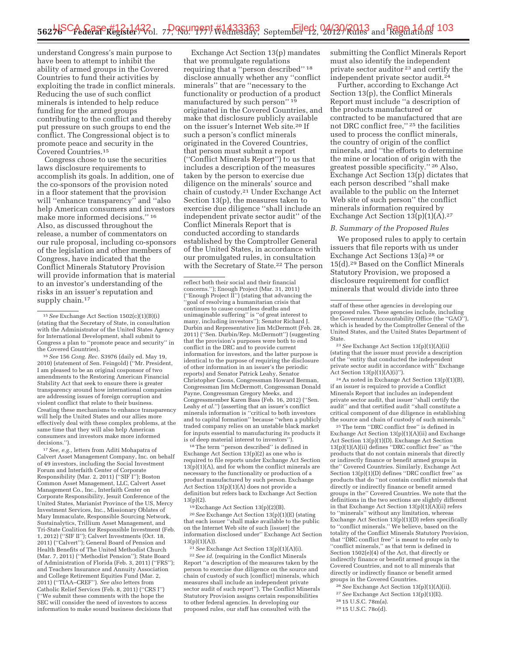understand Congress's main purpose to have been to attempt to inhibit the ability of armed groups in the Covered Countries to fund their activities by exploiting the trade in conflict minerals. Reducing the use of such conflict minerals is intended to help reduce funding for the armed groups contributing to the conflict and thereby put pressure on such groups to end the conflict. The Congressional object is to promote peace and security in the Covered Countries.15

Congress chose to use the securities laws disclosure requirements to accomplish its goals. In addition, one of the co-sponsors of the provision noted in a floor statement that the provision will ''enhance transparency'' and ''also help American consumers and investors make more informed decisions.'' 16 Also, as discussed throughout the release, a number of commentators on our rule proposal, including co-sponsors of the legislation and other members of Congress, have indicated that the Conflict Minerals Statutory Provision will provide information that is material to an investor's understanding of the risks in an issuer's reputation and supply chain.<sup>17</sup>

16*See* 156 *Cong. Rec.* S3976 (daily ed. May 19, 2010) (statement of Sen. Feingold) (''Mr. President, I am pleased to be an original cosponsor of two amendments to the Restoring American Financial Stability Act that seek to ensure there is greater transparency around how international companies are addressing issues of foreign corruption and violent conflict that relate to their business. Creating these mechanisms to enhance transparency will help the United States and our allies more effectively deal with these complex problems, at the same time that they will also help American consumers and investors make more informed decisions.'').

17*See, e.g.,* letters from Aditi Mohapatra of Calvert Asset Management Company, Inc. on behalf of 49 investors, including the Social Investment Forum and Interfaith Center of Corporate Responsibility (Mar. 2, 2011) (''SIF I''); Boston Common Asset Management, LLC, Calvert Asset Management Co., Inc., Interfaith Center on Corporate Responsibility, Jesuit Conference of the United States, Marianist Province of the US, Mercy Investment Services, Inc., Missionary Oblates of Mary Immaculate, Responsible Sourcing Network, Sustainalytics, Trillium Asset Management, and Tri-State Coalition for Responsible Investment (Feb. 1, 2012) (''SIF II''); Calvert Investments (Oct. 18, 2011) (''Calvert''); General Board of Pension and Health Benefits of The United Methodist Church (Mar. 7, 2011) (''Methodist Pension''); State Board of Administration of Florida (Feb. 3, 2011) (''FRS''); and Teachers Insurance and Annuity Association and College Retirement Equities Fund (Mar. 2, 2011) (''TIAA–CREF''). *See also* letters from Catholic Relief Services (Feb. 8, 2011) (''CRS I'') (''We submit these comments with the hope the SEC will consider the need of investors to access information to make sound business decisions that

Exchange Act Section 13(p) mandates that we promulgate regulations requiring that a ''person described'' 18 disclose annually whether any ''conflict minerals'' that are ''necessary to the functionality or production of a product manufactured by such person'' 19 originated in the Covered Countries, and make that disclosure publicly available on the issuer's Internet Web site.20 If such a person's conflict minerals originated in the Covered Countries, that person must submit a report (''Conflict Minerals Report'') to us that includes a description of the measures taken by the person to exercise due diligence on the minerals' source and chain of custody.21 Under Exchange Act Section 13(p), the measures taken to exercise due diligence ''shall include an independent private sector audit'' of the Conflict Minerals Report that is conducted according to standards established by the Comptroller General of the United States, in accordance with our promulgated rules, in consultation with the Secretary of State.<sup>22</sup> The person

18The term ''person described'' is defined in Exchange Act Section 13(p)(2) as one who is required to file reports under Exchange Act Section  $13(p)(1)(A)$ , and for whom the conflict minerals are necessary to the functionality or production of a product manufactured by such person. Exchange Act Section 13(p)(1)(A) does not provide a definition but refers back to Exchange Act Section 13(p)(2).

19Exchange Act Section 13(p)(2)(B).

20*See* Exchange Act Section 13(p)(1)(E) (stating that each issuer ''shall make available to the public on the Internet Web site of such [issuer] the information disclosed under'' Exchange Act Section 13(p)(1)(A)).

21*See* Exchange Act Section 13(p)(1)(A)(i). <sup>22</sup> See id. (requiring in the Conflict Minerals Report ''a description of the measures taken by the person to exercise due diligence on the source and chain of custody of such [conflict] minerals, which measures shall include an independent private sector audit of such report''). The Conflict Minerals Statutory Provision assigns certain responsibilities to other federal agencies. In developing our proposed rules, our staff has consulted with the

submitting the Conflict Minerals Report must also identify the independent private sector auditor 23 and certify the independent private sector audit.24

Further, according to Exchange Act Section 13(p), the Conflict Minerals Report must include ''a description of the products manufactured or contracted to be manufactured that are not DRC conflict free,'' 25 the facilities used to process the conflict minerals, the country of origin of the conflict minerals, and ''the efforts to determine the mine or location of origin with the greatest possible specificity.'' 26 Also, Exchange Act Section 13(p) dictates that each person described ''shall make available to the public on the Internet Web site of such person'' the conflict minerals information required by Exchange Act Section 13(p)(1)(A).27

#### *B. Summary of the Proposed Rules*

We proposed rules to apply to certain issuers that file reports with us under Exchange Act Sections 13(a) 28 or 15(d).29 Based on the Conflict Minerals Statutory Provision, we proposed a disclosure requirement for conflict minerals that would divide into three

23*See* Exchange Act Section 13(p)(1)(A)(ii) (stating that the issuer must provide a description of the ''entity that conducted the independent private sector audit in accordance with'' Exchange Act Section 13(p)(1)(A)(i)'').

24As noted in Exchange Act Section 13(p)(1)(B), if an issuer is required to provide a Conflict Minerals Report that includes an independent private sector audit, that issuer ''shall certify the audit'' and that certified audit ''shall constitute a critical component of due diligence in establishing the source and chain of custody of such minerals.

 $^{\rm 25}\rm{The\ term}$  "DRC conflict free" is defined in Exchange Act Section 13(p)(1)(A)(ii) and Exchange Act Section 13(p)(1)(D). Exchange Act Section 13(p)(1)(A)(ii) defines ''DRC conflict free'' as ''the products that do not contain minerals that directly or indirectly finance or benefit armed groups in the'' Covered Countries. Similarly, Exchange Act Section 13(p)(1)(D) defines ''DRC conflict free'' as products that do ''not contain conflict minerals that directly or indirectly finance or benefit armed groups in the'' Covered Countries. We note that the definitions in the two sections are slightly different in that Exchange Act Section  $13(p)(1)(A)(ii)$  refers to ''minerals'' without any limitation, whereas Exchange Act Section 13(p)(1)(D) refers specifically to ''conflict minerals.'' We believe, based on the totality of the Conflict Minerals Statutory Provision, that ''DRC conflict free'' is meant to refer only to ''conflict minerals,'' as that term is defined in Section 1502(e)(4) of the Act, that directly or indirectly finance or benefit armed groups in the Covered Countries, and not to all minerals that directly or indirectly finance or benefit armed groups in the Covered Countries.

- 26*See* Exchange Act Section 13(p)(1)(A)(ii).
- 27*See* Exchange Act Section 13(p)(1)(E).
- 28 15 U.S.C. 78m(a). 29 15 U.S.C. 78o(d).

<sup>15</sup>*See* Exchange Act Section 1502(c)(1)(B)(i) (stating that the Secretary of State, in consultation with the Administrator of the United States Agency for International Development, shall submit to Congress a plan to ''promote peace and security'' in the Covered Countries).

reflect both their social and their financial concerns.''); Enough Project (Mar. 31, 2011) (''Enough Project II'') (stating that advancing the ''goal of resolving a humanitarian crisis that continues to cause countless deaths and unimaginable suffering'' is ''of great interest to many, including investors''); Senator Richard J. Durbin and Representative Jim McDermott (Feb. 28, 2011) (''Sen. Durbin/Rep. McDermott'') (suggesting that the provision's purposes were both to end conflict in the DRC and to provide current information for investors, and the latter purpose is identical to the purpose of requiring the disclosure of other information in an issuer's the periodic reports) and Senator Patrick Leahy, Senator Christopher Coons, Congressman Howard Berman, Congressman Jim McDermott, Congressman Donald Payne, Congressman Gregory Meeks, and Congressmember Karen Bass (Feb. 16, 2012) (''Sen. Leahy *et al.*'') (asserting that an issuer's conflict minerals information is ''critical to both investors and to capital formation'' because ''when a publicly traded company relies on an unstable black market for inputs essential to manufacturing its products it is of deep material interest to investors'').

staff of these other agencies in developing our proposed rules. These agencies include, including the Government Accountability Office (the "GAO" which is headed by the Comptroller General of the United States, and the United States Department of State.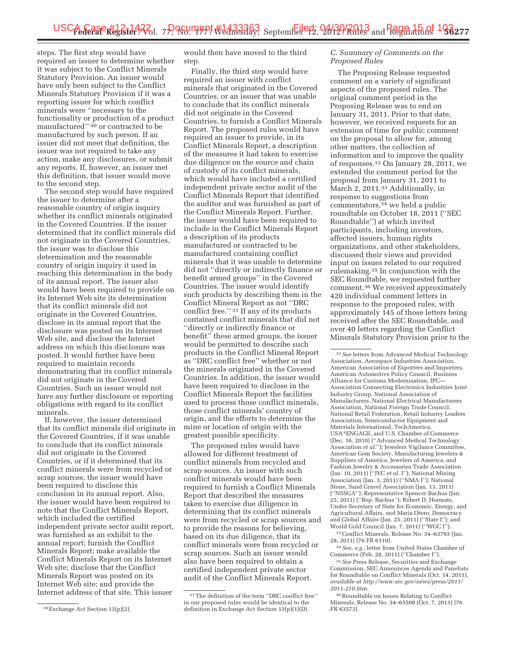steps. The first step would have required an issuer to determine whether it was subject to the Conflict Minerals Statutory Provision. An issuer would have only been subject to the Conflict Minerals Statutory Provision if it was a reporting issuer for which conflict minerals were ''necessary to the functionality or production of a product manufactured" <sup>30</sup> or contracted to be manufactured by such person. If an issuer did not meet that definition, the issuer was not required to take any action, make any disclosures, or submit any reports. If, however, an issuer met this definition, that issuer would move to the second step.

The second step would have required the issuer to determine after a reasonable country of origin inquiry whether its conflict minerals originated in the Covered Countries. If the issuer determined that its conflict minerals did not originate in the Covered Countries, the issuer was to disclose this determination and the reasonable country of origin inquiry it used in reaching this determination in the body of its annual report. The issuer also would have been required to provide on its Internet Web site its determination that its conflict minerals did not originate in the Covered Countries, disclose in its annual report that the disclosure was posted on its Internet Web site, and disclose the Internet address on which this disclosure was posted. It would further have been required to maintain records demonstrating that its conflict minerals did not originate in the Covered Countries. Such an issuer would not have any further disclosure or reporting obligations with regard to its conflict minerals.

If, however, the issuer determined that its conflict minerals did originate in the Covered Countries, if it was unable to conclude that its conflict minerals did not originate in the Covered Countries, or if it determined that its conflict minerals were from recycled or scrap sources, the issuer would have been required to disclose this conclusion in its annual report. Also, the issuer would have been required to note that the Conflict Minerals Report, which included the certified independent private sector audit report, was furnished as an exhibit to the annual report; furnish the Conflict Minerals Report; make available the Conflict Minerals Report on its Internet Web site; disclose that the Conflict Minerals Report was posted on its Internet Web site; and provide the Internet address of that site. This issuer

would then have moved to the third step.

Finally, the third step would have required an issuer with conflict minerals that originated in the Covered Countries, or an issuer that was unable to conclude that its conflict minerals did not originate in the Covered Countries, to furnish a Conflict Minerals Report. The proposed rules would have required an issuer to provide, in its Conflict Minerals Report, a description of the measures it had taken to exercise due diligence on the source and chain of custody of its conflict minerals, which would have included a certified independent private sector audit of the Conflict Minerals Report that identified the auditor and was furnished as part of the Conflict Minerals Report. Further, the issuer would have been required to include in the Conflict Minerals Report a description of its products manufactured or contracted to be manufactured containing conflict minerals that it was unable to determine did not ''directly or indirectly finance or benefit armed groups'' in the Covered Countries. The issuer would identify such products by describing them in the Conflict Mineral Report as not ''DRC conflict free.'' 31 If any of its products contained conflict minerals that did not ''directly or indirectly finance or benefit'' these armed groups, the issuer would be permitted to describe such products in the Conflict Mineral Report as ''DRC conflict free'' whether or not the minerals originated in the Covered Countries. In addition, the issuer would have been required to disclose in the Conflict Minerals Report the facilities used to process those conflict minerals, those conflict minerals' country of origin, and the efforts to determine the mine or location of origin with the greatest possible specificity.

The proposed rules would have allowed for different treatment of conflict minerals from recycled and scrap sources. An issuer with such conflict minerals would have been required to furnish a Conflict Minerals Report that described the measures taken to exercise due diligence in determining that its conflict minerals were from recycled or scrap sources and to provide the reasons for believing, based on its due diligence, that its conflict minerals were from recycled or scrap sources. Such an issuer would also have been required to obtain a certified independent private sector audit of the Conflict Minerals Report.

#### *C. Summary of Comments on the Proposed Rules*

The Proposing Release requested comment on a variety of significant aspects of the proposed rules. The original comment period in the Proposing Release was to end on January 31, 2011. Prior to that date, however, we received requests for an extension of time for public comment on the proposal to allow for, among other matters, the collection of information and to improve the quality of responses.32 On January 28, 2011, we extended the comment period for the proposal from January 31, 2011 to March 2, 2011.33 Additionally, in response to suggestions from commentators,34 we held a public roundtable on October 18, 2011 (''SEC Roundtable'') at which invited participants, including investors, affected issuers, human rights organizations, and other stakeholders, discussed their views and provided input on issues related to our required rulemaking.35 In conjunction with the SEC Roundtable, we requested further comment.36 We received approximately 420 individual comment letters in response to the proposed rules, with approximately 145 of those letters being received after the SEC Roundtable, and over 40 letters regarding the Conflict Minerals Statutory Provision prior to the

33Conflict Minerals, Release No. 34–63793 (Jan. 28, 2011) [76 FR 6110].

34*See, e.g.,* letter from United States Chamber of Commerce (Feb. 28, 2011) (''Chamber I'').

35*See* Press Release, Securities and Exchange Commission, SEC Announces Agenda and Panelists for Roundtable on Conflict Minerals (Oct. 14, 2011), *available at http://www.sec.gov/news/press/2011/ 2011-210.htm*.

36Roundtable on Issues Relating to Conflict Minerals, Release No. 34–65508 (Oct. 7, 2011) [76 FR 63573].

<sup>30</sup>Exchange Act Section 13(p)(2).

<sup>31</sup>The definition of the term ''DRC conflict free'' in our proposed rules would be identical to the definition in Exchange Act Section 13(p)(1)(D).

<sup>32</sup>*See* letters from Advanced Medical Technology Association, Aerospace Industries Association, American Association of Exporters and Importers, American Automotive Policy Council, Business Alliance for Customs Modernization, IPC— Association Connecting Electronics Industries Joint Industry Group, National Association of Manufacturers, National Electrical Manufacturers Association, National Foreign Trade Council, National Retail Federation, Retail Industry Leaders Association, Semiconductor Equipment and Materials International, TechAmerica, USA\*ENGAGE, and U.S. Chamber of Commerce (Dec. 16, 2010) (''Advanced Medical Technology Association *et al.*''); Jewelers Vigilance Committee, American Gem Society, Manufacturing Jewelers & Suppliers of America, Jewelers of America, and Fashion Jewelry & Accessories Trade Association (Jan. 10, 2011) (''JVC *et al.* I''); National Mining Association (Jan. 3, 2011) (''NMA I''); National Stone, Sand Gravel Association (Jan. 13, 2011) (''NSSGA''); Representative Spencer Bachus (Jan. 25, 2011) (''Rep. Bachus''); Robert D. Hormats, Under Secretary of State for Economic, Energy, and Agricultural Affairs, and Maria Otero, Democracy and Global Affairs (Jan. 25, 2011) (''State I''); and World Gold Council (Jan. 7, 2011) (''WGC I'').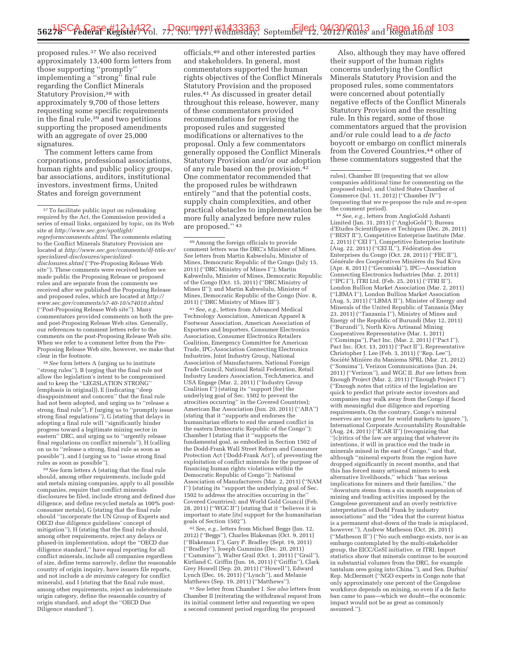proposed rules.37 We also received approximately 13,400 form letters from those supporting ''promptly'' implementing a ''strong'' final rule regarding the Conflict Minerals Statutory Provision,<sup>38</sup> with approximately 9,700 of those letters requesting some specific requirements in the final rule,39 and two petitions supporting the proposed amendments with an aggregate of over 25,000 signatures.

The comment letters came from corporations, professional associations, human rights and public policy groups, bar associations, auditors, institutional investors, investment firms, United States and foreign government

38*See* form letters A (urging us to institute ''strong rules''), B (urging that the final rule not allow the legislation's intent to be compromised and to keep the ''LEGISLATION STRONG'' (emphasis in original)), E (indicating ''deep disappointment and concern'' that the final rule had not been adopted, and urging us to ''release a strong, final rule''), F (urging us to ''promptly issue strong final regulations''), G (stating that delays in adopting a final rule will ''significantly hinder progress toward a legitimate mining sector in eastern'' DRC, and urging us to ''urgently release final regulations on conflict minerals''), H (calling on us to ''release a strong, final rule as soon as possible''), and I (urging us to ''issue strong final rules as soon as possible'').

39*See* form letters A (stating that the final rule should, among other requirements, include gold and metals mining companies, apply to all possible companies, require that conflict minerals disclosures be filed, include strong and defined due diligence, and define recycled metals as 100% postconsumer metals), G (stating that the final rule should ''incorporate the UN Group of Experts and OECD due diligence guidelines' concept of mitigation''), H (stating that the final rule should, among other requirements, reject any delays or phased-in implementation, adopt the ''OECD due diligence standard,'' have equal reporting for all conflict minerals, include all companies regardless of size, define terms narrowly, define the reasonable country of origin inquiry, have issuers file reports, and not include a *de minimis* category for conflict minerals), and I (stating that the final rule must, among other requirements, reject an indeterminate origin category, define the reasonable country of origin standard, and adopt the ''OECD Due Diligence standard'').

officials,40 and other interested parties and stakeholders. In general, most commentators supported the human rights objectives of the Conflict Minerals Statutory Provision and the proposed rules.41 As discussed in greater detail throughout this release, however, many of these commentators provided recommendations for revising the proposed rules and suggested modifications or alternatives to the proposal. Only a few commentators generally opposed the Conflict Minerals Statutory Provision and/or our adoption of any rule based on the provision.<sup>42</sup> One commentator recommended that the proposed rules be withdrawn entirely ''and that the potential costs, supply chain complexities, and other practical obstacles to implementation be more fully analyzed before new rules are proposed.'' 43

40Among the foreign officials to provide comment letters was the DRC's Minister of Mines. *See* letters from Martin Kabwelulu, Minister of Mines, Democratic Republic of the Congo (July 15, 2011) (''DRC Ministry of Mines I''); Martin Kabwelulu, Minister of Mines, Democratic Republic of the Congo (Oct. 15, 2011) (''DRC Ministry of Mines II''); and Martin Kabwelulu, Minister of Mines, Democratic Republic of the Congo (Nov. 8, 2011) (''DRC Ministry of Mines III'').

41*See, e.g.,* letters from Advanced Medical Technology Association, American Apparel & Footwear Association, American Association of Exporters and Importers, Consumer Electronics Association, Consumer Electronics Retailers Coalition, Emergency Committee for American Trade, IPC-Association Connecting Electronics Industries, Joint Industry Group, National Association of Manufacturers, National Foreign Trade Council, National Retail Federation, Retail Industry Leaders Association, TechAmerica, and USA Engage (Mar. 2, 2011) (''Industry Group Coalition I'') (stating its ''support [for] the underlying goal of Sec. 1502 to prevent the atrocities occurring'' in the Covered Countries); American Bar Association (Jun. 20, 2011) (''ABA'') (stating that it ''supports and endorses the humanitarian efforts to end the armed conflict in the eastern Democratic Republic of the Congo''); Chamber I (stating that it ''supports the fundamental goal, as embodied in Section 1502 of the Dodd-Frank Wall Street Reform and Consumer Protection Act ('Dodd-Frank Act'), of preventing the exploitation of conflict minerals for the purpose of financing human rights violations within the Democratic Republic of Congo''); National Association of Manufacturers (Mar. 2, 2011) (''NAM I'') (stating its ''support the underlying goal of Sec. 1502 to address the atrocities occurring in the'' Covered Countries); and World Gold Council (Feb. 28, 2011) (''WGC II'') (stating that it ''believes it is important to state [its] support for the humanitarian goals of Section 1502'').

42*See, e.g.,* letters from Michael Beggs (Jan. 12, 2012) (''Beggs''), Charles Blakeman (Oct. 9, 2011) (''Blakeman I''), Gary P. Bradley (Sept. 19, 2011) (''Bradley''), Joseph Cummins (Dec. 20, 2011) (''Cummins''), Walter Grail (Oct. 1, 2011) (''Grail''), Kirtland C. Griffin (Jun. 16, 2011) (''Griffin''), Clark Grey Howell (Sep. 20, 2011) (''Howell''), Edward Lynch (Dec. 16, 2011) (''Lynch''), and Melanie Matthews (Sep. 19, 2011) (''Matthews'').

43*See* letter from Chamber I. *See also* letters from Chamber II (reiterating the withdrawal request from its initial comment letter and requesting we open a second comment period regarding the proposed

Also, although they may have offered their support of the human rights concerns underlying the Conflict Minerals Statutory Provision and the proposed rules, some commentators were concerned about potentially negative effects of the Conflict Minerals Statutory Provision and the resulting rule. In this regard, some of those commentators argued that the provision and/or rule could lead to a *de facto*  boycott or embargo on conflict minerals from the Covered Countries,44 other of these commentators suggested that the

rules), Chamber III (requesting that we allow companies additional time for commenting on the proposed rules), and United States Chamber of Commerce (Jul. 11, 2012) (''Chamber IV'') (requesting that we re-propose the rule and re-open the comment period).

44*See, e.g.,* letters from AngloGold Ashanti Limited (Jan. 31, 2011) (''AngloGold''), Bureau d'Etudes Scientifiques et Techiques (Dec. 26, 2011) (''BEST II''), Competitive Enterprise Institute (Mar. 2, 2011) (''CEI I''), Competitive Enterprise Institute (Aug. 22, 2011) ("CEI II,"), Fédération des Enterprises du Congo (Oct. 28, 2011) (''FEC II''), Générale des Coopératives Minières du Sud Kivu (Apr. 8, 2011) (''Gecomiski''), IPC—Association Connecting Electronics Industries (Mar. 2, 2011) (''IPC I''), ITRI Ltd. (Feb. 25, 2011) (''ITRI II''), London Bullion Market Association (Mar. 2, 2011) (''LBMA I''), London Bullion Market Association (Aug. 5, 2011) (''LBMA II''), Minister of Energy and Minerals of the United Republic of Tanzania (May 23, 2011) (''Tanzania I''), Ministry of Mines and Energy of the Republic of Burundi (May 12, 2011) (''Burundi''), North Kivu Artisanal Mining Cooperatives Representative (Mar. 1, 2011) (''Comimpa''), Pact Inc. (Mar. 2, 2011) (''Pact I''), Pact Inc. (Oct. 13, 2011) ("Pact II"), Representative Christopher J. Lee (Feb. 3, 2011) (''Rep. Lee''), Société Minière du Maniema SPRL (Mar. 21, 2012) (''Somima''), Verizon Communications (Jun. 24, 2011) (''Verizon''), and WGC II. *But see* letters from Enough Project (Mar. 2, 2011) (''Enough Project I'') (''Enough notes that critics of the legislation are quick to predict that private sector investors and companies may walk away from the Congo if faced with meaningful due diligence and reporting requirements. On the contrary, Congo's mineral reserves are too great for world markets to ignore.''), International Corporate Accountability Roundtable (Aug. 24, 2011) (''ICAR II'') (recognizing that ''[c]ritics of the law are arguing that whatever its intentions, it will in practice end the trade in minerals mined in the east of Congo,'' and that, although ''mineral exports from the region have dropped significantly in recent months, and that this has forced many artisanal miners to seek alternative livelihoods,'' which ''has serious implications for miners and their families,'' the ''downturn stems from a six month suspension of mining and trading activities imposed by the Congolese government and an overly restrictive interpretation of Dodd Frank by industry associations'' and the ''idea that the current hiatus is a permanent shut-down of the trade is misplaced, however.''), Andrew Matheson (Oct. 26, 2011) (''Matheson II'') (''No such embargo exists, nor is an embargo contemplated by the multi-stakeholder group, the EICC/GeSI initiative, or ITRI. Import statistics show that minerals continue to be sourced in substantial volumes from the DRC, for example tantalum ores going into China.''), and Sen. Durbin/ Rep. McDermott (''NGO experts in Congo note that only approximately one percent of the Congolese workforce depends on mining, so even if a de facto ban came to pass—which we doubt—the economic impact would not be as great as commonly assumed.'').

<sup>&</sup>lt;sup>37</sup> To facilitate public input on rulemaking required by the Act, the Commission provided a series of email links, organized by topic, on its Web site at *http://www.sec.gov/spotlight/ regreformcomments.shtml*. The comments relating to the Conflict Minerals Statutory Provision are located at *http://www.sec.gov/comments/df-title-xv/ specialized-disclosures/specializeddisclosures.shtml* (''Pre-Proposing Release Web site''). These comments were received before we made public the Proposing Release or proposed rules and are separate from the comments we received after we published the Proposing Release and proposed rules, which are located at *http:// www.sec.gov/comments/s7-40-10/s74010.shtml*  (''Post-Proposing Release Web site''). Many commentators provided comments on both the preand post-Proposing Release Web sites. Generally, our references to comment letters refer to the comments on the post-Proposing Release Web site. When we refer to a comment letter from the Pre-Proposing Release Web site, however, we make that clear in the footnote.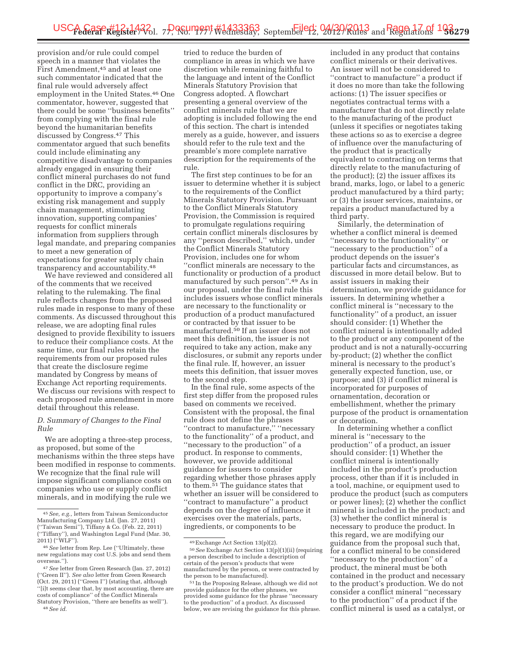provision and/or rule could compel speech in a manner that violates the First Amendment,45 and at least one such commentator indicated that the final rule would adversely affect employment in the United States.46 One commentator, however, suggested that there could be some ''business benefits'' from complying with the final rule beyond the humanitarian benefits discussed by Congress.47 This commentator argued that such benefits could include eliminating any competitive disadvantage to companies already engaged in ensuring their conflict mineral purchases do not fund conflict in the DRC, providing an opportunity to improve a company's existing risk management and supply chain management, stimulating innovation, supporting companies' requests for conflict minerals information from suppliers through legal mandate, and preparing companies to meet a new generation of expectations for greater supply chain transparency and accountability.48

We have reviewed and considered all of the comments that we received relating to the rulemaking. The final rule reflects changes from the proposed rules made in response to many of these comments. As discussed throughout this release, we are adopting final rules designed to provide flexibility to issuers to reduce their compliance costs. At the same time, our final rules retain the requirements from our proposed rules that create the disclosure regime mandated by Congress by means of Exchange Act reporting requirements. We discuss our revisions with respect to each proposed rule amendment in more detail throughout this release.

#### *D. Summary of Changes to the Final Rule*

We are adopting a three-step process, as proposed, but some of the mechanisms within the three steps have been modified in response to comments. We recognize that the final rule will impose significant compliance costs on companies who use or supply conflict minerals, and in modifying the rule we

tried to reduce the burden of compliance in areas in which we have discretion while remaining faithful to the language and intent of the Conflict Minerals Statutory Provision that Congress adopted. A flowchart presenting a general overview of the conflict minerals rule that we are adopting is included following the end of this section. The chart is intended merely as a guide, however, and issuers should refer to the rule text and the preamble's more complete narrative description for the requirements of the rule.

The first step continues to be for an issuer to determine whether it is subject to the requirements of the Conflict Minerals Statutory Provision. Pursuant to the Conflict Minerals Statutory Provision, the Commission is required to promulgate regulations requiring certain conflict minerals disclosures by any ''person described,'' which, under the Conflict Minerals Statutory Provision, includes one for whom ''conflict minerals are necessary to the functionality or production of a product manufactured by such person''.49 As in our proposal, under the final rule this includes issuers whose conflict minerals are necessary to the functionality or production of a product manufactured or contracted by that issuer to be manufactured.<sup>50</sup> If an issuer does not meet this definition, the issuer is not required to take any action, make any disclosures, or submit any reports under the final rule. If, however, an issuer meets this definition, that issuer moves to the second step.

In the final rule, some aspects of the first step differ from the proposed rules based on comments we received. Consistent with the proposal, the final rule does not define the phrases ''contract to manufacture,'' ''necessary to the functionality'' of a product, and ''necessary to the production'' of a product. In response to comments, however, we provide additional guidance for issuers to consider regarding whether those phrases apply to them.51 The guidance states that whether an issuer will be considered to ''contract to manufacture'' a product depends on the degree of influence it exercises over the materials, parts, ingredients, or components to be

included in any product that contains conflict minerals or their derivatives. An issuer will not be considered to ''contract to manufacture'' a product if it does no more than take the following actions: (1) The issuer specifies or negotiates contractual terms with a manufacturer that do not directly relate to the manufacturing of the product (unless it specifies or negotiates taking these actions so as to exercise a degree of influence over the manufacturing of the product that is practically equivalent to contracting on terms that directly relate to the manufacturing of the product); (2) the issuer affixes its brand, marks, logo, or label to a generic product manufactured by a third party; or (3) the issuer services, maintains, or repairs a product manufactured by a third party.

Similarly, the determination of whether a conflict mineral is deemed ''necessary to the functionality'' or ''necessary to the production'' of a product depends on the issuer's particular facts and circumstances, as discussed in more detail below. But to assist issuers in making their determination, we provide guidance for issuers. In determining whether a conflict mineral is ''necessary to the functionality'' of a product, an issuer should consider: (1) Whether the conflict mineral is intentionally added to the product or any component of the product and is not a naturally-occurring by-product; (2) whether the conflict mineral is necessary to the product's generally expected function, use, or purpose; and (3) if conflict mineral is incorporated for purposes of ornamentation, decoration or embellishment, whether the primary purpose of the product is ornamentation or decoration.

In determining whether a conflict mineral is ''necessary to the production'' of a product, an issuer should consider: (1) Whether the conflict mineral is intentionally included in the product's production process, other than if it is included in a tool, machine, or equipment used to produce the product (such as computers or power lines); (2) whether the conflict mineral is included in the product; and (3) whether the conflict mineral is necessary to produce the product. In this regard, we are modifying our guidance from the proposal such that, for a conflict mineral to be considered "necessary to the production" of a product, the mineral must be both contained in the product and necessary to the product's production. We do not consider a conflict mineral ''necessary to the production'' of a product if the conflict mineral is used as a catalyst, or

<sup>45</sup>*See, e.g.,* letters from Taiwan Semiconductor Manufacturing Company Ltd. (Jan. 27, 2011) (''Taiwan Semi''), Tiffany & Co. (Feb. 22, 2011) (''Tiffany''), and Washington Legal Fund (Mar. 30, 2011) (''WLF'').

<sup>46</sup>*See* letter from Rep. Lee (''Ultimately, these new regulations may cost U.S. jobs and send them overseas.'').

<sup>47</sup>*See* letter from Green Research (Jan. 27, 2012) (''Green II''). *See also* letter from Green Research (Oct. 29, 2011) (''Green I'') (stating that, although ''[i]t seems clear that, by most accounting, there are costs of compliance'' of the Conflict Minerals Statutory Provision, ''there are benefits as well''). 48*See id.* 

<sup>49</sup>Exchange Act Section 13(p)(2). 50*See* Exchange Act Section 13(p)(1)(ii) (requiring

a person described to include a description of certain of the person's products that were manufactured by the person, or were contracted by<br>the person to be manufactured).

 $\mathrm{^{51}In}$  the Proposing Release, although we did not provide guidance for the other phrases, we provided some guidance for the phrase ''necessary to the production'' of a product. As discussed below, we are revising the guidance for this phrase.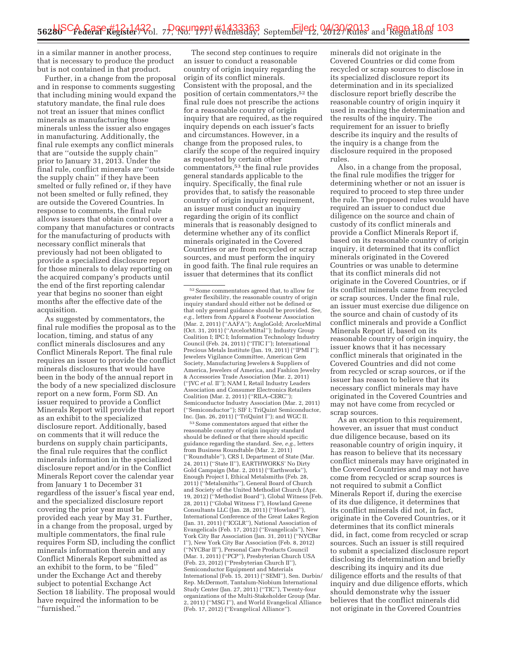in a similar manner in another process, that is necessary to produce the product but is not contained in that product.

Further, in a change from the proposal and in response to comments suggesting that including mining would expand the statutory mandate, the final rule does not treat an issuer that mines conflict minerals as manufacturing those minerals unless the issuer also engages in manufacturing. Additionally, the final rule exempts any conflict minerals that are ''outside the supply chain'' prior to January 31, 2013. Under the final rule, conflict minerals are ''outside the supply chain'' if they have been smelted or fully refined or, if they have not been smelted or fully refined, they are outside the Covered Countries. In response to comments, the final rule allows issuers that obtain control over a company that manufactures or contracts for the manufacturing of products with necessary conflict minerals that previously had not been obligated to provide a specialized disclosure report for those minerals to delay reporting on the acquired company's products until the end of the first reporting calendar year that begins no sooner than eight months after the effective date of the acquisition.

As suggested by commentators, the final rule modifies the proposal as to the location, timing, and status of any conflict minerals disclosures and any Conflict Minerals Report. The final rule requires an issuer to provide the conflict minerals disclosures that would have been in the body of the annual report in the body of a new specialized disclosure report on a new form, Form SD. An issuer required to provide a Conflict Minerals Report will provide that report as an exhibit to the specialized disclosure report. Additionally, based on comments that it will reduce the burdens on supply chain participants, the final rule requires that the conflict minerals information in the specialized disclosure report and/or in the Conflict Minerals Report cover the calendar year from January 1 to December 31 regardless of the issuer's fiscal year end, and the specialized disclosure report covering the prior year must be provided each year by May 31. Further, in a change from the proposal, urged by multiple commentators, the final rule requires Form SD, including the conflict minerals information therein and any Conflict Minerals Report submitted as an exhibit to the form, to be ''filed'' under the Exchange Act and thereby subject to potential Exchange Act Section 18 liability. The proposal would have required the information to be ''furnished.''

The second step continues to require an issuer to conduct a reasonable country of origin inquiry regarding the origin of its conflict minerals. Consistent with the proposal, and the position of certain commentators,52 the final rule does not prescribe the actions for a reasonable country of origin inquiry that are required, as the required inquiry depends on each issuer's facts and circumstances. However, in a change from the proposed rules, to clarify the scope of the required inquiry as requested by certain other commentators,53 the final rule provides general standards applicable to the inquiry. Specifically, the final rule provides that, to satisfy the reasonable country of origin inquiry requirement, an issuer must conduct an inquiry regarding the origin of its conflict minerals that is reasonably designed to determine whether any of its conflict minerals originated in the Covered Countries or are from recycled or scrap sources, and must perform the inquiry in good faith. The final rule requires an issuer that determines that its conflict

53Some commentators argued that either the reasonable country of origin inquiry standard should be defined or that there should specific guidance regarding the standard. *See, e.g.,* letters from Business Roundtable (Mar. 2, 2011) (''Roundtable''), CRS I, Department of State (Mar. 24, 2011) (''State II''), EARTHWORKS' No Dirty Gold Campaign (Mar. 2, 2011) (''Earthworks''), Enough Project I, Ethical Metalsmiths (Feb. 28, 2011) (''Metalsmiths''), General Board of Church and Society of the United Methodist Church (Apr. 19, 2012) (''Methodist Board''), Global Witness (Feb. 28, 2011) (''Global Witness I''), Howland Greene Consultants LLC (Jan. 28, 2011) (''Howland''), International Conference of the Great Lakes Region (Jan. 31, 2011) (''ICGLR''), National Association of Evangelicals (Feb. 17, 2012) (''Evangelicals''), New York City Bar Association (Jan. 31, 2011) (''NYCBar I''), New York City Bar Association (Feb. 8, 2012) (''NYCBar II''), Personal Care Products Council (Mar. 1, 2011) (''PCP''), Presbyterian Church USA (Feb. 23, 2012) (''Presbyterian Church II''), Semiconductor Equipment and Materials International (Feb. 15, 2011) (''SEMI''), Sen. Durbin/ Rep. McDermott, Tantalum-Niobium International Study Center (Jan. 27, 2011) (''TIC''), Twenty-four organizations of the Multi-Stakeholder Group (Mar. 2, 2011) (''MSG I''), and World Evangelical Alliance (Feb. 17, 2012) (''Evangelical Alliance'').

minerals did not originate in the Covered Countries or did come from recycled or scrap sources to disclose in its specialized disclosure report its determination and in its specialized disclosure report briefly describe the reasonable country of origin inquiry it used in reaching the determination and the results of the inquiry. The requirement for an issuer to briefly describe its inquiry and the results of the inquiry is a change from the disclosure required in the proposed rules.

Also, in a change from the proposal, the final rule modifies the trigger for determining whether or not an issuer is required to proceed to step three under the rule. The proposed rules would have required an issuer to conduct due diligence on the source and chain of custody of its conflict minerals and provide a Conflict Minerals Report if, based on its reasonable country of origin inquiry, it determined that its conflict minerals originated in the Covered Countries or was unable to determine that its conflict minerals did not originate in the Covered Countries, or if its conflict minerals came from recycled or scrap sources. Under the final rule, an issuer must exercise due diligence on the source and chain of custody of its conflict minerals and provide a Conflict Minerals Report if, based on its reasonable country of origin inquiry, the issuer knows that it has necessary conflict minerals that originated in the Covered Countries and did not come from recycled or scrap sources, or if the issuer has reason to believe that its necessary conflict minerals may have originated in the Covered Countries and may not have come from recycled or scrap sources.

As an exception to this requirement, however, an issuer that must conduct due diligence because, based on its reasonable country of origin inquiry, it has reason to believe that its necessary conflict minerals may have originated in the Covered Countries and may not have come from recycled or scrap sources is not required to submit a Conflict Minerals Report if, during the exercise of its due diligence, it determines that its conflict minerals did not, in fact, originate in the Covered Countries, or it determines that its conflict minerals did, in fact, come from recycled or scrap sources. Such an issuer is still required to submit a specialized disclosure report disclosing its determination and briefly describing its inquiry and its due diligence efforts and the results of that inquiry and due diligence efforts, which should demonstrate why the issuer believes that the conflict minerals did not originate in the Covered Countries

<sup>52</sup>Some commentators agreed that, to allow for greater flexibility, the reasonable country of origin inquiry standard should either not be defined or that only general guidance should be provided. *See, e.g.,* letters from Apparel & Footwear Association (Mar. 2, 2011) (''AAFA''); AngloGold; ArcelorMittal (Oct. 31, 2011) (''ArcelorMittal''); Industry Group Coalition I; IPC I; Information Technology Industry Council (Feb. 24, 2011) (''ITIC I''); International Precious Metals Institute (Jan. 19, 2011) (''IPMI I''); Jewelers Vigilance Committee, American Gem Society, Manufacturing Jewelers & Suppliers of America, Jewelers of America, and Fashion Jewelry & Accessories Trade Association (Mar. 2, 2011) (''JVC *et al.* II''); NAM I, Retail Industry Leaders Association and Consumer Electronics Retailers Coalition (Mar. 2, 2011) (''RILA–CERC''); Semiconductor Industry Association (Mar. 2, 2011) (''Semiconductor''); SIF I; TriQuint Semiconductor, Inc. (Jan. 26, 2011) (''TriQuint I''); and WGC II.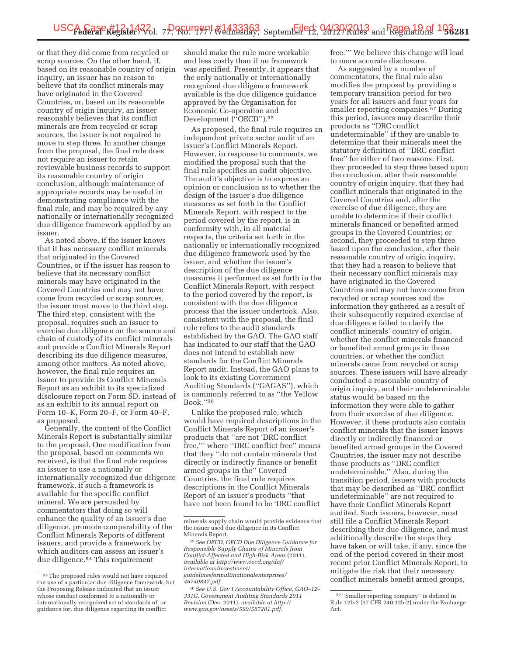or that they did come from recycled or scrap sources. On the other hand, if, based on its reasonable country of origin inquiry, an issuer has no reason to believe that its conflict minerals may have originated in the Covered Countries, or, based on its reasonable country of origin inquiry, an issuer reasonably believes that its conflict minerals are from recycled or scrap sources, the issuer is not required to move to step three. In another change from the proposal, the final rule does not require an issuer to retain reviewable business records to support its reasonable country of origin conclusion, although maintenance of appropriate records may be useful in demonstrating compliance with the final rule, and may be required by any nationally or internationally recognized due diligence framework applied by an issuer.

As noted above, if the issuer knows that it has necessary conflict minerals that originated in the Covered Countries, or if the issuer has reason to believe that its necessary conflict minerals may have originated in the Covered Countries and may not have come from recycled or scrap sources, the issuer must move to the third step. The third step, consistent with the proposal, requires such an issuer to exercise due diligence on the source and chain of custody of its conflict minerals and provide a Conflict Minerals Report describing its due diligence measures, among other matters. As noted above, however, the final rule requires an issuer to provide its Conflict Minerals Report as an exhibit to its specialized disclosure report on Form SD, instead of as an exhibit to its annual report on Form 10–K, Form 20–F, or Form 40–F, as proposed.

Generally, the content of the Conflict Minerals Report is substantially similar to the proposal. One modification from the proposal, based on comments we received, is that the final rule requires an issuer to use a nationally or internationally recognized due diligence framework, if such a framework is available for the specific conflict mineral. We are persuaded by commentators that doing so will enhance the quality of an issuer's due diligence, promote comparability of the Conflict Minerals Reports of different issuers, and provide a framework by which auditors can assess an issuer's due diligence.54 This requirement

should make the rule more workable and less costly than if no framework was specified. Presently, it appears that the only nationally or internationally recognized due diligence framework available is the due diligence guidance approved by the Organisation for Economic Co-operation and Development ("OECD").<sup>55</sup>

As proposed, the final rule requires an independent private sector audit of an issuer's Conflict Minerals Report. However, in response to comments, we modified the proposal such that the final rule specifies an audit objective. The audit's objective is to express an opinion or conclusion as to whether the design of the issuer's due diligence measures as set forth in the Conflict Minerals Report, with respect to the period covered by the report, is in conformity with, in all material respects, the criteria set forth in the nationally or internationally recognized due diligence framework used by the issuer, and whether the issuer's description of the due diligence measures it performed as set forth in the Conflict Minerals Report, with respect to the period covered by the report, is consistent with the due diligence process that the issuer undertook. Also, consistent with the proposal, the final rule refers to the audit standards established by the GAO. The GAO staff has indicated to our staff that the GAO does not intend to establish new standards for the Conflict Minerals Report audit. Instead, the GAO plans to look to its existing Government Auditing Standards (''GAGAS''), which is commonly referred to as ''the Yellow Book.''56

Unlike the proposed rule, which would have required descriptions in the Conflict Minerals Report of an issuer's products that ''are not 'DRC conflict free,''' where ''DRC conflict free'' means that they ''do not contain minerals that directly or indirectly finance or benefit armed groups in the'' Covered Countries, the final rule requires descriptions in the Conflict Minerals Report of an issuer's products ''that have not been found to be 'DRC conflict

*guidelinesformultinationalenterprises/ 46740847.pdf*.

free.''' We believe this change will lead to more accurate disclosure.

As suggested by a number of commentators, the final rule also modifies the proposal by providing a temporary transition period for two years for all issuers and four years for smaller reporting companies.57 During this period, issuers may describe their products as ''DRC conflict undeterminable'' if they are unable to determine that their minerals meet the statutory definition of ''DRC conflict free'' for either of two reasons: First, they proceeded to step three based upon the conclusion, after their reasonable country of origin inquiry, that they had conflict minerals that originated in the Covered Countries and, after the exercise of due diligence, they are unable to determine if their conflict minerals financed or benefited armed groups in the Covered Countries; or second, they proceeded to step three based upon the conclusion, after their reasonable country of origin inquiry, that they had a reason to believe that their necessary conflict minerals may have originated in the Covered Countries and may not have come from recycled or scrap sources and the information they gathered as a result of their subsequently required exercise of due diligence failed to clarify the conflict minerals' country of origin, whether the conflict minerals financed or benefited armed groups in those countries, or whether the conflict minerals came from recycled or scrap sources. These issuers will have already conducted a reasonable country of origin inquiry, and their undeterminable status would be based on the information they were able to gather from their exercise of due diligence. However, if these products also contain conflict minerals that the issuer knows directly or indirectly financed or benefited armed groups in the Covered Countries, the issuer may not describe those products as ''DRC conflict undeterminable.'' Also, during the transition period, issuers with products that may be described as ''DRC conflict undeterminable'' are not required to have their Conflict Minerals Report audited. Such issuers, however, must still file a Conflict Minerals Report describing their due diligence, and must additionally describe the steps they have taken or will take, if any, since the end of the period covered in their most recent prior Conflict Minerals Report, to mitigate the risk that their necessary conflict minerals benefit armed groups,

<sup>54</sup>The proposed rules would not have required the use of a particular due diligence framework, but the Proposing Release indicated that an issuer whose conduct conformed to a nationally or internationally recognized set of standards of, or guidance for, due diligence regarding its conflict

minerals supply chain would provide evidence that the issuer used due diligence in its Conflict Minerals Report.

<sup>55</sup>*See OECD, OECD Due Diligence Guidance for Responsible Supply Chains of Minerals from Conflict-Affected and High-Risk Areas* (2011), *available at http://www.oecd.org/daf/ internationalinvestment/* 

<sup>56</sup>*See U.S. Gov't Accountability Office, GAO–12– 331G, Government Auditing Standards 2011 Revision* (Dec. 2011), *available at http:// www.gao.gov/assets/590/587281.pdf*.

<sup>57</sup> ''Smaller reporting company'' is defined in Rule 12b-2 [17 CFR 240.12b-2] under the Exchange Act.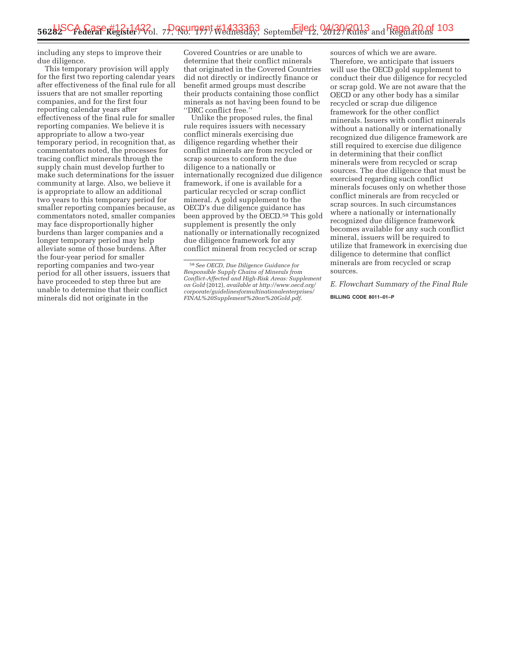including any steps to improve their due diligence.

This temporary provision will apply for the first two reporting calendar years after effectiveness of the final rule for all issuers that are not smaller reporting companies, and for the first four reporting calendar years after effectiveness of the final rule for smaller reporting companies. We believe it is appropriate to allow a two-year temporary period, in recognition that, as commentators noted, the processes for tracing conflict minerals through the supply chain must develop further to make such determinations for the issuer community at large. Also, we believe it is appropriate to allow an additional two years to this temporary period for smaller reporting companies because, as commentators noted, smaller companies may face disproportionally higher burdens than larger companies and a longer temporary period may help alleviate some of those burdens. After the four-year period for smaller reporting companies and two-year period for all other issuers, issuers that have proceeded to step three but are unable to determine that their conflict minerals did not originate in the

Covered Countries or are unable to determine that their conflict minerals that originated in the Covered Countries did not directly or indirectly finance or benefit armed groups must describe their products containing those conflict minerals as not having been found to be ''DRC conflict free.''

Unlike the proposed rules, the final rule requires issuers with necessary conflict minerals exercising due diligence regarding whether their conflict minerals are from recycled or scrap sources to conform the due diligence to a nationally or internationally recognized due diligence framework, if one is available for a particular recycled or scrap conflict mineral. A gold supplement to the OECD's due diligence guidance has been approved by the OECD.58 This gold supplement is presently the only nationally or internationally recognized due diligence framework for any conflict mineral from recycled or scrap

sources of which we are aware. Therefore, we anticipate that issuers will use the OECD gold supplement to conduct their due diligence for recycled or scrap gold. We are not aware that the OECD or any other body has a similar recycled or scrap due diligence framework for the other conflict minerals. Issuers with conflict minerals without a nationally or internationally recognized due diligence framework are still required to exercise due diligence in determining that their conflict minerals were from recycled or scrap sources. The due diligence that must be exercised regarding such conflict minerals focuses only on whether those conflict minerals are from recycled or scrap sources. In such circumstances where a nationally or internationally recognized due diligence framework becomes available for any such conflict mineral, issuers will be required to utilize that framework in exercising due diligence to determine that conflict minerals are from recycled or scrap sources.

*E. Flowchart Summary of the Final Rule* 

**BILLING CODE 8011–01–P** 

<sup>58</sup>*See OECD, Due Diligence Guidance for Responsible Supply Chains of Minerals from Conflict-Affected and High-Risk Areas: Supplement on Gold* (2012), *available at http://www.oecd.org/ corporate/guidelinesformultinationalenterprises/ FINAL%20Supplement%20on%20Gold.pdf*.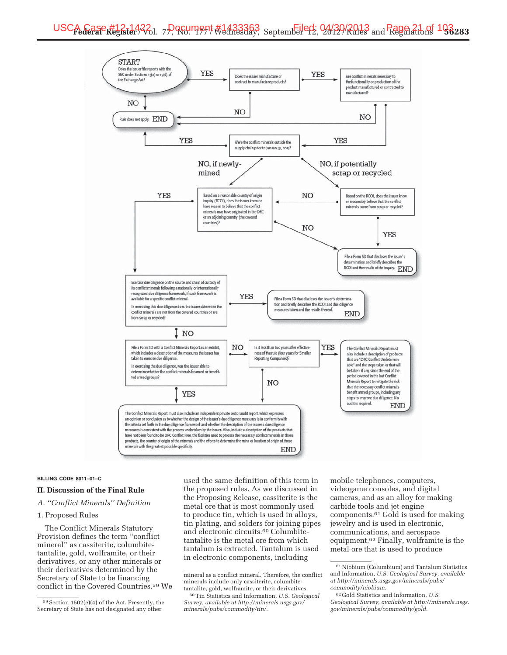

#### **BILLING CODE 8011–01–C**

#### **II. Discussion of the Final Rule**

#### *A. ''Conflict Minerals'' Definition*

#### 1. Proposed Rules

The Conflict Minerals Statutory Provision defines the term ''conflict mineral'' as cassiterite, columbitetantalite, gold, wolframite, or their derivatives, or any other minerals or their derivatives determined by the Secretary of State to be financing conflict in the Covered Countries.59 We

used the same definition of this term in the proposed rules. As we discussed in the Proposing Release, cassiterite is the metal ore that is most commonly used to produce tin, which is used in alloys, tin plating, and solders for joining pipes and electronic circuits.60 Columbitetantalite is the metal ore from which tantalum is extracted. Tantalum is used in electronic components, including

mobile telephones, computers, videogame consoles, and digital cameras, and as an alloy for making carbide tools and jet engine components.61 Gold is used for making jewelry and is used in electronic, communications, and aerospace equipment.62 Finally, wolframite is the metal ore that is used to produce

<sup>59</sup>Section 1502(e)(4) of the Act. Presently, the Secretary of State has not designated any other

mineral as a conflict mineral. Therefore, the conflict minerals include only cassiterite, columbitetantalite, gold, wolframite, or their derivatives.

<sup>60</sup>Tin Statistics and Information, *U.S. Geological Survey, available at http://minerals.usgs.gov/ minerals/pubs/commodity/tin/.* 

<sup>61</sup>Niobium (Columbium) and Tantalum Statistics and Information, *U.S. Geological Survey, available at http://minerals.usgs.gov/minerals/pubs/ commodity/niobium.* 

<sup>62</sup> Gold Statistics and Information, *U.S. Geological Survey, available at http://minerals.usgs. gov/minerals/pubs/commodity/gold.*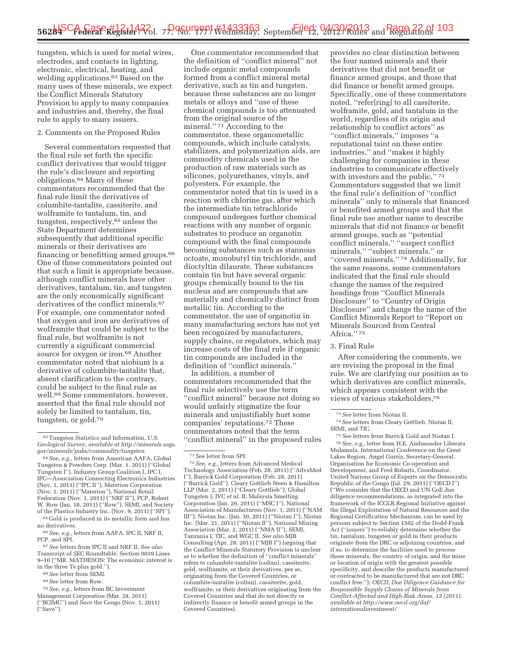tungsten, which is used for metal wires, electrodes, and contacts in lighting, electronic, electrical, heating, and welding applications.63 Based on the many uses of these minerals, we expect the Conflict Minerals Statutory Provision to apply to many companies and industries and, thereby, the final rule to apply to many issuers.

#### 2. Comments on the Proposed Rules

Several commentators requested that the final rule set forth the specific conflict derivatives that would trigger the rule's disclosure and reporting obligations.64 Many of these commentators recommended that the final rule limit the derivatives of columbite-tantalite, cassiterite, and wolframite to tantalum, tin, and tungsten, respectively,<sup>65</sup> unless the State Department determines subsequently that additional specific minerals or their derivatives are financing or benefitting armed groups.66 One of these commentators pointed out that such a limit is appropriate because, although conflict minerals have other derivatives, tantalum, tin, and tungsten are the only economically significant derivatives of the conflict minerals.67 For example, one commentator noted that oxygen and iron are derivatives of wolframite that could be subject to the final rule, but wolframite is not currently a significant commercial source for oxygen or iron.<sup>68</sup> Another commentator noted that niobium is a derivative of columbite-tantalite that, absent clarification to the contrary, could be subject to the final rule as well.69 Some commentators, however, asserted that the final rule should not solely be limited to tantalum, tin, tungsten, or gold.70

64*See, e.g.,* letters from American AAFA, Global Tungsten & Powders Corp. (Mar. 1, 2011) (''Global Tungsten I''), Industry Group Coalition I, IPC I, IPC—Association Connecting Electronics Industries (Nov. 1, 2011) (''IPC II''), Materion Corporation (Nov. 1, 2011) (''Materion''), National Retail Federation (Nov. 1, 2011) (''NRF II''), PCP, Robert W. Row (Jan. 18, 2011) (''Row''), SEMI, and Society of the Plastics Industry Inc. (Nov. 9, 2011) (''SPI'').

65 Gold is produced in its metallic form and has no derivatives.

66*See, e.g.,* letters from AAFA, IPC II, NRF II, PCP, and SPI.

67*See* letters from IPC II and NRF II. *See also*  Transcript of SEC Roundtable, Section 0039 Lines 9–10 (''MR. MATHESON: The economic interest is in the three Ts plus gold.'').

- 68*See* letter from SEMI.
- 69*See* letter from Row.

70*See, e.g.,* letters from BC Investment Management Corporation (Mar. 28, 2011) (''BCIMC'') and Save the Congo (Nov. 1, 2011) (''Save'').

One commentator recommended that the definition of ''conflict mineral'' not include organic metal compounds formed from a conflict mineral metal derivative, such as tin and tungsten, because these substances are no longer metals or alloys and ''use of these chemical compounds is too attenuated from the original source of the mineral.'' 71 According to the commentator, these organometallic compounds, which include catalysts, stabilizers, and polymerization aids, are commodity chemicals used in the production of raw materials such as silicones, polyurethanes, vinyls, and polyesters. For example, the commentator noted that tin is used in a reaction with chlorine gas, after which the intermediate tin tetrachloride compound undergoes further chemical reactions with any number of organic substrates to produce an organotin compound with the final compounds becoming substances such as stannous octoate, monobutyl tin trichloride, and dioctyltin dilaurate. These substances contain tin but have several organic groups chemically bound to the tin nucleus and are compounds that are materially and chemically distinct from metallic tin. According to the commentator, the use of organotin in many manufacturing sectors has not yet been recognized by manufacturers, supply chains, or regulators, which may increase costs of the final rule if organic tin compounds are included in the definition of ''conflict minerals.''

In addition, a number of commentators recommended that the final rule selectively use the term ''conflict mineral'' because not doing so would unfairly stigmatize the four minerals and unjustifiably hurt some companies' reputations.72 These commentators noted that the term ''conflict mineral'' in the proposed rules

provides no clear distinction between the four named minerals and their derivatives that did not benefit or finance armed groups, and those that did finance or benefit armed groups. Specifically, one of these commentators noted, ''refer[ring] to all cassiterite, wolframite, gold, and tantalum in the world, regardless of its origin and relationship to conflict actors'' as ''conflict minerals,'' imposes ''a reputational taint on these entire industries,'' and ''makes it highly challenging for companies in these industries to communicate effectively with investors and the public."<sup>73</sup> Commentators suggested that we limit the final rule's definition of ''conflict minerals'' only to minerals that financed or benefited armed groups and that the final rule use another name to describe minerals that did not finance or benefit armed groups, such as ''potential conflict minerals,'' ''suspect conflict minerals," "subject minerals," or ''covered minerals.'' 74 Additionally, for the same reasons, some commentators indicated that the final rule should change the names of the required headings from ''Conflict Minerals Disclosure'' to ''Country of Origin Disclosure'' and change the name of the Conflict Minerals Report to ''Report on Minerals Sourced from Central Africa.'' 75

#### 3. Final Rule

After considering the comments, we are revising the proposal in the final rule. We are clarifying our position as to which derivatives are conflict minerals, which appears consistent with the views of various stakeholders,76

75*See* letters from Barrick Gold and Niotan I. 76*See, e.g.,* letter from H.E. Ambassador Liberata Mulamula, International Conference on the Great Lakes Region, Angel Gurría, Secretary-General, Organisation for Economic Co-operation and Development, and Fred Robarts, Coordinator, United Nations Group of Experts on the Democratic Republic of the Congo (Jul. 29, 2011) (''OECD I'') (''We consider that the OECD and UN GoE due diligence recommendations, as integrated into the framework of the ICGLR Regional Initiative against the Illegal Exploitation of Natural Resources and the Regional Certification Mechanism, can be used by persons subject to Section 1502 of the Dodd-Frank Act (''issuers'') to reliably determine whether the tin, tantalum, tungsten or gold in their products originate from the DRC or adjoining countries, and if so, to determine the facilities used to process those minerals, the country of origin, and the mine or location of origin with the greatest possible specificity, and describe the products manufactured or contracted to be manufactured that are not DRC conflict free.''); *OECD, Due Diligence Guidance for Responsible Supply Chains of Minerals from Conflict-Affected and High-Risk Areas, 12 (2011), available at http://www.oecd.org/daf/ internationalinvestment/*

<sup>63</sup>Tungsten Statistics and Information, *U.S. Geological Survey, available at http://minerals.usgs. gov/minerals/pubs/commodity/tungsten.* 

<sup>71</sup>*See* letter from SPI.

<sup>72</sup>*See, e.g.,* letters from Advanced Medical Technology Association (Feb. 28, 2011) (''AdvaMed I''), Barrick Gold Corporation (Feb. 28, 2011) (''Barrick Gold''), Cleary Gottlieb Steen & Hamilton LLP (Mar. 2, 2011) (''Cleary Gottlieb''), Global Tungsten I, JVC *et al.* II, Malaysia Smelting Corporation (Jan. 26, 2011) (''MSC I''), National Association of Manufacturers (Nov. 1, 2011) (''NAM III''), Niotan Inc. (Jan. 30, 2011) (''Niotan I''), Niotan Inc. (Mar. 21, 2011) (''Niotan II''), National Mining Association (Mar. 2, 2011) (''NMA II''), SEMI, Tanzania I, TIC, and WGC II. *See also* MJB Consulting (Apr. 28, 2011) (''MJB I'') (arguing that the Conflict Minerals Statutory Provision is unclear as to whether the definition of ''conflict minerals'' refers to columbite-tantalite (coltan), cassiterite, gold, wolframite, or their derivatives, per se, originating from the Covered Countries, or columbite-tantalite (coltan), cassiterite, gold, wolframite, or their derivatives originating from the Covered Countries and that do not directly or indirectly finance or benefit armed groups in the Covered Countries).

<sup>73</sup>*See* letter from Niotan II.

<sup>74</sup>*See* letters from Cleary Gottlieb, Niotan II, SEMI, and TIC.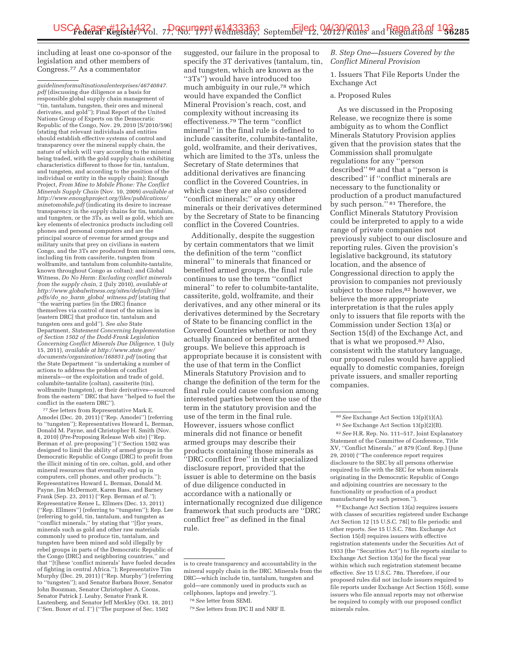including at least one co-sponsor of the legislation and other members of Congress.77 As a commentator

*guidelinesformultinationalenterprises/46740847. pdf* (discussing due diligence as a basis for responsible global supply chain management of ''tin, tantalum, tungsten, their ores and mineral derivates, and gold''); Final Report of the United Nations Group of Experts on the Democratic Republic of the Congo, Nov. 29, 2010 [S/2010/596] (stating that relevant individuals and entities should establish effective systems of control and transparency over the mineral supply chain, the nature of which will vary according to the mineral being traded, with the gold supply chain exhibiting characteristics different to those for tin, tantalum, and tungsten, and according to the position of the individual or entity in the supply chain); Enough Project, *From Mine to Mobile Phone: The Conflict Minerals Supply Chain* (Nov. 10, 2009) *available at http://www.enoughproject.org/files/publications/ minetomobile.pdf* (indicating its desire to increase transparency in the supply chains for tin, tantalum, and tungsten, or the 3Ts, as well as gold, which are key elements of electronics products including cell phones and personal computers and are the principal source of revenue for armed groups and military units that prey on civilians in eastern Congo, and the 3Ts are produced from mineral ores, including tin from cassiterite, tungsten from wolframite, and tantalum from columbite-tantalite, known throughout Congo as coltan); and Global Witness, *Do No Harm: Excluding conflict minerals from the supply chain,* 2 (July 2010), *available at http://www.globalwitness.org/sites/default/files/ pdfs/do*\_*no*\_*harm*\_*global*\_*witness.pdf* (stating that ''the warring parties [in the DRC] finance themselves via control of most of the mines in [eastern DRC] that produce tin, tantalum and tungsten ores and gold''). *See also* State Department, *Statement Concerning Implementation of Section 1502 of the Dodd-Frank Legislation Concerning Conflict Minerals Due Diligence,* 1 (July 15, 2011), *available at http://www.state.gov/ documents/organization/168851.pdf* (noting that the State Department ''is undertaking a number of actions to address the problem of conflict minerals—or the exploitation and trade of gold, columbite-tantalite (coltan), cassiterite (tin), wolframite (tungsten), or their derivatives—sourced from the eastern'' DRC that have ''helped to fuel the conflict in the eastern DRC'').

77*See* letters from Representative Mark E. Amodei (Dec. 20, 2011) (''Rep. Amodei'') (referring to ''tungsten''); Representatives Howard L. Berman, Donald M. Payne, and Christopher H. Smith (Nov. 8, 2010) (Pre-Proposing Release Web site) (''Rep. Berman *et al.* pre-proposing'') (''Section 1502 was designed to limit the ability of armed groups in the Democratic Republic of Congo (DRC) to profit from the illicit mining of tin ore, coltan, gold, and other mineral resources that eventually end up in computers, cell phones, and other products.''); Representatives Howard L. Berman, Donald M. Payne, Jim McDermott, Karen Bass, and Barney Frank (Sep. 23, 2011) (''Rep. Berman *et al.''*); Representative Renee L. Ellmers (Dec. 13, 2011) (''Rep. Ellmers'') (referring to ''tungsten''); Rep. Lee (referring to gold, tin, tantalum, and tungsten as ''conflict minerals,'' by stating that ''[f]or years, minerals such as gold and other raw materials commonly used to produce tin, tantalum, and tungsten have been mined and sold illegally by rebel groups in parts of the Democratic Republic of the Congo (DRC) and neighboring countries,'' and that ''[t]hese 'conflict minerals' have fueled decades of fighting in central Africa.''); Representative Tim Murphy (Dec. 29, 2011) (''Rep. Murphy'') (referring to ''tungsten''); and Senator Barbara Boxer, Senator John Boozman, Senator Christopher A. Coons, Senator Patrick J. Leahy, Senator Frank R. Lautenberg, and Senator Jeff Merkley (Oct. 18, 201) (''Sen. Boxer *et al.* I'') (''The purpose of Sec. 1502

suggested, our failure in the proposal to specify the 3T derivatives (tantalum, tin, and tungsten, which are known as the ''3Ts'') would have introduced too much ambiguity in our rule,78 which would have expanded the Conflict Mineral Provision's reach, cost, and complexity without increasing its effectiveness.79 The term ''conflict mineral'' in the final rule is defined to include cassiterite, columbite-tantalite, gold, wolframite, and their derivatives, which are limited to the 3Ts, unless the Secretary of State determines that additional derivatives are financing conflict in the Covered Countries, in which case they are also considered ''conflict minerals;'' or any other minerals or their derivatives determined by the Secretary of State to be financing conflict in the Covered Countries.

Additionally, despite the suggestion by certain commentators that we limit the definition of the term ''conflict mineral'' to minerals that financed or benefited armed groups, the final rule continues to use the term ''conflict mineral'' to refer to columbite-tantalite, cassiterite, gold, wolframite, and their derivatives, and any other mineral or its derivatives determined by the Secretary of State to be financing conflict in the Covered Countries whether or not they actually financed or benefited armed groups. We believe this approach is appropriate because it is consistent with the use of that term in the Conflict Minerals Statutory Provision and to change the definition of the term for the final rule could cause confusion among interested parties between the use of the term in the statutory provision and the use of the term in the final rule. However, issuers whose conflict minerals did not finance or benefit armed groups may describe their products containing those minerals as ''DRC conflict free'' in their specialized disclosure report, provided that the issuer is able to determine on the basis of due diligence conducted in accordance with a nationally or internationally recognized due diligence framework that such products are ''DRC conflict free'' as defined in the final rule.

#### *B. Step One—Issuers Covered by the Conflict Mineral Provision*

1. Issuers That File Reports Under the Exchange Act

#### a. Proposed Rules

As we discussed in the Proposing Release, we recognize there is some ambiguity as to whom the Conflict Minerals Statutory Provision applies given that the provision states that the Commission shall promulgate regulations for any ''person described'' 80 and that a ''person is described'' if ''conflict minerals are necessary to the functionality or production of a product manufactured by such person.'' 81 Therefore, the Conflict Minerals Statutory Provision could be interpreted to apply to a wide range of private companies not previously subject to our disclosure and reporting rules. Given the provision's legislative background, its statutory location, and the absence of Congressional direction to apply the provision to companies not previously subject to those rules,<sup>82</sup> however, we believe the more appropriate interpretation is that the rules apply only to issuers that file reports with the Commission under Section 13(a) or Section 15(d) of the Exchange Act, and that is what we proposed.83 Also, consistent with the statutory language, our proposed rules would have applied equally to domestic companies, foreign private issuers, and smaller reporting companies.

83Exchange Act Section 13(a) requires issuers with classes of securities registered under Exchange Act Section 12 [15 U.S.C. 78l] to file periodic and other reports. *See* 15 U.S.C. 78m. Exchange Act Section 15(d) requires issuers with effective registration statements under the Securities Act of 1933 (the ''Securities Act'') to file reports similar to Exchange Act Section 13(a) for the fiscal year within which such registration statement became effective. *See* 15 U.S.C. 78n. Therefore, if our proposed rules did not include issuers required to file reports under Exchange Act Section 15(d), some issuers who file annual reports may not otherwise be required to comply with our proposed conflict minerals rules.

is to create transparency and accountability in the mineral supply chain in the DRC. Minerals from the DRC—which include tin, tantalum, tungsten and gold—are commonly used in products such as cellphones, laptops and jewelry.'').

<sup>78</sup>*See* letter from SEMI.

<sup>79</sup>*See* letters from IPC II and NRF II.

<sup>80</sup>*See* Exchange Act Section 13(p)(1)(A). 81*See* Exchange Act Section 13(p)(2)(B). 82*See* H.R. Rep. No. 111–517, Joint Explanatory Statement of the Committee of Conference, Title XV, ''Conflict Minerals,'' at 879 (Conf. Rep.) (June 29, 2010) (''The conference report requires disclosure to the SEC by all persons otherwise required to file with the SEC for whom minerals originating in the Democratic Republic of Congo and adjoining countries are necessary to the functionality or production of a product manufactured by such person.'').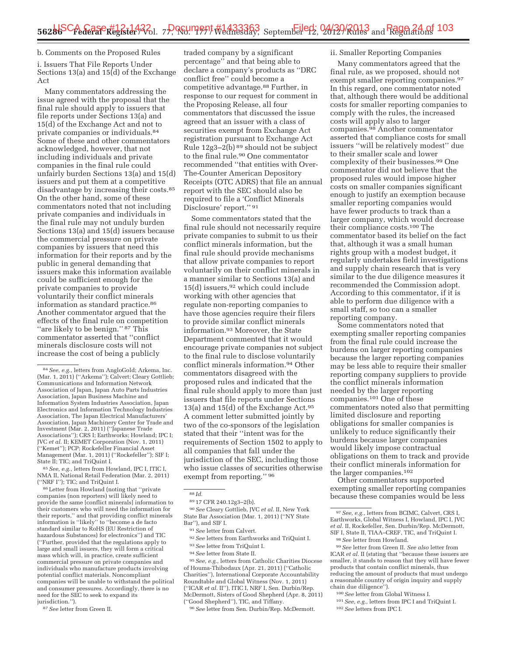#### b. Comments on the Proposed Rules

i. Issuers That File Reports Under Sections 13(a) and 15 $\overline{d}$  of the Exchange Act

Many commentators addressing the issue agreed with the proposal that the final rule should apply to issuers that file reports under Sections 13(a) and 15(d) of the Exchange Act and not to private companies or individuals.84 Some of these and other commentators acknowledged, however, that not including individuals and private companies in the final rule could unfairly burden Sections 13(a) and 15(d) issuers and put them at a competitive disadvantage by increasing their costs.85 On the other hand, some of these commentators noted that not including private companies and individuals in the final rule may not unduly burden Sections 13(a) and 15(d) issuers because the commercial pressure on private companies by issuers that need this information for their reports and by the public in general demanding that issuers make this information available could be sufficient enough for the private companies to provide voluntarily their conflict minerals information as standard practice.86 Another commentator argued that the effects of the final rule on competition ''are likely to be benign.'' 87 This commentator asserted that ''conflict minerals disclosure costs will not increase the cost of being a publicly

85*See, e.g.,* letters from Howland, IPC I, ITIC I, NMA II, National Retail Federation (Mar. 2, 2011) (''NRF I''); TIC; and TriQuint I.

86Letter from Howland (noting that ''private companies (non reporters) will likely need to provide the same [conflict minerals] information to their customers who will need the information for their reports,'' and that providing conflict minerals information is ''likely'' to ''become a de facto standard similar to RoHS (EU Restriction of hazardous Substances) for electronics'') and TIC (''Further, provided that the regulations apply to large and small issuers, they will form a critical mass which will, in practice, create sufficient commercial pressure on private companies and individuals who manufacture products involving potential conflict materials. Noncompliant companies will be unable to withstand the political and consumer pressures. Accordingly, there is no need for the SEC to seek to expand its jurisdiction.'').

87*See* letter from Green II.

traded company by a significant percentage'' and that being able to declare a company's products as ''DRC conflict free'' could become a competitive advantage.88 Further, in response to our request for comment in the Proposing Release, all four commentators that discussed the issue agreed that an issuer with a class of securities exempt from Exchange Act registration pursuant to Exchange Act Rule 12g3–2(b) 89 should not be subject to the final rule.90 One commentator recommended ''that entities with Over-The-Counter American Depository Receipts (OTC ADRS) that file an annual report with the SEC should also be required to file a 'Conflict Minerals Disclosure' report.'' 91

Some commentators stated that the final rule should not necessarily require private companies to submit to us their conflict minerals information, but the final rule should provide mechanisms that allow private companies to report voluntarily on their conflict minerals in a manner similar to Sections 13(a) and 15(d) issuers,92 which could include working with other agencies that regulate non-reporting companies to have those agencies require their filers to provide similar conflict minerals information.93 Moreover, the State Department commented that it would encourage private companies not subject to the final rule to disclose voluntarily conflict minerals information.94 Other commentators disagreed with the proposed rules and indicated that the final rule should apply to more than just issuers that file reports under Sections 13(a) and 15(d) of the Exchange Act.  $95$ A comment letter submitted jointly by two of the co-sponsors of the legislation stated that their ''intent was for the requirements of Section 1502 to apply to all companies that fall under the jurisdiction of the SEC, including those who issue classes of securities otherwise exempt from reporting.'' 96

89 17 CFR 240.12g3–2(b).

90*See* Cleary Gottlieb, JVC *et al.* II, New York State Bar Association (Mar. 1, 2011) (''NY State Bar''), and SIF I.

- 91*See* letter from Calvert.
- 92*See* letters from Earthworks and TriQuint I.
- 93*See* letter from TriQuint I.
- 94*See* letter from State II.

95*See, e.g.,* letters from Catholic Charities Diocese of Houma-Thibodaux (Apr. 21, 2011) (''Catholic Charities''), International Corporate Accountability Roundtable and Global Witness (Nov. 1, 2011) (''ICAR *et al.* II''), ITIC I, NRF I, Sen. Durbin/Rep. McDermott, Sisters of Good Shepherd (Apr. 8, 2011) (''Good Shepherd''), TIC, and Tiffany.

96*See* letter from Sen. Durbin/Rep. McDermott.

#### ii. Smaller Reporting Companies

Many commentators agreed that the final rule, as we proposed, should not exempt smaller reporting companies.<sup>97</sup> In this regard, one commentator noted that, although there would be additional costs for smaller reporting companies to comply with the rules, the increased costs will apply also to larger companies.98 Another commentator asserted that compliance costs for small issuers ''will be relatively modest'' due to their smaller scale and lower complexity of their businesses.99 One commentator did not believe that the proposed rules would impose higher costs on smaller companies significant enough to justify an exemption because smaller reporting companies would have fewer products to track than a larger company, which would decrease their compliance costs.100 The commentator based its belief on the fact that, although it was a small human rights group with a modest budget, it regularly undertakes field investigations and supply chain research that is very similar to the due diligence measures it recommended the Commission adopt. According to this commentator, if it is able to perform due diligence with a small staff, so too can a smaller reporting company.

Some commentators noted that exempting smaller reporting companies from the final rule could increase the burdens on larger reporting companies because the larger reporting companies may be less able to require their smaller reporting company suppliers to provide the conflict minerals information needed by the larger reporting companies.101 One of these commentators noted also that permitting limited disclosure and reporting obligations for smaller companies is unlikely to reduce significantly their burdens because larger companies would likely impose contractual obligations on them to track and provide their conflict minerals information for the larger companies.102

Other commentators supported exempting smaller reporting companies because these companies would be less

99*See* letter from Green II. *See also* letter from ICAR *et al.* II (stating that ''because these issuers are smaller, it stands to reason that they will have fewer products that contain conflict minerals, thus reducing the amount of products that must undergo a reasonable country of origin inquiry and supply chain due diligence'').

100*See* letter from Global Witness I. 101*See, e.g.,* letters from IPC I and TriQuint I.

- 102*See* letters from IPC I.
- 

<sup>84</sup>*See, e.g.,* letters from AngloGold; Arkema, Inc. (Mar. 1, 2011) (''Arkema''); Calvert; Cleary Gottlieb; Communications and Information Network Association of Japan, Japan Auto Parts Industries Association, Japan Business Machine and Information System Industries Association, Japan Electronics and Information Technology Industries Association, The Japan Electrical Manufacturers' Association, Japan Machinery Center for Trade and Investment (Mar. 2, 2011) (''Japanese Trade Associations''); CRS I; Earthworks; Howland; IPC I; JVC *et al.* II; KEMET Corporation (Nov. 1, 2011)<br>(''Kemet''); PCP; Rockefeller Financial Asset Management (Mar. 1, 2011) (''Rockefeller''); SIF I; State II; TIC; and TriQuint I.

<sup>88</sup> *Id.* 

<sup>97</sup>*See, e.g.,* letters from BCIMC, Calvert, CRS I, Earthworks, Global Witness I, Howland, IPC I, JVC *et al.* II, Rockefeller, Sen. Durbin/Rep. McDermott, SIF I, State II, TIAA–CREF, TIC, and TriQuint I. 98*See* letter from Howland.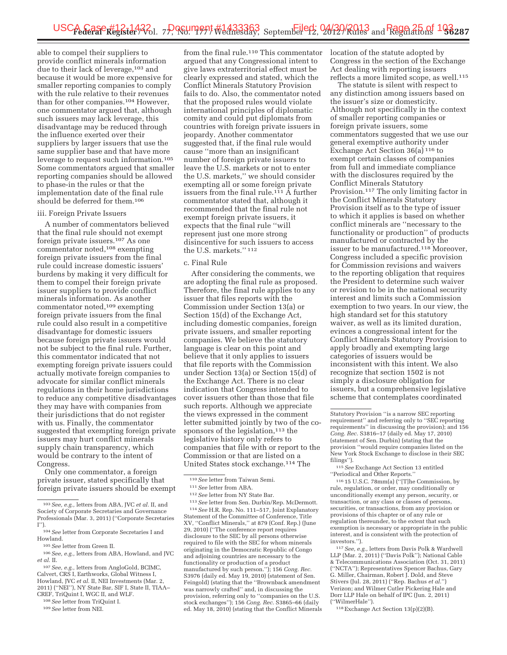able to compel their suppliers to provide conflict minerals information due to their lack of leverage,103 and because it would be more expensive for smaller reporting companies to comply with the rule relative to their revenues than for other companies.104 However, one commentator argued that, although such issuers may lack leverage, this disadvantage may be reduced through the influence exerted over their suppliers by larger issuers that use the same supplier base and that have more leverage to request such information.105 Some commentators argued that smaller reporting companies should be allowed to phase-in the rules or that the implementation date of the final rule should be deferred for them.106

#### iii. Foreign Private Issuers

A number of commentators believed that the final rule should not exempt foreign private issuers.107 As one commentator noted,108 exempting foreign private issuers from the final rule could increase domestic issuers' burdens by making it very difficult for them to compel their foreign private issuer suppliers to provide conflict minerals information. As another commentator noted,109 exempting foreign private issuers from the final rule could also result in a competitive disadvantage for domestic issuers because foreign private issuers would not be subject to the final rule. Further, this commentator indicated that not exempting foreign private issuers could actually motivate foreign companies to advocate for similar conflict minerals regulations in their home jurisdictions to reduce any competitive disadvantages they may have with companies from their jurisdictions that do not register with us. Finally, the commentator suggested that exempting foreign private issuers may hurt conflict minerals supply chain transparency, which would be contrary to the intent of Congress.

Only one commentator, a foreign private issuer, stated specifically that foreign private issuers should be exempt

108*See* letter from TriQuint I.

from the final rule.<sup>110</sup> This commentator argued that any Congressional intent to give laws extraterritorial effect must be clearly expressed and stated, which the Conflict Minerals Statutory Provision fails to do. Also, the commentator noted that the proposed rules would violate international principles of diplomatic comity and could put diplomats from countries with foreign private issuers in jeopardy. Another commentator suggested that, if the final rule would cause ''more than an insignificant number of foreign private issuers to leave the U.S. markets or not to enter the U.S. markets,'' we should consider exempting all or some foreign private issuers from the final rule.<sup>111</sup>  $\overline{A}$  further commentator stated that, although it recommended that the final rule not exempt foreign private issuers, it expects that the final rule ''will represent just one more strong disincentive for such issuers to access the U.S. markets.'' 112

#### c. Final Rule

After considering the comments, we are adopting the final rule as proposed. Therefore, the final rule applies to any issuer that files reports with the Commission under Section 13(a) or Section 15(d) of the Exchange Act, including domestic companies, foreign private issuers, and smaller reporting companies. We believe the statutory language is clear on this point and believe that it only applies to issuers that file reports with the Commission under Section 13(a) or Section 15(d) of the Exchange Act. There is no clear indication that Congress intended to cover issuers other than those that file such reports. Although we appreciate the views expressed in the comment letter submitted jointly by two of the cosponsors of the legislation,<sup>113</sup> the legislative history only refers to companies that file with or report to the Commission or that are listed on a United States stock exchange.114 The

113*See* letter from Sen. Durbin/Rep. McDermott. 114*See* H.R. Rep. No. 111–517, Joint Explanatory Statement of the Committee of Conference, Title XV, ''Conflict Minerals,'' at 879 (Conf. Rep.) (June 29, 2010) (''The conference report requires disclosure to the SEC by all persons otherwise required to file with the SEC for whom minerals originating in the Democratic Republic of Congo and adjoining countries are necessary to the functionality or production of a product manufactured by such person.''); 156 *Cong. Rec.*  S3976 (daily ed. May 19, 2010) (statement of Sen. Feingold) (stating that the ''Brownback amendment was narrowly crafted'' and, in discussing the provision, referring only to ''companies on the U.S. stock exchanges''); 156 *Cong. Rec.* S3865–66 (daily ed. May 18, 2010) (stating that the Conflict Minerals location of the statute adopted by Congress in the section of the Exchange Act dealing with reporting issuers reflects a more limited scope, as well.<sup>115</sup>

The statute is silent with respect to any distinction among issuers based on the issuer's size or domesticity. Although not specifically in the context of smaller reporting companies or foreign private issuers, some commentators suggested that we use our general exemptive authority under Exchange Act Section 36(a) 116 to exempt certain classes of companies from full and immediate compliance with the disclosures required by the Conflict Minerals Statutory Provision.117 The only limiting factor in the Conflict Minerals Statutory Provision itself as to the type of issuer to which it applies is based on whether conflict minerals are ''necessary to the functionality or production'' of products manufactured or contracted by the issuer to be manufactured.118 Moreover, Congress included a specific provision for Commission revisions and waivers to the reporting obligation that requires the President to determine such waiver or revision to be in the national security interest and limits such a Commission exemption to two years. In our view, the high standard set for this statutory waiver, as well as its limited duration, evinces a congressional intent for the Conflict Minerals Statutory Provision to apply broadly and exempting large categories of issuers would be inconsistent with this intent. We also recognize that section 1502 is not simply a disclosure obligation for issuers, but a comprehensive legislative scheme that contemplates coordinated

115*See* Exchange Act Section 13 entitled ''Periodical and Other Reports.''

116 15 U.S.C. 78mm(a) (''[T]he Commission, by rule, regulation, or order, may conditionally or unconditionally exempt any person, security, or transaction, or any class or classes of persons, securities, or transactions, from any provision or provisions of this chapter or of any rule or regulation thereunder, to the extent that such exemption is necessary or appropriate in the public interest, and is consistent with the protection of investors.'').

117*See, e.g.,* letters from Davis Polk & Wardwell LLP (Mar. 2, 2011) (''Davis Polk''); National Cable & Telecommunications Association (Oct. 31, 2011) (''NCTA''); Representatives Spencer Bachus, Gary G. Miller, Chairman, Robert J. Dold, and Steve Stivers (Jul. 28, 2011) (''Rep. Bachus *et al.*'') Verizon; and Wilmer Cutler Pickering Hale and Dorr LLP Hale on behalf of IPC (Jun. 2, 2011) (''WilmerHale'').

118Exchange Act Section 13(p)(2)(B).

<sup>103</sup>*See, e.g.,* letters from ABA, JVC *et al.* II, and Society of Corporate Secretaries and Governance Professionals (Mar. 3, 2011) (''Corporate Secretaries I'').

<sup>104</sup>*See* letter from Corporate Secretaries I and Howland.

<sup>105</sup>*See* letter from Green II.

<sup>106</sup>*See, e.g.,* letters from ABA, Howland, and JVC *et al.* II.

<sup>107</sup>*See, e.g.,* letters from AngloGold, BCIMC, Calvert, CRS I, Earthworks, Global Witness I, Howland, JVC *et al.* II, NEI Investments (Mar. 2, 2011) (''NEI''), NY State Bar, SIF I, State II, TIAA– CREF, TriQuint I, WGC II, and WLF.

<sup>109</sup>*See* letter from NEI.

<sup>110</sup>*See* letter from Taiwan Semi.

<sup>111</sup>*See* letter from ABA.

<sup>112</sup>*See* letter from NY State Bar.

Statutory Provision ''is a narrow SEC reporting requirement'' and referring only to ''SEC reporting requirements'' in discussing the provision); and 156 *Cong. Rec.* S3816–17 (daily ed. May 17, 2010) (statement of Sen. Durbin) (stating that the provision ''would require companies listed on the New York Stock Exchange to disclose in their SEC filings'').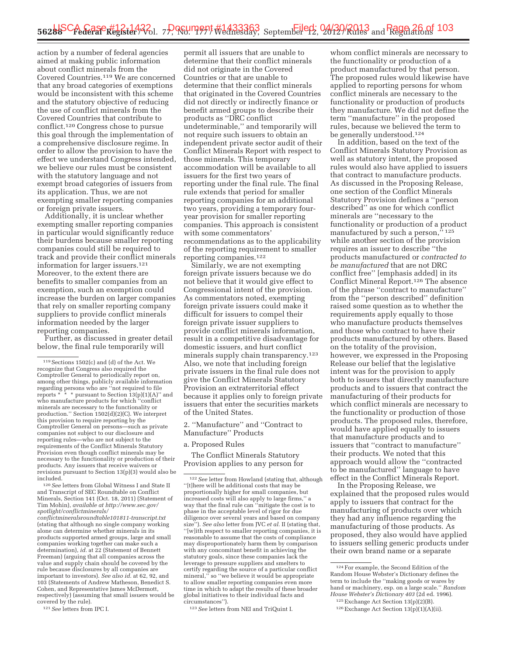action by a number of federal agencies aimed at making public information about conflict minerals from the Covered Countries.119 We are concerned that any broad categories of exemptions would be inconsistent with this scheme and the statutory objective of reducing the use of conflict minerals from the Covered Countries that contribute to conflict.120 Congress chose to pursue this goal through the implementation of a comprehensive disclosure regime. In order to allow the provision to have the effect we understand Congress intended, we believe our rules must be consistent with the statutory language and not exempt broad categories of issuers from its application. Thus, we are not exempting smaller reporting companies or foreign private issuers.

Additionally, it is unclear whether exempting smaller reporting companies in particular would significantly reduce their burdens because smaller reporting companies could still be required to track and provide their conflict minerals information for larger issuers.121 Moreover, to the extent there are benefits to smaller companies from an exemption, such an exemption could increase the burden on larger companies that rely on smaller reporting company suppliers to provide conflict minerals information needed by the larger reporting companies.

Further, as discussed in greater detail below, the final rule temporarily will

120*See* letters from Global Witness I and State II and Transcript of SEC Roundtable on Conflict Minerals, Section 141 (Oct. 18, 2011) (Statement of Tim Mohin), *available at http://www.sec.gov/ spotlight/conflictminerals/* 

*conflictmineralsroundtable101811-transcript.txt*  (stating that although no single company working alone can determine whether minerals in its products supported armed groups, large and small companies working together can make such a determination), *id.* at 22 (Statement of Bennett Freeman) (arguing that all companies across the value and supply chain should be covered by the rule because disclosures by all companies are important to investors). *See also id.* at 62, 92, and 103 (Statements of Andrew Matheson, Benedict S. Cohen, and Representative James McDermott, respectively) (assuming that small issuers would be covered by the rule).

121*See* letters from IPC I.

permit all issuers that are unable to determine that their conflict minerals did not originate in the Covered Countries or that are unable to determine that their conflict minerals that originated in the Covered Countries did not directly or indirectly finance or benefit armed groups to describe their products as ''DRC conflict undeterminable,'' and temporarily will not require such issuers to obtain an independent private sector audit of their Conflict Minerals Report with respect to those minerals. This temporary accommodation will be available to all issuers for the first two years of reporting under the final rule. The final rule extends that period for smaller reporting companies for an additional two years, providing a temporary fouryear provision for smaller reporting companies. This approach is consistent with some commentators' recommendations as to the applicability of the reporting requirement to smaller reporting companies.122

Similarly, we are not exempting foreign private issuers because we do not believe that it would give effect to Congressional intent of the provision. As commentators noted, exempting foreign private issuers could make it difficult for issuers to compel their foreign private issuer suppliers to provide conflict minerals information, result in a competitive disadvantage for domestic issuers, and hurt conflict minerals supply chain transparency.123 Also, we note that including foreign private issuers in the final rule does not give the Conflict Minerals Statutory Provision an extraterritorial effect because it applies only to foreign private issuers that enter the securities markets of the United States.

2. ''Manufacture'' and ''Contract to Manufacture'' Products

#### a. Proposed Rules

The Conflict Minerals Statutory Provision applies to any person for

123*See* letters from NEI and TriQuint I.

whom conflict minerals are necessary to the functionality or production of a product manufactured by that person. The proposed rules would likewise have applied to reporting persons for whom conflict minerals are necessary to the functionality or production of products they manufacture. We did not define the term ''manufacture'' in the proposed rules, because we believed the term to be generally understood.124

In addition, based on the text of the Conflict Minerals Statutory Provision as well as statutory intent, the proposed rules would also have applied to issuers that contract to manufacture products. As discussed in the Proposing Release, one section of the Conflict Minerals Statutory Provision defines a ''person described'' as one for which conflict minerals are ''necessary to the functionality or production of a product manufactured by such a person,'' 125 while another section of the provision requires an issuer to describe ''the products manufactured or *contracted to be manufactured* that are not DRC conflict free'' [emphasis added] in its Conflict Mineral Report.126 The absence of the phrase ''contract to manufacture'' from the ''person described'' definition raised some question as to whether the requirements apply equally to those who manufacture products themselves and those who contract to have their products manufactured by others. Based on the totality of the provision, however, we expressed in the Proposing Release our belief that the legislative intent was for the provision to apply both to issuers that directly manufacture products and to issuers that contract the manufacturing of their products for which conflict minerals are necessary to the functionality or production of those products. The proposed rules, therefore, would have applied equally to issuers that manufacture products and to issuers that ''contract to manufacture'' their products. We noted that this approach would allow the ''contracted to be manufactured'' language to have effect in the Conflict Minerals Report.

In the Proposing Release, we explained that the proposed rules would apply to issuers that contract for the manufacturing of products over which they had any influence regarding the manufacturing of those products. As proposed, they also would have applied to issuers selling generic products under their own brand name or a separate

<sup>119</sup>Sections 1502(c) and (d) of the Act. We recognize that Congress also required the Comptroller General to periodically report on, among other things, publicly available information regarding persons who are ''not required to file reports \* \* \* pursuant to Section 13(p)(1)(A)'' and who manufacture products for which ''conflict minerals are necessary to the functionality or production.'' Section 1502(d)(2)(C). We interpret this provision to require reporting by the Comptroller General on persons—such as private companies not subject to our disclosure and reporting rules—who are not subject to the requirements of the Conflict Minerals Statutory Provision even though conflict minerals may be necessary to the functionality or production of their products. Any issuers that receive waivers or revisions pursuant to Section 13(p)(3) would also be included.

<sup>122</sup>*See* letter from Howland (stating that, although ''[t]here will be additional costs that may be proportionally higher for small companies, but increased costs will also apply to large firms,'' a way that the final rule can ''mitigate the cost is to phase in the acceptable level of rigor for due diligence over several years and based on company size''). *See also* letter from JVC *et al.* II (stating that, ''[w]ith respect to smaller reporting companies, it is reasonable to assume that the costs of compliance may disproportionately harm them by comparison with any concomitant benefit in achieving the statutory goals, since these companies lack the leverage to pressure suppliers and smelters to certify regarding the source of a particular conflict mineral," so "we believe it would be appropriate to allow smaller reporting companies even more time in which to adapt the results of these broader global initiatives to their individual facts and circumstances'').

<sup>124</sup>For example, the Second Edition of the Random House Webster's Dictionary defines the term to include the ''making goods or wares by hand or machinery, esp. on a large scale.'' *Random House Webster's Dictionary 403* (2d ed. 1996).

<sup>125</sup>Exchange Act Section 13(p)(2)(B).

<sup>126</sup>Exchange Act Section 13(p)(1)(A)(ii).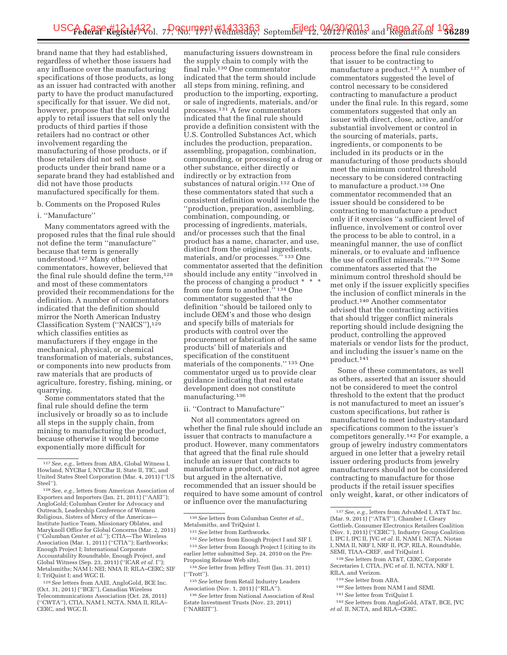brand name that they had established, regardless of whether those issuers had any influence over the manufacturing specifications of those products, as long as an issuer had contracted with another party to have the product manufactured specifically for that issuer. We did not, however, propose that the rules would apply to retail issuers that sell only the products of third parties if those retailers had no contract or other involvement regarding the manufacturing of those products, or if those retailers did not sell those products under their brand name or a separate brand they had established and did not have those products manufactured specifically for them.

b. Comments on the Proposed Rules

#### i. ''Manufacture''

Many commentators agreed with the proposed rules that the final rule should not define the term ''manufacture'' because that term is generally understood.127 Many other commentators, however, believed that the final rule should define the term,<sup>128</sup> and most of these commentators provided their recommendations for the definition. A number of commentators indicated that the definition should mirror the North American Industry Classification System (''NAICS''),129 which classifies entities as manufacturers if they engage in the mechanical, physical, or chemical transformation of materials, substances, or components into new products from raw materials that are products of agriculture, forestry, fishing, mining, or quarrying.

Some commentators stated that the final rule should define the term inclusively or broadly so as to include all steps in the supply chain, from mining to manufacturing the product, because otherwise it would become exponentially more difficult for

129*See* letters from AAEI, AngloGold, BCE Inc. (Oct. 31, 2011) (''BCE''), Canadian Wireless Telecommunications Association (Oct. 28, 2011) (''CWTA''), CTIA, NAM I, NCTA, NMA II, RILA– CERC, and WGC II.

manufacturing issuers downstream in the supply chain to comply with the final rule.130 One commentator indicated that the term should include all steps from mining, refining, and production to the importing, exporting, or sale of ingredients, materials, and/or processes.131 A few commentators indicated that the final rule should provide a definition consistent with the U.S. Controlled Substances Act, which includes the production, preparation, assembling, propagation, combination, compounding, or processing of a drug or other substance, either directly or indirectly or by extraction from substances of natural origin.132 One of these commentators stated that such a consistent definition would include the ''production, preparation, assembling, combination, compounding, or processing of ingredients, materials, and/or processes such that the final product has a name, character, and use, distinct from the original ingredients, materials, and/or processes."<sup>133</sup> One commentator asserted that the definition should include any entity ''involved in the process of changing a product  $^{\star}$ from one form to another."<sup>134</sup> One commentator suggested that the definition ''should be tailored only to include OEM's and those who design and specify bills of materials for products with control over the procurement or fabrication of the same products' bill of materials and specification of the constituent materials of the components.'' 135 One commentator urged us to provide clear guidance indicating that real estate development does not constitute manufacturing.136

#### ii. ''Contract to Manufacture''

Not all commentators agreed on whether the final rule should include an issuer that contracts to manufacture a product. However, many commentators that agreed that the final rule should include an issuer that contracts to manufacture a product, or did not agree but argued in the alternative, recommended that an issuer should be required to have some amount of control or influence over the manufacturing

process before the final rule considers that issuer to be contracting to manufacture a product.<sup>137</sup> A number of commentators suggested the level of control necessary to be considered contracting to manufacture a product under the final rule. In this regard, some commentators suggested that only an issuer with direct, close, active, and/or substantial involvement or control in the sourcing of materials, parts, ingredients, or components to be included in its products or in the manufacturing of those products should meet the minimum control threshold necessary to be considered contracting to manufacture a product.138 One commentator recommended that an issuer should be considered to be contracting to manufacture a product only if it exercises ''a sufficient level of influence, involvement or control over the process to be able to control, in a meaningful manner, the use of conflict minerals, or to evaluate and influence the use of conflict minerals.''139 Some commentators asserted that the minimum control threshold should be met only if the issuer explicitly specifies the inclusion of conflict minerals in the product.140 Another commentator advised that the contracting activities that should trigger conflict minerals reporting should include designing the product, controlling the approved materials or vendor lists for the product, and including the issuer's name on the product.141

Some of these commentators, as well as others, asserted that an issuer should not be considered to meet the control threshold to the extent that the product is not manufactured to meet an issuer's custom specifications, but rather is manufactured to meet industry-standard specifications common to the issuer's competitors generally.142 For example, a group of jewelry industry commentators argued in one letter that a jewelry retail issuer ordering products from jewelry manufacturers should not be considered contracting to manufacture for those products if the retail issuer specifies only weight, karat, or other indicators of

- 138*See* letters from AT&T, CERC, Corporate Secretaries I, CTIA, JVC *et al.* II, NCTA, NRF I, RILA, and Verizon.
- 139*See* letter from ABA.
- 140*See* letters from NAM I and SEMI.
- 141*See* letter from TriQuint I.
- 142*See* letters from AngloGold, AT&T, BCE, JVC *et al.* II, NCTA, and RILA–CERC.

<sup>127</sup>*See, e.g.,* letters from ABA, Global Witness I, Howland, NYCBar I, NYCBar II, State II, TIC, and United States Steel Corporation (Mar. 4, 2011) (''US Steel'').

<sup>128</sup>*See, e.g.,* letters from American Association of Exporters and Importers (Jan. 21, 2011) (''AAEI''); AngloGold; Columban Center for Advocacy and Outreach, Leadership Conference of Women Religious, Sisters of Mercy of the Americas— Institute Justice Team, Missionary Oblates, and Maryknoll Office for Global Concerns (Mar. 2, 2011) (''Columban Center *et al.*''); CTIA—The Wireless Association (Mar. 1, 2011) (''CTIA''); Earthworks; Enough Project I; International Corporate Accountability Roundtable, Enough Project, and Global Witness (Sep. 23, 2011) (''ICAR *et al.* I''); Metalsmiths; NAM I; NEI; NMA II; RILA–CERC; SIF I; TriQuint I; and WGC II.

<sup>130</sup>*See* letters from Columban Center *et al.,*  Metalsmiths, and TriQuint I.

<sup>131</sup>*See* letter from Earthworks.

<sup>132</sup>*See* letters from Enough Project I and SIF I. 133*See* letter from Enough Project I (citing to its earlier letter submitted Sep. 24, 2010 on the Pre-Proposing Release Web site).

<sup>134</sup>*See* letter from Jeffrey Trott (Jan. 31, 2011) (''Trott'').

<sup>135</sup>*See* letter from Retail Industry Leaders Association (Nov. 1, 2011) (''RILA'').

<sup>136</sup>*See* letter from National Association of Real Estate Investment Trusts (Nov. 23, 2011) (''NAREIT'').

<sup>137</sup>*See, e.g.,* letters from AdvaMed I, AT&T Inc. (Mar. 9, 2011) (''AT&T''), Chamber I, Cleary Gottlieb, Consumer Electronics Retailers Coalition (Nov. 1, 2011) (''CERC''), Industry Group Coalition I, IPC I, IPC II, JVC *et al.* II, NAM I, NCTA, Niotan I, NMA II, NRF I, NRF II, PCP, RILA, Roundtable, SEMI, TIAA–CREF, and TriQuint I.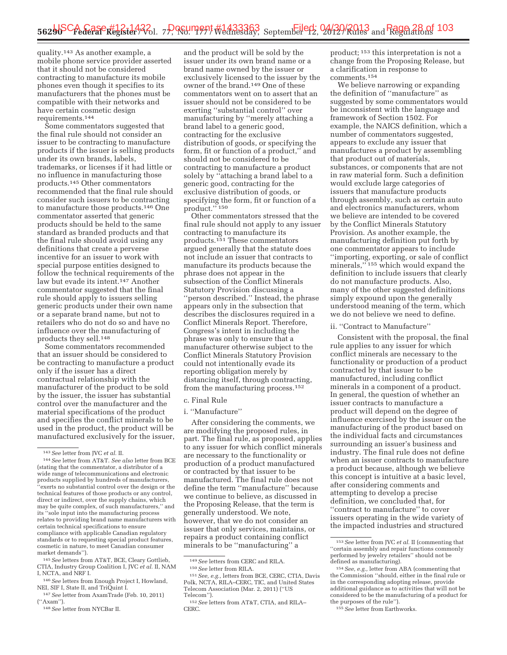quality.143 As another example, a mobile phone service provider asserted that it should not be considered contracting to manufacture its mobile phones even though it specifies to its manufacturers that the phones must be compatible with their networks and have certain cosmetic design requirements.144

Some commentators suggested that the final rule should not consider an issuer to be contracting to manufacture products if the issuer is selling products under its own brands, labels, trademarks, or licenses if it had little or no influence in manufacturing those products.145 Other commentators recommended that the final rule should consider such issuers to be contracting to manufacture those products.146 One commentator asserted that generic products should be held to the same standard as branded products and that the final rule should avoid using any definitions that create a perverse incentive for an issuer to work with special purpose entities designed to follow the technical requirements of the law but evade its intent.147 Another commentator suggested that the final rule should apply to issuers selling generic products under their own name or a separate brand name, but not to retailers who do not do so and have no influence over the manufacturing of products they sell.148

Some commentators recommended that an issuer should be considered to be contracting to manufacture a product only if the issuer has a direct contractual relationship with the manufacturer of the product to be sold by the issuer, the issuer has substantial control over the manufacturer and the material specifications of the product and specifies the conflict minerals to be used in the product, the product will be manufactured exclusively for the issuer,

145*See* letters from AT&T, BCE, Cleary Gottlieb, CTIA, Industry Group Coalition I, JVC *et al.* II, NAM I, NCTA, and NRF I.

and the product will be sold by the issuer under its own brand name or a brand name owned by the issuer or exclusively licensed to the issuer by the owner of the brand.149 One of these commentators went on to assert that an issuer should not be considered to be exerting ''substantial control'' over manufacturing by ''merely attaching a brand label to a generic good, contracting for the exclusive distribution of goods, or specifying the form, fit or function of a product,'' and should not be considered to be contracting to manufacture a product solely by ''attaching a brand label to a generic good, contracting for the exclusive distribution of goods, or specifying the form, fit or function of a product."<sup>150</sup>

Other commentators stressed that the final rule should not apply to any issuer contracting to manufacture its products.151 These commentators argued generally that the statute does not include an issuer that contracts to manufacture its products because the phrase does not appear in the subsection of the Conflict Minerals Statutory Provision discussing a ''person described.'' Instead, the phrase appears only in the subsection that describes the disclosures required in a Conflict Minerals Report. Therefore, Congress's intent in including the phrase was only to ensure that a manufacturer otherwise subject to the Conflict Minerals Statutory Provision could not intentionally evade its reporting obligation merely by distancing itself, through contracting, from the manufacturing process.152

#### c. Final Rule

#### i. ''Manufacture''

After considering the comments, we are modifying the proposed rules, in part. The final rule, as proposed, applies to any issuer for which conflict minerals are necessary to the functionality or production of a product manufactured or contracted by that issuer to be manufactured. The final rule does not define the term ''manufacture'' because we continue to believe, as discussed in the Proposing Release, that the term is generally understood. We note, however, that we do not consider an issuer that only services, maintains, or repairs a product containing conflict minerals to be ''manufacturing'' a

<sup>149</sup>*See* letters from CERC and RILA. 150*See* letter from RILA. 151*See, e.g.,* letters from BCE, CERC, CTIA, Davis

product; 153 this interpretation is not a change from the Proposing Release, but a clarification in response to comments.154

We believe narrowing or expanding the definition of ''manufacture'' as suggested by some commentators would be inconsistent with the language and framework of Section 1502. For example, the NAICS definition, which a number of commentators suggested, appears to exclude any issuer that manufactures a product by assembling that product out of materials, substances, or components that are not in raw material form. Such a definition would exclude large categories of issuers that manufacture products through assembly, such as certain auto and electronics manufacturers, whom we believe are intended to be covered by the Conflict Minerals Statutory Provision. As another example, the manufacturing definition put forth by one commentator appears to include ''importing, exporting, or sale of conflict minerals,"<sup>155</sup> which would expand the definition to include issuers that clearly do not manufacture products. Also, many of the other suggested definitions simply expound upon the generally understood meaning of the term, which we do not believe we need to define.

#### ii. ''Contract to Manufacture''

Consistent with the proposal, the final rule applies to any issuer for which conflict minerals are necessary to the functionality or production of a product contracted by that issuer to be manufactured, including conflict minerals in a component of a product. In general, the question of whether an issuer contracts to manufacture a product will depend on the degree of influence exercised by the issuer on the manufacturing of the product based on the individual facts and circumstances surrounding an issuer's business and industry. The final rule does not define when an issuer contracts to manufacture a product because, although we believe this concept is intuitive at a basic level, after considering comments and attempting to develop a precise definition, we concluded that, for ''contract to manufacture'' to cover issuers operating in the wide variety of the impacted industries and structured

<sup>143</sup>*See* letter from JVC *et al.* II.

<sup>144</sup>*See* letter from AT&T. *See also* letter from BCE (stating that the commentator, a distributor of a wide range of telecommunications and electronic products supplied by hundreds of manufacturers, 'exerts no substantial control over the design or the technical features of those products or any control, direct or indirect, over the supply chains, which may be quite complex, of such manufacturers,'' and its ''sole input into the manufacturing process relates to providing brand name manufacturers with certain technical specifications to ensure compliance with applicable Canadian regulatory standards or to requesting special product features, cosmetic in nature, to meet Canadian consumer market demands'').

<sup>146</sup>*See* letters from Enough Project I, Howland, NEI, SIF I, State II, and TriQuint I.

<sup>147</sup>*See* letter from AxamTrade (Feb. 10, 2011) (''Axam'').

<sup>148</sup>*See* letter from NYCBar II.

Polk, NCTA, RILA–CERC, TIC, and United States Telecom Association (Mar. 2, 2011) (''US

<sup>&</sup>lt;sup>152</sup> See letters from AT&T, CTIA, and RILA– CERC.

<sup>153</sup>*See* letter from JVC *et al.* II (commenting that ''certain assembly and repair functions commonly performed by jewelry retailers'' should not be defined as manufacturing).

<sup>154</sup>*See, e.g.,* letter from ABA (commenting that the Commission ''should, either in the final rule or in the corresponding adopting release, provide additional guidance as to activities that will not be considered to be the manufacturing of a product for the purposes of the rule'').

<sup>155</sup>*See* letter from Earthworks.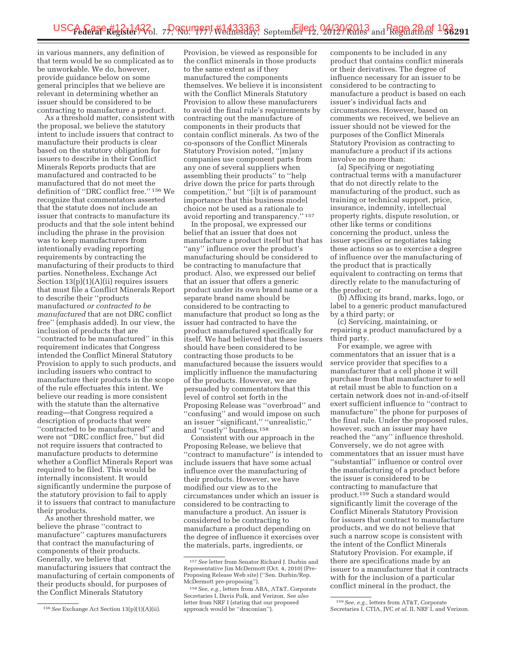in various manners, any definition of that term would be so complicated as to be unworkable. We do, however, provide guidance below on some general principles that we believe are relevant in determining whether an issuer should be considered to be contracting to manufacture a product.

As a threshold matter, consistent with the proposal, we believe the statutory intent to include issuers that contract to manufacture their products is clear based on the statutory obligation for issuers to describe in their Conflict Minerals Reports products that are manufactured and contracted to be manufactured that do not meet the definition of ''DRC conflict free.'' 156 We recognize that commentators asserted that the statute does not include an issuer that contracts to manufacture its products and that the sole intent behind including the phrase in the provision was to keep manufacturers from intentionally evading reporting requirements by contracting the manufacturing of their products to third parties. Nonetheless, Exchange Act Section  $13(p)(1)(A)(ii)$  requires issuers that must file a Conflict Minerals Report to describe their ''products manufactured *or contracted to be manufactured* that are not DRC conflict free'' (emphasis added). In our view, the inclusion of products that are ''contracted to be manufactured'' in this requirement indicates that Congress intended the Conflict Mineral Statutory Provision to apply to such products, and including issuers who contract to manufacture their products in the scope of the rule effectuates this intent. We believe our reading is more consistent with the statute than the alternative reading—that Congress required a description of products that were ''contracted to be manufactured'' and were not ''DRC conflict free,'' but did not require issuers that contracted to manufacture products to determine whether a Conflict Minerals Report was required to be filed. This would be internally inconsistent. It would significantly undermine the purpose of the statutory provision to fail to apply it to issuers that contract to manufacture their products.

As another threshold matter, we believe the phrase ''contract to manufacture'' captures manufacturers that contract the manufacturing of components of their products. Generally, we believe that manufacturing issuers that contract the manufacturing of certain components of their products should, for purposes of the Conflict Minerals Statutory

Provision, be viewed as responsible for the conflict minerals in those products to the same extent as if they manufactured the components themselves. We believe it is inconsistent with the Conflict Minerals Statutory Provision to allow these manufacturers to avoid the final rule's requirements by contracting out the manufacture of components in their products that contain conflict minerals. As two of the co-sponsors of the Conflict Minerals Statutory Provision noted, ''[m]any companies use component parts from any one of several suppliers when assembling their products'' to ''help drive down the price for parts through competition,'' but ''[i]t is of paramount importance that this business model choice not be used as a rationale to avoid reporting and transparency.'' 157

In the proposal, we expressed our belief that an issuer that does not manufacture a product itself but that has ''any'' influence over the product's manufacturing should be considered to be contracting to manufacture that product. Also, we expressed our belief that an issuer that offers a generic product under its own brand name or a separate brand name should be considered to be contracting to manufacture that product so long as the issuer had contracted to have the product manufactured specifically for itself. We had believed that these issuers should have been considered to be contracting those products to be manufactured because the issuers would implicitly influence the manufacturing of the products. However, we are persuaded by commentators that this level of control set forth in the Proposing Release was ''overbroad'' and ''confusing'' and would impose on such an issuer ''significant,'' ''unrealistic,'' and ''costly'' burdens.158

Consistent with our approach in the Proposing Release, we believe that ''contract to manufacture'' is intended to include issuers that have some actual influence over the manufacturing of their products. However, we have modified our view as to the circumstances under which an issuer is considered to be contracting to manufacture a product. An issuer is considered to be contracting to manufacture a product depending on the degree of influence it exercises over the materials, parts, ingredients, or

components to be included in any product that contains conflict minerals or their derivatives. The degree of influence necessary for an issuer to be considered to be contracting to manufacture a product is based on each issuer's individual facts and circumstances. However, based on comments we received, we believe an issuer should not be viewed for the purposes of the Conflict Minerals Statutory Provision as contracting to manufacture a product if its actions involve no more than:

(a) Specifying or negotiating contractual terms with a manufacturer that do not directly relate to the manufacturing of the product, such as training or technical support, price, insurance, indemnity, intellectual property rights, dispute resolution, or other like terms or conditions concerning the product, unless the issuer specifies or negotiates taking these actions so as to exercise a degree of influence over the manufacturing of the product that is practically equivalent to contracting on terms that directly relate to the manufacturing of the product; or

(b) Affixing its brand, marks, logo, or label to a generic product manufactured by a third party; or

(c) Servicing, maintaining, or repairing a product manufactured by a third party.

For example, we agree with commentators that an issuer that is a service provider that specifies to a manufacturer that a cell phone it will purchase from that manufacturer to sell at retail must be able to function on a certain network does not in-and-of-itself exert sufficient influence to ''contract to manufacture'' the phone for purposes of the final rule. Under the proposed rules, however, such an issuer may have reached the ''any'' influence threshold. Conversely, we do not agree with commentators that an issuer must have ''substantial'' influence or control over the manufacturing of a product before the issuer is considered to be contracting to manufacture that product.159 Such a standard would significantly limit the coverage of the Conflict Minerals Statutory Provision for issuers that contract to manufacture products, and we do not believe that such a narrow scope is consistent with the intent of the Conflict Minerals Statutory Provision. For example, if there are specifications made by an issuer to a manufacturer that it contracts with for the inclusion of a particular conflict mineral in the product, the

<sup>156</sup>*See* Exchange Act Section 13(p)(1)(A)(ii).

<sup>157</sup>*See* letter from Senator Richard J. Durbin and Representative Jim McDermott (Oct. 4, 2010) (Pre-Proposing Release Web site) (''Sen. Durbin/Rep. McDermott pre-proposing'').

<sup>158</sup>*See, e.g.,* letters from ABA, AT&T, Corporate Secretaries I, Davis Polk, and Verizon. *See also*  letter from NRF I (stating that our proposed approach would be ''draconian'').

<sup>159</sup>*See, e.g.,* letters from AT&T, Corporate Secretaries I, CTIA, JVC et al. II, NRF I, and Verizon.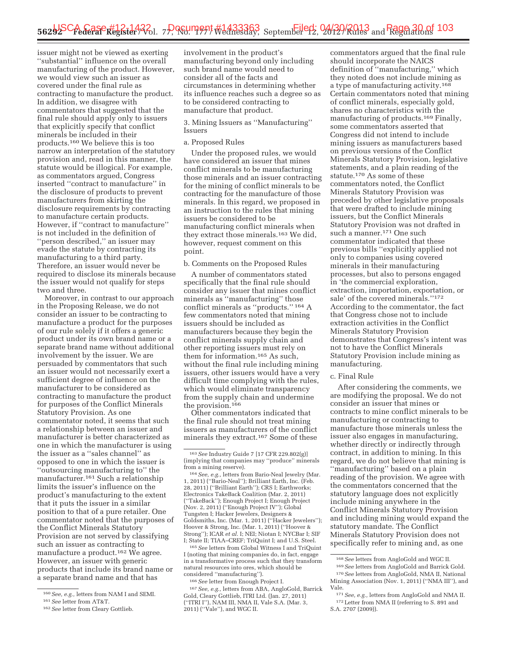issuer might not be viewed as exerting ''substantial'' influence on the overall manufacturing of the product. However, we would view such an issuer as covered under the final rule as contracting to manufacture the product. In addition, we disagree with commentators that suggested that the final rule should apply only to issuers that explicitly specify that conflict minerals be included in their products.160 We believe this is too narrow an interpretation of the statutory provision and, read in this manner, the statute would be illogical. For example, as commentators argued, Congress inserted ''contract to manufacture'' in the disclosure of products to prevent manufacturers from skirting the disclosure requirements by contracting to manufacture certain products. However, if ''contract to manufacture'' is not included in the definition of ''person described,'' an issuer may evade the statute by contracting its manufacturing to a third party. Therefore, an issuer would never be required to disclose its minerals because the issuer would not qualify for steps two and three.

Moreover, in contrast to our approach in the Proposing Release, we do not consider an issuer to be contracting to manufacture a product for the purposes of our rule solely if it offers a generic product under its own brand name or a separate brand name without additional involvement by the issuer. We are persuaded by commentators that such an issuer would not necessarily exert a sufficient degree of influence on the manufacturer to be considered as contracting to manufacture the product for purposes of the Conflict Minerals Statutory Provision. As one commentator noted, it seems that such a relationship between an issuer and manufacturer is better characterized as one in which the manufacturer is using the issuer as a ''sales channel'' as opposed to one in which the issuer is ''outsourcing manufacturing to'' the manufacturer.161 Such a relationship limits the issuer's influence on the product's manufacturing to the extent that it puts the issuer in a similar position to that of a pure retailer. One commentator noted that the purposes of the Conflict Minerals Statutory Provision are not served by classifying such an issuer as contracting to manufacture a product.<sup>162</sup> We agree. However, an issuer with generic products that include its brand name or a separate brand name and that has

involvement in the product's manufacturing beyond only including such brand name would need to consider all of the facts and circumstances in determining whether its influence reaches such a degree so as to be considered contracting to manufacture that product.

3. Mining Issuers as ''Manufacturing'' Issuers

#### a. Proposed Rules

Under the proposed rules, we would have considered an issuer that mines conflict minerals to be manufacturing those minerals and an issuer contracting for the mining of conflict minerals to be contracting for the manufacture of those minerals. In this regard, we proposed in an instruction to the rules that mining issuers be considered to be manufacturing conflict minerals when they extract those minerals.163 We did, however, request comment on this point.

#### b. Comments on the Proposed Rules

A number of commentators stated specifically that the final rule should consider any issuer that mines conflict minerals as ''manufacturing'' those conflict minerals as ''products.'' 164 A few commentators noted that mining issuers should be included as manufacturers because they begin the conflict minerals supply chain and other reporting issuers must rely on them for information.165 As such, without the final rule including mining issuers, other issuers would have a very difficult time complying with the rules, which would eliminate transparency from the supply chain and undermine the provision.166

Other commentators indicated that the final rule should not treat mining issuers as manufacturers of the conflict minerals they extract.167 Some of these

164*See, e.g.,* letters from Bario-Neal Jewelry (Mar. 1, 2011) (''Bario-Neal''); Brilliant Earth, Inc. (Feb. 28, 2011) (''Brilliant Earth''); CRS I; Earthworks; Electronics TakeBack Coalition (Mar. 2, 2011) (''TakeBack''); Enough Project I; Enough Project (Nov. 2, 2011) (''Enough Project IV''); Global Tungsten I; Hacker Jewelers, Designers & Goldsmiths, Inc. (Mar. 1, 2011) (''Hacker Jewelers''); Hoover & Strong, Inc. (Mar. 1, 2011) (''Hoover & Strong''); ICAR *et al.* I; NEI; Niotan I; NYCBar I; SIF I; State II; TIAA–CREF; TriQuint I; and U.S. Steel.

165*See* letters from Global Witness I and TriQuint I (noting that mining companies do, in fact, engage in a transformative process such that they transform natural resources into ores, which should be considered ''manufacturing'').

166*See* letter from Enough Project I.

167*See, e.g.,* letters from ABA, AngloGold, Barrick Gold, Cleary Gottlieb, ITRI Ltd. (Jan. 27, 2011) (''ITRI I''), NAM III, NMA II, Vale S.A. (Mar. 3, 2011) (''Vale''), and WGC II.

commentators argued that the final rule should incorporate the NAICS definition of ''manufacturing,'' which they noted does not include mining as a type of manufacturing activity.168 Certain commentators noted that mining of conflict minerals, especially gold, shares no characteristics with the manufacturing of products.169 Finally, some commentators asserted that Congress did not intend to include mining issuers as manufacturers based on previous versions of the Conflict Minerals Statutory Provision, legislative statements, and a plain reading of the statute.170 As some of these commentators noted, the Conflict Minerals Statutory Provision was preceded by other legislative proposals that were drafted to include mining issuers, but the Conflict Minerals Statutory Provision was not drafted in such a manner.171 One such commentator indicated that these previous bills ''explicitly applied not only to companies using covered minerals in their manufacturing processes, but also to persons engaged in 'the commercial exploration, extraction, importation, exportation, or sale' of the covered minerals.''172 According to the commentator, the fact that Congress chose not to include extraction activities in the Conflict Minerals Statutory Provision demonstrates that Congress's intent was not to have the Conflict Minerals Statutory Provision include mining as manufacturing.

#### c. Final Rule

After considering the comments, we are modifying the proposal. We do not consider an issuer that mines or contracts to mine conflict minerals to be manufacturing or contracting to manufacture those minerals unless the issuer also engages in manufacturing, whether directly or indirectly through contract, in addition to mining. In this regard, we do not believe that mining is ''manufacturing'' based on a plain reading of the provision. We agree with the commentators concerned that the statutory language does not explicitly include mining anywhere in the Conflict Minerals Statutory Provision and including mining would expand the statutory mandate. The Conflict Minerals Statutory Provision does not specifically refer to mining and, as one

<sup>160</sup>*See, e.g.,* letters from NAM I and SEMI.

<sup>161</sup>*See* letter from AT&T.

<sup>162</sup>*See* letter from Cleary Gottlieb.

<sup>163</sup>*See* Industry Guide 7 [17 CFR 229.802(g)] (implying that companies may ''produce'' minerals from a mining reserve).

<sup>168</sup>*See* letters from AngloGold and WGC II.

<sup>169</sup>*See* letters from AngloGold and Barrick Gold. 170*See* letters from AngloGold, NMA II, National Mining Association (Nov. 1, 2011) (''NMA III''), and Vale.

<sup>171</sup>*See, e.g.,* letters from AngloGold and NMA II. 172Letter from NMA II (referring to S. 891 and S.A. 2707 (2009)).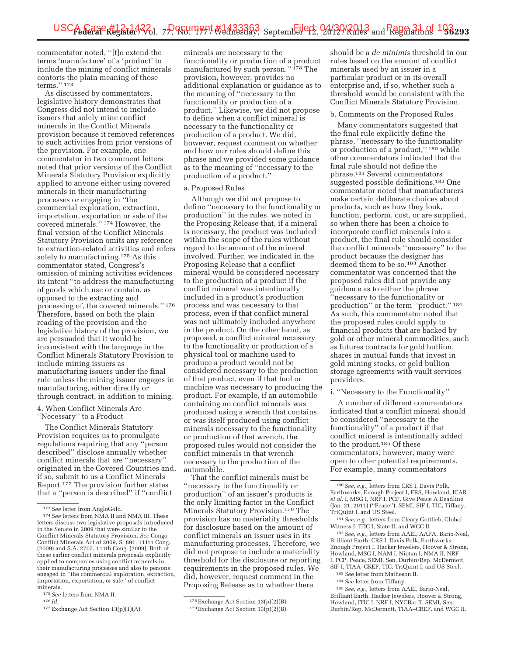commentator noted, ''[t]o extend the terms 'manufacture' of a 'product' to include the mining of conflict minerals contorts the plain meaning of those terms.'' 173

As discussed by commentators, legislative history demonstrates that Congress did not intend to include issuers that solely mine conflict minerals in the Conflict Minerals provision because it removed references to such activities from prior versions of the provision. For example, one commentator in two comment letters noted that prior versions of the Conflict Minerals Statutory Provision explicitly applied to anyone either using covered minerals in their manufacturing processes or engaging in ''the commercial exploration, extraction, importation, exportation or sale of the covered minerals.'' 174 However, the final version of the Conflict Minerals Statutory Provision omits any reference to extraction-related activities and refers solely to manufacturing.<sup>175</sup> As this commentator stated, Congress's omission of mining activities evidences its intent ''to address the manufacturing of goods which use or contain, as opposed to the extracting and processing of, the covered minerals.'' 176 Therefore, based on both the plain reading of the provision and the legislative history of the provision, we are persuaded that it would be inconsistent with the language in the Conflict Minerals Statutory Provision to include mining issuers as manufacturing issuers under the final rule unless the mining issuer engages in manufacturing, either directly or through contract, in addition to mining.

4. When Conflict Minerals Are ''Necessary'' to a Product

The Conflict Minerals Statutory Provision requires us to promulgate regulations requiring that any ''person described'' disclose annually whether conflict minerals that are ''necessary'' originated in the Covered Countries and, if so, submit to us a Conflict Minerals Report.177 The provision further states that a ''person is described'' if ''conflict

minerals are necessary to the functionality or production of a product manufactured by such person.'' 178 The provision, however, provides no additional explanation or guidance as to the meaning of ''necessary to the functionality or production of a product.'' Likewise, we did not propose to define when a conflict mineral is necessary to the functionality or production of a product. We did, however, request comment on whether and how our rules should define this phrase and we provided some guidance as to the meaning of ''necessary to the production of a product.''

#### a. Proposed Rules

Although we did not propose to define ''necessary to the functionality or production'' in the rules, we noted in the Proposing Release that, if a mineral is necessary, the product was included within the scope of the rules without regard to the amount of the mineral involved. Further, we indicated in the Proposing Release that a conflict mineral would be considered necessary to the production of a product if the conflict mineral was intentionally included in a product's production process and was necessary to that process, even if that conflict mineral was not ultimately included anywhere in the product. On the other hand, as proposed, a conflict mineral necessary to the functionality or production of a physical tool or machine used to produce a product would not be considered necessary to the production of that product, even if that tool or machine was necessary to producing the product. For example, if an automobile containing no conflict minerals was produced using a wrench that contains or was itself produced using conflict minerals necessary to the functionality or production of that wrench, the proposed rules would not consider the conflict minerals in that wrench necessary to the production of the automobile.

That the conflict minerals must be ''necessary to the functionality or production'' of an issuer's products is the only limiting factor in the Conflict Minerals Statutory Provision.<sup>179</sup> The provision has no materiality thresholds for disclosure based on the amount of conflict minerals an issuer uses in its manufacturing processes. Therefore, we did not propose to include a materiality threshold for the disclosure or reporting requirements in the proposed rules. We did, however, request comment in the Proposing Release as to whether there

178Exchange Act Section 13(p)(2)(B).

should be a *de minimis* threshold in our rules based on the amount of conflict minerals used by an issuer in a particular product or in its overall enterprise and, if so, whether such a threshold would be consistent with the Conflict Minerals Statutory Provision.

#### b. Comments on the Proposed Rules

Many commentators suggested that the final rule explicitly define the phrase, ''necessary to the functionality or production of a product,'' 180 while other commentators indicated that the final rule should not define the phrase.181 Several commentators suggested possible definitions.182 One commentator noted that manufacturers make certain deliberate choices about products, such as how they look, function, perform, cost, or are supplied, so when there has been a choice to incorporate conflict minerals into a product, the final rule should consider the conflict minerals ''necessary'' to the product because the designer has deemed them to be so.<sup>183</sup> Another commentator was concerned that the proposed rules did not provide any guidance as to either the phrase 'necessary to the functionality or production'' or the term ''product.'' 184 As such, this commentator noted that the proposed rules could apply to financial products that are backed by gold or other mineral commodities, such as futures contracts for gold bullion, shares in mutual funds that invest in gold mining stocks, or gold bullion storage agreements with vault services providers.

i. ''Necessary to the Functionality''

A number of different commentators indicated that a conflict mineral should be considered ''necessary to the functionality'' of a product if that conflict mineral is intentionally added to the product.185 Of these commentators, however, many were open to other potential requirements. For example, many commentators

182*See, e.g.,* letters from AAEI, AAFA, Bario-Neal, Brilliant Earth, CRS I, Davis Polk, Earthworks, Enough Project I, Hacker Jewelers, Hoover & Strong, Howland, MSG I, NAM I, Niotan I, NMA II, NRF I, PCP, Peace, SEMI, Sen. Durbin/Rep. McDermott, SIF I, TIAA–CREF, TIC, TriQuint I, and US Steel.

- 183*See* letter from Matheson II.
- 184*See* letter from Tiffany.

185*See, e.g.,* letters from AAEI, Bario-Neal, Brilliant Earth, Hacker Jewelers, Hoover & Strong, Howland, ITIC I, NRF I, NYCBar II, SEMI, Sen. Durbin/Rep. McDermott, TIAA–CREF, and WGC II.

<sup>173</sup>*See* letter from AngloGold. 174*See* letters from NMA II and NMA III. These letters discuss two legislative proposals introduced in the Senate in 2009 that were similar to the Conflict Minerals Statutory Provision. *See* Congo Conflict Minerals Act of 2009, S. 891, 111th Cong. (2009) and S.A. 2707, 111th Cong. (2009). Both of these earlier conflict minerals proposals explicitly applied to companies using conflict minerals in their manufacturing processes and also to persons engaged in ''the commercial exploration, extraction, importation, exportation, or sale'' of conflict minerals.

<sup>175</sup>*See* letters from NMA II. 176 *Id.* 

<sup>177</sup>Exchange Act Section 13(p)(1)(A).

<sup>179</sup>Exchange Act Section 13(p)(2)(B).

<sup>180</sup>*See, e.g.,* letters from CRS I, Davis Polk, Earthworks, Enough Project I, FRS, Howland, ICAR *et al.* I, MSG I, NRF I, PCP, Give Peace A Deadline (Jan. 21, 2011) (''Peace''), SEMI, SIF I, TIC, Tiffany, TriQuint I, and US Steel.

<sup>181</sup>*See, e.g.,* letters from Cleary Gottlieb, Global Witness I, ITIC I, State II, and WGC II.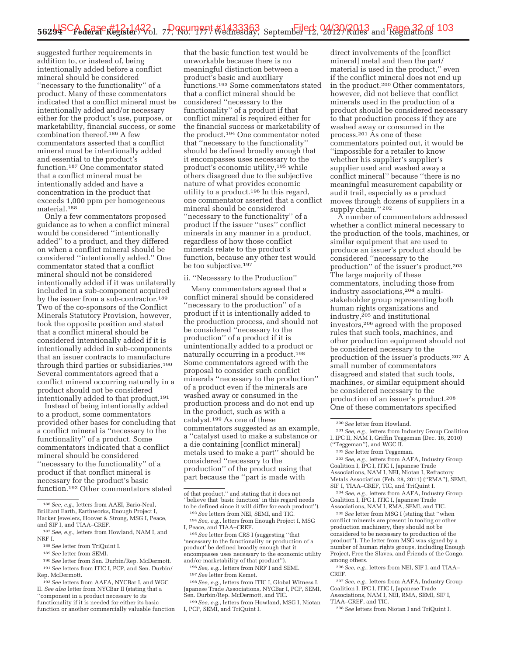suggested further requirements in addition to, or instead of, being intentionally added before a conflict mineral should be considered ''necessary to the functionality'' of a product. Many of these commentators indicated that a conflict mineral must be intentionally added and/or necessary either for the product's use, purpose, or marketability, financial success, or some combination thereof.186 A few commentators asserted that a conflict mineral must be intentionally added and essential to the product's function.187 One commentator stated that a conflict mineral must be intentionally added and have a concentration in the product that exceeds 1,000 ppm per homogeneous material.188

Only a few commentators proposed guidance as to when a conflict mineral would be considered ''intentionally added'' to a product, and they differed on when a conflict mineral should be considered ''intentionally added.'' One commentator stated that a conflict mineral should not be considered intentionally added if it was unilaterally included in a sub-component acquired by the issuer from a sub-contractor.<sup>189</sup> Two of the co-sponsors of the Conflict Minerals Statutory Provision, however, took the opposite position and stated that a conflict mineral should be considered intentionally added if it is intentionally added in sub-components that an issuer contracts to manufacture through third parties or subsidiaries.190 Several commentators agreed that a conflict mineral occurring naturally in a product should not be considered intentionally added to that product.191

Instead of being intentionally added to a product, some commentators provided other bases for concluding that a conflict mineral is ''necessary to the functionality'' of a product. Some commentators indicated that a conflict mineral should be considered ''necessary to the functionality'' of a product if that conflict mineral is necessary for the product's basic function.192 Other commentators stated

190*See* letter from Sen. Durbin/Rep. McDermott. 191*See* letters from ITIC I, PCP, and Sen. Durbin/ Rep. McDermott.

that the basic function test would be unworkable because there is no meaningful distinction between a product's basic and auxiliary functions.193 Some commentators stated that a conflict mineral should be considered ''necessary to the functionality'' of a product if that conflict mineral is required either for the financial success or marketability of the product.194 One commentator noted that ''necessary to the functionality'' should be defined broadly enough that it encompasses uses necessary to the product's economic utility,195 while others disagreed due to the subjective nature of what provides economic utility to a product.196 In this regard, one commentator asserted that a conflict mineral should be considered ''necessary to the functionality'' of a product if the issuer ''uses'' conflict minerals in any manner in a product, regardless of how those conflict minerals relate to the product's function, because any other test would be too subjective.197

#### ii. ''Necessary to the Production''

Many commentators agreed that a conflict mineral should be considered ''necessary to the production'' of a product if it is intentionally added to the production process, and should not be considered ''necessary to the production'' of a product if it is unintentionally added to a product or naturally occurring in a product.198 Some commentators agreed with the proposal to consider such conflict minerals ''necessary to the production'' of a product even if the minerals are washed away or consumed in the production process and do not end up in the product, such as with a catalyst.199 As one of these commentators suggested as an example, a ''catalyst used to make a substance or a die containing [conflict mineral] metals used to make a part'' should be considered ''necessary to the production'' of the product using that part because the ''part is made with

<sup>195</sup> See letter from CRS I (suggesting "that 'necessary to the functionality or production of a product' be defined broadly enough that it encompasses uses necessary to the economic utility and/or marketability of that product").

Japanese Trade Associations, NYCBar I, PCP, SEMI,

<sup>199</sup> See, e.g., letters from Howland, MSG I, Niotan I, PCP, SEMI, and TriQuint I.

direct involvements of the [conflict mineral] metal and then the part/ material is used in the product,'' even if the conflict mineral does not end up in the product.200 Other commentators, however, did not believe that conflict minerals used in the production of a product should be considered necessary to that production process if they are washed away or consumed in the process.201 As one of these commentators pointed out, it would be ''impossible for a retailer to know whether his supplier's supplier's supplier used and washed away a conflict mineral'' because ''there is no meaningful measurement capability or audit trail, especially as a product moves through dozens of suppliers in a supply chain." 202

A number of commentators addressed whether a conflict mineral necessary to the production of the tools, machines, or similar equipment that are used to produce an issuer's product should be considered ''necessary to the production'' of the issuer's product.203 The large majority of these commentators, including those from industry associations,204 a multistakeholder group representing both human rights organizations and industry,205 and institutional investors,206 agreed with the proposed rules that such tools, machines, and other production equipment should not be considered necessary to the production of the issuer's products.207 A small number of commentators disagreed and stated that such tools, machines, or similar equipment should be considered necessary to the production of an issuer's product.208 One of these commentators specified

203*See, e.g.,* letters from AAFA, Industry Group Coalition I, IPC I, ITIC I, Japanese Trade Associations, NAM I, NEI, Niotan I, Refractory Metals Association (Feb. 28, 2011) (''RMA''), SEMI, SIF I, TIAA–CREF, TIC, and TriQuint I.

204*See, e.g.,* letters from AAFA, Industry Group Coalition I, IPC I, ITIC I, Japanese Trade Associations, NAM I, RMA, SEMI, and TIC.

205*See* letter from MSG I (stating that ''when conflict minerals are present in tooling or other production machinery, they should not be considered to be necessary to production of the product''). The letter from MSG was signed by a number of human rights groups, including Enough Project, Free the Slaves, and Friends of the Congo, among others.

206*See, e.g.,* letters from NEI, SIF I, and TIAA– CREF.

207*See, e.g.,* letters from AAFA, Industry Group Coalition I, IPC I, ITIC I, Japanese Trade Associations, NAM I, NEI, RMA, SEMI, SIF I,

TIAA–CREF, and TIC.

208*See* letters from Niotan I and TriQuint I.

<sup>186</sup>*See, e.g.,* letters from AAEI, Bario-Neal, Brilliant Earth, Earthworks, Enough Project I, Hacker Jewelers, Hoover & Strong, MSG I, Peace, and SIF I, and TIAA–CREF.

<sup>187</sup>*See, e.g.,* letters from Howland, NAM I, and NRF I.

<sup>188</sup>*See* letter from TriQuint I.

<sup>189</sup>*See* letter from SEMI.

<sup>192</sup>*See* letters from AAFA, NYCBar I, and WGC II. *See also* letter from NYCBar II (stating that a ''component in a product necessary to its functionality if it is needed for either its basic function or another commercially valuable function

of that product,'' and stating that it does not ''believe that 'basic function' in this regard needs

 $^\mathrm{193}\,See$  letters from NEI, SEMI, and TIC.  $^\mathrm{194}\,See,$   $e.g.,$  letters from Enough Project I, MSG I, Peace, and TIAA–CREF.

<sup>&</sup>lt;sup>196</sup> See, e.g., letters from NRF I and SEMI.<br><sup>197</sup> See letter from Kemet. <sup>198</sup> See, e.g., letters from ITIC I, Global Witness I,

<sup>200</sup>*See* letter from Howland.

<sup>201</sup>*See, e.g.,* letters from Industry Group Coalition I, IPC II, NAM I, Griffin Teggeman (Dec. 16, 2010) (''Teggeman''), and WGC II.

<sup>202</sup>*See* letter from Teggeman.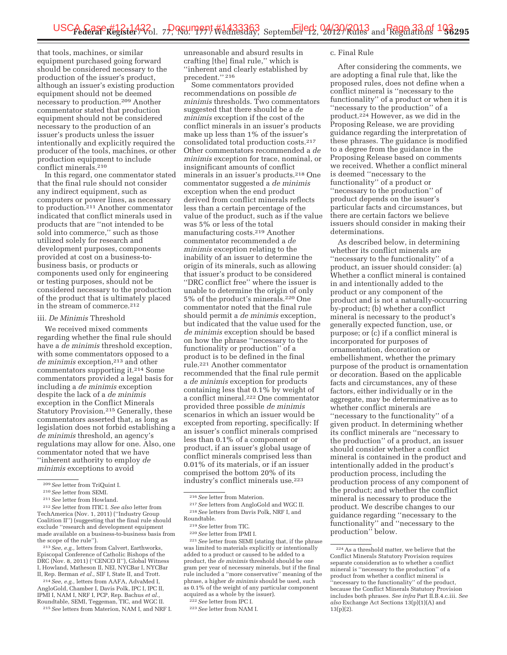that tools, machines, or similar equipment purchased going forward should be considered necessary to the production of the issuer's product, although an issuer's existing production equipment should not be deemed necessary to production.209 Another commentator stated that production equipment should not be considered necessary to the production of an issuer's products unless the issuer intentionally and explicitly required the producer of the tools, machines, or other production equipment to include conflict minerals.210

In this regard, one commentator stated that the final rule should not consider any indirect equipment, such as computers or power lines, as necessary to production.211 Another commentator indicated that conflict minerals used in products that are ''not intended to be sold into commerce,'' such as those utilized solely for research and development purposes, components provided at cost on a business-tobusiness basis, or products or components used only for engineering or testing purposes, should not be considered necessary to the production of the product that is ultimately placed in the stream of commerce.212

#### iii. *De Minimis* Threshold

We received mixed comments regarding whether the final rule should have a *de minimis* threshold exception, with some commentators opposed to a *de minimis* exception,<sup>213</sup> and other commentators supporting it.214 Some commentators provided a legal basis for including a *de minimis* exception despite the lack of a *de minimis*  exception in the Conflict Minerals Statutory Provision.215 Generally, these commentators asserted that, as long as legislation does not forbid establishing a *de minimis* threshold, an agency's regulations may allow for one. Also, one commentator noted that we have ''inherent authority to employ *de minimis* exceptions to avoid

213*See, e.g.,* letters from Calvert, Earthworks, Episcopal Conference of Catholic Bishops of the DRC (Nov. 8, 2011) ("CENCO II"), Global Witness I, Howland, Matheson II, NEI, NYCBar I, NYCBar II, Rep. Berman *et al.,* SIF I, State II, and Trott.

214*See, e.g.,* letters from AAFA, AdvaMed I, AngloGold, Chamber I, Davis Polk, IPC I, IPC II, IPMI I, NAM I, NRF I, PCP, Rep. Bachus *et al.,*  Roundtable, SEMI, Teggeman, TIC, and WGC II.

215*See* letters from Materion, NAM I, and NRF I.

unreasonable and absurd results in crafting [the] final rule,'' which is ''inherent and clearly established by precedent.'' 216

Some commentators provided recommendations on possible *de minimis* thresholds. Two commentators suggested that there should be a *de minimis* exception if the cost of the conflict minerals in an issuer's products make up less than 1% of the issuer's consolidated total production costs.217 Other commentators recommended a *de minimis* exception for trace, nominal, or insignificant amounts of conflict minerals in an issuer's products.218 One commentator suggested a *de minimis*  exception when the end product derived from conflict minerals reflects less than a certain percentage of the value of the product, such as if the value was 5% or less of the total manufacturing costs.219 Another commentator recommended a *de minimis* exception relating to the inability of an issuer to determine the origin of its minerals, such as allowing that issuer's product to be considered ''DRC conflict free'' where the issuer is unable to determine the origin of only 5% of the product's minerals.220 One commentator noted that the final rule should permit a *de minimis* exception, but indicated that the value used for the *de minimis* exception should be based on how the phrase ''necessary to the functionality or production'' of a product is to be defined in the final rule.221 Another commentator recommended that the final rule permit a *de minimis* exception for products containing less that 0.1% by weight of a conflict mineral.222 One commentator provided three possible *de minimis*  scenarios in which an issuer would be excepted from reporting, specifically: If an issuer's conflict minerals comprised less than 0.1% of a component or product, if an issuer's global usage of conflict minerals comprised less than 0.01% of its materials, or if an issuer comprised the bottom 20% of its industry's conflict minerals use.223

#### c. Final Rule

After considering the comments, we are adopting a final rule that, like the proposed rules, does not define when a conflict mineral is ''necessary to the functionality'' of a product or when it is ''necessary to the production'' of a product.224 However, as we did in the Proposing Release, we are providing guidance regarding the interpretation of these phrases. The guidance is modified to a degree from the guidance in the Proposing Release based on comments we received. Whether a conflict mineral is deemed ''necessary to the functionality'' of a product or ''necessary to the production'' of product depends on the issuer's particular facts and circumstances, but there are certain factors we believe issuers should consider in making their determinations.

As described below, in determining whether its conflict minerals are ''necessary to the functionality'' of a product, an issuer should consider: (a) Whether a conflict mineral is contained in and intentionally added to the product or any component of the product and is not a naturally-occurring by-product; (b) whether a conflict mineral is necessary to the product's generally expected function, use, or purpose; or (c) if a conflict mineral is incorporated for purposes of ornamentation, decoration or embellishment, whether the primary purpose of the product is ornamentation or decoration. Based on the applicable facts and circumstances, any of these factors, either individually or in the aggregate, may be determinative as to whether conflict minerals are ''necessary to the functionality'' of a given product. In determining whether its conflict minerals are ''necessary to the production'' of a product, an issuer should consider whether a conflict mineral is contained in the product and intentionally added in the product's production process, including the production process of any component of the product; and whether the conflict mineral is necessary to produce the product. We describe changes to our guidance regarding ''necessary to the functionality'' and ''necessary to the production'' below.

<sup>209</sup>*See* letter from TriQuint I.

<sup>210</sup>*See* letter from SEMI.

<sup>211</sup>*See* letter from Howland.

<sup>212</sup>*See* letter from ITIC I. *See also* letter from TechAmerica (Nov. 1, 2011) (''Industry Group Coalition II'') (suggesting that the final rule should exclude ''research and development equipment made available on a business-to-business basis from the scope of the rule'').

<sup>216</sup>*See* letter from Materion.

<sup>217</sup>*See* letters from AngloGold and WGC II. 218*See* letters from Davis Polk, NRF I, and

Roundtable.

<sup>219</sup>*See* letter from TIC.

<sup>220</sup>*See* letter from IPMI I.

<sup>221</sup>*See* letter from SEMI (stating that, if the phrase was limited to materials explicitly or intentionally added to a product or caused to be added to a product, the *de minimis* threshold should be one gram per year of necessary minerals, but if the final rule included a ''more conservative'' meaning of the phrase, a higher *de minimis* should be used, such as 0.1% of the weight of any particular component acquired as a whole by the issuer).

<sup>222</sup>*See* letter from IPC I. 223*See* letter from NAM I.

<sup>224</sup>As a threshold matter, we believe that the Conflict Minerals Statutory Provision requires separate consideration as to whether a conflict mineral is ''necessary to the production'' of a product from whether a conflict mineral is ''necessary to the functionality'' of the product, because the Conflict Minerals Statutory Provision includes both phrases. *See infra* Part II.B.4.c.iii. *See also* Exchange Act Sections 13(p)(1)(A) and 13(p)(2).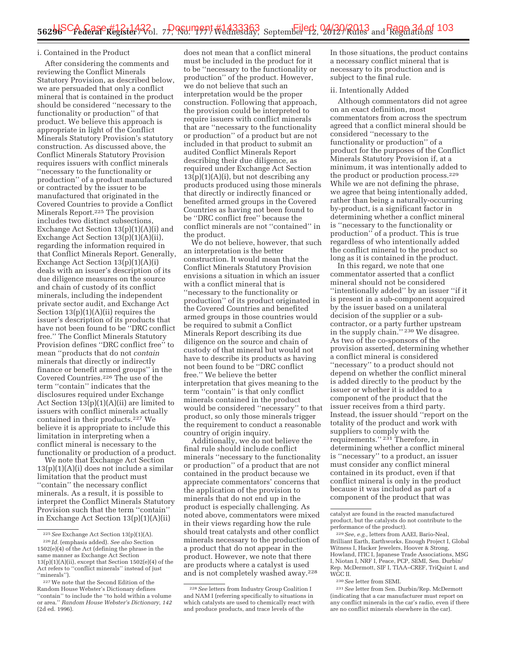#### i. Contained in the Product

After considering the comments and reviewing the Conflict Minerals Statutory Provision, as described below, we are persuaded that only a conflict mineral that is contained in the product should be considered ''necessary to the functionality or production'' of that product. We believe this approach is appropriate in light of the Conflict Minerals Statutory Provision's statutory construction. As discussed above, the Conflict Minerals Statutory Provision requires issuers with conflict minerals ''necessary to the functionality or production'' of a product manufactured or contracted by the issuer to be manufactured that originated in the Covered Countries to provide a Conflict Minerals Report.225 The provision includes two distinct subsections, Exchange Act Section 13(p)(1)(A)(i) and Exchange Act Section  $13(p)(1)(A)(ii)$ , regarding the information required in that Conflict Minerals Report. Generally, Exchange Act Section 13(p)(1)(A)(i) deals with an issuer's description of its due diligence measures on the source and chain of custody of its conflict minerals, including the independent private sector audit, and Exchange Act Section  $13(p)(1)(A)(ii)$  requires the issuer's description of its products that have not been found to be ''DRC conflict free.'' The Conflict Minerals Statutory Provision defines ''DRC conflict free'' to mean ''products that do not *contain*  minerals that directly or indirectly finance or benefit armed groups'' in the Covered Countries.226 The use of the term ''contain'' indicates that the disclosures required under Exchange Act Section 13(p)(1)(A)(ii) are limited to issuers with conflict minerals actually contained in their products.227 We believe it is appropriate to include this limitation in interpreting when a conflict mineral is necessary to the functionality or production of a product.

We note that Exchange Act Section 13(p)(1)(A)(i) does not include a similar limitation that the product must ''contain'' the necessary conflict minerals. As a result, it is possible to interpret the Conflict Minerals Statutory Provision such that the term ''contain'' in Exchange Act Section 13(p)(1)(A)(ii)

does not mean that a conflict mineral must be included in the product for it to be ''necessary to the functionality or production'' of the product. However, we do not believe that such an interpretation would be the proper construction. Following that approach, the provision could be interpreted to require issuers with conflict minerals that are ''necessary to the functionality or production'' of a product but are not included in that product to submit an audited Conflict Minerals Report describing their due diligence, as required under Exchange Act Section  $13(p)(1)(A)(i)$ , but not describing any products produced using those minerals that directly or indirectly financed or benefited armed groups in the Covered Countries as having not been found to be ''DRC conflict free'' because the conflict minerals are not ''contained'' in the product.

We do not believe, however, that such an interpretation is the better construction. It would mean that the Conflict Minerals Statutory Provision envisions a situation in which an issuer with a conflict mineral that is ''necessary to the functionality or production'' of its product originated in the Covered Countries and benefited armed groups in those countries would be required to submit a Conflict Minerals Report describing its due diligence on the source and chain of custody of that mineral but would not have to describe its products as having not been found to be ''DRC conflict free.'' We believe the better interpretation that gives meaning to the term ''contain'' is that only conflict minerals contained in the product would be considered ''necessary'' to that product, so only those minerals trigger the requirement to conduct a reasonable country of origin inquiry.

Additionally, we do not believe the final rule should include conflict minerals ''necessary to the functionality or production'' of a product that are not contained in the product because we appreciate commentators' concerns that the application of the provision to minerals that do not end up in the product is especially challenging. As noted above, commentators were mixed in their views regarding how the rule should treat catalysts and other conflict minerals necessary to the production of a product that do not appear in the product. However, we note that there are products where a catalyst is used and is not completely washed away.228

In those situations, the product contains a necessary conflict mineral that is necessary to its production and is subject to the final rule.

#### ii. Intentionally Added

Although commentators did not agree on an exact definition, most commentators from across the spectrum agreed that a conflict mineral should be considered ''necessary to the functionality or production'' of a product for the purposes of the Conflict Minerals Statutory Provision if, at a minimum, it was intentionally added to the product or production process.229 While we are not defining the phrase, we agree that being intentionally added, rather than being a naturally-occurring by-product, is a significant factor in determining whether a conflict mineral is ''necessary to the functionality or production'' of a product. This is true regardless of who intentionally added the conflict mineral to the product so long as it is contained in the product.

In this regard, we note that one commentator asserted that a conflict mineral should not be considered ''intentionally added'' by an issuer ''if it is present in a sub-component acquired by the issuer based on a unilateral decision of the supplier or a subcontractor, or a party further upstream in the supply chain.'' 230 We disagree. As two of the co-sponsors of the provision asserted, determining whether a conflict mineral is considered ''necessary'' to a product should not depend on whether the conflict mineral is added directly to the product by the issuer or whether it is added to a component of the product that the issuer receives from a third party. Instead, the issuer should ''report on the totality of the product and work with suppliers to comply with the requirements.'' 231 Therefore, in determining whether a conflict mineral is ''necessary'' to a product, an issuer must consider any conflict mineral contained in its product, even if that conflict mineral is only in the product because it was included as part of a component of the product that was

230*See* letter from SEMI.

<sup>225</sup>*See* Exchange Act Section 13(p)(1)(A). 226 *Id.* (emphasis added). *See also* Section 1502(e)(4) of the Act (defining the phrase in the same manner as Exchange Act Section 13(p)(1)(A)(ii), except that Section 1502(e)(4) of the Act refers to ''conflict minerals'' instead of just ''minerals'').

<sup>227</sup>We note that the Second Edition of the Random House Webster's Dictionary defines ''contain'' to include the ''to hold within a volume or area.'' *Random House Webster's Dictionary, 142*  (2d ed. 1996).

<sup>228</sup>*See* letters from Industry Group Coalition I and NAM I (referring specifically to situations in which catalysts are used to chemically react with and produce products, and trace levels of the

catalyst are found in the reacted manufactured product, but the catalysts do not contribute to the performance of the product).

<sup>229</sup>*See, e.g.,* letters from AAEI, Bario-Neal, Brilliant Earth, Earthworks, Enough Project I, Global Witness I, Hacker Jewelers, Hoover & Strong, Howland, ITIC I, Japanese Trade Associations, MSG I, Niotan I, NRF I, Peace, PCP, SEMI, Sen. Durbin/ Rep. McDermott, SIF I, TIAA–CREF, TriQuint I, and WGC II.

<sup>231</sup>*See* letter from Sen. Durbin/Rep. McDermott (indicating that a car manufacturer must report on any conflict minerals in the car's radio, even if there are no conflict minerals elsewhere in the car).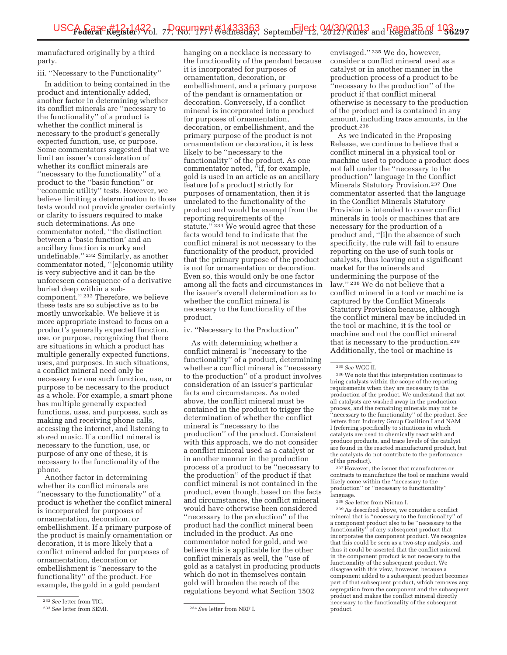manufactured originally by a third party.

# iii. ''Necessary to the Functionality''

In addition to being contained in the product and intentionally added, another factor in determining whether its conflict minerals are ''necessary to the functionality'' of a product is whether the conflict mineral is necessary to the product's generally expected function, use, or purpose. Some commentators suggested that we limit an issuer's consideration of whether its conflict minerals are ''necessary to the functionality'' of a product to the ''basic function'' or 'economic utility" tests. However, we believe limiting a determination to those tests would not provide greater certainty or clarity to issuers required to make such determinations. As one commentator noted, ''the distinction between a 'basic function' and an ancillary function is murky and undefinable.'' 232 Similarly, as another commentator noted, ''[e]conomic utility is very subjective and it can be the unforeseen consequence of a derivative buried deep within a subcomponent.'' 233 Therefore, we believe these tests are so subjective as to be mostly unworkable. We believe it is more appropriate instead to focus on a product's generally expected function, use, or purpose, recognizing that there are situations in which a product has multiple generally expected functions, uses, and purposes. In such situations, a conflict mineral need only be necessary for one such function, use, or purpose to be necessary to the product as a whole. For example, a smart phone has multiple generally expected functions, uses, and purposes, such as making and receiving phone calls, accessing the internet, and listening to stored music. If a conflict mineral is necessary to the function, use, or purpose of any one of these, it is necessary to the functionality of the phone.

Another factor in determining whether its conflict minerals are ''necessary to the functionality'' of a product is whether the conflict mineral is incorporated for purposes of ornamentation, decoration, or embellishment. If a primary purpose of the product is mainly ornamentation or decoration, it is more likely that a conflict mineral added for purposes of ornamentation, decoration or embellishment is ''necessary to the functionality'' of the product. For example, the gold in a gold pendant

hanging on a necklace is necessary to the functionality of the pendant because it is incorporated for purposes of ornamentation, decoration, or embellishment, and a primary purpose of the pendant is ornamentation or decoration. Conversely, if a conflict mineral is incorporated into a product for purposes of ornamentation, decoration, or embellishment, and the primary purpose of the product is not ornamentation or decoration, it is less likely to be ''necessary to the functionality'' of the product. As one commentator noted, "if, for example, gold is used in an article as an ancillary feature [of a product] strictly for purposes of ornamentation, then it is unrelated to the functionality of the product and would be exempt from the reporting requirements of the statute."<sup>234</sup> We would agree that these facts would tend to indicate that the conflict mineral is not necessary to the functionality of the product, provided that the primary purpose of the product is not for ornamentation or decoration. Even so, this would only be one factor among all the facts and circumstances in the issuer's overall determination as to whether the conflict mineral is necessary to the functionality of the product.

#### iv. ''Necessary to the Production''

As with determining whether a conflict mineral is ''necessary to the functionality'' of a product, determining whether a conflict mineral is ''necessary to the production'' of a product involves consideration of an issuer's particular facts and circumstances. As noted above, the conflict mineral must be contained in the product to trigger the determination of whether the conflict mineral is ''necessary to the production'' of the product. Consistent with this approach, we do not consider a conflict mineral used as a catalyst or in another manner in the production process of a product to be ''necessary to the production'' of the product if that conflict mineral is not contained in the product, even though, based on the facts and circumstances, the conflict mineral would have otherwise been considered ''necessary to the production'' of the product had the conflict mineral been included in the product. As one commentator noted for gold, and we believe this is applicable for the other conflict minerals as well, the ''use of gold as a catalyst in producing products which do not in themselves contain gold will broaden the reach of the regulations beyond what Section 1502

envisaged.'' 235 We do, however, consider a conflict mineral used as a catalyst or in another manner in the production process of a product to be ''necessary to the production'' of the product if that conflict mineral otherwise is necessary to the production of the product and is contained in any amount, including trace amounts, in the product.236

As we indicated in the Proposing Release, we continue to believe that a conflict mineral in a physical tool or machine used to produce a product does not fall under the ''necessary to the production'' language in the Conflict Minerals Statutory Provision.237 One commentator asserted that the language in the Conflict Minerals Statutory Provision is intended to cover conflict minerals in tools or machines that are necessary for the production of a product and, ''[i]n the absence of such specificity, the rule will fail to ensure reporting on the use of such tools or catalysts, thus leaving out a significant market for the minerals and undermining the purpose of the law.'' 238 We do not believe that a conflict mineral in a tool or machine is captured by the Conflict Minerals Statutory Provision because, although the conflict mineral may be included in the tool or machine, it is the tool or machine and not the conflict mineral that is necessary to the production.239 Additionally, the tool or machine is

237However, the issuer that manufactures or contracts to manufacture the tool or machine would likely come within the ''necessary to the production'' or ''necessary to functionality'' language.

238*See* letter from Niotan I.

239As described above, we consider a conflict mineral that is ''necessary to the functionality'' of a component product also to be ''necessary to the functionality'' of any subsequent product that incorporates the component product. We recognize that this could be seen as a two-step analysis, and thus it could be asserted that the conflict mineral in the component product is not necessary to the functionality of the subsequent product. We disagree with this view, however, because a component added to a subsequent product becomes part of that subsequent product, which removes any segregation from the component and the subsequent product and makes the conflict mineral directly necessary to the functionality of the subsequent product.

<sup>232</sup>*See* letter from TIC.

<sup>233</sup>*See* letter from SEMI. 234*See* letter from NRF I.

<sup>235</sup>*See* WGC II.

<sup>236</sup>We note that this interpretation continues to bring catalysts within the scope of the reporting requirements when they are necessary to the production of the product. We understand that not all catalysts are washed away in the production process, and the remaining minerals may not be 'necessary to the functionality" of the product. See letters from Industry Group Coalition I and NAM I (referring specifically to situations in which catalysts are used to chemically react with and produce products, and trace levels of the catalyst are found in the reacted manufactured product, but the catalysts do not contribute to the performance of the product).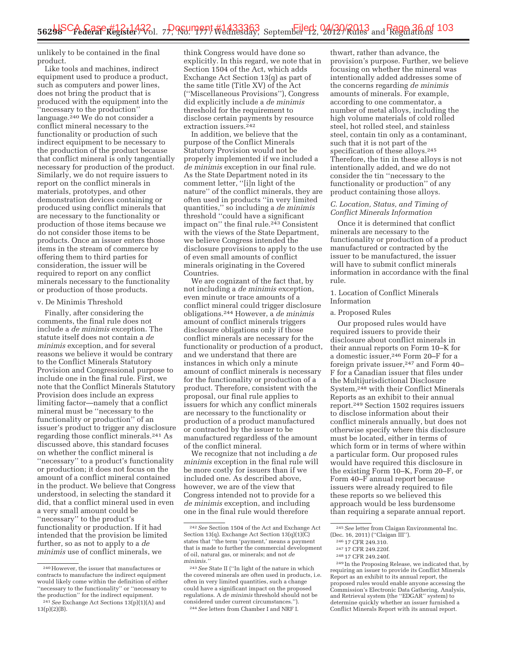unlikely to be contained in the final product.

Like tools and machines, indirect equipment used to produce a product, such as computers and power lines, does not bring the product that is produced with the equipment into the ''necessary to the production'' language. $240$  We do not consider a conflict mineral necessary to the functionality or production of such indirect equipment to be necessary to the production of the product because that conflict mineral is only tangentially necessary for production of the product. Similarly, we do not require issuers to report on the conflict minerals in materials, prototypes, and other demonstration devices containing or produced using conflict minerals that are necessary to the functionality or production of those items because we do not consider those items to be products. Once an issuer enters those items in the stream of commerce by offering them to third parties for consideration, the issuer will be required to report on any conflict minerals necessary to the functionality or production of those products.

#### v. De Minimis Threshold

Finally, after considering the comments, the final rule does not include a *de minimis* exception. The statute itself does not contain a *de minimis* exception, and for several reasons we believe it would be contrary to the Conflict Minerals Statutory Provision and Congressional purpose to include one in the final rule. First, we note that the Conflict Minerals Statutory Provision does include an express limiting factor—namely that a conflict mineral must be ''necessary to the functionality or production'' of an issuer's product to trigger any disclosure regarding those conflict minerals.241 As discussed above, this standard focuses on whether the conflict mineral is ''necessary'' to a product's functionality or production; it does not focus on the amount of a conflict mineral contained in the product. We believe that Congress understood, in selecting the standard it did, that a conflict mineral used in even a very small amount could be ''necessary'' to the product's functionality or production. If it had intended that the provision be limited further, so as not to apply to a *de minimis* use of conflict minerals, we

think Congress would have done so explicitly. In this regard, we note that in Section 1504 of the Act, which adds Exchange Act Section 13(q) as part of the same title (Title XV) of the Act (''Miscellaneous Provisions''), Congress did explicitly include a *de minimis*  threshold for the requirement to disclose certain payments by resource extraction issuers.<sup>242</sup>

In addition, we believe that the purpose of the Conflict Minerals Statutory Provision would not be properly implemented if we included a *de minimis* exception in our final rule. As the State Department noted in its comment letter, ''[i]n light of the nature'' of the conflict minerals, they are often used in products ''in very limited quantities,'' so including a *de minimis*  threshold ''could have a significant impact on" the final rule.<sup>243</sup> Consistent with the views of the State Department, we believe Congress intended the disclosure provisions to apply to the use of even small amounts of conflict minerals originating in the Covered Countries.

We are cognizant of the fact that, by not including a *de minimis* exception, even minute or trace amounts of a conflict mineral could trigger disclosure obligations.244 However, a *de minimis*  amount of conflict minerals triggers disclosure obligations only if those conflict minerals are necessary for the functionality or production of a product, and we understand that there are instances in which only a minute amount of conflict minerals is necessary for the functionality or production of a product. Therefore, consistent with the proposal, our final rule applies to issuers for which any conflict minerals are necessary to the functionality or production of a product manufactured or contracted by the issuer to be manufactured regardless of the amount of the conflict mineral.

We recognize that not including a *de minimis* exception in the final rule will be more costly for issuers than if we included one. As described above, however, we are of the view that Congress intended not to provide for a *de minimis* exception, and including one in the final rule would therefore

thwart, rather than advance, the provision's purpose. Further, we believe focusing on whether the mineral was intentionally added addresses some of the concerns regarding *de minimis*  amounts of minerals. For example, according to one commentator, a number of metal alloys, including the high volume materials of cold rolled steel, hot rolled steel, and stainless steel, contain tin only as a contaminant, such that it is not part of the specification of these alloys.245 Therefore, the tin in these alloys is not intentionally added, and we do not consider the tin ''necessary to the functionality or production'' of any product containing those alloys.

#### *C. Location, Status, and Timing of Conflict Minerals Information*

Once it is determined that conflict minerals are necessary to the functionality or production of a product manufactured or contracted by the issuer to be manufactured, the issuer will have to submit conflict minerals information in accordance with the final rule.

#### 1. Location of Conflict Minerals Information

#### a. Proposed Rules

Our proposed rules would have required issuers to provide their disclosure about conflict minerals in their annual reports on Form 10–K for a domestic issuer,246 Form 20–F for a foreign private issuer,<sup>247</sup> and Form 40– F for a Canadian issuer that files under the Multijurisdictional Disclosure System,248 with their Conflict Minerals Reports as an exhibit to their annual report.249 Section 1502 requires issuers to disclose information about their conflict minerals annually, but does not otherwise specify where this disclosure must be located, either in terms of which form or in terms of where within a particular form. Our proposed rules would have required this disclosure in the existing Form 10–K, Form 20–F, or Form 40–F annual report because issuers were already required to file these reports so we believed this approach would be less burdensome than requiring a separate annual report.

requiring an issuer to provide its Conflict Minerals Report as an exhibit to its annual report, the proposed rules would enable anyone accessing the Commission's Electronic Data Gathering, Analysis, and Retrieval system (the ''EDGAR'' system) to determine quickly whether an issuer furnished a Conflict Minerals Report with its annual report.

<sup>240</sup>However, the issuer that manufactures or contracts to manufacture the indirect equipment would likely come within the definition of either ''necessary to the functionality'' or ''necessary to the production'' for the indirect equipment.

<sup>241</sup>*See* Exchange Act Sections 13(p)(1)(A) and 13(p)(2)(B).

<sup>242</sup>*See* Section 1504 of the Act and Exchange Act Section 13(q). Exchange Act Section 13(q)(1)(C) states that ''the term 'payment,' means a payment that is made to further the commercial development of oil, natural gas, or minerals; and not *de minimis.''* 

<sup>243</sup>*See* State II (''In light of the nature in which the covered minerals are often used in products, i.e. often in very limited quantities, such a change could have a significant impact on the proposed regulations. A *de minimis* threshold should not be considered under current circumstances.''). 244*See* letters from Chamber I and NRF I.

<sup>&</sup>lt;sup>245</sup> See letter from Claigan Environmental Inc.<br>(Dec. 16, 2011) ("Claigan III").

<sup>% 246 17</sup> CFR 249.310.<br>
<sup>247</sup> 17 CFR 249.220f.<br>
<sup>248</sup> In the Proposing Release, we indicated that, by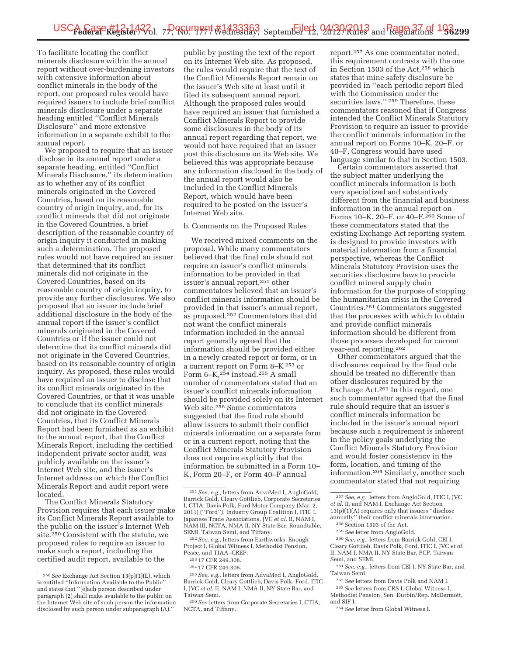To facilitate locating the conflict minerals disclosure within the annual report without over-burdening investors with extensive information about conflict minerals in the body of the report, our proposed rules would have required issuers to include brief conflict minerals disclosure under a separate heading entitled ''Conflict Minerals Disclosure'' and more extensive information in a separate exhibit to the annual report.

We proposed to require that an issuer disclose in its annual report under a separate heading, entitled ''Conflict Minerals Disclosure,'' its determination as to whether any of its conflict minerals originated in the Covered Countries, based on its reasonable country of origin inquiry, and, for its conflict minerals that did not originate in the Covered Countries, a brief description of the reasonable country of origin inquiry it conducted in making such a determination. The proposed rules would not have required an issuer that determined that its conflict minerals did not originate in the Covered Countries, based on its reasonable country of origin inquiry, to provide any further disclosures. We also proposed that an issuer include brief additional disclosure in the body of the annual report if the issuer's conflict minerals originated in the Covered Countries or if the issuer could not determine that its conflict minerals did not originate in the Covered Countries, based on its reasonable country of origin inquiry. As proposed, these rules would have required an issuer to disclose that its conflict minerals originated in the Covered Countries, or that it was unable to conclude that its conflict minerals did not originate in the Covered Countries, that its Conflict Minerals Report had been furnished as an exhibit to the annual report, that the Conflict Minerals Report, including the certified independent private sector audit, was publicly available on the issuer's Internet Web site, and the issuer's Internet address on which the Conflict Minerals Report and audit report were located.

The Conflict Minerals Statutory Provision requires that each issuer make its Conflict Minerals Report available to the public on the issuer's Internet Web site.250 Consistent with the statute, we proposed rules to require an issuer to make such a report, including the certified audit report, available to the

public by posting the text of the report on its Internet Web site. As proposed, the rules would require that the text of the Conflict Minerals Report remain on the issuer's Web site at least until it filed its subsequent annual report. Although the proposed rules would have required an issuer that furnished a Conflict Minerals Report to provide some disclosures in the body of its annual report regarding that report, we would not have required that an issuer post this disclosure on its Web site. We believed this was appropriate because any information disclosed in the body of the annual report would also be included in the Conflict Minerals Report, which would have been required to be posted on the issuer's Internet Web site.

#### b. Comments on the Proposed Rules

We received mixed comments on the proposal. While many commentators believed that the final rule should not require an issuer's conflict minerals information to be provided in that issuer's annual report,251 other commentators believed that an issuer's conflict minerals information should be provided in that issuer's annual report, as proposed.252 Commentators that did not want the conflict minerals information included in the annual report generally agreed that the information should be provided either in a newly created report or form, or in a current report on Form 8–K 253 or Form  $6-K$ ,  $254$  instead.<sup>255</sup> A small number of commentators stated that an issuer's conflict minerals information should be provided solely on its Internet Web site.256 Some commentators suggested that the final rule should allow issuers to submit their conflict minerals information on a separate form or in a current report, noting that the Conflict Minerals Statutory Provision does not require explicitly that the information be submitted in a Form 10– K, Form 20–F, or Form 40–F annual

252*See, e.g.,* letters from Earthworks, Enough Project I, Global Witness I, Methodist Pension, Peace, and TIAA–CREF.

255*See, e.g.,* letters from AdvaMed I, AngloGold, Barrick Gold, Cleary Gottlieb, Davis Polk, Ford, ITIC I, JVC *et al.* II, NAM I, NMA II, NY State Bar, and Taiwan Semi.

256*See* letters from Corporate Secretaries I, CTIA, NCTA, and Tiffany.

report.257 As one commentator noted, this requirement contrasts with the one in Section 1503 of the Act,258 which states that mine safety disclosure be provided in ''each periodic report filed with the Commission under the securities laws.'' 259 Therefore, these commentators reasoned that if Congress intended the Conflict Minerals Statutory Provision to require an issuer to provide the conflict minerals information in the annual report on Forms 10–K, 20–F, or 40–F, Congress would have used language similar to that in Section 1503.

Certain commentators asserted that the subject matter underlying the conflict minerals information is both very specialized and substantively different from the financial and business information in the annual report on Forms 10–K, 20–F, or 40–F.260 Some of these commentators stated that the existing Exchange Act reporting system is designed to provide investors with material information from a financial perspective, whereas the Conflict Minerals Statutory Provision uses the securities disclosure laws to provide conflict mineral supply chain information for the purpose of stopping the humanitarian crisis in the Covered Countries.261 Commentators suggested that the processes with which to obtain and provide conflict minerals information should be different from those processes developed for current year-end reporting.262

Other commentators argued that the disclosures required by the final rule should be treated no differently than other disclosures required by the Exchange Act.263 In this regard, one such commentator agreed that the final rule should require that an issuer's conflict minerals information be included in the issuer's annual report because such a requirement is inherent in the policy goals underlying the Conflict Minerals Statutory Provision and would foster consistency in the form, location, and timing of the information.264 Similarly, another such commentator stated that not requiring

257*See, e.g.,* letters from AngloGold, ITIC I, JVC *et al.* II, and NAM I. Exchange Act Section 13(p)(1)(A) requires only that issuers ''disclose annually'' their conflict minerals information.

259*See* letter from AngloGold. 260*See, e.g.,* letters from Barrick Gold, CEI I, Cleary Gottlieb, Davis Polk, Ford, ITIC I, JVC *et al.* 

II, NAM I, NMA II, NY State Bar, PCP, Taiwan Semi, and SEMI.

262*See* letters from Davis Polk and NAM I.

263*See* letters from CRS I, Global Witness I, Methodist Pension, Sen. Durbin/Rep. McDermott, and SIF I.

264*See* letter from Global Witness I.

<sup>250</sup>*See* Exchange Act Section 13(p)(1)(E), which is entitled ''Information Available to the Public'' and states that ''[e]ach person described under paragraph (2) shall make available to the public on the Internet Web site of such person the information disclosed by such person under subparagraph (A).''

<sup>251</sup>*See, e.g.,* letters from AdvaMed I, AngloGold, Barrick Gold, Cleary Gottlieb, Corporate Secretaries I, CTIA, Davis Polk, Ford Motor Company (Mar. 2, 2011) (''Ford''), Industry Group Coalition I, ITIC I, Japanese Trade Associations, JVC *et al.* II, NAM I, NAM III, NCTA, NMA II, NY State Bar, Roundtable, SEMI, Taiwan Semi, and Tiffany.

<sup>253</sup> 17 CFR 249.308.

<sup>254</sup> 17 CFR 249.306.

<sup>258</sup>Section 1503 of the Act.

<sup>261</sup>*See, e.g.,* letters from CEI I, NY State Bar, and Taiwan Semi.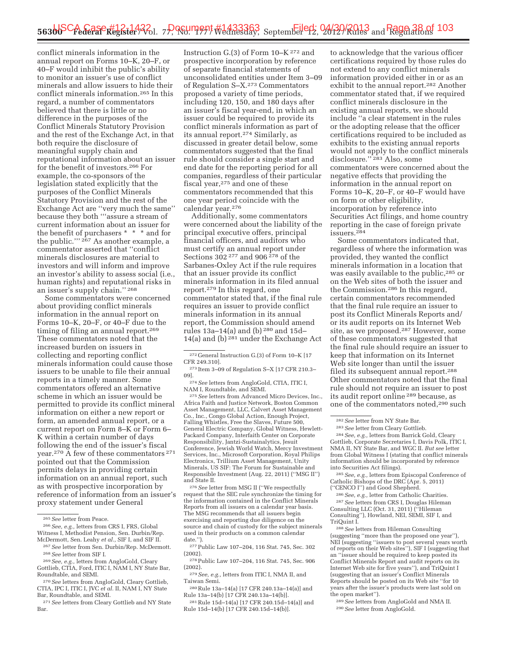conflict minerals information in the annual report on Forms 10–K, 20–F, or 40–F would inhibit the public's ability to monitor an issuer's use of conflict minerals and allow issuers to hide their conflict minerals information.265 In this regard, a number of commentators believed that there is little or no difference in the purposes of the Conflict Minerals Statutory Provision and the rest of the Exchange Act, in that both require the disclosure of meaningful supply chain and reputational information about an issuer for the benefit of investors.266 For example, the co-sponsors of the legislation stated explicitly that the purposes of the Conflict Minerals Statutory Provision and the rest of the Exchange Act are ''very much the same'' because they both '''assure a stream of current information about an issuer for the benefit of purchasers \* \* \* and for the public.''' 267 As another example, a commentator asserted that ''conflict minerals disclosures are material to investors and will inform and improve an investor's ability to assess social (i.e., human rights) and reputational risks in an issuer's supply chain.'' 268

Some commentators were concerned about providing conflict minerals information in the annual report on Forms 10–K, 20–F, or 40–F due to the timing of filing an annual report.269 These commentators noted that the increased burden on issuers in collecting and reporting conflict minerals information could cause those issuers to be unable to file their annual reports in a timely manner. Some commentators offered an alternative scheme in which an issuer would be permitted to provide its conflict mineral information on either a new report or form, an amended annual report, or a current report on Form 8–K or Form 6– K within a certain number of days following the end of the issuer's fiscal year.270 A few of these commentators 271 pointed out that the Commission permits delays in providing certain information on an annual report, such as with prospective incorporation by reference of information from an issuer's proxy statement under General

Instruction G.(3) of Form 10–K 272 and prospective incorporation by reference of separate financial statements of unconsolidated entities under Item 3–09 of Regulation S–X.273 Commentators proposed a variety of time periods, including 120, 150, and 180 days after an issuer's fiscal year-end, in which an issuer could be required to provide its conflict minerals information as part of its annual report.274 Similarly, as discussed in greater detail below, some commentators suggested that the final rule should consider a single start and end date for the reporting period for all companies, regardless of their particular fiscal year,275 and one of these commentators recommended that this one year period coincide with the calendar year.276

Additionally, some commentators were concerned about the liability of the principal executive offers, principal financial officers, and auditors who must certify an annual report under Sections 302 277 and 906 278 of the Sarbanes-Oxley Act if the rule requires that an issuer provide its conflict minerals information in its filed annual report.279 In this regard, one commentator stated that, if the final rule requires an issuer to provide conflict minerals information in its annual report, the Commission should amend rules 13a–14(a) and (b) 280 and 15d– 14(a) and (b) 281 under the Exchange Act

<sup>275</sup> See letters from Advanced Micro Devices, Inc., Africa Faith and Justice Network, Boston Common Asset Management, LLC, Calvert Asset Management Co., Inc., Congo Global Action, Enough Project, Falling Whistles, Free the Slaves, Future 500, General Electric Company, Global Witness, Hewlett-Packard Company, Interfaith Center on Corporate Responsibility, Jantzi-Sustainalytics, Jesuit Conference, Jewish World Watch, Mercy Investment Services, Inc., Microsoft Corporation, Royal Philips Electronics, Trillium Asset Management, Unity Minerals, US SIF: The Forum for Sustainable and Responsible Investment (Aug. 22, 2011) (''MSG II'') and State II.

276*See* letter from MSG II (''We respectfully request that the SEC rule synchronize the timing for the information contained in the Conflict Minerals Reports from all issuers on a calendar year basis. The MSG recommends that all issuers begin exercising and reporting due diligence on the source and chain of custody for the subject minerals used in their products on a common calendar date.'').

277Public Law 107–204, 116 Stat. 745, Sec. 302 (2002).

278Public Law 107–204, 116 Stat. 745, Sec. 906 (2002).

281Rule 15d–14(a) [17 CFR 240.15d–14(a)] and Rule 15d–14(b) [17 CFR 240.15d–14(b)].

to acknowledge that the various officer certifications required by those rules do not extend to any conflict minerals information provided either in or as an exhibit to the annual report.282 Another commentator stated that, if we required conflict minerals disclosure in the existing annual reports, we should include ''a clear statement in the rules or the adopting release that the officer certifications required to be included as exhibits to the existing annual reports would not apply to the conflict minerals disclosure.'' 283 Also, some commentators were concerned about the negative effects that providing the information in the annual report on Forms 10–K, 20–F, or 40–F would have on form or other eligibility, incorporation by reference into Securities Act filings, and home country reporting in the case of foreign private issuers.284

Some commentators indicated that, regardless of where the information was provided, they wanted the conflict minerals information in a location that was easily available to the public,<sup>285</sup> or on the Web sites of both the issuer and the Commission.286 In this regard, certain commentators recommended that the final rule require an issuer to post its Conflict Minerals Reports and/ or its audit reports on its Internet Web site, as we proposed.287 However, some of these commentators suggested that the final rule should require an issuer to keep that information on its Internet Web site longer than until the issuer filed its subsequent annual report.288 Other commentators noted that the final rule should not require an issuer to post its audit report online 289 because, as one of the commentators noted,290 such

<sup>282</sup>*See* letter from NY State Bar. 283*See* letter from Cleary Gottlieb. 284*See, e.g.,* letters from Barrick Gold, Cleary Gottlieb, Corporate Secretaries I, Davis Polk, ITIC I, NMA II, NY State Bar, and WGC II. *But see* letter from Global Witness I (stating that conflict minerals information should be incorporated by reference

<sup>285</sup> See, e.g., letters from Episcopal Conference of Catholic Bishops of the DRC (Apr. 5, 2011)

(''CENCO I'') and Good Shepherd. 286*See, e.g.,* letter from Catholic Charities. 287*See* letters from CRS I, Douglas Hileman Consulting LLC (Oct. 31, 2011) (''Hileman Consulting''), Howland, NEI, SEMI, SIF I, and

<sup>288</sup> See letters from Hileman Consulting (suggesting ''more than the proposed one year''), NEI (suggesting ''issuers to post several years worth of reports on their Web sites''), SIF I (suggesting that an ''issuer should be required to keep posted its Conflict Minerals Report and audit reports on its Internet Web site for five years''), and TriQuint I (suggesting that an issuer's Conflict Minerals Reports should be posted on its Web site ''for 10 years after the issuer's products were last sold on the open market'').

289*See* letters from AngloGold and NMA II. 290*See* letter from AngloGold.

<sup>265</sup>*See* letter from Peace.

<sup>266</sup>*See, e.g.,* letters from CRS I, FRS, Global Witness I, Methodist Pension, Sen. Durbin/Rep. McDermott, Sen. Leahy *et al.,* SIF I, and SIF II.

<sup>267</sup>*See* letter from Sen. Durbin/Rep. McDermott. 268*See* letter from SIF I.

<sup>269</sup>*See, e.g.,* letters from AngloGold, Cleary Gottlieb, CTIA, Ford, ITIC I, NAM I, NY State Bar, Roundtable, and SEMI.

<sup>270</sup>*See* letters from AngloGold, Cleary Gottlieb, CTIA, IPC I, ITIC I, JVC *et al.* II, NAM I, NY State Bar, Roundtable, and SEMI.

<sup>271</sup>*See* letters from Cleary Gottlieb and NY State Bar.

 $^{272}$  General Instruction G.(3) of Form 10–K [17  $\,$  CFR 249.310].

 $\,$   $\,$  273 Item 3–09 of Regulation S–X [17 CFR 210.3–09].

 $\frac{274}{274}$  See letters from AngloGold, CTIA, ITIC I, NAM I, Roundtable, and SEMI.

<sup>279</sup>*See, e.g.,* letters from ITIC I, NMA II, and Taiwan Semi.

<sup>280</sup>Rule 13a–14(a) [17 CFR 240.13a–14(a)] and Rule 13a–14(b) [17 CFR 240.13a–14(b)].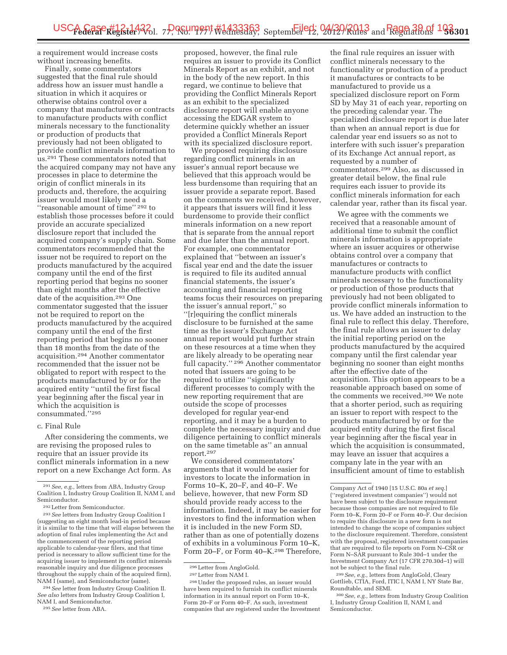a requirement would increase costs without increasing benefits.

Finally, some commentators suggested that the final rule should address how an issuer must handle a situation in which it acquires or otherwise obtains control over a company that manufactures or contracts to manufacture products with conflict minerals necessary to the functionality or production of products that previously had not been obligated to provide conflict minerals information to us.291 These commentators noted that the acquired company may not have any processes in place to determine the origin of conflict minerals in its products and, therefore, the acquiring issuer would most likely need a "reasonable amount of time" <sup>292</sup> to establish those processes before it could provide an accurate specialized disclosure report that included the acquired company's supply chain. Some commentators recommended that the issuer not be required to report on the products manufactured by the acquired company until the end of the first reporting period that begins no sooner than eight months after the effective date of the acquisition.293 One commentator suggested that the issuer not be required to report on the products manufactured by the acquired company until the end of the first reporting period that begins no sooner than 18 months from the date of the acquisition.294 Another commentator recommended that the issuer not be obligated to report with respect to the products manufactured by or for the acquired entity ''until the first fiscal year beginning after the fiscal year in which the acquisition is consummated.''295

#### c. Final Rule

After considering the comments, we are revising the proposed rules to require that an issuer provide its conflict minerals information in a new report on a new Exchange Act form. As

294*See* letter from Industry Group Coalition II. *See also* letters from Industry Group Coalition I, NAM I, and Semiconductor.

295*See* letter from ABA.

proposed, however, the final rule requires an issuer to provide its Conflict Minerals Report as an exhibit, and not in the body of the new report. In this regard, we continue to believe that providing the Conflict Minerals Report as an exhibit to the specialized disclosure report will enable anyone accessing the EDGAR system to determine quickly whether an issuer provided a Conflict Minerals Report with its specialized disclosure report.

We proposed requiring disclosure regarding conflict minerals in an issuer's annual report because we believed that this approach would be less burdensome than requiring that an issuer provide a separate report. Based on the comments we received, however, it appears that issuers will find it less burdensome to provide their conflict minerals information on a new report that is separate from the annual report and due later than the annual report. For example, one commentator explained that ''between an issuer's fiscal year end and the date the issuer is required to file its audited annual financial statements, the issuer's accounting and financial reporting teams focus their resources on preparing the issuer's annual report,'' so ''[r]equiring the conflict minerals disclosure to be furnished at the same time as the issuer's Exchange Act annual report would put further strain on these resources at a time when they are likely already to be operating near full capacity."<sup>296</sup> Another commentator noted that issuers are going to be required to utilize ''significantly different processes to comply with the new reporting requirement that are outside the scope of processes developed for regular year-end reporting, and it may be a burden to complete the necessary inquiry and due diligence pertaining to conflict minerals on the same timetable as'' an annual report.297

We considered commentators' arguments that it would be easier for investors to locate the information in Forms 10–K, 20–F, and 40–F. We believe, however, that new Form SD should provide ready access to the information. Indeed, it may be easier for investors to find the information when it is included in the new Form SD, rather than as one of potentially dozens of exhibits in a voluminous Form 10–K, Form 20–F, or Form 40–K.<sup>298</sup> Therefore,

the final rule requires an issuer with conflict minerals necessary to the functionality or production of a product it manufactures or contracts to be manufactured to provide us a specialized disclosure report on Form SD by May 31 of each year, reporting on the preceding calendar year. The specialized disclosure report is due later than when an annual report is due for calendar year end issuers so as not to interfere with such issuer's preparation of its Exchange Act annual report, as requested by a number of commentators.299 Also, as discussed in greater detail below, the final rule requires each issuer to provide its conflict minerals information for each calendar year, rather than its fiscal year.

We agree with the comments we received that a reasonable amount of additional time to submit the conflict minerals information is appropriate where an issuer acquires or otherwise obtains control over a company that manufactures or contracts to manufacture products with conflict minerals necessary to the functionality or production of those products that previously had not been obligated to provide conflict minerals information to us. We have added an instruction to the final rule to reflect this delay. Therefore, the final rule allows an issuer to delay the initial reporting period on the products manufactured by the acquired company until the first calendar year beginning no sooner than eight months after the effective date of the acquisition. This option appears to be a reasonable approach based on some of the comments we received.300 We note that a shorter period, such as requiring an issuer to report with respect to the products manufactured by or for the acquired entity during the first fiscal year beginning after the fiscal year in which the acquisition is consummated, may leave an issuer that acquires a company late in the year with an insufficient amount of time to establish

299*See, e.g.,* letters from AngloGold, Cleary Gottlieb, CTIA, Ford, ITIC I, NAM I, NY State Bar, Roundtable, and SEMI.

300*See, e.g.,* letters from Industry Group Coalition I, Industry Group Coalition II, NAM I, and Semiconductor.

<sup>291</sup>*See, e.g.,* letters from ABA, Industry Group Coalition I, Industry Group Coalition II, NAM I, and Semiconductor.

<sup>292</sup>Letter from Semiconductor.

<sup>293</sup>*See* letters from Industry Group Coalition I (suggesting an eight month lead-in period because it is similar to the time that will elapse between the adoption of final rules implementing the Act and the commencement of the reporting period applicable to calendar-year filers, and that time period is necessary to allow sufficient time for the acquiring issuer to implement its conflict minerals reasonable inquiry and due diligence processes throughout the supply chain of the acquired firm), NAM I (same), and Semiconductor (same).

<sup>296</sup>Letter from AngloGold.

 $^{\rm 297}\,$  Letter from NAM I.

<sup>298</sup>Under the proposed rules, an issuer would have been required to furnish its conflict minerals information in its annual report on Form 10–K, Form 20–F or Form 40–F. As such, investment companies that are registered under the Investment

Company Act of 1940 [15 U.S.C. 80a *et seq.*] (''registered investment companies'') would not have been subject to the disclosure requirement because those companies are not required to file Form 10–K, Form 20–F or Form 40–F. Our decision to require this disclosure in a new form is not intended to change the scope of companies subject to the disclosure requirement. Therefore, consistent with the proposal, registered investment companies that are required to file reports on Form N–CSR or Form N–SAR pursuant to Rule 30d–1 under the Investment Company Act (17 CFR 270.30d–1) will not be subject to the final rule.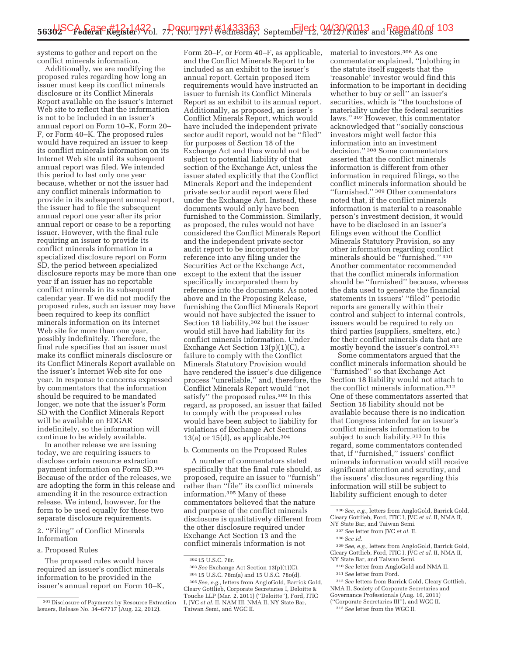systems to gather and report on the conflict minerals information.

Additionally, we are modifying the proposed rules regarding how long an issuer must keep its conflict minerals disclosure or its Conflict Minerals Report available on the issuer's Internet Web site to reflect that the information is not to be included in an issuer's annual report on Form 10–K, Form 20– F, or Form 40–K. The proposed rules would have required an issuer to keep its conflict minerals information on its Internet Web site until its subsequent annual report was filed. We intended this period to last only one year because, whether or not the issuer had any conflict minerals information to provide in its subsequent annual report, the issuer had to file the subsequent annual report one year after its prior annual report or cease to be a reporting issuer. However, with the final rule requiring an issuer to provide its conflict minerals information in a specialized disclosure report on Form SD, the period between specialized disclosure reports may be more than one year if an issuer has no reportable conflict minerals in its subsequent calendar year. If we did not modify the proposed rules, such an issuer may have been required to keep its conflict minerals information on its Internet Web site for more than one year, possibly indefinitely. Therefore, the final rule specifies that an issuer must make its conflict minerals disclosure or its Conflict Minerals Report available on the issuer's Internet Web site for one year. In response to concerns expressed by commentators that the information should be required to be mandated longer, we note that the issuer's Form SD with the Conflict Minerals Report will be available on EDGAR indefinitely, so the information will continue to be widely available.

In another release we are issuing today, we are requiring issuers to disclose certain resource extraction payment information on Form SD.301 Because of the order of the releases, we are adopting the form in this release and amending it in the resource extraction release. We intend, however, for the form to be used equally for these two separate disclosure requirements.

### 2. ''Filing'' of Conflict Minerals Information

#### a. Proposed Rules

The proposed rules would have required an issuer's conflict minerals information to be provided in the issuer's annual report on Form 10–K,

Form 20–F, or Form 40–F, as applicable, and the Conflict Minerals Report to be included as an exhibit to the issuer's annual report. Certain proposed item requirements would have instructed an issuer to furnish its Conflict Minerals Report as an exhibit to its annual report. Additionally, as proposed, an issuer's Conflict Minerals Report, which would have included the independent private sector audit report, would not be ''filed'' for purposes of Section 18 of the Exchange Act and thus would not be subject to potential liability of that section of the Exchange Act, unless the issuer stated explicitly that the Conflict Minerals Report and the independent private sector audit report were filed under the Exchange Act. Instead, these documents would only have been furnished to the Commission. Similarly, as proposed, the rules would not have considered the Conflict Minerals Report and the independent private sector audit report to be incorporated by reference into any filing under the Securities Act or the Exchange Act, except to the extent that the issuer specifically incorporated them by reference into the documents. As noted above and in the Proposing Release, furnishing the Conflict Minerals Report would not have subjected the issuer to Section 18 liability,302 but the issuer would still have had liability for its conflict minerals information. Under Exchange Act Section 13(p)(1)(C), a failure to comply with the Conflict Minerals Statutory Provision would have rendered the issuer's due diligence process ''unreliable,'' and, therefore, the Conflict Minerals Report would ''not satisfy" the proposed rules.<sup>303</sup> In this regard, as proposed, an issuer that failed to comply with the proposed rules would have been subject to liability for violations of Exchange Act Sections 13(a) or  $15(d)$ , as applicable.<sup>304</sup>

# b. Comments on the Proposed Rules

A number of commentators stated specifically that the final rule should, as proposed, require an issuer to ''furnish'' rather than ''file'' its conflict minerals information.305 Many of these commentators believed that the nature and purpose of the conflict minerals disclosure is qualitatively different from the other disclosure required under Exchange Act Section 13 and the conflict minerals information is not

305*See, e.g.,* letters from AngloGold, Barrick Gold, Cleary Gottlieb, Corporate Secretaries I, Deloitte & Touche LLP (Mar. 2, 2011) (''Deloitte''), Ford, ITIC I, JVC *et al.* II, NAM III, NMA II, NY State Bar, Taiwan Semi, and WGC II.

material to investors.306 As one commentator explained, ''[n]othing in the statute itself suggests that the 'reasonable' investor would find this information to be important in deciding whether to buy or sell'' an issuer's securities, which is ''the touchstone of materiality under the federal securities laws.'' 307 However, this commentator acknowledged that ''socially conscious investors might well factor this information into an investment decision.'' 308 Some commentators asserted that the conflict minerals information is different from other information in required filings, so the conflict minerals information should be ''furnished.'' 309 Other commentators noted that, if the conflict minerals information is material to a reasonable person's investment decision, it would have to be disclosed in an issuer's filings even without the Conflict Minerals Statutory Provision, so any other information regarding conflict minerals should be ''furnished.'' 310 Another commentator recommended that the conflict minerals information should be ''furnished'' because, whereas the data used to generate the financial statements in issuers' ''filed'' periodic reports are generally within their control and subject to internal controls, issuers would be required to rely on third parties (suppliers, smelters, etc.) for their conflict minerals data that are mostly beyond the issuer's control.311

Some commentators argued that the conflict minerals information should be ''furnished'' so that Exchange Act Section 18 liability would not attach to the conflict minerals information.312 One of these commentators asserted that Section 18 liability should not be available because there is no indication that Congress intended for an issuer's conflict minerals information to be subject to such liability.<sup>313</sup> In this regard, some commentators contended that, if ''furnished,'' issuers' conflict minerals information would still receive significant attention and scrutiny, and the issuers' disclosures regarding this information will still be subject to liability sufficient enough to deter

306*See, e.g.,* letters from AngloGold, Barrick Gold, Cleary Gottlieb, Ford, ITIC I, JVC *et al.* II, NMA II, NY State Bar, and Taiwan Semi.

309*See, e.g.,* letters from AngloGold, Barrick Gold, Cleary Gottlieb, Ford, ITIC I, JVC *et al.* II, NMA II, NY State Bar, and Taiwan Semi.

NMA II, Society of Corporate Secretaries and Governance Professionals (Aug. 16, 2011) (''Corporate Secretaries III''), and WGC II.

313*See* letter from the WGC II.

<sup>301</sup> Disclosure of Payments by Resource Extraction Issuers, Release No. 34–67717 (Aug. 22, 2012).

<sup>302</sup> 15 U.S.C. 78r.

<sup>303</sup>*See* Exchange Act Section 13(p)(1)(C).

<sup>304</sup> 15 U.S.C. 78m(a) and 15 U.S.C. 78o(d).

<sup>307</sup>*See* letter from JVC *et al.* II.

<sup>308</sup>*See id.* 

<sup>310</sup>*See* letter from AngloGold and NMA II. 311*See* letter from Ford.

<sup>312</sup>*See* letters from Barrick Gold, Cleary Gottlieb,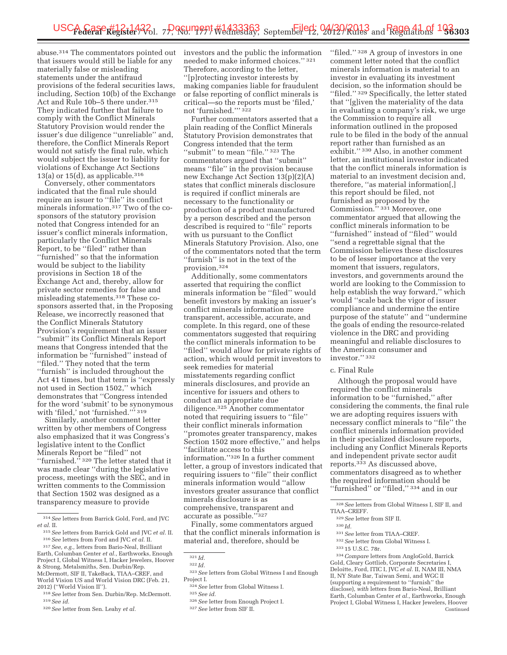abuse.314 The commentators pointed out that issuers would still be liable for any materially false or misleading statements under the antifraud provisions of the federal securities laws, including, Section 10(b) of the Exchange Act and Rule 10b–5 there under.315 They indicated further that failure to comply with the Conflict Minerals Statutory Provision would render the issuer's due diligence ''unreliable'' and, therefore, the Conflict Minerals Report would not satisfy the final rule, which would subject the issuer to liability for violations of Exchange Act Sections 13(a) or 15(d), as applicable. $316$ 

Conversely, other commentators indicated that the final rule should require an issuer to ''file'' its conflict minerals information.317 Two of the cosponsors of the statutory provision noted that Congress intended for an issuer's conflict minerals information, particularly the Conflict Minerals Report, to be ''filed'' rather than ''furnished'' so that the information would be subject to the liability provisions in Section 18 of the Exchange Act and, thereby, allow for private sector remedies for false and misleading statements.318 These cosponsors asserted that, in the Proposing Release, we incorrectly reasoned that the Conflict Minerals Statutory Provision's requirement that an issuer ''submit'' its Conflict Minerals Report means that Congress intended that the information be ''furnished'' instead of ''filed.'' They noted that the term ''furnish'' is included throughout the Act 41 times, but that term is ''expressly not used in Section 1502,'' which demonstrates that ''Congress intended for the word 'submit' to be synonymous with 'filed,' not 'furnished.''' 319

Similarly, another comment letter written by other members of Congress also emphasized that it was Congress's legislative intent to the Conflict Minerals Report be ''filed'' not ''furnished.'' 320 The letter stated that it was made clear ''during the legislative process, meetings with the SEC, and in written comments to the Commission that Section 1502 was designed as a transparency measure to provide

investors and the public the information needed to make informed choices.'' 321 Therefore, according to the letter, ''[p]rotecting investor interests by making companies liable for fraudulent or false reporting of conflict minerals is critical—so the reports must be 'filed,' not 'furnished.''' 322

Further commentators asserted that a plain reading of the Conflict Minerals Statutory Provision demonstrates that Congress intended that the term "submit" to mean "file." 323 The commentators argued that ''submit'' means ''file'' in the provision because new Exchange Act Section 13(p)(2)(A) states that conflict minerals disclosure is required if conflict minerals are necessary to the functionality or production of a product manufactured by a person described and the person described is required to ''file'' reports with us pursuant to the Conflict Minerals Statutory Provision. Also, one of the commentators noted that the term ''furnish'' is not in the text of the provision.324

Additionally, some commentators asserted that requiring the conflict minerals information be ''filed'' would benefit investors by making an issuer's conflict minerals information more transparent, accessible, accurate, and complete. In this regard, one of these commentators suggested that requiring the conflict minerals information to be ''filed'' would allow for private rights of action, which would permit investors to seek remedies for material misstatements regarding conflict minerals disclosures, and provide an incentive for issuers and others to conduct an appropriate due diligence.325 Another commentator noted that requiring issuers to ''file'' their conflict minerals information ''promotes greater transparency, makes Section 1502 more effective,'' and helps ''facilitate access to this information.''326 In a further comment letter, a group of investors indicated that requiring issuers to ''file'' their conflict minerals information would ''allow investors greater assurance that conflict minerals disclosure is as comprehensive, transparent and accurate as possible.''327

Finally, some commentators argued that the conflict minerals information is material and, therefore, should be

321 *Id.* 

''filed.'' 328 A group of investors in one comment letter noted that the conflict minerals information is material to an investor in evaluating its investment decision, so the information should be ''filed.'' 329 Specifically, the letter stated that ''[g]iven the materiality of the data in evaluating a company's risk, we urge the Commission to require all information outlined in the proposed rule to be filed in the body of the annual report rather than furnished as an exhibit.'' 330 Also, in another comment letter, an institutional investor indicated that the conflict minerals information is material to an investment decision and, therefore, ''as material information[,] this report should be filed, not furnished as proposed by the Commission.'' 331 Moreover, one commentator argued that allowing the conflict minerals information to be ''furnished'' instead of ''filed'' would ''send a regrettable signal that the Commission believes these disclosures to be of lesser importance at the very moment that issuers, regulators, investors, and governments around the world are looking to the Commission to help establish the way forward,'' which would ''scale back the vigor of issuer compliance and undermine the entire purpose of the statute'' and ''undermine the goals of ending the resource-related violence in the DRC and providing meaningful and reliable disclosures to the American consumer and investor.'' 332

### c. Final Rule

Although the proposal would have required the conflict minerals information to be ''furnished,'' after considering the comments, the final rule we are adopting requires issuers with necessary conflict minerals to ''file'' the conflict minerals information provided in their specialized disclosure reports, including any Conflict Minerals Reports and independent private sector audit reports.333 As discussed above, commentators disagreed as to whether the required information should be ''furnished'' or ''filed,'' 334 and in our

330 *Id.* 

332*See* letter from Global Witness I.

<sup>314</sup>*See* letters from Barrick Gold, Ford, and JVC *et al.* II.

<sup>315</sup>*See* letters from Barrick Gold and JVC *et al.* II. 316*See* letters from Ford and JVC *et al.* II.

<sup>317</sup>*See, e.g.,* letters from Bario-Neal, Brilliant Earth, Columban Center *et al.,* Earthworks, Enough Project I, Global Witness I, Hacker Jewelers, Hoover & Strong, Metalsmiths, Sen. Durbin/Rep. McDermott, SIF II, TakeBack, TIAA–CREF, and World Vision US and World Vision DRC (Feb. 21, 2012) (''World Vision II'').

<sup>318</sup>*See* letter from Sen. Durbin/Rep. McDermott. 319*See id.* 

<sup>320</sup>*See* letter from Sen. Leahy *et al.* 

<sup>322</sup> *Id.* 

<sup>323</sup>*See* letters from Global Witness I and Enough Project I.

<sup>324</sup>*See* letter from Global Witness I.

<sup>325</sup>*See id.* 

<sup>326</sup>*See* letter from Enough Project I.

<sup>327</sup>*See* letter from SIF II.

<sup>328</sup>*See* letters from Global Witness I, SIF II, and TIAA–CREFF.

<sup>329</sup>*See* letter from SIF II.

<sup>331</sup>*See* letter from TIAA–CREF.

<sup>333</sup> 15 U.S.C. 78r.

<sup>334</sup>*Compare* letters from AngloGold, Barrick Gold, Cleary Gottlieb, Corporate Secretaries I, Deloitte, Ford, ITIC I, JVC *et al.* II, NAM III, NMA II, NY State Bar, Taiwan Semi, and WGC II (supporting a requirement to ''furnish'' the disclose), *with* letters from Bario-Neal, Brilliant Earth, Columban Center *et al.,* Earthworks, Enough Project I, Global Witness I, Hacker Jewelers, Hoover Continued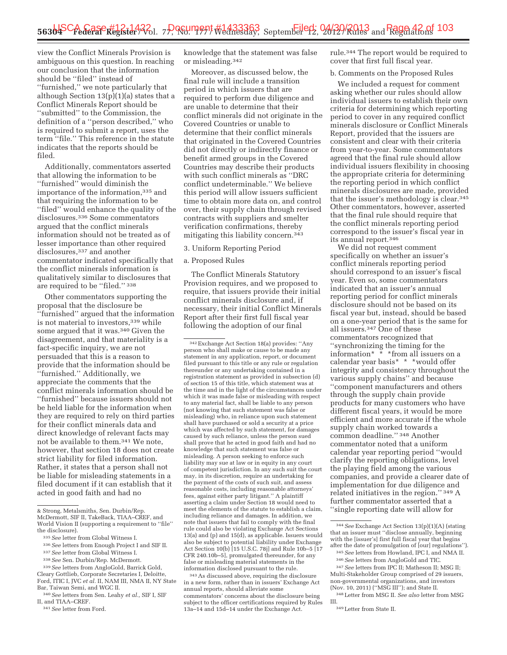view the Conflict Minerals Provision is ambiguous on this question. In reaching our conclusion that the information should be ''filed'' instead of ''furnished,'' we note particularly that although Section 13(p)(1)(a) states that a Conflict Minerals Report should be ''submitted'' to the Commission, the definition of a ''person described,'' who is required to submit a report, uses the term ''file.'' This reference in the statute indicates that the reports should be filed.

Additionally, commentators asserted that allowing the information to be ''furnished'' would diminish the importance of the information,335 and that requiring the information to be ''filed'' would enhance the quality of the disclosures.336 Some commentators argued that the conflict minerals information should not be treated as of lesser importance than other required disclosures,<sup>337</sup> and another commentator indicated specifically that the conflict minerals information is qualitatively similar to disclosures that are required to be ''filed.'' 338

Other commentators supporting the proposal that the disclosure be ''furnished'' argued that the information is not material to investors, 339 while some argued that it was.340 Given the disagreement, and that materiality is a fact-specific inquiry, we are not persuaded that this is a reason to provide that the information should be ''furnished.'' Additionally, we appreciate the comments that the conflict minerals information should be ''furnished'' because issuers should not be held liable for the information when they are required to rely on third parties for their conflict minerals data and direct knowledge of relevant facts may not be available to them.341 We note, however, that section 18 does not create strict liability for filed information. Rather, it states that a person shall not be liable for misleading statements in a filed document if it can establish that it acted in good faith and had no

knowledge that the statement was false or misleading.342

Moreover, as discussed below, the final rule will include a transition period in which issuers that are required to perform due diligence and are unable to determine that their conflict minerals did not originate in the Covered Countries or unable to determine that their conflict minerals that originated in the Covered Countries did not directly or indirectly finance or benefit armed groups in the Covered Countries may describe their products with such conflict minerals as ''DRC conflict undeterminable.'' We believe this period will allow issuers sufficient time to obtain more data on, and control over, their supply chain through revised contracts with suppliers and smelter verification confirmations, thereby mitigating this liability concern.343

#### 3. Uniform Reporting Period

### a. Proposed Rules

The Conflict Minerals Statutory Provision requires, and we proposed to require, that issuers provide their initial conflict minerals disclosure and, if necessary, their initial Conflict Minerals Report after their first full fiscal year following the adoption of our final

342Exchange Act Section 18(a) provides: ''Any person who shall make or cause to be made any statement in any application, report, or document filed pursuant to this title or any rule or regulation thereunder or any undertaking contained in a registration statement as provided in subsection (d) of section 15 of this title, which statement was at the time and in the light of the circumstances under which it was made false or misleading with respect to any material fact, shall be liable to any person (not knowing that such statement was false or misleading) who, in reliance upon such statement shall have purchased or sold a security at a price which was affected by such statement, for damages caused by such reliance, unless the person sued shall prove that he acted in good faith and had no knowledge that such statement was false or misleading. A person seeking to enforce such liability may sue at law or in equity in any court of competent jurisdiction. In any such suit the court may, in its discretion, require an undertaking for the payment of the costs of such suit, and assess reasonable costs, including reasonable attorneys' fees, against either party litigant.'' A plaintiff asserting a claim under Section 18 would need to meet the elements of the statute to establish a claim, including reliance and damages. In addition, we note that issuers that fail to comply with the final rule could also be violating Exchange Act Sections 13(a) and (p) and 15(d), as applicable. Issuers would also be subject to potential liability under Exchange Act Section 10(b) [15 U.S.C. 78j] and Rule 10b–5 [17 CFR 240.10b–5], promulgated thereunder, for any false or misleading material statements in the information disclosed pursuant to the rule.

343As discussed above, requiring the disclosure in a new form, rather than in issuers' Exchange Act annual reports, should alleviate some commentators' concerns about the disclosure being subject to the officer certifications required by Rules 13a–14 and 15d–14 under the Exchange Act.

rule.344 The report would be required to cover that first full fiscal year.

#### b. Comments on the Proposed Rules

We included a request for comment asking whether our rules should allow individual issuers to establish their own criteria for determining which reporting period to cover in any required conflict minerals disclosure or Conflict Minerals Report, provided that the issuers are consistent and clear with their criteria from year-to-year. Some commentators agreed that the final rule should allow individual issuers flexibility in choosing the appropriate criteria for determining the reporting period in which conflict minerals disclosures are made, provided that the issuer's methodology is clear.345 Other commentators, however, asserted that the final rule should require that the conflict minerals reporting period correspond to the issuer's fiscal year in its annual report.346

We did not request comment specifically on whether an issuer's conflict minerals reporting period should correspond to an issuer's fiscal year. Even so, some commentators indicated that an issuer's annual reporting period for conflict minerals disclosure should not be based on its fiscal year but, instead, should be based on a one-year period that is the same for all issuers.347 One of these commentators recognized that ''synchronizing the timing for the information\* \* \*from all issuers on a calendar year basis\* \* \*would offer integrity and consistency throughout the various supply chains'' and because ''component manufacturers and others through the supply chain provide products for many customers who have different fiscal years, it would be more efficient and more accurate if the whole supply chain worked towards a common deadline.'' 348 Another commentator noted that a uniform calendar year reporting period ''would clarify the reporting obligations, level the playing field among the various companies, and provide a clearer date of implementation for due diligence and related initiatives in the region.'' 349 A further commentator asserted that a ''single reporting date will allow for

(Nov. 10, 2011) (''MSG III''); and State II. 348Letter from MSG II. *See also* letter from MSG III.

<sup>&</sup>amp; Strong, Metalsmiths, Sen. Durbin/Rep. McDermott, SIF II, TakeBack, TIAA–CREF, and World Vision II (supporting a requirement to ''file'' the disclosure).

<sup>335</sup>*See* letter from Global Witness I.

<sup>336</sup>*See* letters from Enough Project I and SIF II.

<sup>337</sup>*See* letter from Global Witness I.

<sup>338</sup>*See* Sen. Durbin/Rep. McDermott.

<sup>339</sup>*See* letters from AngloGold, Barrick Gold, Cleary Gottlieb, Corporate Secretaries I, Deloitte, Ford, ITIC I, JVC *et al.* II, NAM III, NMA II, NY State Bar, Taiwan Semi, and WGC II.

<sup>340</sup>*See* letters from Sen. Leahy *et al.,* SIF I, SIF II, and TIAA–CREF.

<sup>341</sup>*See* letter from Ford.

<sup>344</sup>*See* Exchange Act Section 13(p)(1)(A) (stating that an issuer must ''disclose annually, beginning with the [issuer's] first full fiscal year that begins after the date of promulgation of [our] regulations'').

<sup>345</sup>*See* letters from Howland, IPC I, and NMA II. 346*See* letters from AngloGold and TIC.

<sup>347</sup>*See* letters from IPC II; Matheson II; MSG II; Multi-Stakeholder Group comprised of 29 issuers, non-governmental organizations, and investors

<sup>349</sup>Letter from State II.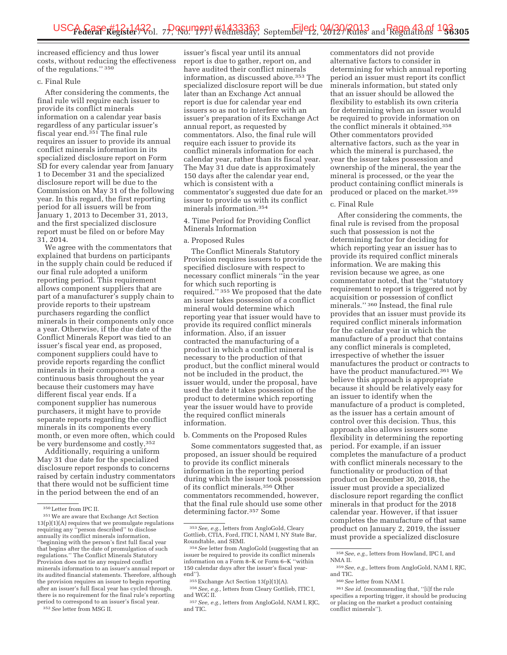increased efficiency and thus lower costs, without reducing the effectiveness of the regulations." 350

# c. Final Rule

After considering the comments, the final rule will require each issuer to provide its conflict minerals information on a calendar year basis regardless of any particular issuer's fiscal year end.<sup>351</sup> The final rule requires an issuer to provide its annual conflict minerals information in its specialized disclosure report on Form SD for every calendar year from January 1 to December 31 and the specialized disclosure report will be due to the Commission on May 31 of the following year. In this regard, the first reporting period for all issuers will be from January 1, 2013 to December 31, 2013, and the first specialized disclosure report must be filed on or before May 31, 2014.

We agree with the commentators that explained that burdens on participants in the supply chain could be reduced if our final rule adopted a uniform reporting period. This requirement allows component suppliers that are part of a manufacturer's supply chain to provide reports to their upstream purchasers regarding the conflict minerals in their components only once a year. Otherwise, if the due date of the Conflict Minerals Report was tied to an issuer's fiscal year end, as proposed, component suppliers could have to provide reports regarding the conflict minerals in their components on a continuous basis throughout the year because their customers may have different fiscal year ends. If a component supplier has numerous purchasers, it might have to provide separate reports regarding the conflict minerals in its components every month, or even more often, which could be very burdensome and costly.352

Additionally, requiring a uniform May 31 due date for the specialized disclosure report responds to concerns raised by certain industry commentators that there would not be sufficient time in the period between the end of an

352*See* letter from MSG II.

issuer's fiscal year until its annual report is due to gather, report on, and have audited their conflict minerals information, as discussed above.353 The specialized disclosure report will be due later than an Exchange Act annual report is due for calendar year end issuers so as not to interfere with an issuer's preparation of its Exchange Act annual report, as requested by commentators. Also, the final rule will require each issuer to provide its conflict minerals information for each calendar year, rather than its fiscal year. The May 31 due date is approximately 150 days after the calendar year end, which is consistent with a commentator's suggested due date for an issuer to provide us with its conflict minerals information.354

4. Time Period for Providing Conflict Minerals Information

# a. Proposed Rules

The Conflict Minerals Statutory Provision requires issuers to provide the specified disclosure with respect to necessary conflict minerals ''in the year for which such reporting is required.'' 355 We proposed that the date an issuer takes possession of a conflict mineral would determine which reporting year that issuer would have to provide its required conflict minerals information. Also, if an issuer contracted the manufacturing of a product in which a conflict mineral is necessary to the production of that product, but the conflict mineral would not be included in the product, the issuer would, under the proposal, have used the date it takes possession of the product to determine which reporting year the issuer would have to provide the required conflict minerals information.

#### b. Comments on the Proposed Rules

Some commentators suggested that, as proposed, an issuer should be required to provide its conflict minerals information in the reporting period during which the issuer took possession of its conflict minerals.356 Other commentators recommended, however, that the final rule should use some other determining factor.357 Some

commentators did not provide alternative factors to consider in determining for which annual reporting period an issuer must report its conflict minerals information, but stated only that an issuer should be allowed the flexibility to establish its own criteria for determining when an issuer would be required to provide information on the conflict minerals it obtained.358 Other commentators provided alternative factors, such as the year in which the mineral is purchased, the year the issuer takes possession and ownership of the mineral, the year the mineral is processed, or the year the product containing conflict minerals is produced or placed on the market.359

# c. Final Rule

After considering the comments, the final rule is revised from the proposal such that possession is not the determining factor for deciding for which reporting year an issuer has to provide its required conflict minerals information. We are making this revision because we agree, as one commentator noted, that the ''statutory requirement to report is triggered not by acquisition or possession of conflict minerals.'' 360 Instead, the final rule provides that an issuer must provide its required conflict minerals information for the calendar year in which the manufacture of a product that contains any conflict minerals is completed, irrespective of whether the issuer manufactures the product or contracts to have the product manufactured.361 We believe this approach is appropriate because it should be relatively easy for an issuer to identify when the manufacture of a product is completed, as the issuer has a certain amount of control over this decision. Thus, this approach also allows issuers some flexibility in determining the reporting period. For example, if an issuer completes the manufacture of a product with conflict minerals necessary to the functionality or production of that product on December 30, 2018, the issuer must provide a specialized disclosure report regarding the conflict minerals in that product for the 2018 calendar year. However, if that issuer completes the manufacture of that same product on January 2, 2019, the issuer must provide a specialized disclosure

<sup>350</sup>Letter from IPC II.

<sup>351</sup>We are aware that Exchange Act Section 13(p)(1)(A) requires that we promulgate regulations requiring any ''person described'' to disclose annually its conflict minerals information, ''beginning with the person's first full fiscal year that begins after the date of promulgation of such regulations.'' The Conflict Minerals Statutory Provision does not tie any required conflict minerals information to an issuer's annual report or its audited financial statements. Therefore, although the provision requires an issuer to begin reporting after an issuer's full fiscal year has cycled through, there is no requirement for the final rule's reporting period to correspond to an issuer's fiscal year.

<sup>353</sup>*See, e.g.,* letters from AngloGold, Cleary Gottlieb, CTIA, Ford, ITIC I, NAM I, NY State Bar,

<sup>&</sup>lt;sup>354</sup> See letter from AngloGold (suggesting that an issuer be required to provide its conflict minerals information on a Form 8–K or Form 6–K ''within 150 calendar days after the issuer's fiscal year-

<sup>&</sup>lt;sup>355</sup> Exchange Act Section 13(p)(1)(A).<br><sup>356</sup> *See, e.g.,* letters from Cleary Gottlieb, ITIC I,<br>and WGC II

<sup>&</sup>lt;sup>357</sup> See, e.g., letters from AngloGold, NAM I, RJC, and TIC.

<sup>358</sup>*See, e.g.,* letters from Howland, IPC I, and NMA II.

<sup>359</sup>*See, e.g.,* letters from AngloGold, NAM I, RJC, and TIC.

<sup>360</sup>*See* letter from NAM I.

<sup>361</sup>*See id.* (recommending that, ''[i]f the rule specifies a reporting trigger, it should be producing or placing on the market a product containing conflict minerals'').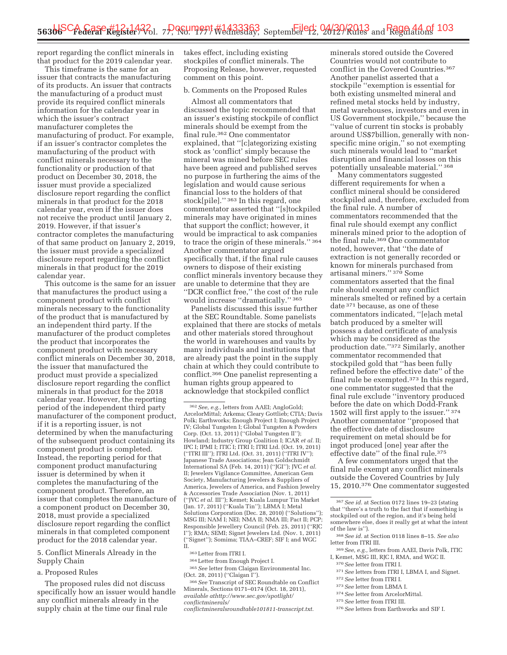report regarding the conflict minerals in that product for the 2019 calendar year.

This timeframe is the same for an issuer that contracts the manufacturing of its products. An issuer that contracts the manufacturing of a product must provide its required conflict minerals information for the calendar year in which the issuer's contract manufacturer completes the manufacturing of product. For example, if an issuer's contractor completes the manufacturing of the product with conflict minerals necessary to the functionality or production of that product on December 30, 2018, the issuer must provide a specialized disclosure report regarding the conflict minerals in that product for the 2018 calendar year, even if the issuer does not receive the product until January 2, 2019. However, if that issuer's contractor completes the manufacturing of that same product on January 2, 2019, the issuer must provide a specialized disclosure report regarding the conflict minerals in that product for the 2019 calendar year.

This outcome is the same for an issuer that manufactures the product using a component product with conflict minerals necessary to the functionality of the product that is manufactured by an independent third party. If the manufacturer of the product completes the product that incorporates the component product with necessary conflict minerals on December 30, 2018, the issuer that manufactured the product must provide a specialized disclosure report regarding the conflict minerals in that product for the 2018 calendar year. However, the reporting period of the independent third party manufacturer of the component product, if it is a reporting issuer, is not determined by when the manufacturing of the subsequent product containing its component product is completed. Instead, the reporting period for that component product manufacturing issuer is determined by when it completes the manufacturing of the component product. Therefore, an issuer that completes the manufacture of a component product on December 30, 2018, must provide a specialized disclosure report regarding the conflict minerals in that completed component product for the 2018 calendar year.

5. Conflict Minerals Already in the Supply Chain

a. Proposed Rules

The proposed rules did not discuss specifically how an issuer would handle any conflict minerals already in the supply chain at the time our final rule

takes effect, including existing stockpiles of conflict minerals. The Proposing Release, however, requested comment on this point.

# b. Comments on the Proposed Rules

Almost all commentators that discussed the topic recommended that an issuer's existing stockpile of conflict minerals should be exempt from the final rule.362 One commentator explained, that ''[c]ategorizing existing stock as 'conflict' simply because the mineral was mined before SEC rules have been agreed and published serves no purpose in furthering the aims of the legislation and would cause serious financial loss to the holders of that stock[pile].'' 363 In this regard, one commentator asserted that ''[s]tockpiled minerals may have originated in mines that support the conflict; however, it would be impractical to ask companies to trace the origin of these minerals.'' 364 Another commentator argued specifically that, if the final rule causes owners to dispose of their existing conflict minerals inventory because they are unable to determine that they are ''DCR conflict free,'' the cost of the rule would increase ''dramatically.'' 365

Panelists discussed this issue further at the SEC Roundtable. Some panelists explained that there are stocks of metals and other materials stored throughout the world in warehouses and vaults by many individuals and institutions that are already past the point in the supply chain at which they could contribute to conflict.366 One panelist representing a human rights group appeared to acknowledge that stockpiled conflict

365*See* letter from Claigan Environmental Inc. (Oct. 28, 2011) (''Claigan I'').

366*See* Transcript of SEC Roundtable on Conflict Minerals, Sections 0171–0174 (Oct. 18, 2011), *available athttp://www.sec.gov/spotlight/ conflictminerals/* 

*conflictmineralsroundtable101811-transcript.txt*.

minerals stored outside the Covered Countries would not contribute to conflict in the Covered Countries.367 Another panelist asserted that a stockpile ''exemption is essential for both existing unsmelted mineral and refined metal stocks held by industry, metal warehouses, investors and even in US Government stockpile,'' because the ''value of current tin stocks is probably around US\$7billion, generally with nonspecific mine origin," so not exempting such minerals would lead to ''market disruption and financial losses on this potentially unsaleable material.'' 368

Many commentators suggested different requirements for when a conflict mineral should be considered stockpiled and, therefore, excluded from the final rule. A number of commentators recommended that the final rule should exempt any conflict minerals mined prior to the adoption of the final rule.369 One commentator noted, however, that ''the date of extraction is not generally recorded or known for minerals purchased from artisanal miners.'' 370 Some commentators asserted that the final rule should exempt any conflict minerals smelted or refined by a certain date 371 because, as one of these commentators indicated, ''[e]ach metal batch produced by a smelter will possess a dated certificate of analysis which may be considered as the production date.''372 Similarly, another commentator recommended that stockpiled gold that ''has been fully refined before the effective date'' of the final rule be exempted.373 In this regard, one commentator suggested that the final rule exclude ''inventory produced before the date on which Dodd-Frank 1502 will first apply to the issuer.'' 374 Another commentator ''proposed that the effective date of disclosure requirement on metal should be for ingot produced [one] year after the effective date'' of the final rule.375

A few commentators urged that the final rule exempt any conflict minerals outside the Covered Countries by July 15, 2010.376 One commentator suggested

- 368*See id.* at Section 0118 lines 8–15. *See also*  letter from ITRI III.
- 369*See, e.g.,* letters from AAEI, Davis Polk, ITIC I, Kemet, MSG III, RJC I, RMA, and WGC II.

370*See* letter from ITRI I. 371*See* letters from ITRI I, LBMA I, and Signet.

- 372*See* letter from ITRI I.
- 
- 373*See* letter from LBMA I. 374*See* letter from ArcelorMittal.
- 375*See* letter from ITRI III.
- 376*See* letters from Earthworks and SIF I.

<sup>362</sup>*See, e.g.,* letters from AAEI; AngloGold; ArcelorMittal; Arkema; Cleary Gottlieb; CTIA; Davis Polk; Earthworks; Enough Project I; Enough Project IV; Global Tungsten I; Global Tungsten & Powders Corp. (Oct. 13, 2011) (''Global Tungsten II''); Howland; Industry Group Coalition I; ICAR *et al.* II; IPC I; IPMI I; ITIC I; ITRI I; ITRI Ltd. (Oct. 19, 2011) (''ITRI III''); ITRI Ltd. (Oct. 31, 2011) (''ITRI IV''); Japanese Trade Associations; Jean Goldschmidt International SA (Feb. 14, 2011) (''JGI''); JVC *et al.*  II; Jewelers Vigilance Committee, American Gem Society, Manufacturing Jewelers & Suppliers of America, Jewelers of America, and Fashion Jewelry & Accessories Trade Association (Nov. 1, 2011) (''JVC *et al.* III''); Kemet; Kuala Lumpur Tin Market (Jan. 17, 2011) (''Kuala Tin''); LBMA I; Metal Solutions Corporation (Dec. 28, 2010) (''Solutions''); MSG III; NAM I; NEI; NMA II; NMA III; Pact II; PCP; Responsible Jewellery Council (Feb. 25, 2011) (''RJC I''); RMA; SEMI; Signet Jewelers Ltd. (Nov. 1, 2011) (''Signet''); Somima; TIAA–CREF; SIF I; and WGC II.

<sup>363</sup>Letter from ITRI I.

<sup>364</sup>Letter from Enough Project I.

<sup>367</sup>*See id.* at Section 0172 lines 19–23 (stating that ''there's a truth to the fact that if something is stockpiled out of the region, and it's being held somewhere else, does it really get at what the intent of the law is'').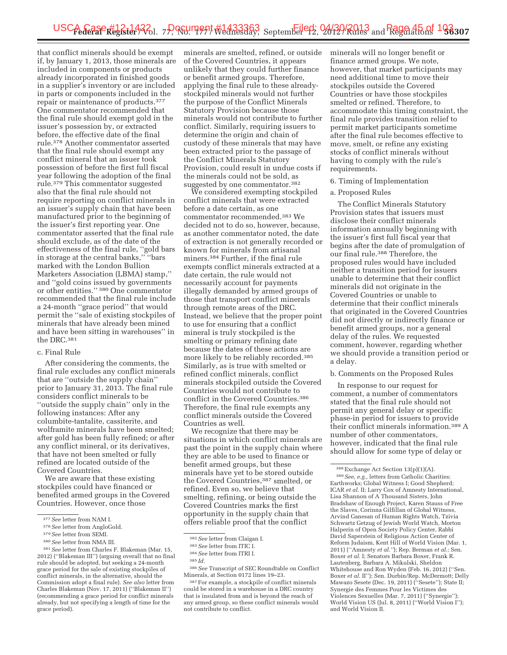that conflict minerals should be exempt if, by January 1, 2013, those minerals are included in components or products already incorporated in finished goods in a supplier's inventory or are included in parts or components included in the repair or maintenance of products.377 One commentator recommended that the final rule should exempt gold in the issuer's possession by, or extracted before, the effective date of the final rule.378 Another commentator asserted that the final rule should exempt any conflict mineral that an issuer took possession of before the first full fiscal year following the adoption of the final rule.379 This commentator suggested also that the final rule should not require reporting on conflict minerals in an issuer's supply chain that have been manufactured prior to the beginning of the issuer's first reporting year. One commentator asserted that the final rule should exclude, as of the date of the effectiveness of the final rule, ''gold bars in storage at the central banks,'' ''bars marked with the London Bullion Marketers Association (LBMA) stamp,'' and ''gold coins issued by governments or other entities.'' 380 One commentator recommended that the final rule include a 24-month ''grace period'' that would permit the ''sale of existing stockpiles of minerals that have already been mined and have been sitting in warehouses'' in the DRC.381

#### c. Final Rule

After considering the comments, the final rule excludes any conflict minerals that are ''outside the supply chain'' prior to January 31, 2013. The final rule considers conflict minerals to be ''outside the supply chain'' only in the following instances: After any columbite-tantalite, cassiterite, and wolframite minerals have been smelted; after gold has been fully refined; or after any conflict mineral, or its derivatives, that have not been smelted or fully refined are located outside of the Covered Countries.

We are aware that these existing stockpiles could have financed or benefited armed groups in the Covered Countries. However, once those

minerals are smelted, refined, or outside of the Covered Countries, it appears unlikely that they could further finance or benefit armed groups. Therefore, applying the final rule to these alreadystockpiled minerals would not further the purpose of the Conflict Minerals Statutory Provision because those minerals would not contribute to further conflict. Similarly, requiring issuers to determine the origin and chain of custody of these minerals that may have been extracted prior to the passage of the Conflict Minerals Statutory Provision, could result in undue costs if the minerals could not be sold, as suggested by one commentator.<sup>382</sup>

We considered exempting stockpiled conflict minerals that were extracted before a date certain, as one commentator recommended.383 We decided not to do so, however, because, as another commentator noted, the date of extraction is not generally recorded or known for minerals from artisanal miners.384 Further, if the final rule exempts conflict minerals extracted at a date certain, the rule would not necessarily account for payments illegally demanded by armed groups of those that transport conflict minerals through remote areas of the DRC. Instead, we believe that the proper point to use for ensuring that a conflict mineral is truly stockpiled is the smelting or primary refining date because the dates of these actions are more likely to be reliably recorded.385 Similarly, as is true with smelted or refined conflict minerals, conflict minerals stockpiled outside the Covered Countries would not contribute to conflict in the Covered Countries.386 Therefore, the final rule exempts any conflict minerals outside the Covered Countries as well.

We recognize that there may be situations in which conflict minerals are past the point in the supply chain where they are able to be used to finance or benefit armed groups, but these minerals have yet to be stored outside the Covered Countries,387 smelted, or refined. Even so, we believe that smelting, refining, or being outside the Covered Countries marks the first opportunity in the supply chain that offers reliable proof that the conflict

minerals will no longer benefit or finance armed groups. We note, however, that market participants may need additional time to move their stockpiles outside the Covered Countries or have those stockpiles smelted or refined. Therefore, to accommodate this timing constraint, the final rule provides transition relief to permit market participants sometime after the final rule becomes effective to move, smelt, or refine any existing stocks of conflict minerals without having to comply with the rule's requirements.

### 6. Timing of Implementation

#### a. Proposed Rules

The Conflict Minerals Statutory Provision states that issuers must disclose their conflict minerals information annually beginning with the issuer's first full fiscal year that begins after the date of promulgation of our final rule.388 Therefore, the proposed rules would have included neither a transition period for issuers unable to determine that their conflict minerals did not originate in the Covered Countries or unable to determine that their conflict minerals that originated in the Covered Countries did not directly or indirectly finance or benefit armed groups, nor a general delay of the rules. We requested comment, however, regarding whether we should provide a transition period or a delay.

#### b. Comments on the Proposed Rules

In response to our request for comment, a number of commentators stated that the final rule should not permit any general delay or specific phase-in period for issuers to provide their conflict minerals information.389 A number of other commentators, however, indicated that the final rule should allow for some type of delay or

<sup>377</sup>*See* letter from NAM I.

<sup>378</sup>*See* letter from AngloGold.

<sup>379</sup>*See* letter from SEMI.

<sup>380</sup>*See* letter from NMA III.

<sup>381</sup>*See* letter from Charles F. Blakeman (Mar. 15, 2012) (''Blakeman III'') (arguing overall that no final rule should be adopted, but seeking a 24-month grace period for the sale of existing stockpiles of conflict minerals, in the alternative, should the Commission adopt a final rule). *See also* letter from Charles Blakeman (Nov. 17, 2011) (''Blakeman II'') (recommending a grace period for conflict minerals already, but not specifying a length of time for the grace period).

<sup>382</sup>*See* letter from Claigan I.

<sup>383</sup>*See* letter from ITIC I.

<sup>384</sup>*See* letter from ITRI I.

<sup>385</sup> *Id.* 

<sup>386</sup>*See* Transcript of SEC Roundtable on Conflict Minerals, at Section 0172 lines 19–23.

<sup>387</sup>For example, a stockpile of conflict minerals could be stored in a warehouse in a DRC country that is insulated from and is beyond the reach of any armed group, so these conflict minerals would not contribute to conflict.

<sup>388</sup>Exchange Act Section 13(p)(1)(A). 389*See, e.g.,* letters from Catholic Charities; Earthworks; Global Witness I; Good Shepherd; ICAR et al. II; Larry Cox of Amnesty International, Lisa Shannon of A Thousand Sisters, John Bradshaw of Enough Project, Karen Stauss of Free the Slaves, Corinna Gilfillan of Global Witness, Arvind Ganesan of Human Rights Watch, Tzivia Schwartz Getzug of Jewish World Watch, Morton Halperin of Open Society Policy Center, Rabbi David Saperstein of Religious Action Center of Reform Judaism, Kent Hill of World Vision (Mar. 1, 2011) (''Amnesty *et al.''*); Rep. Berman *et al.;* Sen. Boxer *et al.* I; Senators Barbara Boxer, Frank R. Lautenberg, Barbara A. Mikulski, Sheldon Whitehouse and Ron Wyden (Feb. 16, 2012) (''Sen. Boxer *et al.* II''); Sen. Durbin/Rep. McDermott; Delly Mawazo Sesete (Dec. 19, 2011) ("Sesete"); State II; Synergie des Femmes Pour les Victimes des Violences Sexuelles (Mar. 7, 2011) (''Synergie''); World Vision US (Jul. 8, 2011) (''World Vision I''); and World Vision II.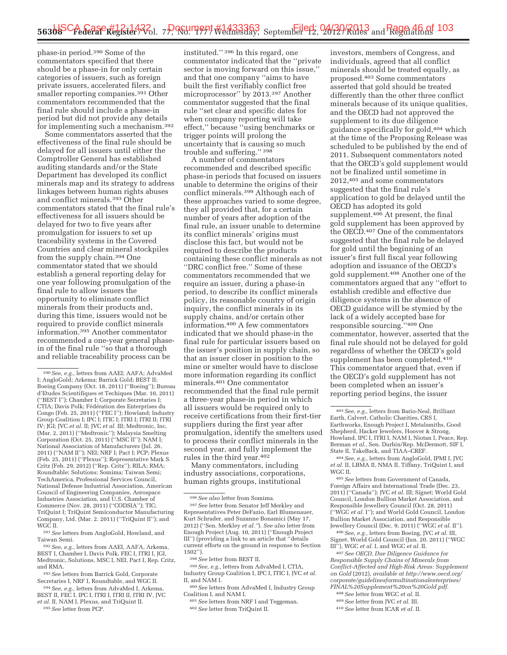phase-in period.390 Some of the commentators specified that there should be a phase-in for only certain categories of issuers, such as foreign private issuers, accelerated filers, and smaller reporting companies.<sup>391</sup> Other commentators recommended that the final rule should include a phase-in period but did not provide any details for implementing such a mechanism.392

Some commentators asserted that the effectiveness of the final rule should be delayed for all issuers until either the Comptroller General has established auditing standards and/or the State Department has developed its conflict minerals map and its strategy to address linkages between human rights abuses and conflict minerals.393 Other commentators stated that the final rule's effectiveness for all issuers should be delayed for two to five years after promulgation for issuers to set up traceability systems in the Covered Countries and clear mineral stockpiles from the supply chain.394 One commentator stated that we should establish a general reporting delay for one year following promulgation of the final rule to allow issuers the opportunity to eliminate conflict minerals from their products and, during this time, issuers would not be required to provide conflict minerals information.395 Another commentator recommended a one-year general phasein of the final rule ''so that a thorough and reliable traceability process can be

391*See* letters from AngloGold, Howland, and Taiwan Semi.

392*See, e.g.,* letters from AAEI, AAFA, Arkema, BEST I, Chamber I, Davis Polk, FEC I, ITRI I, JGI, Medtronic, Solutions, MSC I, NEI, Pact I, Rep. Critz, and RMA.

393*See* letters from Barrick Gold, Corporate Secretaries I, NRF I, Roundtable, and WGC II.

394*See, e.g.,* letters from AdvaMed I, Arkema, BEST II, FEC I, IPC I, ITRI I, ITRI II, ITRI IV, JVC *et al.* II, NAM I, Plexus, and TriQuint II.

395*See* letter from PCP.

instituted.'' 396 In this regard, one commentator indicated that the ''private sector is moving forward on this issue,'' and that one company ''aims to have built the first verifiably conflict free microprocessor'' by 2013.397 Another commentator suggested that the final rule ''set clear and specific dates for when company reporting will take effect,'' because ''using benchmarks or trigger points will prolong the uncertainty that is causing so much trouble and suffering.'' 398

A number of commentators recommended and described specific phase-in periods that focused on issuers unable to determine the origins of their conflict minerals.399 Although each of these approaches varied to some degree, they all provided that, for a certain number of years after adoption of the final rule, an issuer unable to determine its conflict minerals' origins must disclose this fact, but would not be required to describe the products containing these conflict minerals as not ''DRC conflict free.'' Some of these commentators recommended that we require an issuer, during a phase-in period, to describe its conflict minerals policy, its reasonable country of origin inquiry, the conflict minerals in its supply chains, and/or certain other information.400 A few commentators indicated that we should phase-in the final rule for particular issuers based on the issuer's position in supply chain, so that an issuer closer in position to the mine or smelter would have to disclose more information regarding its conflict minerals.401 One commentator recommended that the final rule permit a three-year phase-in period in which all issuers would be required only to receive certifications from their first-tier suppliers during the first year after promulgation, identify the smelters used to process their conflict minerals in the second year, and fully implement the rules in the third year.402

Many commentators, including industry associations, corporations, human rights groups, institutional

399*See, e.g.,* letters from AdvaMed I, CTIA, Industry Group Coalition I, IPC I, ITIC I, JVC *et al.*  II, and NAM I.

400*See* letters from AdvaMed I, Industry Group Coalition I, and NAM I.

401*See* letters from NRF I and Teggeman.

402*See* letter from TriQuint II.

investors, members of Congress, and individuals, agreed that all conflict minerals should be treated equally, as proposed.403 Some commentators asserted that gold should be treated differently than the other three conflict minerals because of its unique qualities, and the OECD had not approved the supplement to its due diligence guidance specifically for gold,404 which at the time of the Proposing Release was scheduled to be published by the end of 2011. Subsequent commentators noted that the OECD's gold supplement would not be finalized until sometime in 2012,405 and some commentators suggested that the final rule's application to gold be delayed until the OECD has adopted its gold supplement.<sup>406</sup> At present, the final gold supplement has been approved by the OECD.<sup>407</sup> One of the commentators suggested that the final rule be delayed for gold until the beginning of an issuer's first full fiscal year following adoption and issuance of the OECD's gold supplement.408 Another one of the commentators argued that any ''effort to establish credible and effective due diligence systems in the absence of OECD guidance will be stymied by the lack of a widely accepted base for responsible sourcing.''409 One commentator, however, asserted that the final rule should not be delayed for gold regardless of whether the OECD's gold supplement has been completed.410 This commentator argued that, even if the OECD's gold supplement has not been completed when an issuer's reporting period begins, the issuer

405*See* letters from Government of Canada, Foreign Affairs and International Trade (Dec. 23, 2011) (''Canada''); JVC *et al.* III; Signet; World Gold Council, London Bullion Market Association, and Responsible Jewellery Council (Oct. 28, 2011) (''WGC *et al.* I''); and World Gold Council, London Bullion Market Association, and Responsible Jewellery Council (Dec. 9, 2011) (''WGC *et al.* II'').

406*See, e.g.,* letters from Boeing, JVC *et al.* III, Signet, World Gold Council (Jun. 20, 2011) (''WGC III''), WGC *et al.* I, and WGC *et al.* II.

407*See OECD, Due Diligence Guidance for Responsible Supply Chains of Minerals from Conflict-Affected and High-Risk Areas: Supplement on Gold* (2012), *available at http://www.oecd.org/ corporate/guidelinesformultinationalenterprises/ FINAL%20Supplement%20on%20Gold.pdf*.

408*See* letter from WGC *et al.* II.

410*See* letter from ICAR *et al.* II.

<sup>390</sup>*See, e.g.,* letters from AAEI; AAFA; AdvaMed I; AngloGold; Arkema; Barrick Gold; BEST II; Boeing Company (Oct. 18, 2011) (''Boeing''); Bureau d'Etudes Scientifiques et Techiques (Mar. 10, 2011) (''BEST I''); Chamber I; Corporate Secretaries I; CTIA; Davis Polk; Fédération des Enterprises du Congo (Feb. 25, 2011) (''FEC I''); Howland; Industry Group Coalition I; IPC I; ITIC I; ITRI I; ITRI II; ITRI IV; JGI; JVC *et al.* II; JVC *et al.* III; Medtronic, Inc. (Mar. 2, 2011) (''Medtronic''); Malaysia Smelting Corporation (Oct. 25, 2011) (''MSC II''); NAM I; National Association of Manufacturers (Jul. 26, 2011) (''NAM II''); NEI; NRF I; Pact I; PCP; Plexus (Feb. 25, 2011) (''Plexus''); Representative Mark S. Critz (Feb. 29, 2012) (''Rep. Critz''); RILA; RMA; Roundtable; Solutions; Somima; Taiwan Semi; TechAmerica, Professional Services Council, National Defense Industrial Association, American Council of Engineering Companies, Aerospace Industries Association, and U.S. Chamber of Commerce (Nov. 28, 2011) (''CODSIA''); TIC; TriQuint I; TriQuint Semiconductor Manufacturing Company, Ltd. (Mar. 2. 2011) (''TriQuint II''); and WGC II.

<sup>396</sup>*See also* letter from Somima.

<sup>397</sup>*See* letter from Senator Jeff Merkley and Representatives Peter DeFazio, Earl Blumenauer, Kurt Schrader, and Suzanne Bonamici (May 17, 2012) (''Sen. Merkley *et al.''*). *See also* letter from Enough Project (Aug. 10, 2011) (''Enough Project III'') (providing a link to an article that ''details current efforts on the ground in response to Section 1502'').

<sup>398</sup>*See* letter from BEST II.

<sup>403</sup>*See, e.g.,* letters from Bario-Neal, Brilliant Earth, Calvert, Catholic Charities, CRS I, Earthworks, Enough Project I, Metalsmiths, Good Shepherd, Hacker Jewelers, Hoover & Strong, Howland, IPC I, ITRI I, NAM I, Niotan I, Peace, Rep. Berman *et al.,* Sen. Durbin/Rep. McDermott, SIF I, State II, TakeBack, and TIAA–CREF.

<sup>404</sup>*See, e.g.,* letters from AngloGold, IPMI I, JVC *et al.* II, LBMA II, NMA II, Tiffany, TriQuint I, and WGC II.

<sup>409</sup>*See* letter from JVC *et al.* III.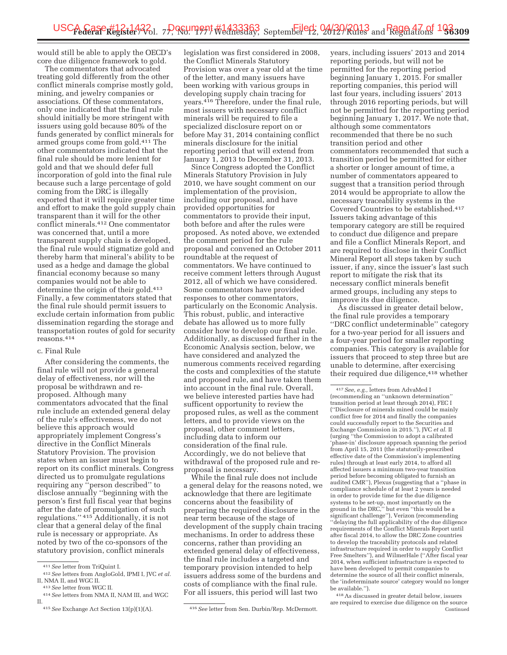would still be able to apply the OECD's core due diligence framework to gold.

The commentators that advocated treating gold differently from the other conflict minerals comprise mostly gold, mining, and jewelry companies or associations. Of these commentators, only one indicated that the final rule should initially be more stringent with issuers using gold because 80% of the funds generated by conflict minerals for armed groups come from gold.411 The other commentators indicated that the final rule should be more lenient for gold and that we should defer full incorporation of gold into the final rule because such a large percentage of gold coming from the DRC is illegally exported that it will require greater time and effort to make the gold supply chain transparent than it will for the other conflict minerals.412 One commentator was concerned that, until a more transparent supply chain is developed, the final rule would stigmatize gold and thereby harm that mineral's ability to be used as a hedge and damage the global financial economy because so many companies would not be able to determine the origin of their gold.413 Finally, a few commentators stated that the final rule should permit issuers to exclude certain information from public dissemination regarding the storage and transportation routes of gold for security reasons.414

#### c. Final Rule

After considering the comments, the final rule will not provide a general delay of effectiveness, nor will the proposal be withdrawn and reproposed. Although many commentators advocated that the final rule include an extended general delay of the rule's effectiveness, we do not believe this approach would appropriately implement Congress's directive in the Conflict Minerals Statutory Provision. The provision states when an issuer must begin to report on its conflict minerals. Congress directed us to promulgate regulations requiring any ''person described'' to disclose annually ''beginning with the person's first full fiscal year that begins after the date of promulgation of such regulations.'' 415 Additionally, it is not clear that a general delay of the final rule is necessary or appropriate. As noted by two of the co-sponsors of the statutory provision, conflict minerals

legislation was first considered in 2008, the Conflict Minerals Statutory Provision was over a year old at the time of the letter, and many issuers have been working with various groups in developing supply chain tracing for years.416 Therefore, under the final rule, most issuers with necessary conflict minerals will be required to file a specialized disclosure report on or before May 31, 2014 containing conflict minerals disclosure for the initial reporting period that will extend from January 1, 2013 to December 31, 2013.

Since Congress adopted the Conflict Minerals Statutory Provision in July 2010, we have sought comment on our implementation of the provision, including our proposal, and have provided opportunities for commentators to provide their input, both before and after the rules were proposed. As noted above, we extended the comment period for the rule proposal and convened an October 2011 roundtable at the request of commentators. We have continued to receive comment letters through August 2012, all of which we have considered. Some commentators have provided responses to other commentators, particularly on the Economic Analysis. This robust, public, and interactive debate has allowed us to more fully consider how to develop our final rule. Additionally, as discussed further in the Economic Analysis section, below, we have considered and analyzed the numerous comments received regarding the costs and complexities of the statute and proposed rule, and have taken them into account in the final rule. Overall, we believe interested parties have had sufficent opportunity to review the proposed rules, as well as the comment letters, and to provide views on the proposal, other comment letters, including data to inform our consideration of the final rule. Accordingly, we do not believe that withdrawal of the proposed rule and reproposal is necessary.

While the final rule does not include a general delay for the reasons noted, we acknowledge that there are legitimate concerns about the feasibility of preparing the required disclosure in the near term because of the stage of development of the supply chain tracing mechanisms. In order to address these concerns, rather than providing an extended general delay of effectiveness, the final rule includes a targeted and temporary provision intended to help issuers address some of the burdens and costs of compliance with the final rule. For all issuers, this period will last two

years, including issuers' 2013 and 2014 reporting periods, but will not be permitted for the reporting period beginning January 1, 2015. For smaller reporting companies, this period will last four years, including issuers' 2013 through 2016 reporting periods, but will not be permitted for the reporting period beginning January 1, 2017. We note that, although some commentators recommended that there be no such transition period and other commentators recommended that such a transition period be permitted for either a shorter or longer amount of time, a number of commentators appeared to suggest that a transition period through 2014 would be appropriate to allow the necessary traceability systems in the Covered Countries to be established.417 Issuers taking advantage of this temporary category are still be required to conduct due diligence and prepare and file a Conflict Minerals Report, and are required to disclose in their Conflict Mineral Report all steps taken by such issuer, if any, since the issuer's last such report to mitigate the risk that its necessary conflict minerals benefit armed groups, including any steps to improve its due diligence.

As discussed in greater detail below, the final rule provides a temporary ''DRC conflict undeterminable'' category for a two-year period for all issuers and a four-year period for smaller reporting companies. This category is available for issuers that proceed to step three but are unable to determine, after exercising their required due diligence, <sup>418</sup> whether

<sup>411</sup>*See* letter from TriQuint I. 412*See* letters from AngloGold, IPMI I, JVC *et al.* 

 $\,$   $^{413}$   $See$  letters from NMA II, NAM III, and WGC  $^{414}$   $See$  letters from NMA II, NAM III, and WGC II.

<sup>415</sup>*See* Exchange Act Section 13(p)(1)(A). 416*See* letter from Sen. Durbin/Rep. McDermott.

<sup>417</sup>*See, e.g.,* letters from AdvaMed I (recommending an ''unknown determination'' transition period at least through 2014), FEC I (''Disclosure of minerals mined could be mainly conflict free for 2014 and finally the companies could successfully report to the Securities and Exchange Commission in 2015.''), JVC *et al.* II (urging ''the Commission to adopt a calibrated 'phase-in' disclosure approach spanning the period from April 15, 2011 (the statutorily-prescribed effective date of the Commission's implementing rules) through at least early 2014, to afford all affected issuers a minimum two-year transition period before becoming obligated to furnish an audited CMR''), Plexus (suggesting that a ''phase in compliance schedule of at least 2 years is needed in order to provide time for the due diligence systems to be set-up, most importantly on the ground in the DRC,'' but even ''this would be a significant challenge''), Verizon (recommending ''delaying the full applicability of the due diligence requirements of the Conflict Minerals Report until after fiscal 2014, to allow the DRC Zone countries to develop the traceability protocols and related infrastructure required in order to supply Conflict Free Smelters''), and WilmerHale (''After fiscal year 2014, when sufficient infrastructure is expected to have been developed to permit companies to determine the source of all their conflict minerals, the 'indeterminate source' category would no longer be available.'').

<sup>418</sup>As discussed in greater detail below, issuers are required to exercise due diligence on the source Continued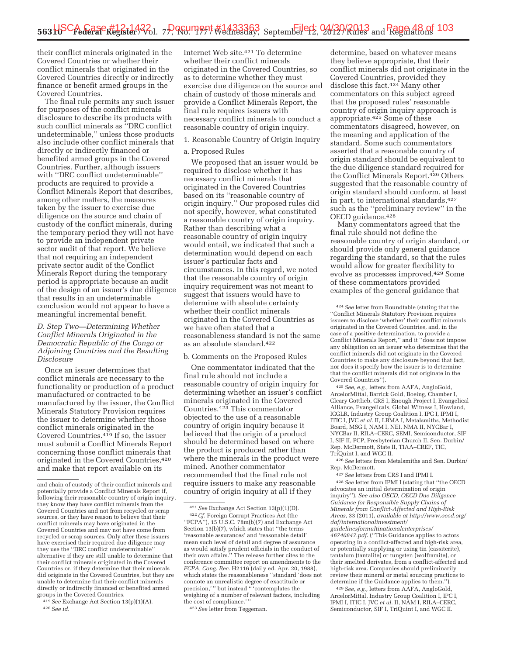their conflict minerals originated in the Covered Countries or whether their conflict minerals that originated in the Covered Countries directly or indirectly finance or benefit armed groups in the Covered Countries.

The final rule permits any such issuer for purposes of the conflict minerals disclosure to describe its products with such conflict minerals as ''DRC conflict undeterminable,'' unless those products also include other conflict minerals that directly or indirectly financed or benefited armed groups in the Covered Countries. Further, although issuers with ''DRC conflict undeterminable'' products are required to provide a Conflict Minerals Report that describes, among other matters, the measures taken by the issuer to exercise due diligence on the source and chain of custody of the conflict minerals, during the temporary period they will not have to provide an independent private sector audit of that report. We believe that not requiring an independent private sector audit of the Conflict Minerals Report during the temporary period is appropriate because an audit of the design of an issuer's due diligence that results in an undeterminable conclusion would not appear to have a meaningful incremental benefit.

*D. Step Two—Determining Whether Conflict Minerals Originated in the Democratic Republic of the Congo or Adjoining Countries and the Resulting Disclosure* 

Once an issuer determines that conflict minerals are necessary to the functionality or production of a product manufactured or contracted to be manufactured by the issuer, the Conflict Minerals Statutory Provision requires the issuer to determine whether those conflict minerals originated in the Covered Countries.419 If so, the issuer must submit a Conflict Minerals Report concerning those conflict minerals that originated in the Covered Countries,420 and make that report available on its

<sup>419</sup>*See* Exchange Act Section 13(p)(1)(A). 420*See id.* 

Internet Web site.421 To determine whether their conflict minerals originated in the Covered Countries, so as to determine whether they must exercise due diligence on the source and chain of custody of those minerals and provide a Conflict Minerals Report, the final rule requires issuers with necessary conflict minerals to conduct a reasonable country of origin inquiry.

# 1. Reasonable Country of Origin Inquiry

### a. Proposed Rules

We proposed that an issuer would be required to disclose whether it has necessary conflict minerals that originated in the Covered Countries based on its ''reasonable country of origin inquiry.'' Our proposed rules did not specify, however, what constituted a reasonable country of origin inquiry. Rather than describing what a reasonable country of origin inquiry would entail, we indicated that such a determination would depend on each issuer's particular facts and circumstances. In this regard, we noted that the reasonable country of origin inquiry requirement was not meant to suggest that issuers would have to determine with absolute certainty whether their conflict minerals originated in the Covered Countries as we have often stated that a reasonableness standard is not the same as an absolute standard.422

### b. Comments on the Proposed Rules

One commentator indicated that the final rule should not include a reasonable country of origin inquiry for determining whether an issuer's conflict minerals originated in the Covered Countries.423 This commentator objected to the use of a reasonable country of origin inquiry because it believed that the origin of a product should be determined based on where the product is produced rather than where the minerals in the product were mined. Another commentator recommended that the final rule not require issuers to make any reasonable country of origin inquiry at all if they

423*See* letter from Teggeman.

determine, based on whatever means they believe appropriate, that their conflict minerals did not originate in the Covered Countries, provided they disclose this fact.424 Many other commentators on this subject agreed that the proposed rules' reasonable country of origin inquiry approach is appropriate.425 Some of these commentators disagreed, however, on the meaning and application of the standard. Some such commentators asserted that a reasonable country of origin standard should be equivalent to the due diligence standard required for the Conflict Minerals Report.426 Others suggested that the reasonable country of origin standard should conform, at least in part, to international standards, 427 such as the ''preliminary review'' in the OECD guidance.<sup>428</sup>

Many commentators agreed that the final rule should not define the reasonable country of origin standard, or should provide only general guidance regarding the standard, so that the rules would allow for greater flexibility to evolve as processes improved.429 Some of these commentators provided examples of the general guidance that

425*See, e.g.,* letters from AAFA, AngloGold, ArcelorMittal, Barrick Gold, Boeing, Chamber I, Cleary Gottlieb, CRS I, Enough Project I, Evangelical Alliance, Evangelicals, Global Witness I, Howland, ICGLR, Industry Group Coalition I, IPC I, IPMI I, ITIC I, JVC *et al.* II, LBMA I, Metalsmiths, Methodist Board, MSG I, NAM I, NEI, NMA II, NYCBar I, NYCBar II, RILA–CERC, SEMI, Semiconductor, SIF I, SIF II, PCP, Presbyterian Church II, Sen. Durbin/ Rep. McDermott, State II, TIAA–CREF, TIC, TriQuint I, and WGC II.

426*See* letters from Metalsmiths and Sen. Durbin/ Rep. McDermott.

427*See* letters from CRS I and IPMI I.

428*See* letter from IPMI I (stating that ''the OECD advocates an initial determination of origin inquiry''). *See also OECD, OECD Due Diligence Guidance for Responsible Supply Chains of Minerals from Conflict-Affected and High-Risk Areas,* 33 (2011), *available at http://www.oecd.org/ daf/internationalinvestment/ guidelinesformultinationalenterprises/ 46740847.pdf*. (''This Guidance applies to actors operating in a conflict-affected and high-risk area, or potentially supplying or using tin (cassiterite), tantalum (tantalite) or tungsten (wolframite), or their smelted derivates, from a conflict-affected and high-risk area. Companies should preliminarily review their mineral or metal sourcing practices to determine if the Guidance applies to them.'').

429*See, e.g.,* letters from AAFA, AngloGold, ArcelorMittal, Industry Group Coalition I, IPC I, IPMI I, ITIC I, JVC *et al.* II, NAM I, RILA–CERC, Semiconductor, SIF I, TriQuint I, and WGC II.

and chain of custody of their conflict minerals and potentially provide a Conflict Minerals Report if, following their reasonable country of origin inquiry, they know they have conflict minerals from the Covered Countries and not from recycled or scrap sources, or they have reason to believe that their conflict minerals may have originated in the Covered Countries and may not have come from recycled or scrap sources. Only after these issuers have exercised their required due diligence may they use the ''DRC conflict undeterminable'' alternative if they are still unable to determine that their conflict minerals originated in the Covered Countries or, if they determine that their minerals did originate in the Covered Countries, but they are unable to determine that their conflict minerals directly or indirectly financed or benefited armed groups in the Covered Countries.

<sup>421</sup>*See* Exchange Act Section 13(p)(1)(D). 422*Cf.* Foreign Corrupt Practices Act (the  $'$ FCPA''), 15 U.S.C. 78 $m(b)(7)$  and Exchange Act Section 13(b)(7), which states that ''the terms 'reasonable assurances' and 'reasonable detail' mean such level of detail and degree of assurance as would satisfy prudent officials in the conduct of their own affairs.'' The release further cites to the conference committee report on amendments to the *FCPA, Cong. Rec.* H2116 (daily ed. Apr. 20, 1988), which states the reasonableness ''standard 'does not connote an unrealistic degree of exactitude or precision,' '' but instead '' 'contemplates the weighing of a number of relevant factors, including the cost of compliance.

<sup>424</sup>*See* letter from Roundtable (stating that the ''Conflict Minerals Statutory Provision requires issuers to disclose 'whether' their conflict minerals originated in the Covered Countries, and, in the case of a positive determination, to provide a Conflict Minerals Report,'' and it ''does not impose any obligation on an issuer who determines that the conflict minerals did not originate in the Covered Countries to make any disclosure beyond that fact, nor does it specify how the issuer is to determine that the conflict minerals did not originate in the Covered Countries'').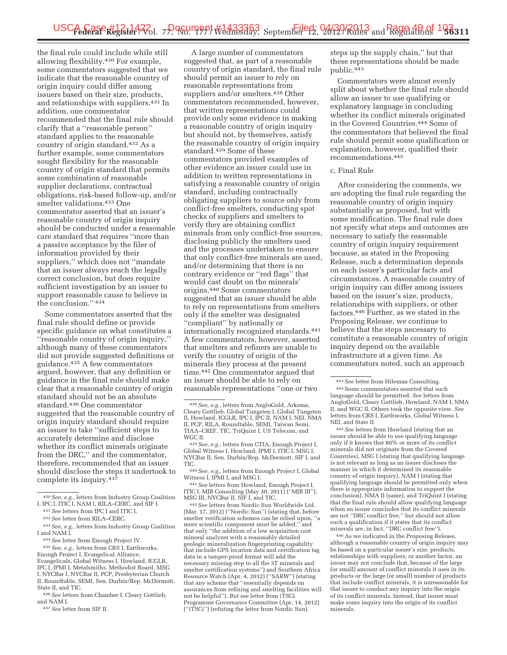the final rule could include while still allowing flexibility.430 For example, some commentators suggested that we indicate that the reasonable country of origin inquiry could differ among issuers based on their size, products, and relationships with suppliers.431 In addition, one commentator recommended that the final rule should clarify that a ''reasonable person'' standard applies to the reasonable country of origin standard.432 As a further example, some commentators sought flexibility for the reasonable country of origin standard that permits some combination of reasonable supplier declarations, contractual obligations, risk-based follow-up, and/or smelter validations.433 One commentator asserted that an issuer's reasonable country of origin inquiry should be conducted under a reasonable care standard that requires ''more than a passive acceptance by the filer of information provided by their suppliers,'' which does not ''mandate that an issuer always reach the legally correct conclusion, but does require sufficient investigation by an issuer to support reasonable cause to believe in the conclusion.'' 434

Some commentators asserted that the final rule should define or provide specific guidance on what constitutes a ''reasonable country of origin inquiry,'' although many of these commentators did not provide suggested definitions or guidance.435 A few commentators argued, however, that any definition or guidance in the final rule should make clear that a reasonable country of origin standard should not be an absolute standard.436 One commentator suggested that the reasonable country of origin inquiry standard should require an issuer to take ''sufficient steps to accurately determine and disclose whether its conflict minerals originate from the DRC,'' and the commentator, therefore, recommended that an issuer should disclose the steps it undertook to complete its inquiry.437

437*See* letter from SIF II.

A large number of commentators suggested that, as part of a reasonable country of origin standard, the final rule should permit an issuer to rely on reasonable representations from suppliers and/or smelters.<sup>438</sup> Other commentators recommended, however, that written representations could provide only some evidence in making a reasonable country of origin inquiry but should not, by themselves, satisfy the reasonable country of origin inquiry standard.439 Some of these commentators provided examples of other evidence an issuer could use in addition to written representations in satisfying a reasonable country of origin standard, including contractually obligating suppliers to source only from conflict-free smelters, conducting spot checks of suppliers and smelters to verify they are obtaining conflict minerals from only conflict-free sources, disclosing publicly the smelters used and the processes undertaken to ensure that only conflict-free minerals are used, and/or determining that there is no contrary evidence or ''red flags'' that would cast doubt on the minerals' origins.440 Some commentators suggested that an issuer should be able to rely on representations from smelters only if the smelter was designated ''compliant'' by nationally or internationally recognized standards.441 A few commentators, however, asserted that smelters and refiners are unable to verify the country of origin of the minerals they process at the present time.442 One commentator argued that an issuer should be able to rely on reasonable representations ''one or two

Witness I, IPMI I, and MSG I. 441*See* letters from Howland, Enough Project I, ITIC I, MJB Consulting (May 30, 2011) ("MJB III"), MSG III, NYCBar II, SIF I, and TIC.

 $^{442} \, See$  letters from Nordic Sun Worldwide Ltd. (Mar. 17, 2012) (''Nordic Sun'') (stating that, before smelter verification schemes can be relied upon, ''a more scientific component must be added,'' and that only ''the addition of a low acquisition cost mineral analyzer with a reasonably detailed geologic mineralization fingerprinting capability that include GPS location data and certification tag data in a tamper-proof format will add the necessary missing step to all the 3T minerals and smelter certification systems'') and Southern Africa Resource Watch (Apr. 4, 2012) (''SARW'') (stating that any scheme that ''essentially depends on assurances from refining and smelting facilities will not be helpful''). *But see* letter from iTSCi Programme Governance Committee (Apr. 14, 2012) (''iTSCi'') (refuting the letter from Nordic Sun).

steps up the supply chain,'' but that these representations should be made public.443

Commentators were almost evenly split about whether the final rule should allow an issuer to use qualifying or explanatory language in concluding whether its conflict minerals originated in the Covered Countries.444 Some of the commentators that believed the final rule should permit some qualification or explanation, however, qualified their recommendations.445

### c. Final Rule

After considering the comments, we are adopting the final rule regarding the reasonable country of origin inquiry substantially as proposed, but with some modification. The final rule does not specify what steps and outcomes are necessary to satisfy the reasonable country of origin inquiry requirement because, as stated in the Proposing Release, such a determination depends on each issuer's particular facts and circumstances. A reasonable country of origin inquiry can differ among issuers based on the issuer's size, products, relationships with suppliers, or other factors.446 Further, as we stated in the Proposing Release, we continue to believe that the steps necessary to constitute a reasonable country of origin inquiry depend on the available infrastructure at a given time. As commentators noted, such an approach

445*See* letters from Howland (stating that an issuer should be able to use qualifying language only if it knows that 80% or more of its conflict minerals did not originate from the Covered Countries), MSG I (stating that qualifying language is not relevant as long as an issuer discloses the manner in which it determined its reasonable country of origin inquiry), NAM I (stating that qualifying language should be permitted only when there is appropriate information to support the conclusion), NMA II (same), and TriQuint I (stating that the final rule should allow qualifying language when an issuer concludes that its conflict minerals are not ''DRC conflict free,'' but should not allow such a qualification if it states that its conflict minerals are, in fact, ''DRC conflict free'').

446As we indicated in the Proposing Release, although a reasonable country of origin inquiry may be based on a particular issuer's size, products, relationships with suppliers, or another factor, an issuer may not conclude that, because of the large (or small) amount of conflict minerals it uses in its products or the large (or small) number of products that include conflict minerals, it is unreasonable for that issuer to conduct any inquiry into the origin of its conflict minerals. Instead, that issuer must make some inquiry into the origin of its conflict minerals.

<sup>430</sup>*See, e.g.,* letters from Industry Group Coalition I, IPC I, ITIC I, NAM I, RILA–CERC, and SIF I.

<sup>431</sup>*See* letters from IPC I and ITIC I.

<sup>432</sup>*See* letter from RILA–CERC.

<sup>433</sup>*See, e.g.,* letters from Industry Group Coalition I and NAM I.

<sup>434</sup>*See* letter from Enough Project IV.

<sup>435</sup>*See, e.g.,* letters from CRS I, Earthworks, Enough Project I, Evangelical Alliance, Evangelicals, Global Witness I, Howland, ICGLR, IPC I, IPMI I, Metalsmiths, Methodist Board, MSG I, NYCBar I, NYCBar II, PCP, Presbyterian Church II, Roundtable, SEMI, Sen. Durbin/Rep. McDermott, State II, and TIC.

<sup>436</sup>*See* letters from Chamber I, Cleary Gottlieb, and NAM I.

<sup>438</sup>*See, e.g.,* letters from AngloGold, Arkema, Cleary Gottlieb, Global Tungsten I, Global Tungsten II, Howland, ICGLR, IPC I, IPC II, NAM I, NEI, NMA II, PCP, RILA, Roundtable, SEMI, Taiwan Semi, TIAA–CREF, TIC, TriQuint I, US Telecom, and

<sup>&</sup>lt;sup>439</sup> See, e.g., letters from CTIA, Enough Project I, Global Witness I, Howland, IPMI I, ITIC I, MSG I, NYCBar II, Sen. Durbin/Rep. McDermott, SIF I, and

TIC. 440*See, e.g.,* letters from Enough Project I, Global

<sup>443</sup>*See* letter from Hileman Consulting. 444Some commentators asserted that such language should be permitted. *See* letters from AngloGold, Cleary Gottlieb, Howland, NAM I, NMA II, and WGC II. Others took the opposite view. *See*  letters from CRS I, Earthworks, Global Witness I, NEI, and State II.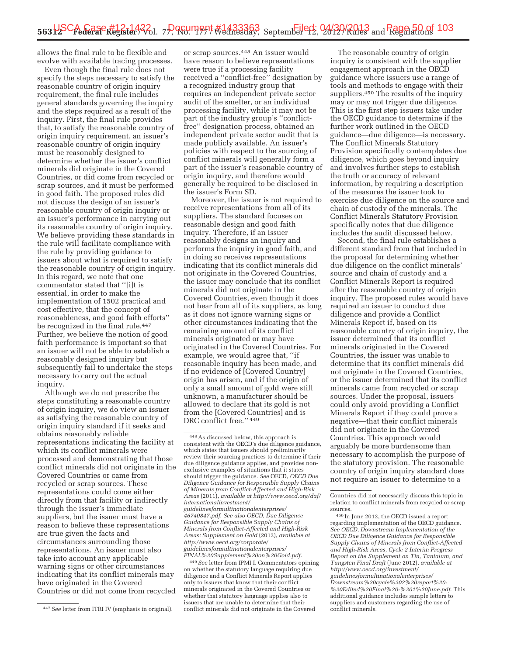allows the final rule to be flexible and evolve with available tracing processes.

Even though the final rule does not specify the steps necessary to satisfy the reasonable country of origin inquiry requirement, the final rule includes general standards governing the inquiry and the steps required as a result of the inquiry. First, the final rule provides that, to satisfy the reasonable country of origin inquiry requirement, an issuer's reasonable country of origin inquiry must be reasonably designed to determine whether the issuer's conflict minerals did originate in the Covered Countries, or did come from recycled or scrap sources, and it must be performed in good faith. The proposed rules did not discuss the design of an issuer's reasonable country of origin inquiry or an issuer's performance in carrying out its reasonable country of origin inquiry. We believe providing these standards in the rule will facilitate compliance with the rule by providing guidance to issuers about what is required to satisfy the reasonable country of origin inquiry. In this regard, we note that one commentator stated that ''[i]t is essential, in order to make the implementation of 1502 practical and cost effective, that the concept of reasonableness, and good faith efforts'' be recognized in the final rule.<sup>447</sup> Further, we believe the notion of good faith performance is important so that an issuer will not be able to establish a reasonably designed inquiry but subsequently fail to undertake the steps necessary to carry out the actual inquiry.

Although we do not prescribe the steps constituting a reasonable country of origin inquiry, we do view an issuer as satisfying the reasonable country of origin inquiry standard if it seeks and obtains reasonably reliable representations indicating the facility at which its conflict minerals were processed and demonstrating that those conflict minerals did not originate in the Covered Countries or came from recycled or scrap sources. These representations could come either directly from that facility or indirectly through the issuer's immediate suppliers, but the issuer must have a reason to believe these representations are true given the facts and circumstances surrounding those representations. An issuer must also take into account any applicable warning signs or other circumstances indicating that its conflict minerals may have originated in the Covered Countries or did not come from recycled

or scrap sources.448 An issuer would have reason to believe representations were true if a processing facility received a ''conflict-free'' designation by a recognized industry group that requires an independent private sector audit of the smelter, or an individual processing facility, while it may not be part of the industry group's ''conflictfree'' designation process, obtained an independent private sector audit that is made publicly available. An issuer's policies with respect to the sourcing of conflict minerals will generally form a part of the issuer's reasonable country of origin inquiry, and therefore would generally be required to be disclosed in the issuer's Form SD.

Moreover, the issuer is not required to receive representations from all of its suppliers. The standard focuses on reasonable design and good faith inquiry. Therefore, if an issuer reasonably designs an inquiry and performs the inquiry in good faith, and in doing so receives representations indicating that its conflict minerals did not originate in the Covered Countries, the issuer may conclude that its conflict minerals did not originate in the Covered Countries, even though it does not hear from all of its suppliers, as long as it does not ignore warning signs or other circumstances indicating that the remaining amount of its conflict minerals originated or may have originated in the Covered Countries. For example, we would agree that, ''if reasonable inquiry has been made, and if no evidence of [Covered Country] origin has arisen, and if the origin of only a small amount of gold were still unknown, a manufacturer should be allowed to declare that its gold is not from the [Covered Countries] and is DRC conflict free.'' 449

448As discussed below, this approach is consistent with the OECD's due diligence guidance, which states that issuers should preliminarily review their sourcing practices to determine if their due diligence guidance applies, and provides nonexclusive examples of situations that it states should trigger the guidance. *See* OECD, *OECD Due Diligence Guidance for Responsible Supply Chains of Minerals from Conflict-Affected and High-Risk Areas* (2011), *available at http://www.oecd.org/daf/ internationalinvestment/ guidelinesformultinationalenterprises/ 46740847.pdf*. *See also OECD, Due Diligence Guidance for Responsible Supply Chains of Minerals from Conflict-Affected and High-Risk Areas: Supplement on Gold* (2012), *available at http://www.oecd.org/corporate/ guidelinesformultinationalenterprises/ FINAL%20Supplement%20on%20Gold.pdf*.

449*See* letter from IPMI I. Commentators opining on whether the statutory language requiring due diligence and a Conflict Minerals Report applies only to issuers that know that their conflict minerals originated in the Covered Countries or whether that statutory language applies also to issuers that are unable to determine that their conflict minerals did not originate in the Covered

The reasonable country of origin inquiry is consistent with the supplier engagement approach in the OECD guidance where issuers use a range of tools and methods to engage with their suppliers.450 The results of the inquiry may or may not trigger due diligence. This is the first step issuers take under the OECD guidance to determine if the further work outlined in the OECD guidance—due diligence—is necessary. The Conflict Minerals Statutory Provision specifically contemplates due diligence, which goes beyond inquiry and involves further steps to establish the truth or accuracy of relevant information, by requiring a description of the measures the issuer took to exercise due diligence on the source and chain of custody of the minerals. The Conflict Minerals Statutory Provision specifically notes that due diligence includes the audit discussed below.

Second, the final rule establishes a different standard from that included in the proposal for determining whether due diligence on the conflict minerals' source and chain of custody and a Conflict Minerals Report is required after the reasonable country of origin inquiry. The proposed rules would have required an issuer to conduct due diligence and provide a Conflict Minerals Report if, based on its reasonable country of origin inquiry, the issuer determined that its conflict minerals originated in the Covered Countries, the issuer was unable to determine that its conflict minerals did not originate in the Covered Countries, or the issuer determined that its conflict minerals came from recycled or scrap sources. Under the proposal, issuers could only avoid providing a Conflict Minerals Report if they could prove a negative—that their conflict minerals did not originate in the Covered Countries. This approach would arguably be more burdensome than necessary to accomplish the purpose of the statutory provision. The reasonable country of origin inquiry standard does not require an issuer to determine to a

450 In June 2012, the OECD issued a report regarding implementation of the OECD guidance. *See OECD, Downstream Implementation of the OECD Due Diligence Guidance for Responsible Supply Chains of Minerals from Conflict-Affected and High-Risk Areas, Cycle 2 Interim Progress Report on the Supplement on Tin, Tantalum, and Tungsten Final Draft* (June 2012), *available at http://www.oecd.org/investment/ guidelinesformultinationalenterprises/ Downstream%20cycle%202%20report%20- %20Edited%20Final%20-%201%20June.pdf*. This additional guidance includes sample letters to suppliers and customers regarding the use of conflict minerals.

<sup>447</sup>*See* letter from ITRI IV (emphasis in original).

Countries did not necessarily discuss this topic in relation to conflict minerals from recycled or scrap sources.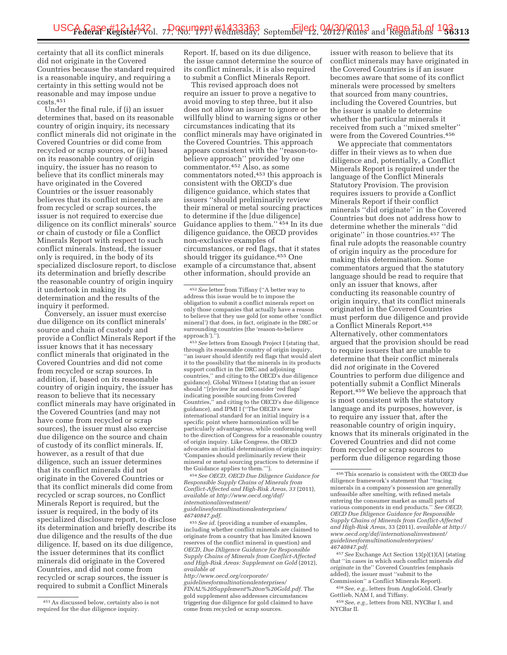certainty that all its conflict minerals did not originate in the Covered Countries because the standard required is a reasonable inquiry, and requiring a certainty in this setting would not be reasonable and may impose undue costs.451

Under the final rule, if (i) an issuer determines that, based on its reasonable country of origin inquiry, its necessary conflict minerals did not originate in the Covered Countries or did come from recycled or scrap sources, or (ii) based on its reasonable country of origin inquiry, the issuer has no reason to believe that its conflict minerals may have originated in the Covered Countries or the issuer reasonably believes that its conflict minerals are from recycled or scrap sources, the issuer is not required to exercise due diligence on its conflict minerals' source or chain of custody or file a Conflict Minerals Report with respect to such conflict minerals. Instead, the issuer only is required, in the body of its specialized disclosure report, to disclose its determination and briefly describe the reasonable country of origin inquiry it undertook in making its determination and the results of the inquiry it performed.

Conversely, an issuer must exercise due diligence on its conflict minerals' source and chain of custody and provide a Conflict Minerals Report if the issuer knows that it has necessary conflict minerals that originated in the Covered Countries and did not come from recycled or scrap sources. In addition, if, based on its reasonable country of origin inquiry, the issuer has reason to believe that its necessary conflict minerals may have originated in the Covered Countries (and may not have come from recycled or scrap sources), the issuer must also exercise due diligence on the source and chain of custody of its conflict minerals. If, however, as a result of that due diligence, such an issuer determines that its conflict minerals did not originate in the Covered Countries or that its conflict minerals did come from recycled or scrap sources, no Conflict Minerals Report is required, but the issuer is required, in the body of its specialized disclosure report, to disclose its determination and briefly describe its due diligence and the results of the due diligence. If, based on its due diligence, the issuer determines that its conflict minerals did originate in the Covered Countries, and did not come from recycled or scrap sources, the issuer is required to submit a Conflict Minerals

Report. If, based on its due diligence, the issue cannot determine the source of its conflict minerals, it is also required to submit a Conflict Minerals Report.

This revised approach does not require an issuer to prove a negative to avoid moving to step three, but it also does not allow an issuer to ignore or be willfully blind to warning signs or other circumstances indicating that its conflict minerals may have originated in the Covered Countries. This approach appears consistent with the ''reason-tobelieve approach'' provided by one commentator.452 Also, as some commentators noted,453 this approach is consistent with the OECD's due diligence guidance, which states that issuers ''should preliminarily review their mineral or metal sourcing practices to determine if the [due diligence] Guidance applies to them.'' 454 In its due diligence guidance, the OECD provides non-exclusive examples of circumstances, or red flags, that it states should trigger its guidance.455 One example of a circumstance that, absent other information, should provide an

453*See* letters from Enough Project I (stating that, through its reasonable country of origin inquiry, ''an issuer should identify red flags that would alert it to the possibility that the minerals in its products support conflict in the DRC and adjoining countries,'' and citing to the OECD's due diligence guidance), Global Witness I (stating that an issuer should ''[r]eview for and consider 'red flags' indicating possible sourcing from Covered Countries,'' and citing to the OECD's due diligence guidance), and IPMI I (''The OECD's new international standard for an initial inquiry is a specific point where harmonization will be particularly advantageous, while conforming well to the direction of Congress for a reasonable country of origin inquiry. Like Congress, the OECD advocates an initial determination of origin inquiry: 'Companies should preliminarily review their mineral or metal sourcing practices to determine if the Guidance applies to them.''').

454*See OECD, OECD Due Diligence Guidance for Responsible Supply Chains of Minerals from Conflict-Affected and High-Risk Areas, 33* (2011), *available at http://www.oecd.org/daf/ internationalinvestment/ guidelinesformultinationalenterprises/ 46740847.pdf*.

455*See id.* (providing a number of examples, including whether conflict minerals are claimed to originate from a country that has limited known reserves of the conflict mineral in question) and *OECD, Due Diligence Guidance for Responsible Supply Chains of Minerals from Conflict-Affected and High-Risk Areas: Supplement on Gold* (2012), *available at* 

*http://www.oecd.org/corporate/ guidelinesformultinationalenterprises/ FINAL%20Supplement%20on%20Gold.pdf*. The gold supplement also addresses circumstances triggering due diligence for gold claimed to have come from recycled or scrap sources.

issuer with reason to believe that its conflict minerals may have originated in the Covered Countries is if an issuer becomes aware that some of its conflict minerals were processed by smelters that sourced from many countries, including the Covered Countries, but the issuer is unable to determine whether the particular minerals it received from such a ''mixed smelter'' were from the Covered Countries.456

We appreciate that commentators differ in their views as to when due diligence and, potentially, a Conflict Minerals Report is required under the language of the Conflict Minerals Statutory Provision. The provision requires issuers to provide a Conflict Minerals Report if their conflict minerals ''did originate'' in the Covered Countries but does not address how to determine whether the minerals ''did originate'' in those countries.457 The final rule adopts the reasonable country of origin inquiry as the procedure for making this determination. Some commentators argued that the statutory language should be read to require that only an issuer that knows, after conducting its reasonable country of origin inquiry, that its conflict minerals originated in the Covered Countries must perform due diligence and provide a Conflict Minerals Report.458 Alternatively, other commentators argued that the provision should be read to require issuers that are unable to determine that their conflict minerals did *not* originate in the Covered Countries to perform due diligence and potentially submit a Conflict Minerals Report.459 We believe the approach that is most consistent with the statutory language and its purposes, however, is to require any issuer that, after the reasonable country of origin inquiry, knows that its minerals originated in the Covered Countries and did not come from recycled or scrap sources to perform due diligence regarding those

457*See* Exchange Act Section 13(p)(1)(A) (stating that ''in cases in which such conflict minerals *did originate* in the'' Covered Countries (emphasis added), the issuer must ''submit to the Commission'' a Conflict Minerals Report).

458*See, e.g.,* letters from AngloGold, Clearly Gottlieb, NAM I, and Tiffany.

459*See, e.g.,* letters from NEI, NYCBar I, and NYCBar II.

<sup>451</sup>As discussed below, certainty also is not required for the due diligence inquiry.

<sup>452</sup>*See* letter from Tiffany (''A better way to address this issue would be to impose the obligation to submit a conflict minerals report on only those companies that actually have a reason to believe that they use gold (or some other 'conflict mineral') that does, in fact, originate in the DRC or surrounding countries (the 'reason-to-believe approach').'').

<sup>456</sup>This scenario is consistent with the OECD due diligence framework's statement that ''tracing minerals in a company's possession are generally unfeasible after smelting, with refined metals entering the consumer market as small parts of various components in end products.'' *See OECD, OECD Due Diligence Guidance for Responsible Supply Chains of Minerals from Conflict-Affected and High-Risk Areas,* 33 (2011), *available at http:// www.oecd.org/daf/internationalinvestment/ guidelinesformultinationalenterprises/ 46740847.pdf*.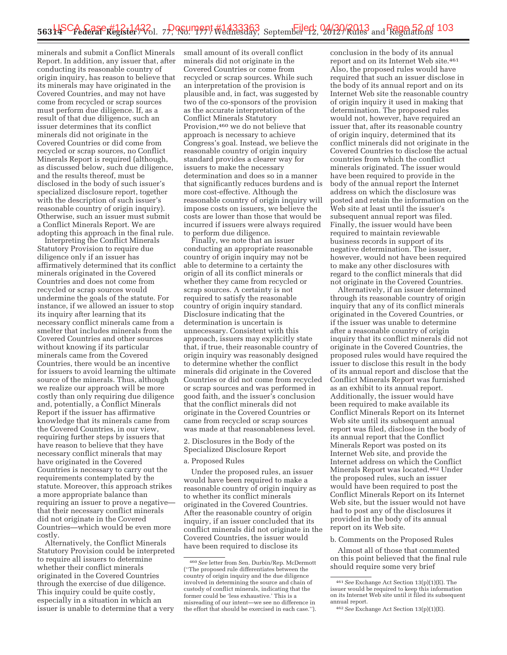minerals and submit a Conflict Minerals Report. In addition, any issuer that, after conducting its reasonable country of origin inquiry, has reason to believe that its minerals may have originated in the Covered Countries, and may not have come from recycled or scrap sources must perform due diligence. If, as a result of that due diligence, such an issuer determines that its conflict minerals did not originate in the Covered Countries or did come from recycled or scrap sources, no Conflict Minerals Report is required (although, as discussed below, such due diligence, and the results thereof, must be disclosed in the body of such issuer's specialized disclosure report, together with the description of such issuer's reasonable country of origin inquiry). Otherwise, such an issuer must submit a Conflict Minerals Report. We are adopting this approach in the final rule.

Interpreting the Conflict Minerals Statutory Provision to require due diligence only if an issuer has affirmatively determined that its conflict minerals originated in the Covered Countries and does not come from recycled or scrap sources would undermine the goals of the statute. For instance, if we allowed an issuer to stop its inquiry after learning that its necessary conflict minerals came from a smelter that includes minerals from the Covered Countries and other sources without knowing if its particular minerals came from the Covered Countries, there would be an incentive for issuers to avoid learning the ultimate source of the minerals. Thus, although we realize our approach will be more costly than only requiring due diligence and, potentially, a Conflict Minerals Report if the issuer has affirmative knowledge that its minerals came from the Covered Countries, in our view, requiring further steps by issuers that have reason to believe that they have necessary conflict minerals that may have originated in the Covered Countries is necessary to carry out the requirements contemplated by the statute. Moreover, this approach strikes a more appropriate balance than requiring an issuer to prove a negative that their necessary conflict minerals did not originate in the Covered Countries—which would be even more costly.

Alternatively, the Conflict Minerals Statutory Provision could be interpreted to require all issuers to determine whether their conflict minerals originated in the Covered Countries through the exercise of due diligence. This inquiry could be quite costly, especially in a situation in which an issuer is unable to determine that a very

small amount of its overall conflict minerals did not originate in the Covered Countries or come from recycled or scrap sources. While such an interpretation of the provision is plausible and, in fact, was suggested by two of the co-sponsors of the provision as the accurate interpretation of the Conflict Minerals Statutory Provision,460 we do not believe that approach is necessary to achieve Congress's goal. Instead, we believe the reasonable country of origin inquiry standard provides a clearer way for issuers to make the necessary determination and does so in a manner that significantly reduces burdens and is more cost-effective. Although the reasonable country of origin inquiry will impose costs on issuers, we believe the costs are lower than those that would be incurred if issuers were always required to perform due diligence.

Finally, we note that an issuer conducting an appropriate reasonable country of origin inquiry may not be able to determine to a certainty the origin of all its conflict minerals or whether they came from recycled or scrap sources. A certainty is not required to satisfy the reasonable country of origin inquiry standard. Disclosure indicating that the determination is uncertain is unnecessary. Consistent with this approach, issuers may explicitly state that, if true, their reasonable country of origin inquiry was reasonably designed to determine whether the conflict minerals did originate in the Covered Countries or did not come from recycled or scrap sources and was performed in good faith, and the issuer's conclusion that the conflict minerals did not originate in the Covered Countries or came from recycled or scrap sources was made at that reasonableness level.

2. Disclosures in the Body of the

Specialized Disclosure Report

# a. Proposed Rules

Under the proposed rules, an issuer would have been required to make a reasonable country of origin inquiry as to whether its conflict minerals originated in the Covered Countries. After the reasonable country of origin inquiry, if an issuer concluded that its conflict minerals did not originate in the Covered Countries, the issuer would have been required to disclose its

conclusion in the body of its annual report and on its Internet Web site.461 Also, the proposed rules would have required that such an issuer disclose in the body of its annual report and on its Internet Web site the reasonable country of origin inquiry it used in making that determination. The proposed rules would not, however, have required an issuer that, after its reasonable country of origin inquiry, determined that its conflict minerals did not originate in the Covered Countries to disclose the actual countries from which the conflict minerals originated. The issuer would have been required to provide in the body of the annual report the Internet address on which the disclosure was posted and retain the information on the Web site at least until the issuer's subsequent annual report was filed. Finally, the issuer would have been required to maintain reviewable business records in support of its negative determination. The issuer, however, would not have been required to make any other disclosures with regard to the conflict minerals that did not originate in the Covered Countries.

Alternatively, if an issuer determined through its reasonable country of origin inquiry that any of its conflict minerals originated in the Covered Countries, or if the issuer was unable to determine after a reasonable country of origin inquiry that its conflict minerals did not originate in the Covered Countries, the proposed rules would have required the issuer to disclose this result in the body of its annual report and disclose that the Conflict Minerals Report was furnished as an exhibit to its annual report. Additionally, the issuer would have been required to make available its Conflict Minerals Report on its Internet Web site until its subsequent annual report was filed, disclose in the body of its annual report that the Conflict Minerals Report was posted on its Internet Web site, and provide the Internet address on which the Conflict Minerals Report was located.462 Under the proposed rules, such an issuer would have been required to post the Conflict Minerals Report on its Internet Web site, but the issuer would not have had to post any of the disclosures it provided in the body of its annual report on its Web site.

#### b. Comments on the Proposed Rules

Almost all of those that commented on this point believed that the final rule should require some very brief

<sup>460</sup>*See* letter from Sen. Durbin/Rep. McDermott (''The proposed rule differentiates between the country of origin inquiry and the due diligence involved in determining the source and chain of custody of conflict minerals, indicating that the former could be 'less exhaustive.' This is a misreading of our intent—we see no difference in the effort that should be exercised in each case.'').

<sup>461</sup>*See* Exchange Act Section 13(p)(1)(E). The issuer would be required to keep this information on its Internet Web site until it filed its subsequent

<sup>462</sup> See Exchange Act Section 13(p)(1)(E).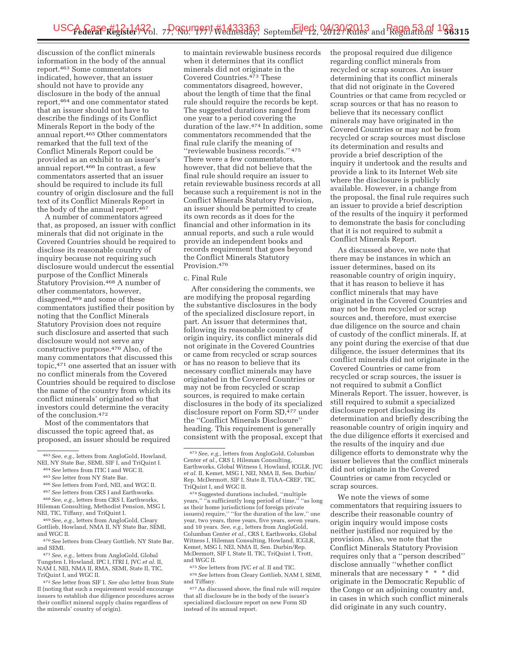discussion of the conflict minerals information in the body of the annual report.463 Some commentators indicated, however, that an issuer should not have to provide any disclosure in the body of the annual report,464 and one commentator stated that an issuer should not have to describe the findings of its Conflict Minerals Report in the body of the annual report.465 Other commentators remarked that the full text of the Conflict Minerals Report could be provided as an exhibit to an issuer's annual report.466 In contrast, a few commentators asserted that an issuer should be required to include its full country of origin disclosure and the full text of its Conflict Minerals Report in the body of the annual report.<sup>467</sup>

A number of commentators agreed that, as proposed, an issuer with conflict minerals that did not originate in the Covered Countries should be required to disclose its reasonable country of inquiry because not requiring such disclosure would undercut the essential purpose of the Conflict Minerals Statutory Provision.468 A number of other commentators, however, disagreed,469 and some of these commentators justified their position by noting that the Conflict Minerals Statutory Provision does not require such disclosure and asserted that such disclosure would not serve any constructive purpose.470 Also, of the many commentators that discussed this topic,471 one asserted that an issuer with no conflict minerals from the Covered Countries should be required to disclose the name of the country from which its conflict minerals' originated so that investors could determine the veracity of the conclusion.472

Most of the commentators that discussed the topic agreed that, as proposed, an issuer should be required

to maintain reviewable business records when it determines that its conflict minerals did not originate in the Covered Countries.473 These commentators disagreed, however, about the length of time that the final rule should require the records be kept. The suggested durations ranged from one year to a period covering the duration of the law.474 In addition, some commentators recommended that the final rule clarify the meaning of ''reviewable business records.'' 475 There were a few commentators, however, that did not believe that the final rule should require an issuer to retain reviewable business records at all because such a requirement is not in the Conflict Minerals Statutory Provision, an issuer should be permitted to create its own records as it does for the financial and other information in its annual reports, and such a rule would provide an independent books and records requirement that goes beyond the Conflict Minerals Statutory Provision.476

#### c. Final Rule

After considering the comments, we are modifying the proposal regarding the substantive disclosures in the body of the specialized disclosure report, in part. An issuer that determines that, following its reasonable country of origin inquiry, its conflict minerals did not originate in the Covered Countries or came from recycled or scrap sources or has no reason to believe that its necessary conflict minerals may have originated in the Covered Countries or may not be from recycled or scrap sources, is required to make certain disclosures in the body of its specialized disclosure report on Form SD,477 under the ''Conflict Minerals Disclosure'' heading. This requirement is generally consistent with the proposal, except that

475*See* letters from JVC *et al.* II and TIC. 476*See* letters from Cleary Gottlieb, NAM I, SEMI, and Tiffany.

the proposal required due diligence regarding conflict minerals from recycled or scrap sources. An issuer determining that its conflict minerals that did not originate in the Covered Countries or that came from recycled or scrap sources or that has no reason to believe that its necessary conflict minerals may have originated in the Covered Countries or may not be from recycled or scrap sources must disclose its determination and results and provide a brief description of the inquiry it undertook and the results and provide a link to its Internet Web site where the disclosure is publicly available. However, in a change from the proposal, the final rule requires such an issuer to provide a brief description of the results of the inquiry it performed to demonstrate the basis for concluding that it is not required to submit a Conflict Minerals Report.

As discussed above, we note that there may be instances in which an issuer determines, based on its reasonable country of origin inquiry, that it has reason to believe it has conflict minerals that may have originated in the Covered Countries and may not be from recycled or scrap sources and, therefore, must exercise due diligence on the source and chain of custody of the conflict minerals. If, at any point during the exercise of that due diligence, the issuer determines that its conflict minerals did not originate in the Covered Countries or came from recycled or scrap sources, the issuer is not required to submit a Conflict Minerals Report. The issuer, however, is still required to submit a specialized disclosure report disclosing its determination and briefly describing the reasonable country of origin inquiry and the due diligence efforts it exercised and the results of the inquiry and due diligence efforts to demonstrate why the issuer believes that the conflict minerals did not originate in the Covered Countries or came from recycled or scrap sources.

We note the views of some commentators that requiring issuers to describe their reasonable country of origin inquiry would impose costs neither justified nor required by the provision. Also, we note that the Conflict Minerals Statutory Provision requires only that a ''person described'' disclose annually ''whether conflict minerals that are necessary \* \* \* did originate in the Democratic Republic of the Congo or an adjoining country and, in cases in which such conflict minerals did originate in any such country,

<sup>463</sup>*See, e.g.,* letters from AngloGold, Howland, NEI, NY State Bar, SEMI, SIF I, and TriQuint I.

<sup>464</sup>*See* letters from ITIC I and WGC II.

<sup>465</sup>*See* letter from NY State Bar.

<sup>466</sup>*See* letters from Ford, NEI, and WGC II.

<sup>467</sup>*See* letters from CRS I and Earthworks.

<sup>468</sup>*See, e.g.,* letters from CRS I, Earthworks, Hileman Consulting, Methodist Pension, MSG I, NEI, TIC, Tiffany, and TriQuint I.

<sup>469</sup>*See, e.g.,* letters from AngloGold, Cleary Gottlieb, Howland, NMA II, NY State Bar, SEMI, and WGC II.

<sup>470</sup>*See* letters from Cleary Gottlieb, NY State Bar, and SEMI.

<sup>471</sup>*See, e.g.,* letters from AngloGold, Global Tungsten I, Howland, IPC I, ITRI I, JVC *et al.* II, NAM I, NEI, NMA II, RMA, SEMI, State II, TIC, TriQuint I, and WGC II.

<sup>472</sup>*See* letter from SIF I. *See also* letter from State II (noting that such a requirement would encourage issuers to establish due diligence procedures across their conflict mineral supply chains regardless of the minerals' country of origin).

<sup>473</sup>*See, e.g.,* letters from AngloGold, Columban Center et al., CRS I, Hileman Consulting, Earthworks, Global Witness I, Howland, ICGLR, JVC *et al.* II, Kemet, MSG I, NEI, NMA II, Sen. Durbin/ Rep. McDermott, SIF I, State II, TIAA–CREF, TIC, TriQuint I, and WGC II.

<sup>&</sup>lt;sup>474</sup> Suggested durations included, "multiple<br>ars," "a sufficiently long period of time," "as long years," "a sufficiently long period of time," as their home jurisdictions (of foreign private issuers) require,'' ''for the duration of the law,'' one year, two years, three years, five years, seven years, and 10 years. *See, e.g.,* letters from AngloGold, Columban Center *et al.,* CRS I, Earthworks, Global Witness I, Hileman Consulting, Howland, ICGLR, Kemet, MSG I, NEI, NMA II, Sen. Durbin/Rep. McDermott, SIF I, State II, TIC, TriQuint I, Trott, and WGC II.

<sup>477</sup>As discussed above, the final rule will require that all disclosure be in the body of the issuer's specialized disclosure report on new Form SD instead of its annual report.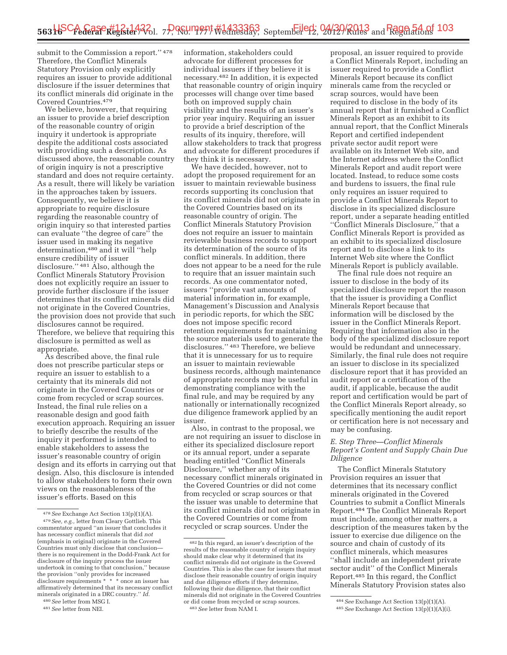submit to the Commission a report."<sup>478</sup> Therefore, the Conflict Minerals Statutory Provision only explicitly requires an issuer to provide additional disclosure if the issuer determines that its conflict minerals did originate in the Covered Countries.479

We believe, however, that requiring an issuer to provide a brief description of the reasonable country of origin inquiry it undertook is appropriate despite the additional costs associated with providing such a description. As discussed above, the reasonable country of origin inquiry is not a prescriptive standard and does not require certainty. As a result, there will likely be variation in the approaches taken by issuers. Consequently, we believe it is appropriate to require disclosure regarding the reasonable country of origin inquiry so that interested parties can evaluate ''the degree of care'' the issuer used in making its negative determination,480 and it will ''help ensure credibility of issuer disclosure.'' 481 Also, although the Conflict Minerals Statutory Provision does not explicitly require an issuer to provide further disclosure if the issuer determines that its conflict minerals did not originate in the Covered Countries, the provision does not provide that such disclosures cannot be required. Therefore, we believe that requiring this disclosure is permitted as well as appropriate.

As described above, the final rule does not prescribe particular steps or require an issuer to establish to a certainty that its minerals did not originate in the Covered Countries or come from recycled or scrap sources. Instead, the final rule relies on a reasonable design and good faith execution approach. Requiring an issuer to briefly describe the results of the inquiry it performed is intended to enable stakeholders to assess the issuer's reasonable country of origin design and its efforts in carrying out that design. Also, this disclosure is intended to allow stakeholders to form their own views on the reasonableness of the issuer's efforts. Based on this

480*See* letter from MSG I.

information, stakeholders could advocate for different processes for individual issuers if they believe it is necessary.482 In addition, it is expected that reasonable country of origin inquiry processes will change over time based both on improved supply chain visibility and the results of an issuer's prior year inquiry. Requiring an issuer to provide a brief description of the results of its inquiry, therefore, will allow stakeholders to track that progress and advocate for different procedures if they think it is necessary.

We have decided, however, not to adopt the proposed requirement for an issuer to maintain reviewable business records supporting its conclusion that its conflict minerals did not originate in the Covered Countries based on its reasonable country of origin. The Conflict Minerals Statutory Provision does not require an issuer to maintain reviewable business records to support its determination of the source of its conflict minerals. In addition, there does not appear to be a need for the rule to require that an issuer maintain such records. As one commentator noted, issuers ''provide vast amounts of material information in, for example, Management's Discussion and Analysis in periodic reports, for which the SEC does not impose specific record retention requirements for maintaining the source materials used to generate the disclosures.'' 483 Therefore, we believe that it is unnecessary for us to require an issuer to maintain reviewable business records, although maintenance of appropriate records may be useful in demonstrating compliance with the final rule, and may be required by any nationally or internationally recognized due diligence framework applied by an issuer.

Also, in contrast to the proposal, we are not requiring an issuer to disclose in either its specialized disclosure report or its annual report, under a separate heading entitled ''Conflict Minerals Disclosure,'' whether any of its necessary conflict minerals originated in the Covered Countries or did not come from recycled or scrap sources or that the issuer was unable to determine that its conflict minerals did not originate in the Covered Countries or come from recycled or scrap sources. Under the

proposal, an issuer required to provide a Conflict Minerals Report, including an issuer required to provide a Conflict Minerals Report because its conflict minerals came from the recycled or scrap sources, would have been required to disclose in the body of its annual report that it furnished a Conflict Minerals Report as an exhibit to its annual report, that the Conflict Minerals Report and certified independent private sector audit report were available on its Internet Web site, and the Internet address where the Conflict Minerals Report and audit report were located. Instead, to reduce some costs and burdens to issuers, the final rule only requires an issuer required to provide a Conflict Minerals Report to disclose in its specialized disclosure report, under a separate heading entitled ''Conflict Minerals Disclosure,'' that a Conflict Minerals Report is provided as an exhibit to its specialized disclosure report and to disclose a link to its Internet Web site where the Conflict Minerals Report is publicly available.

The final rule does not require an issuer to disclose in the body of its specialized disclosure report the reason that the issuer is providing a Conflict Minerals Report because that information will be disclosed by the issuer in the Conflict Minerals Report. Requiring that information also in the body of the specialized disclosure report would be redundant and unnecessary. Similarly, the final rule does not require an issuer to disclose in its specialized disclosure report that it has provided an audit report or a certification of the audit, if applicable, because the audit report and certification would be part of the Conflict Minerals Report already, so specifically mentioning the audit report or certification here is not necessary and may be confusing.

# *E. Step Three—Conflict Minerals Report's Content and Supply Chain Due Diligence*

The Conflict Minerals Statutory Provision requires an issuer that determines that its necessary conflict minerals originated in the Covered Countries to submit a Conflict Minerals Report.484 The Conflict Minerals Report must include, among other matters, a description of the measures taken by the issuer to exercise due diligence on the source and chain of custody of its conflict minerals, which measures ''shall include an independent private sector audit'' of the Conflict Minerals Report.485 In this regard, the Conflict Minerals Statutory Provision states also

<sup>478</sup>*See* Exchange Act Section 13(p)(1)(A). 479*See, e.g.,* letter from Cleary Gottlieb. This commentator argued ''an issuer that concludes it has necessary conflict minerals that did *not*  (emphasis in original) originate in the Covered Countries must only disclose that conclusion there is no requirement in the Dodd-Frank Act for disclosure of the inquiry process the issuer undertook in coming to that conclusion,'' because the provision ''only provides for increased disclosure requirements \* \* \* once an issuer has affirmatively determined that its necessary conflict minerals originated in a DRC country.'' *Id.* 

<sup>481</sup>*See* letter from NEI.

<sup>482</sup> In this regard, an issuer's description of the results of the reasonable country of origin inquiry should make clear why it determined that its conflict minerals did not originate in the Covered Countries. This is also the case for issuers that must disclose their reasonable country of origin inquiry and due diligence efforts if they determine, following their due diligence, that their conflict minerals did not originate in the Covered Countries or did come from recycled or scrap sources. 483*See* letter from NAM I.

<sup>484</sup>*See* Exchange Act Section 13(p)(1)(A).

<sup>485</sup>*See* Exchange Act Section 13(p)(1)(A)(i).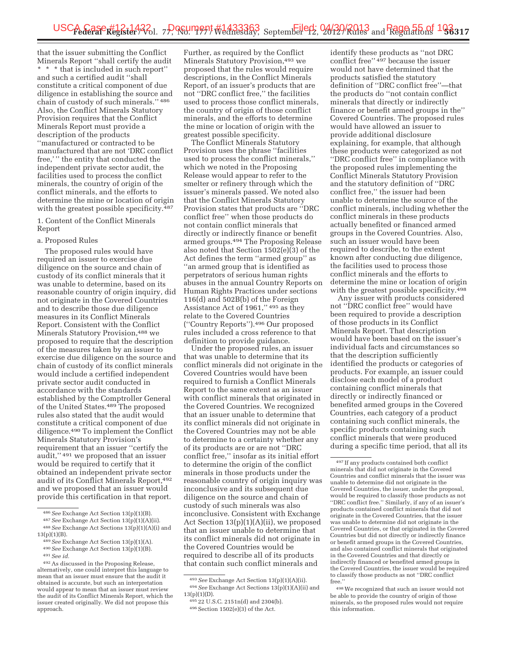that the issuer submitting the Conflict Minerals Report ''shall certify the audit \* \* \* that is included in such report'' and such a certified audit ''shall constitute a critical component of due diligence in establishing the source and chain of custody of such minerals.'' 486 Also, the Conflict Minerals Statutory Provision requires that the Conflict Minerals Report must provide a description of the products ''manufactured or contracted to be manufactured that are not 'DRC conflict free,' '' the entity that conducted the independent private sector audit, the facilities used to process the conflict minerals, the country of origin of the conflict minerals, and the efforts to determine the mine or location of origin with the greatest possible specificity.<sup>487</sup>

1. Content of the Conflict Minerals Report

# a. Proposed Rules

The proposed rules would have required an issuer to exercise due diligence on the source and chain of custody of its conflict minerals that it was unable to determine, based on its reasonable country of origin inquiry, did not originate in the Covered Countries and to describe those due diligence measures in its Conflict Minerals Report. Consistent with the Conflict Minerals Statutory Provision,488 we proposed to require that the description of the measures taken by an issuer to exercise due diligence on the source and chain of custody of its conflict minerals would include a certified independent private sector audit conducted in accordance with the standards established by the Comptroller General of the United States.489 The proposed rules also stated that the audit would constitute a critical component of due diligence.490 To implement the Conflict Minerals Statutory Provision's requirement that an issuer ''certify the audit,'' 491 we proposed that an issuer would be required to certify that it obtained an independent private sector audit of its Conflict Minerals Report,492 and we proposed that an issuer would provide this certification in that report.

Further, as required by the Conflict Minerals Statutory Provision,493 we proposed that the rules would require descriptions, in the Conflict Minerals Report, of an issuer's products that are not ''DRC conflict free,'' the facilities used to process those conflict minerals, the country of origin of those conflict minerals, and the efforts to determine the mine or location of origin with the greatest possible specificity.

The Conflict Minerals Statutory Provision uses the phrase ''facilities used to process the conflict minerals,'' which we noted in the Proposing Release would appear to refer to the smelter or refinery through which the issuer's minerals passed. We noted also that the Conflict Minerals Statutory Provision states that products are ''DRC conflict free'' when those products do not contain conflict minerals that directly or indirectly finance or benefit armed groups.494 The Proposing Release also noted that Section 1502(e)(3) of the Act defines the term ''armed group'' as ''an armed group that is identified as perpetrators of serious human rights abuses in the annual Country Reports on Human Rights Practices under sections 116(d) and 502B(b) of the Foreign Assistance Act of 1961,'' 495 as they relate to the Covered Countries (''Country Reports'').496 Our proposed rules included a cross reference to that definition to provide guidance.

Under the proposed rules, an issuer that was unable to determine that its conflict minerals did not originate in the Covered Countries would have been required to furnish a Conflict Minerals Report to the same extent as an issuer with conflict minerals that originated in the Covered Countries. We recognized that an issuer unable to determine that its conflict minerals did not originate in the Covered Countries may not be able to determine to a certainty whether any of its products are or are not ''DRC conflict free,'' insofar as its initial effort to determine the origin of the conflict minerals in those products under the reasonable country of origin inquiry was inconclusive and its subsequent due diligence on the source and chain of custody of such minerals was also inconclusive. Consistent with Exchange Act Section 13(p)(1)(A)(ii), we proposed that an issuer unable to determine that its conflict minerals did not originate in the Covered Countries would be required to describe all of its products that contain such conflict minerals and

496Section 1502(e)(3) of the Act.

identify these products as ''not DRC conflict free'' 497 because the issuer would not have determined that the products satisfied the statutory definition of ''DRC conflict free''—that the products do ''not contain conflict minerals that directly or indirectly finance or benefit armed groups in the'' Covered Countries. The proposed rules would have allowed an issuer to provide additional disclosure explaining, for example, that although these products were categorized as not ''DRC conflict free'' in compliance with the proposed rules implementing the Conflict Minerals Statutory Provision and the statutory definition of ''DRC conflict free,'' the issuer had been unable to determine the source of the conflict minerals, including whether the conflict minerals in these products actually benefited or financed armed groups in the Covered Countries. Also, such an issuer would have been required to describe, to the extent known after conducting due diligence, the facilities used to process those conflict minerals and the efforts to determine the mine or location of origin with the greatest possible specificity.<sup>498</sup>

Any issuer with products considered not ''DRC conflict free'' would have been required to provide a description of those products in its Conflict Minerals Report. That description would have been based on the issuer's individual facts and circumstances so that the description sufficiently identified the products or categories of products. For example, an issuer could disclose each model of a product containing conflict minerals that directly or indirectly financed or benefited armed groups in the Covered Countries, each category of a product containing such conflict minerals, the specific products containing such conflict minerals that were produced during a specific time period, that all its

<sup>486</sup>*See* Exchange Act Section 13(p)(1)(B). 487*See* Exchange Act Section 13(p)(1)(A)(ii). 488*See* Exchange Act Sections 13(p)(1)(A)(i) and

<sup>13(</sup>p)(1)(B). 489*See* Exchange Act Section 13(p)(1)(A). 490*See* Exchange Act Section 13(p)(1)(B). 491*See id.* 

<sup>492</sup>As discussed in the Proposing Release, alternatively, one could interpret this language to mean that an issuer must ensure that the audit it obtained is accurate, but such an interpretation would appear to mean that an issuer must review the audit of its Conflict Minerals Report, which the issuer created originally. We did not propose this approach.

<sup>493</sup>*See* Exchange Act Section 13(p)(1)(A)(ii). 494*See* Exchange Act Sections 13(p)(1)(A)(ii) and  $13(p)(1)(D)$ .

<sup>495</sup> 22 U.S.C. 2151n(d) and 2304(b).

<sup>497</sup> If any products contained both conflict minerals that did not originate in the Covered Countries and conflict minerals that the issuer was unable to determine did not originate in the Covered Countries, the issuer, under the proposal, would be required to classify those products as not ''DRC conflict free.'' Similarly, if any of an issuer's products contained conflict minerals that did not originate in the Covered Countries, that the issuer was unable to determine did not originate in the Covered Countries, or that originated in the Covered Countries but did not directly or indirectly finance or benefit armed groups in the Covered Countries, and also contained conflict minerals that originated in the Covered Countries and that directly or indirectly financed or benefited armed groups in the Covered Countries, the issuer would be required to classify those products as not ''DRC conflict free.''

<sup>498</sup>We recognized that such an issuer would not be able to provide the country of origin of those minerals, so the proposed rules would not require this information.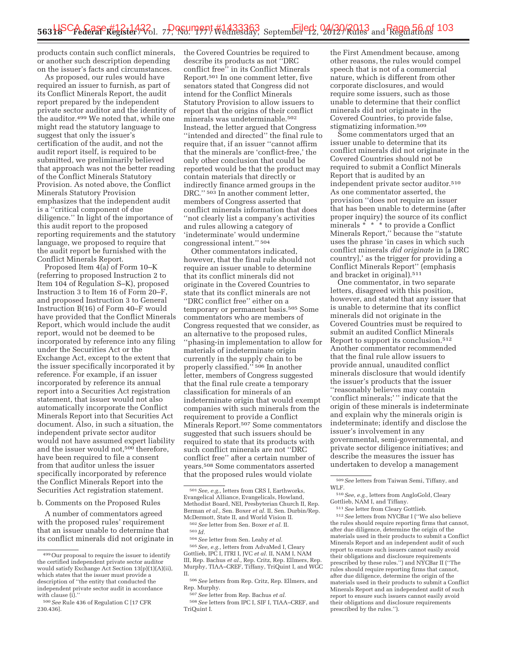products contain such conflict minerals, or another such description depending on the issuer's facts and circumstances.

As proposed, our rules would have required an issuer to furnish, as part of its Conflict Minerals Report, the audit report prepared by the independent private sector auditor and the identity of the auditor.499 We noted that, while one might read the statutory language to suggest that only the issuer's certification of the audit, and not the audit report itself, is required to be submitted, we preliminarily believed that approach was not the better reading of the Conflict Minerals Statutory Provision. As noted above, the Conflict Minerals Statutory Provision emphasizes that the independent audit is a ''critical component of due diligence.'' In light of the importance of this audit report to the proposed reporting requirements and the statutory language, we proposed to require that the audit report be furnished with the Conflict Minerals Report.

Proposed Item 4(a) of Form 10–K (referring to proposed Instruction 2 to Item 104 of Regulation S–K), proposed Instruction 3 to Item 16 of Form 20–F, and proposed Instruction 3 to General Instruction B(16) of Form 40–F would have provided that the Conflict Minerals Report, which would include the audit report, would not be deemed to be incorporated by reference into any filing under the Securities Act or the Exchange Act, except to the extent that the issuer specifically incorporated it by reference. For example, if an issuer incorporated by reference its annual report into a Securities Act registration statement, that issuer would not also automatically incorporate the Conflict Minerals Report into that Securities Act document. Also, in such a situation, the independent private sector auditor would not have assumed expert liability and the issuer would not,500 therefore, have been required to file a consent from that auditor unless the issuer specifically incorporated by reference the Conflict Minerals Report into the Securities Act registration statement.

b. Comments on the Proposed Rules

A number of commentators agreed with the proposed rules' requirement that an issuer unable to determine that its conflict minerals did not originate in

the Covered Countries be required to describe its products as not ''DRC conflict free'' in its Conflict Minerals Report.501 In one comment letter, five senators stated that Congress did not intend for the Conflict Minerals Statutory Provision to allow issuers to report that the origins of their conflict minerals was undeterminable.502 Instead, the letter argued that Congress ''intended and directed'' the final rule to require that, if an issuer ''cannot affirm that the minerals are 'conflict-free,' the only other conclusion that could be reported would be that the product may contain materials that directly or indirectly finance armed groups in the DRC.'' 503 In another comment letter, members of Congress asserted that conflict minerals information that does ''not clearly list a company's activities and rules allowing a category of 'indeterminate' would undermine congressional intent.'' 504

Other commentators indicated, however, that the final rule should not require an issuer unable to determine that its conflict minerals did not originate in the Covered Countries to state that its conflict minerals are not ''DRC conflict free'' either on a temporary or permanent basis.505 Some commentators who are members of Congress requested that we consider, as an alternative to the proposed rules, ''phasing-in implementation to allow for materials of indeterminate origin currently in the supply chain to be properly classified."<sup>506</sup> In another letter, members of Congress suggested that the final rule create a temporary classification for minerals of an indeterminate origin that would exempt companies with such minerals from the requirement to provide a Conflict Minerals Report.507 Some commentators suggested that such issuers should be required to state that its products with such conflict minerals are not ''DRC conflict free'' after a certain number of years.508 Some commentators asserted that the proposed rules would violate

501*See, e.g.,* letters from CRS I, Earthworks, Evangelical Alliance, Evangelicals, Howland, Methodist Board, NEI, Presbyterian Church II, Rep. Berman *et al.,* Sen. Boxer *et al.* II, Sen. Durbin/Rep. McDermott, State II, and World Vision II.

502*See* letter from Sen. Boxer *et al.* II. 503 *Id.* 

504*See* letter from Sen. Leahy *et al.* 

505*See, e.g.,* letters from AdvaMed I, Cleary Gottlieb, IPC I, ITRI I, JVC *et al.* II, NAM I, NAM III, Rep. Bachus *et al.,* Rep. Critz, Rep. Ellmers, Rep. Murphy, TIAA–CREF, Tiffany, TriQuint I, and WGC II.

506*See* letters from Rep. Critz, Rep. Ellmers, and Rep. Murphy.

the First Amendment because, among other reasons, the rules would compel speech that is not of a commercial nature, which is different from other corporate disclosures, and would require some issuers, such as those unable to determine that their conflict minerals did not originate in the Covered Countries, to provide false, stigmatizing information.509

Some commentators urged that an issuer unable to determine that its conflict minerals did not originate in the Covered Countries should not be required to submit a Conflict Minerals Report that is audited by an independent private sector auditor.510 As one commentator asserted, the provision ''does not require an issuer that has been unable to determine (after proper inquiry) the source of its conflict minerals \* \* \* to provide a Conflict Minerals Report,'' because the ''statute uses the phrase 'in cases in which such conflict minerals *did originate* in [a DRC country],' as the trigger for providing a Conflict Minerals Report'' (emphasis and bracket in original).511

One commentator, in two separate letters, disagreed with this position, however, and stated that any issuer that is unable to determine that its conflict minerals did not originate in the Covered Countries must be required to submit an audited Conflict Minerals Report to support its conclusion.512 Another commentator recommended that the final rule allow issuers to provide annual, unaudited conflict minerals disclosure that would identify the issuer's products that the issuer ''reasonably believes may contain 'conflict minerals;' '' indicate that the origin of these minerals is indeterminate and explain why the minerals origin is indeterminate; identify and disclose the issuer's involvement in any governmental, semi-governmental, and private sector diligence initiatives; and describe the measures the issuer has undertaken to develop a management

512*See* letters from NYCBar I (''We also believe the rules should require reporting firms that cannot, after due diligence, determine the origin of the materials used in their products to submit a Conflict Minerals Report and an independent audit of such report to ensure such issuers cannot easily avoid their obligations and disclosure requirements prescribed by these rules.'') and NYCBar II (''The rules should require reporting firms that cannot, after due diligence, determine the origin of the materials used in their products to submit a Conflict Minerals Report and an independent audit of such report to ensure such issuers cannot easily avoid their obligations and disclosure requirements prescribed by the rules.'').

<sup>499</sup>Our proposal to require the issuer to identify the certified independent private sector auditor would satisfy Exchange Act Section 13(p)(1)(A)(ii), which states that the issuer must provide a description of ''the entity that conducted the independent private sector audit in accordance with clause (i).'

<sup>500</sup>*See* Rule 436 of Regulation C [17 CFR 230.436].

<sup>507</sup>*See* letter from Rep. Bachus *et al.* 

<sup>508</sup>*See* letters from IPC I, SIF I, TIAA–CREF, and TriQuint I.

<sup>509</sup>*See* letters from Taiwan Semi, Tiffany, and WLF.

<sup>510</sup>*See, e.g.,* letters from AngloGold, Cleary Gottlieb, NAM I, and Tiffany.

<sup>511</sup>*See* letter from Cleary Gottlieb.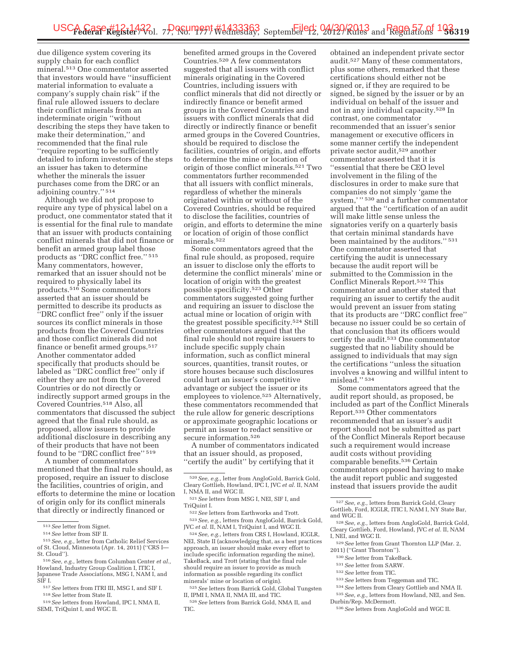due diligence system covering its supply chain for each conflict mineral.513 One commentator asserted that investors would have ''insufficient material information to evaluate a company's supply chain risk'' if the final rule allowed issuers to declare their conflict minerals from an indeterminate origin ''without describing the steps they have taken to make their determination,'' and recommended that the final rule ''require reporting to be sufficiently detailed to inform investors of the steps an issuer has taken to determine whether the minerals the issuer purchases come from the DRC or an adjoining country.'' 514

Although we did not propose to require any type of physical label on a product, one commentator stated that it is essential for the final rule to mandate that an issuer with products containing conflict minerals that did not finance or benefit an armed group label those products as ''DRC conflict free.'' 515 Many commentators, however, remarked that an issuer should not be required to physically label its products.516 Some commentators asserted that an issuer should be permitted to describe its products as ''DRC conflict free'' only if the issuer sources its conflict minerals in those products from the Covered Countries and those conflict minerals did not finance or benefit armed groups.517 Another commentator added specifically that products should be labeled as ''DRC conflict free'' only if either they are not from the Covered Countries or do not directly or indirectly support armed groups in the Covered Countries.518 Also, all commentators that discussed the subject agreed that the final rule should, as proposed, allow issuers to provide additional disclosure in describing any of their products that have not been found to be ''DRC conflict free'' 519

A number of commentators mentioned that the final rule should, as proposed, require an issuer to disclose the facilities, countries of origin, and efforts to determine the mine or location of origin only for its conflict minerals that directly or indirectly financed or

benefited armed groups in the Covered Countries.520 A few commentators suggested that all issuers with conflict minerals originating in the Covered Countries, including issuers with conflict minerals that did not directly or indirectly finance or benefit armed groups in the Covered Countries and issuers with conflict minerals that did directly or indirectly finance or benefit armed groups in the Covered Countries, should be required to disclose the facilities, countries of origin, and efforts to determine the mine or location of origin of those conflict minerals.521 Two commentators further recommended that all issuers with conflict minerals, regardless of whether the minerals originated within or without of the Covered Countries, should be required to disclose the facilities, countries of origin, and efforts to determine the mine or location of origin of those conflict minerals.522

Some commentators agreed that the final rule should, as proposed, require an issuer to disclose only the efforts to determine the conflict minerals' mine or location of origin with the greatest possible specificity.523 Other commentators suggested going further and requiring an issuer to disclose the actual mine or location of origin with the greatest possible specificity.524 Still other commentators argued that the final rule should not require issuers to include specific supply chain information, such as conflict mineral sources, quantities, transit routes, or store houses because such disclosures could hurt an issuer's competitive advantage or subject the issuer or its employees to violence.525 Alternatively, these commentators recommended that the rule allow for generic descriptions or approximate geographic locations or permit an issuer to redact sensitive or secure information.526

A number of commentators indicated that an issuer should, as proposed, ''certify the audit'' by certifying that it

522*See* letters from Earthworks and Trott.

523*See, e.g.,* letters from AngloGold, Barrick Gold, JVC *et al.* II, NAM I, TriQuint I, and WGC II. 524*See, e.g.,* letters from CRS I, Howland, ICGLR,

NEI, State II (acknowledging that, as a best practices approach, an issuer should make every effort to include specific information regarding the mine), TakeBack, and Trott (stating that the final rule should require an issuer to provide as much information as possible regarding its conflict minerals' mine or location of origin).

525*See* letters from Barrick Gold, Global Tungsten II, IPMI I, NMA II, NMA III, and TIC.

obtained an independent private sector audit.527 Many of these commentators, plus some others, remarked that these certifications should either not be signed or, if they are required to be signed, be signed by the issuer or by an individual on behalf of the issuer and not in any individual capacity.528 In contrast, one commentator recommended that an issuer's senior management or executive officers in some manner certify the independent private sector audit,529 another commentator asserted that it is ''essential that there be CEO level involvement in the filing of the disclosures in order to make sure that companies do not simply 'game the system,' '' 530 and a further commentator argued that the ''certification of an audit will make little sense unless the signatories verify on a quarterly basis that certain minimal standards have been maintained by the auditors.'' 531 One commentator asserted that certifying the audit is unnecessary because the audit report will be submitted to the Commission in the Conflict Minerals Report.532 This commentator and another stated that requiring an issuer to certify the audit would prevent an issuer from stating that its products are ''DRC conflict free'' because no issuer could be so certain of that conclusion that its officers would certify the audit.533 One commentator suggested that no liability should be assigned to individuals that may sign the certifications ''unless the situation involves a knowing and willful intent to mislead.'' 534

Some commentators agreed that the audit report should, as proposed, be included as part of the Conflict Minerals Report.535 Other commentators recommended that an issuer's audit report should not be submitted as part of the Conflict Minerals Report because such a requirement would increase audit costs without providing comparable benefits.536 Certain commentators opposed having to make the audit report public and suggested instead that issuers provide the audit

- 528*See, e.g.,* letters from AngloGold, Barrick Gold, Cleary Gottlieb, Ford, Howland, JVC *et al.* II, NAM I, NEI, and WGC II.
- 529*See* letter from Grant Thornton LLP (Mar. 2, 2011) (''Grant Thornton'').

- 530*See* letter from TakeBack. 531*See* letter from SARW.
- 532*See* letter from TIC.
- 
- 533*See* letters from Teggeman and TIC.
- 534*See* letters from Cleary Gottlieb and NMA II. 535*See, e.g.,* letters from Howland, NEI, and Sen. Durbin/Rep. McDermott.

<sup>513</sup>*See* letter from Signet. 514*See* letter from SIF II. 515*See, e.g.,* letter from Catholic Relief Services

of St. Cloud, Minnesota (Apr. 14, 2011) (''CRS I—

<sup>516</sup> See, e.g., letters from Columban Center *et al.*, Howland, Industry Group Coalition I, ITIC I, Japanese Trade Associations, MSG I, NAM I, and

SIF I. 517*See* letters from ITRI III, MSG I, and SIF I. 518*See* letter from State II. 519*See* letters from Howland, IPC I, NMA II,

SEMI, TriQuint I, and WGC II.

<sup>520</sup>*See, e.g.,* letter from AngloGold, Barrick Gold, Cleary Gottlieb, Howland, IPC I, JVC *et al.* II, NAM I, NMA II, and WGC II.

<sup>521</sup>*See* letters from MSG I, NEI, SIF I, and TriQuint I.

<sup>526</sup>*See* letters from Barrick Gold, NMA II, and TIC.

<sup>527</sup>*See, e.g.,* letters from Barrick Gold, Cleary Gottlieb, Ford, ICGLR, ITIC I, NAM I, NY State Bar, and WGC II.

<sup>536</sup>*See* letters from AngloGold and WGC II.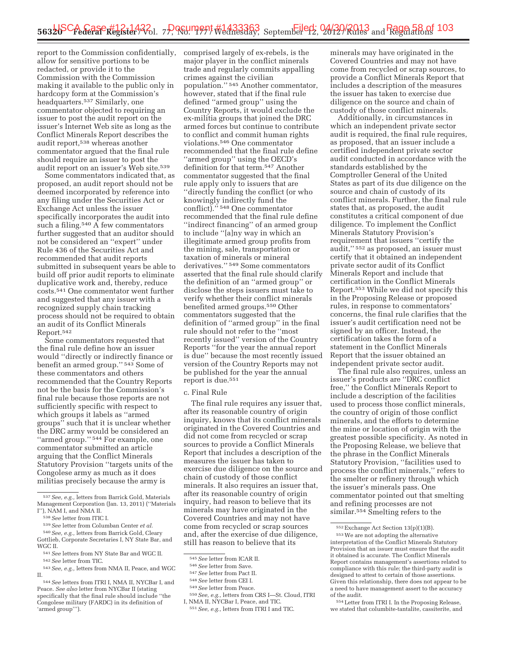report to the Commission confidentially, allow for sensitive portions to be redacted, or provide it to the Commission with the Commission making it available to the public only in hardcopy form at the Commission's headquarters.537 Similarly, one commentator objected to requiring an issuer to post the audit report on the issuer's Internet Web site as long as the Conflict Minerals Report describes the audit report,538 whereas another commentator argued that the final rule should require an issuer to post the audit report on an issuer's Web site.<sup>539</sup>

Some commentators indicated that, as proposed, an audit report should not be deemed incorporated by reference into any filing under the Securities Act or Exchange Act unless the issuer specifically incorporates the audit into such a filing. $540$  A few commentators further suggested that an auditor should not be considered an ''expert'' under Rule 436 of the Securities Act and recommended that audit reports submitted in subsequent years be able to build off prior audit reports to eliminate duplicative work and, thereby, reduce costs.541 One commentator went further and suggested that any issuer with a recognized supply chain tracking process should not be required to obtain an audit of its Conflict Minerals Report.542

Some commentators requested that the final rule define how an issuer would ''directly or indirectly finance or benefit an armed group.'' 543 Some of these commentators and others recommended that the Country Reports not be the basis for the Commission's final rule because those reports are not sufficiently specific with respect to which groups it labels as ''armed groups'' such that it is unclear whether the DRC army would be considered an "armed group."<sup>544</sup> For example, one commentator submitted an article arguing that the Conflict Minerals Statutory Provision ''targets units of the Congolese army as much as it does militias precisely because the army is

comprised largely of ex-rebels, is the major player in the conflict minerals trade and regularly commits appalling crimes against the civilian population.'' 545 Another commentator, however, stated that if the final rule defined ''armed group'' using the Country Reports, it would exclude the ex-militia groups that joined the DRC armed forces but continue to contribute to conflict and commit human rights violations.546 One commentator recommended that the final rule define ''armed group'' using the OECD's definition for that term.547 Another commentator suggested that the final rule apply only to issuers that are ''directly funding the conflict (or who knowingly indirectly fund the conflict).'' 548 One commentator recommended that the final rule define ''indirect financing'' of an armed group to include ''[a]ny way in which an illegitimate armed group profits from the mining, sale, transportation or taxation of minerals or mineral derivatives.'' 549 Some commentators asserted that the final rule should clarify the definition of an ''armed group'' or disclose the steps issuers must take to verify whether their conflict minerals benefited armed groups.550 Other commentators suggested that the definition of ''armed group'' in the final rule should not refer to the ''most recently issued'' version of the Country Reports ''for the year the annual report is due'' because the most recently issued version of the Country Reports may not be published for the year the annual report is due.551

#### c. Final Rule

The final rule requires any issuer that, after its reasonable country of origin inquiry, knows that its conflict minerals originated in the Covered Countries and did not come from recycled or scrap sources to provide a Conflict Minerals Report that includes a description of the measures the issuer has taken to exercise due diligence on the source and chain of custody of those conflict minerals. It also requires an issuer that, after its reasonable country of origin inquiry, had reason to believe that its minerals may have originated in the Covered Countries and may not have come from recycled or scrap sources and, after the exercise of due diligence, still has reason to believe that its

<sup>545</sup>*See* letter from ICAR II. 546*See* letter from Save. 547*See* letter from Pact II. 548*See* letter from CEI I. 549*See* letter from Peace. 550*See, e.g.,* letters from CRS I—St. Cloud, ITRI

minerals may have originated in the Covered Countries and may not have come from recycled or scrap sources, to provide a Conflict Minerals Report that includes a description of the measures the issuer has taken to exercise due diligence on the source and chain of custody of those conflict minerals.

Additionally, in circumstances in which an independent private sector audit is required, the final rule requires, as proposed, that an issuer include a certified independent private sector audit conducted in accordance with the standards established by the Comptroller General of the United States as part of its due diligence on the source and chain of custody of its conflict minerals. Further, the final rule states that, as proposed, the audit constitutes a critical component of due diligence. To implement the Conflict Minerals Statutory Provision's requirement that issuers ''certify the audit,'' 552 as proposed, an issuer must certify that it obtained an independent private sector audit of its Conflict Minerals Report and include that certification in the Conflict Minerals Report.553 While we did not specify this in the Proposing Release or proposed rules, in response to commentators' concerns, the final rule clarifies that the issuer's audit certification need not be signed by an officer. Instead, the certification takes the form of a statement in the Conflict Minerals Report that the issuer obtained an independent private sector audit.

The final rule also requires, unless an issuer's products are ''DRC conflict free,'' the Conflict Minerals Report to include a description of the facilities used to process those conflict minerals, the country of origin of those conflict minerals, and the efforts to determine the mine or location of origin with the greatest possible specificity. As noted in the Proposing Release, we believe that the phrase in the Conflict Minerals Statutory Provision, ''facilities used to process the conflict minerals,'' refers to the smelter or refinery through which the issuer's minerals pass. One commentator pointed out that smelting and refining processes are not similar.554 Smelting refers to the

<sup>537</sup>*See, e.g.,* letters from Barrick Gold, Materials Management Corporation (Jan. 13, 2011) (''Materials I''), NAM I, and NMA II.

<sup>538</sup>*See* letter from ITIC I.

<sup>539</sup>*See* letter from Columban Center *et al.* 

<sup>540</sup>*See, e.g.,* letters from Barrick Gold, Cleary Gottlieb, Corporate Secretaries I, NY State Bar, and WGC II.

<sup>541</sup>*See* letters from NY State Bar and WGC II. 542*See* letter from TIC.

<sup>543</sup>*See, e.g.,* letters from NMA II, Peace, and WGC II.

<sup>544</sup>*See* letters from ITRI I, NMA II, NYCBar I, and Peace. *See also* letter from NYCBar II (stating specifically that the final rule should include ''the Congolese military (FARDC) in its definition of 'armed group''').

<sup>&</sup>lt;sup>551</sup> See, e.g., letters from ITRI I and TIC.

<sup>552</sup>Exchange Act Section 13(p)(1)(B).

<sup>553</sup>We are not adopting the alternative interpretation of the Conflict Minerals Statutory Provision that an issuer must ensure that the audit it obtained is accurate. The Conflict Minerals Report contains management's assertions related to compliance with this rule; the third-party audit is designed to attest to certain of those assertions. Given this relationship, there does not appear to be a need to have management assert to the accuracy of the audit.

<sup>554</sup>Letter from ITRI I. In the Proposing Release, we stated that columbite-tantalite, cassiterite, and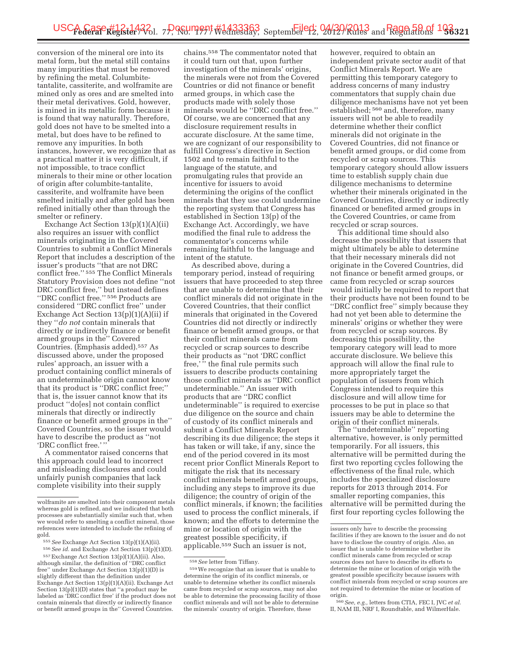conversion of the mineral ore into its metal form, but the metal still contains many impurities that must be removed by refining the metal. Columbitetantalite, cassiterite, and wolframite are mined only as ores and are smelted into their metal derivatives. Gold, however, is mined in its metallic form because it is found that way naturally. Therefore, gold does not have to be smelted into a metal, but does have to be refined to remove any impurities. In both instances, however, we recognize that as a practical matter it is very difficult, if not impossible, to trace conflict minerals to their mine or other location of origin after columbite-tantalite, cassiterite, and wolframite have been smelted initially and after gold has been refined initially other than through the smelter or refinery.

Exchange Act Section 13(p)(1)(A)(ii) also requires an issuer with conflict minerals originating in the Covered Countries to submit a Conflict Minerals Report that includes a description of the issuer's products ''that are not DRC conflict free.'' 555 The Conflict Minerals Statutory Provision does not define ''not DRC conflict free,'' but instead defines ''DRC conflict free.'' 556 Products are considered ''DRC conflict free'' under Exchange Act Section 13(p)(1)(A)(ii) if they ''*do not* contain minerals that directly or indirectly finance or benefit armed groups in the'' Covered Countries. (Emphasis added).557 As discussed above, under the proposed rules' approach, an issuer with a product containing conflict minerals of an undeterminable origin cannot know that its product is ''DRC conflict free;'' that is, the issuer cannot know that its product ''do[es] not contain conflict minerals that directly or indirectly finance or benefit armed groups in the'' Covered Countries, so the issuer would have to describe the product as ''not 'DRC conflict free.' ''

A commentator raised concerns that this approach could lead to incorrect and misleading disclosures and could unfairly punish companies that lack complete visibility into their supply

556*See id.* and Exchange Act Section 13(p)(1)(D). 557Exchange Act Section 13(p)(1)(A)(ii). Also, although similar, the definition of ''DRC conflict free'' under Exchange Act Section 13(p)(1)(D) is slightly different than the definition under

Exchange Act Section 13(p)(1)(A)(ii). Exchange Act Section  $13(p)(1)(D)$  states that "a product may be labeled as 'DRC conflict free' if the product does not contain minerals that directly or indirectly finance or benefit armed groups in the'' Covered Countries.

chains.558 The commentator noted that it could turn out that, upon further investigation of the minerals' origins, the minerals were not from the Covered Countries or did not finance or benefit armed groups, in which case the products made with solely those minerals would be ''DRC conflict free.'' Of course, we are concerned that any disclosure requirement results in accurate disclosure. At the same time, we are cognizant of our responsibility to fulfill Congress's directive in Section 1502 and to remain faithful to the language of the statute, and promulgating rules that provide an incentive for issuers to avoid determining the origins of the conflict minerals that they use could undermine the reporting system that Congress has established in Section 13(p) of the Exchange Act. Accordingly, we have modified the final rule to address the commentator's concerns while remaining faithful to the language and intent of the statute.

As described above, during a temporary period, instead of requiring issuers that have proceeded to step three that are unable to determine that their conflict minerals did not originate in the Covered Countries, that their conflict minerals that originated in the Covered Countries did not directly or indirectly finance or benefit armed groups, or that their conflict minerals came from recycled or scrap sources to describe their products as ''not 'DRC conflict free,' '' the final rule permits such issuers to describe products containing those conflict minerals as ''DRC conflict undeterminable.'' An issuer with products that are ''DRC conflict undeterminable'' is required to exercise due diligence on the source and chain of custody of its conflict minerals and submit a Conflict Minerals Report describing its due diligence; the steps it has taken or will take, if any, since the end of the period covered in its most recent prior Conflict Minerals Report to mitigate the risk that its necessary conflict minerals benefit armed groups, including any steps to improve its due diligence; the country of origin of the conflict minerals, if known; the facilities used to process the conflict minerals, if known; and the efforts to determine the mine or location of origin with the greatest possible specificity, if applicable.559 Such an issuer is not,

however, required to obtain an independent private sector audit of that Conflict Minerals Report. We are permitting this temporary category to address concerns of many industry commentators that supply chain due diligence mechanisms have not yet been established; 560 and, therefore, many issuers will not be able to readily determine whether their conflict minerals did not originate in the Covered Countries, did not finance or benefit armed groups, or did come from recycled or scrap sources. This temporary category should allow issuers time to establish supply chain due diligence mechanisms to determine whether their minerals originated in the Covered Countries, directly or indirectly financed or benefited armed groups in the Covered Countries, or came from recycled or scrap sources.

This additional time should also decrease the possibility that issuers that might ultimately be able to determine that their necessary minerals did not originate in the Covered Countries, did not finance or benefit armed groups, or came from recycled or scrap sources would initially be required to report that their products have not been found to be ''DRC conflict free'' simply because they had not yet been able to determine the minerals' origins or whether they were from recycled or scrap sources. By decreasing this possibility, the temporary category will lead to more accurate disclosure. We believe this approach will allow the final rule to more appropriately target the population of issuers from which Congress intended to require this disclosure and will allow time for processes to be put in place so that issuers may be able to determine the origin of their conflict minerals.

The ''undeterminable'' reporting alternative, however, is only permitted temporarily. For all issuers, this alternative will be permitted during the first two reporting cycles following the effectiveness of the final rule, which includes the specialized disclosure reports for 2013 through 2014. For smaller reporting companies, this alternative will be permitted during the first four reporting cycles following the

wolframite are smelted into their component metals whereas gold is refined, and we indicated that both processes are substantially similar such that, when we would refer to smelting a conflict mineral, those references were intended to include the refining of gold.

<sup>555</sup>*See* Exchange Act Section 13(p)(1)(A)(ii).

<sup>558</sup>*See* letter from Tiffany.

<sup>559</sup>We recognize that an issuer that is unable to determine the origin of its conflict minerals, or unable to determine whether its conflict minerals came from recycled or scrap sources, may not also be able to determine the processing facility of those conflict minerals and will not be able to determine the minerals' country of origin. Therefore, these

issuers only have to describe the processing facilities if they are known to the issuer and do not have to disclose the country of origin. Also, an issuer that is unable to determine whether its conflict minerals came from recycled or scrap sources does not have to describe its efforts to determine the mine or location of origin with the greatest possible specificity because issuers with conflict minerals from recycled or scrap sources are not required to determine the mine or location of origin.

<sup>560</sup>*See, e.g.,* letters from CTIA, FEC I, JVC *et al.*  II, NAM III, NRF I, Roundtable, and WilmerHale.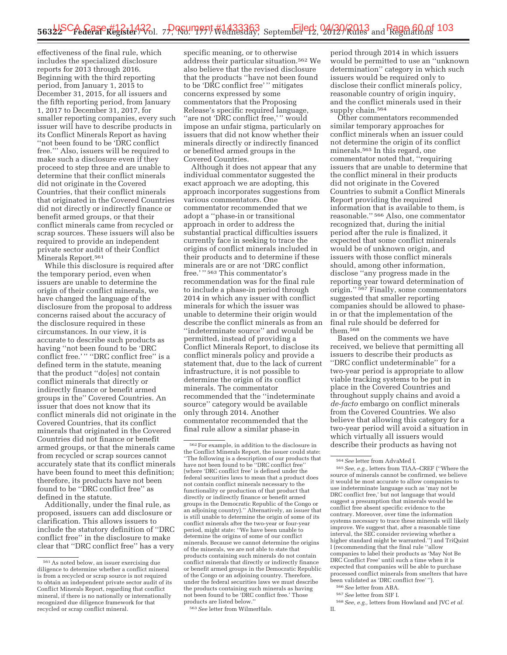effectiveness of the final rule, which includes the specialized disclosure reports for 2013 through 2016. Beginning with the third reporting period, from January 1, 2015 to December 31, 2015, for all issuers and the fifth reporting period, from January 1, 2017 to December 31, 2017, for smaller reporting companies, every such issuer will have to describe products in its Conflict Minerals Report as having ''not been found to be 'DRC conflict free.''' Also, issuers will be required to make such a disclosure even if they proceed to step three and are unable to determine that their conflict minerals did not originate in the Covered Countries, that their conflict minerals that originated in the Covered Countries did not directly or indirectly finance or benefit armed groups, or that their conflict minerals came from recycled or scrap sources. These issuers will also be required to provide an independent private sector audit of their Conflict Minerals Report.<sup>561</sup>

While this disclosure is required after the temporary period, even when issuers are unable to determine the origin of their conflict minerals, we have changed the language of the disclosure from the proposal to address concerns raised about the accuracy of the disclosure required in these circumstances. In our view, it is accurate to describe such products as having ''not been found to be 'DRC conflict free.'" "DRC conflict free" is a defined term in the statute, meaning that the product ''do[es] not contain conflict minerals that directly or indirectly finance or benefit armed groups in the'' Covered Countries. An issuer that does not know that its conflict minerals did not originate in the Covered Countries, that its conflict minerals that originated in the Covered Countries did not finance or benefit armed groups, or that the minerals came from recycled or scrap sources cannot accurately state that its conflict minerals have been found to meet this definition; therefore, its products have not been found to be ''DRC conflict free'' as defined in the statute.

Additionally, under the final rule, as proposed, issuers can add disclosure or clarification. This allows issuers to include the statutory definition of ''DRC conflict free'' in the disclosure to make clear that ''DRC conflict free'' has a very

specific meaning, or to otherwise address their particular situation.562 We also believe that the revised disclosure that the products ''have not been found to be 'DRC conflict free' '' mitigates concerns expressed by some commentators that the Proposing Release's specific required language, ''are not 'DRC conflict free,' '' would impose an unfair stigma, particularly on issuers that did not know whether their minerals directly or indirectly financed or benefited armed groups in the Covered Countries.

Although it does not appear that any individual commentator suggested the exact approach we are adopting, this approach incorporates suggestions from various commentators. One commentator recommended that we adopt a ''phase-in or transitional approach in order to address the substantial practical difficulties issuers currently face in seeking to trace the origins of conflict minerals included in their products and to determine if these minerals are or are not 'DRC conflict free.' '' 563 This commentator's recommendation was for the final rule to include a phase-in period through 2014 in which any issuer with conflict minerals for which the issuer was unable to determine their origin would describe the conflict minerals as from an ''indeterminate source'' and would be permitted, instead of providing a Conflict Minerals Report, to disclose its conflict minerals policy and provide a statement that, due to the lack of current infrastructure, it is not possible to determine the origin of its conflict minerals. The commentator recommended that the ''indeterminate source'' category would be available only through 2014. Another commentator recommended that the final rule allow a similar phase-in

562For example, in addition to the disclosure in the Conflict Minerals Report, the issuer could state: ''The following is a description of our products that have not been found to be ''DRC conflict free'' (where 'DRC conflict free' is defined under the federal securities laws to mean that a product does not contain conflict minerals necessary to the functionality or production of that product that directly or indirectly finance or benefit armed groups in the Democratic Republic of the Congo or an adjoining country).'' Alternatively, an issuer that is still unable to determine the origin of some of its conflict minerals after the two-year or four-year period, might state: ''We have been unable to determine the origins of some of our conflict minerals. Because we cannot determine the origins of the minerals, we are not able to state that products containing such minerals do not contain conflict minerals that directly or indirectly finance or benefit armed groups in the Democratic Republic of the Congo or an adjoining country. Therefore, under the federal securities laws we must describe the products containing such minerals as having not been found to be 'DRC conflict free.' Those products are listed below.

563*See* letter from WilmerHale.

period through 2014 in which issuers would be permitted to use an ''unknown determination'' category in which such issuers would be required only to disclose their conflict minerals policy, reasonable country of origin inquiry, and the conflict minerals used in their supply chain.<sup>564</sup>

Other commentators recommended similar temporary approaches for conflict minerals when an issuer could not determine the origin of its conflict minerals.565 In this regard, one commentator noted that, ''requiring issuers that are unable to determine that the conflict mineral in their products did not originate in the Covered Countries to submit a Conflict Minerals Report providing the required information that is available to them, is reasonable.'' 566 Also, one commentator recognized that, during the initial period after the rule is finalized, it expected that some conflict minerals would be of unknown origin, and issuers with those conflict minerals should, among other information, disclose ''any progress made in the reporting year toward determination of origin.'' 567 Finally, some commentators suggested that smaller reporting companies should be allowed to phasein or that the implementation of the final rule should be deferred for them.568

Based on the comments we have received, we believe that permitting all issuers to describe their products as ''DRC conflict undeterminable'' for a two-year period is appropriate to allow viable tracking systems to be put in place in the Covered Countries and throughout supply chains and avoid a *de-facto* embargo on conflict minerals from the Covered Countries. We also believe that allowing this category for a two-year period will avoid a situation in which virtually all issuers would describe their products as having not

566*See* letter from ABA.

567*See* letter from SIF I.

568*See, e.g.,* letters from Howland and JVC *et al.*  II.

<sup>561</sup>As noted below, an issuer exercising due diligence to determine whether a conflict mineral is from a recycled or scrap source is not required to obtain an independent private sector audit of its Conflict Minerals Report, regarding that conflict mineral, if there is no nationally or internationally recognized due diligence framework for that recycled or scrap conflict mineral.

<sup>564</sup>*See* letter from AdvaMed I.

<sup>565</sup>*See, e.g.,* letters from TIAA–CREF (''Where the source of minerals cannot be confirmed, we believe it would be most accurate to allow companies to use indeterminate language such as 'may not be DRC conflict free,' but not language that would suggest a presumption that minerals would be conflict free absent specific evidence to the contrary. Moreover, over time the information systems necessary to trace these minerals will likely improve. We suggest that, after a reasonable time interval, the SEC consider reviewing whether a higher standard might be warranted.'') and TriQuint I (recommending that the final rule ''allow companies to label their products as 'May Not Be DRC Conflict Free' until such a time when it is expected that companies will be able to purchase processed conflict minerals from smelters that have been validated as 'DRC conflict free' '').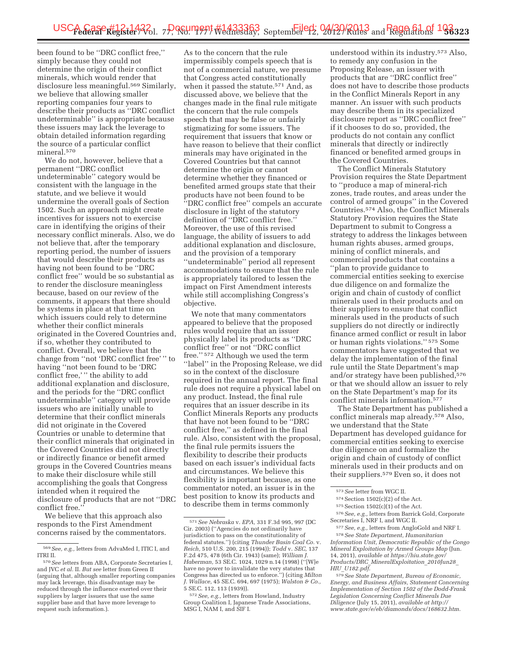been found to be ''DRC conflict free,'' simply because they could not determine the origin of their conflict minerals, which would render that disclosure less meaningful.569 Similarly, we believe that allowing smaller reporting companies four years to describe their products as ''DRC conflict undeterminable'' is appropriate because these issuers may lack the leverage to obtain detailed information regarding the source of a particular conflict mineral.570

We do not, however, believe that a permanent ''DRC conflict undeterminable'' category would be consistent with the language in the statute, and we believe it would undermine the overall goals of Section 1502. Such an approach might create incentives for issuers not to exercise care in identifying the origins of their necessary conflict minerals. Also, we do not believe that, after the temporary reporting period, the number of issuers that would describe their products as having not been found to be ''DRC conflict free'' would be so substantial as to render the disclosure meaningless because, based on our review of the comments, it appears that there should be systems in place at that time on which issuers could rely to determine whether their conflict minerals originated in the Covered Countries and, if so, whether they contributed to conflict. Overall, we believe that the change from ''not 'DRC conflict free' '' to having ''not been found to be 'DRC conflict free,' '' the ability to add additional explanation and disclosure, and the periods for the ''DRC conflict undeterminable'' category will provide issuers who are initially unable to determine that their conflict minerals did not originate in the Covered Countries or unable to determine that their conflict minerals that originated in the Covered Countries did not directly or indirectly finance or benefit armed groups in the Covered Countries means to make their disclosure while still accomplishing the goals that Congress intended when it required the disclosure of products that are not ''DRC conflict free.''

We believe that this approach also responds to the First Amendment concerns raised by the commentators.

As to the concern that the rule impermissibly compels speech that is not of a commercial nature, we presume that Congress acted constitutionally when it passed the statute.571 And, as discussed above, we believe that the changes made in the final rule mitigate the concern that the rule compels speech that may be false or unfairly stigmatizing for some issuers. The requirement that issuers that know or have reason to believe that their conflict minerals may have originated in the Covered Countries but that cannot determine the origin or cannot determine whether they financed or benefited armed groups state that their products have not been found to be ''DRC conflict free'' compels an accurate disclosure in light of the statutory definition of ''DRC conflict free.'' Moreover, the use of this revised language, the ability of issuers to add additional explanation and disclosure, and the provision of a temporary ''undeterminable'' period all represent accommodations to ensure that the rule is appropriately tailored to lessen the impact on First Amendment interests while still accomplishing Congress's objective.

We note that many commentators appeared to believe that the proposed rules would require that an issuer physically label its products as ''DRC conflict free'' or not ''DRC conflict free.'' 572 Although we used the term "label" in the Proposing Release, we did so in the context of the disclosure required in the annual report. The final rule does not require a physical label on any product. Instead, the final rule requires that an issuer describe in its Conflict Minerals Reports any products that have not been found to be ''DRC conflict free,'' as defined in the final rule. Also, consistent with the proposal, the final rule permits issuers the flexibility to describe their products based on each issuer's individual facts and circumstances. We believe this flexibility is important because, as one commentator noted, an issuer is in the best position to know its products and to describe them in terms commonly

understood within its industry.573 Also, to remedy any confusion in the Proposing Release, an issuer with products that are ''DRC conflict free'' does not have to describe those products in the Conflict Minerals Report in any manner. An issuer with such products may describe them in its specialized disclosure report as ''DRC conflict free'' if it chooses to do so, provided, the products do not contain any conflict minerals that directly or indirectly financed or benefited armed groups in the Covered Countries.

The Conflict Minerals Statutory Provision requires the State Department to ''produce a map of mineral-rich zones, trade routes, and areas under the control of armed groups'' in the Covered Countries.574 Also, the Conflict Minerals Statutory Provision requires the State Department to submit to Congress a strategy to address the linkages between human rights abuses, armed groups, mining of conflict minerals, and commercial products that contains a ''plan to provide guidance to commercial entities seeking to exercise due diligence on and formalize the origin and chain of custody of conflict minerals used in their products and on their suppliers to ensure that conflict minerals used in the products of such suppliers do not directly or indirectly finance armed conflict or result in labor or human rights violations.'' 575 Some commentators have suggested that we delay the implementation of the final rule until the State Department's map and/or strategy have been published,<sup>576</sup> or that we should allow an issuer to rely on the State Department's map for its conflict minerals information.577

The State Department has published a conflict minerals map already.578 Also, we understand that the State Department has developed guidance for commercial entities seeking to exercise due diligence on and formalize the origin and chain of custody of conflict minerals used in their products and on their suppliers.579 Even so, it does not

577*See, e.g.,* letters from AngloGold and NRF I. 578*See State Department, Humanitarian Information Unit, Democratic Republic of the Congo Mineral Exploitation by Armed Groups Map* (Jun. 14, 2011), *available at https://hiu.state.gov/ Products/DRC*\_*MineralExploitation*\_*2010Jun28*\_ *HIU*\_*U182.pdf*.

<sup>569</sup>*See, e.g.,* letters from AdvaMed I, ITIC I, and ITRI II.

<sup>570</sup>*See* letters from ABA, Corporate Secretaries I, and JVC *et al.* II. *But see* letter from Green II (arguing that, although smaller reporting companies may lack leverage, this disadvantage may be reduced through the influence exerted over their suppliers by larger issuers that use the same supplier base and that have more leverage to request such information.).

<sup>571</sup>*See Nebraska* v. *EPA,* 331 F.3d 995, 997 (DC Cir. 2003) (''Agencies do not ordinarily have jurisdiction to pass on the constitutionality of federal statutes.'') (citing *Thunder Basin Coal Co.* v. *Reich,* 510 U.S. 200, 215 (1994)); *Todd* v. *SEC,* 137 F.2d 475, 478 (6th Cir. 1943) (same); *William J. Haberman,* 53 SE.C. 1024, 1029 n.14 (1998) (''[W]e have no power to invalidate the very statutes that Congress has directed us to enforce.'') (citing *Milton J. Wallace,* 45 SE.C. 694, 697 (1975); *Walston & Co.,*  5 SE.C. 112, 113 (1939)).

<sup>572</sup>*See, e.g.,* letters from Howland, Industry Group Coalition I, Japanese Trade Associations, MSG I, NAM I, and SIF I.

<sup>573</sup>*See* letter from WGC II.

 $574$  Section  $1502(c)(2)$  of the Act.

 $575$  Section  $1502(c)(1)$  of the Act.

<sup>576</sup>*See, e.g.,* letters from Barrick Gold, Corporate Secretaries I, NRF I, and WGC II.

<sup>579</sup>*See State Department, Bureau of Economic, Energy, and Business Affairs, Statement Concerning Implementation of Section 1502 of the Dodd-Frank Legislation Concerning Conflict Minerals Due Diligence* (July 15, 2011), *available at http:// www.state.gov/e/eb/diamonds/docs/168632.htm*.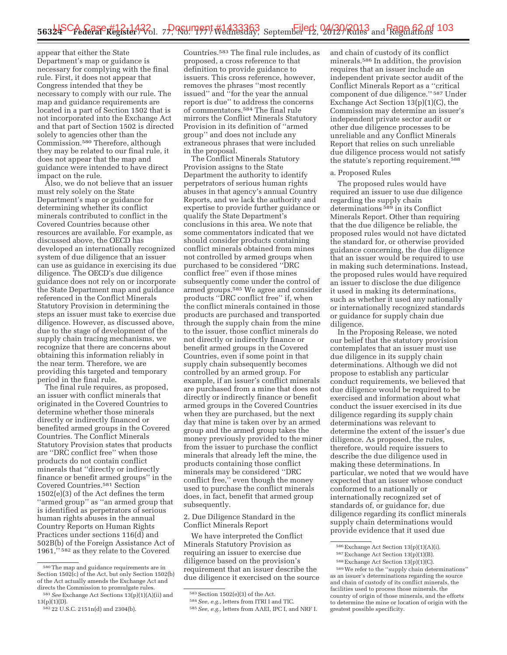appear that either the State Department's map or guidance is necessary for complying with the final rule. First, it does not appear that Congress intended that they be necessary to comply with our rule. The map and guidance requirements are located in a part of Section 1502 that is not incorporated into the Exchange Act and that part of Section 1502 is directed solely to agencies other than the Commission.580 Therefore, although they may be related to our final rule, it does not appear that the map and guidance were intended to have direct impact on the rule.

Also, we do not believe that an issuer must rely solely on the State Department's map or guidance for determining whether its conflict minerals contributed to conflict in the Covered Countries because other resources are available. For example, as discussed above, the OECD has developed an internationally recognized system of due diligence that an issuer can use as guidance in exercising its due diligence. The OECD's due diligence guidance does not rely on or incorporate the State Department map and guidance referenced in the Conflict Minerals Statutory Provision in determining the steps an issuer must take to exercise due diligence. However, as discussed above, due to the stage of development of the supply chain tracing mechanisms, we recognize that there are concerns about obtaining this information reliably in the near term. Therefore, we are providing this targeted and temporary period in the final rule.

The final rule requires, as proposed, an issuer with conflict minerals that originated in the Covered Countries to determine whether those minerals directly or indirectly financed or benefited armed groups in the Covered Countries. The Conflict Minerals Statutory Provision states that products are ''DRC conflict free'' when those products do not contain conflict minerals that ''directly or indirectly finance or benefit armed groups'' in the Covered Countries.581 Section 1502(e)(3) of the Act defines the term ''armed group'' as ''an armed group that is identified as perpetrators of serious human rights abuses in the annual Country Reports on Human Rights Practices under sections 116(d) and 502B(b) of the Foreign Assistance Act of 1961,'' 582 as they relate to the Covered

Countries.583 The final rule includes, as proposed, a cross reference to that definition to provide guidance to issuers. This cross reference, however, removes the phrases ''most recently issued'' and ''for the year the annual report is due'' to address the concerns of commentators.584 The final rule mirrors the Conflict Minerals Statutory Provision in its definition of ''armed group'' and does not include any extraneous phrases that were included in the proposal.

The Conflict Minerals Statutory Provision assigns to the State Department the authority to identify perpetrators of serious human rights abuses in that agency's annual Country Reports, and we lack the authority and expertise to provide further guidance or qualify the State Department's conclusions in this area. We note that some commentators indicated that we should consider products containing conflict minerals obtained from mines not controlled by armed groups when purchased to be considered ''DRC conflict free'' even if those mines subsequently come under the control of armed groups.585 We agree and consider products ''DRC conflict free'' if, when the conflict minerals contained in those products are purchased and transported through the supply chain from the mine to the issuer, those conflict minerals do not directly or indirectly finance or benefit armed groups in the Covered Countries, even if some point in that supply chain subsequently becomes controlled by an armed group. For example, if an issuer's conflict minerals are purchased from a mine that does not directly or indirectly finance or benefit armed groups in the Covered Countries when they are purchased, but the next day that mine is taken over by an armed group and the armed group takes the money previously provided to the miner from the issuer to purchase the conflict minerals that already left the mine, the products containing those conflict minerals may be considered ''DRC conflict free,'' even though the money used to purchase the conflict minerals does, in fact, benefit that armed group subsequently.

2. Due Diligence Standard in the Conflict Minerals Report

We have interpreted the Conflict Minerals Statutory Provision as requiring an issuer to exercise due diligence based on the provision's requirement that an issuer describe the due diligence it exercised on the source

585*See, e.g.,* letters from AAEI, IPC I, and NRF I.

and chain of custody of its conflict minerals.586 In addition, the provision requires that an issuer include an independent private sector audit of the Conflict Minerals Report as a ''critical component of due diligence.'' 587 Under Exchange Act Section 13(p)(1)(C), the Commission may determine an issuer's independent private sector audit or other due diligence processes to be unreliable and any Conflict Minerals Report that relies on such unreliable due diligence process would not satisfy the statute's reporting requirement.588

#### a. Proposed Rules

The proposed rules would have required an issuer to use due diligence regarding the supply chain determinations<sup>589</sup> in its Conflict Minerals Report. Other than requiring that the due diligence be reliable, the proposed rules would not have dictated the standard for, or otherwise provided guidance concerning, the due diligence that an issuer would be required to use in making such determinations. Instead, the proposed rules would have required an issuer to disclose the due diligence it used in making its determinations, such as whether it used any nationally or internationally recognized standards or guidance for supply chain due diligence.

In the Proposing Release, we noted our belief that the statutory provision contemplates that an issuer must use due diligence in its supply chain determinations. Although we did not propose to establish any particular conduct requirements, we believed that due diligence would be required to be exercised and information about what conduct the issuer exercised in its due diligence regarding its supply chain determinations was relevant to determine the extent of the issuer's due diligence. As proposed, the rules, therefore, would require issuers to describe the due diligence used in making these determinations. In particular, we noted that we would have expected that an issuer whose conduct conformed to a nationally or internationally recognized set of standards of, or guidance for, due diligence regarding its conflict minerals supply chain determinations would provide evidence that it used due

589We refer to the ''supply chain determinations'' as an issuer's determinations regarding the source and chain of custody of its conflict minerals, the facilities used to process those minerals, the country of origin of those minerals, and the efforts to determine the mine or location of origin with the greatest possible specificity.

<sup>580</sup>The map and guidance requirements are in Section  $1502(c)$  of the Act, but only Section  $1502(b)$ of the Act actually amends the Exchange Act and directs the Commission to promulgate rules.

<sup>581</sup>*See* Exchange Act Sections 13(p)(1)(A)(ii) and 13(p)(1)(D).

<sup>582</sup> 22 U.S.C. 2151n(d) and 2304(b).

<sup>583</sup>Section 1502(e)(3) of the Act.

<sup>584</sup>*See, e.g.,* letters from ITRI I and TIC.

<sup>586</sup>Exchange Act Section 13(p)(1)(A)(i).

<sup>587</sup>Exchange Act Section 13(p)(1)(B).

<sup>588</sup>Exchange Act Section 13(p)(1)(C).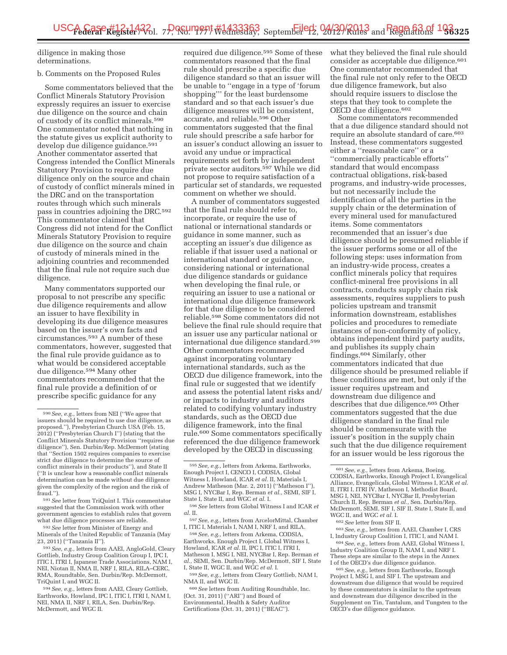diligence in making those determinations.

### b. Comments on the Proposed Rules

Some commentators believed that the Conflict Minerals Statutory Provision expressly requires an issuer to exercise due diligence on the source and chain of custody of its conflict minerals.590 One commentator noted that nothing in the statute gives us explicit authority to develop due diligence guidance.591 Another commentator asserted that Congress intended the Conflict Minerals Statutory Provision to require due diligence only on the source and chain of custody of conflict minerals mined in the DRC and on the transportation routes through which such minerals pass in countries adjoining the DRC.592 This commentator claimed that Congress did not intend for the Conflict Minerals Statutory Provision to require due diligence on the source and chain of custody of minerals mined in the adjoining countries and recommended that the final rule not require such due diligence.

Many commentators supported our proposal to not prescribe any specific due diligence requirements and allow an issuer to have flexibility in developing its due diligence measures based on the issuer's own facts and circumstances.593 A number of these commentators, however, suggested that the final rule provide guidance as to what would be considered acceptable due diligence.594 Many other commentators recommended that the final rule provide a definition of or prescribe specific guidance for any

593*See, e.g.,* letters from AAEI, AngloGold, Cleary Gottlieb, Industry Group Coalition Group I, IPC I, ITIC I, ITRI I, Japanese Trade Associations, NAM I, NEI, Niotan II, NMA II, NRF I, RILA, RILA–CERC, RMA, Roundtable, Sen. Durbin/Rep. McDermott, TriQuint I, and WGC II.

594*See, e.g.,* letters from AAEI, Cleary Gottlieb, Earthworks, Howland, IPC I, ITIC I, ITRI I, NAM I, NEI, NMA II, NRF I, RILA, Sen. Durbin/Rep. McDermott, and WGC II.

required due diligence.595 Some of these commentators reasoned that the final rule should prescribe a specific due diligence standard so that an issuer will be unable to ''engage in a type of 'forum shopping''' for the least burdensome standard and so that each issuer's due diligence measures will be consistent, accurate, and reliable.596 Other commentators suggested that the final rule should prescribe a safe harbor for an issuer's conduct allowing an issuer to avoid any undue or impractical requirements set forth by independent private sector auditors.597 While we did not propose to require satisfaction of a particular set of standards, we requested comment on whether we should.

A number of commentators suggested that the final rule should refer to, incorporate, or require the use of national or international standards or guidance in some manner, such as accepting an issuer's due diligence as reliable if that issuer used a national or international standard or guidance, considering national or international due diligence standards or guidance when developing the final rule, or requiring an issuer to use a national or international due diligence framework for that due diligence to be considered reliable.598 Some commentators did not believe the final rule should require that an issuer use any particular national or international due diligence standard.599 Other commentators recommended against incorporating voluntary international standards, such as the OECD due diligence framework, into the final rule or suggested that we identify and assess the potential latent risks and/ or impacts to industry and auditors related to codifying voluntary industry standards, such as the OECD due diligence framework, into the final rule.600 Some commentators specifically referenced the due diligence framework developed by the OECD in discussing

597*See, e.g.,* letters from ArcelorMittal, Chamber I, ITIC I, Materials I, NAM I, NRF I, and RILA.

598*See, e.g.,* letters from Arkema, CODSIA, Earthworks, Enough Project I, Global Witness I, Howland, ICAR *et al.* II, IPC I, ITIC I, ITRI I, Matheson I, MSG I, NEI, NYCBar I, Rep. Berman *et al.,* SEMI, Sen. Durbin/Rep. McDermott, SIF I, State I, State II, WGC II, and WGC *et al.* I.

599*See, e.g.,* letters from Cleary Gottlieb, NAM I, NMA II, and WGC II.

600*See* letters from Auditing Roundtable, Inc. (Oct. 31, 2011) (''ARI'') and Board of Environmental, Health & Safety Auditor Certifications (Oct. 31, 2011) (''BEAC'').

what they believed the final rule should consider as acceptable due diligence.601 One commentator recommended that the final rule not only refer to the OECD due diligence framework, but also should require issuers to disclose the steps that they took to complete the OECD due diligence.602

Some commentators recommended that a due diligence standard should not require an absolute standard of care.603 Instead, these commentators suggested either a ''reasonable care'' or a ''commercially practicable efforts'' standard that would encompass contractual obligations, risk-based programs, and industry-wide processes, but not necessarily include the identification of all the parties in the supply chain or the determination of every mineral used for manufactured items. Some commentators recommended that an issuer's due diligence should be presumed reliable if the issuer performs some or all of the following steps: uses information from an industry-wide process, creates a conflict minerals policy that requires conflict-mineral free provisions in all contracts, conducts supply chain risk assessments, requires suppliers to push policies upstream and transmit information downstream, establishes policies and procedures to remediate instances of non-conformity of policy, obtains independent third party audits, and publishes its supply chain findings.604 Similarly, other commentators indicated that due diligence should be presumed reliable if these conditions are met, but only if the issuer requires upstream and downstream due diligence and describes that due diligence.<sup>605</sup> Other commentators suggested that the due diligence standard in the final rule should be commensurate with the issuer's position in the supply chain such that the due diligence requirement for an issuer would be less rigorous the

<sup>602</sup> *See* letter from SIF II.<br><sup>603</sup> *See, e.g.,* letters from AAEI, Chamber I, CRS<br>I, Industry Group Coalition I, ITIC I, and NAM I.

<sup>604</sup> See, e.g., letters from AAEI, Global Witness I, Industry Coalition Group II, NAM I, and NRF I. These steps are similar to the steps in the Annex<br>I of the OECD's due diligence guidance.

<sup>605</sup> See, e.g., letters from Earthworks, Enough Project I, MSG I, and SIF I. The upstream and downstream due diligence that would be required by these commentators is similar to the upstream and downstream due diligence described in the Supplement on Tin, Tantalum, and Tungsten to the OECD's due diligence guidance.

<sup>590</sup>*See, e.g.,* letters from NEI (''We agree that issuers should be required to use due diligence, as proposed.''), Presbyterian Church USA (Feb. 15, 2012) (''Presbyterian Church I'') (stating that the Conflict Minerals Statutory Provision ''requires due diligence''), Sen. Durbin/Rep. McDermott (stating that ''Section 1502 requires companies to exercise strict due diligence to determine the source of conflict minerals in their products''), and State II (''It is unclear how a reasonable conflict minerals determination can be made without due diligence given the complexity of the region and the risk of fraud.'').

<sup>591</sup>*See* letter from TriQuint I. This commentator suggested that the Commission work with other government agencies to establish rules that govern what due diligence processes are reliable.

<sup>592</sup>*See* letter from Minister of Energy and Minerals of the United Republic of Tanzania (May 23, 2011) (''Tanzania II'').

<sup>595</sup>*See, e.g.,* letters from Arkema, Earthworks, Enough Project I, CENCO I, CODSIA, Global Witness I, Howland, ICAR *et al.* II, Materials I, Andrew Matheson (Mar. 2, 2011) (''Matheson I''), MSG I, NYCBar I, Rep. Berman *et al.,* SEMI, SIF I, State I, State II, and WGC *et al.* I.

<sup>596</sup>*See* letters from Global Witness I and ICAR *et al.* II.

<sup>601</sup>*See, e.g.,* letters from Arkema, Boeing, CODSIA, Earthworks, Enough Project I, Evangelical Alliance, Evangelicals, Global Witness I, ICAR *et al.*  II, ITRI I, ITRI IV, Matheson I, Methodist Board, MSG I, NEI, NYCBar I, NYCBar II, Presbyterian Church II, Rep. Berman *et al.,* Sen. Durbin/Rep. McDermott, SEMI, SIF I, SIF II, State I, State II, and WGC II, and WGC *et al.* I.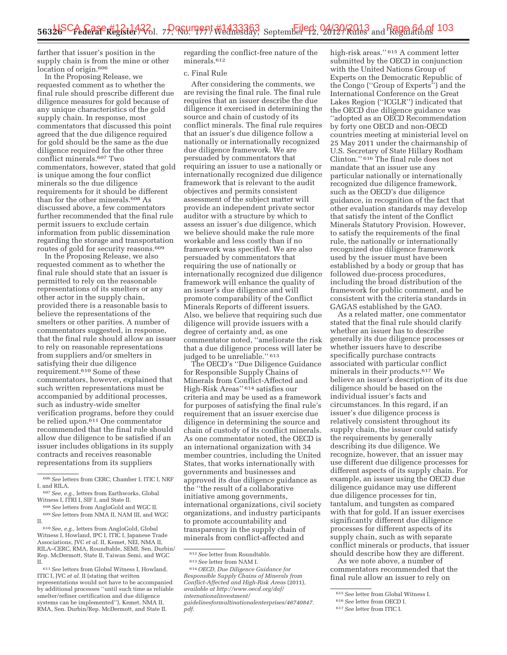farther that issuer's position in the supply chain is from the mine or other location of origin.606

In the Proposing Release, we requested comment as to whether the final rule should prescribe different due diligence measures for gold because of any unique characteristics of the gold supply chain. In response, most commentators that discussed this point agreed that the due diligence required for gold should be the same as the due diligence required for the other three conflict minerals.607 Two commentators, however, stated that gold is unique among the four conflict minerals so the due diligence requirements for it should be different than for the other minerals.608 As discussed above, a few commentators further recommended that the final rule permit issuers to exclude certain information from public dissemination regarding the storage and transportation routes of gold for security reasons.609

In the Proposing Release, we also requested comment as to whether the final rule should state that an issuer is permitted to rely on the reasonable representations of its smelters or any other actor in the supply chain, provided there is a reasonable basis to believe the representations of the smelters or other parities. A number of commentators suggested, in response, that the final rule should allow an issuer to rely on reasonable representations from suppliers and/or smelters in satisfying their due diligence requirement.610 Some of these commentators, however, explained that such written representations must be accompanied by additional processes, such as industry-wide smelter verification programs, before they could be relied upon.<sup>611</sup> One commentator recommended that the final rule should allow due diligence to be satisfied if an issuer includes obligations in its supply contracts and receives reasonable representations from its suppliers

regarding the conflict-free nature of the minerals.<sup>612</sup>

### c. Final Rule

After considering the comments, we are revising the final rule. The final rule requires that an issuer describe the due diligence it exercised in determining the source and chain of custody of its conflict minerals. The final rule requires that an issuer's due diligence follow a nationally or internationally recognized due diligence framework. We are persuaded by commentators that requiring an issuer to use a nationally or internationally recognized due diligence framework that is relevant to the audit objectives and permits consistent assessment of the subject matter will provide an independent private sector auditor with a structure by which to assess an issuer's due diligence, which we believe should make the rule more workable and less costly than if no framework was specified. We are also persuaded by commentators that requiring the use of nationally or internationally recognized due diligence framework will enhance the quality of an issuer's due diligence and will promote comparability of the Conflict Minerals Reports of different issuers. Also, we believe that requiring such due diligence will provide issuers with a degree of certainty and, as one commentator noted, ''ameliorate the risk that a due diligence process will later be judged to be unreliable." 613

The OECD's ''Due Diligence Guidance for Responsible Supply Chains of Minerals from Conflict-Affected and High-Risk Areas'' 614 satisfies our criteria and may be used as a framework for purposes of satisfying the final rule's requirement that an issuer exercise due diligence in determining the source and chain of custody of its conflict minerals. As one commentator noted, the OECD is an international organization with 34 member countries, including the United States, that works internationally with governments and businesses and approved its due diligence guidance as the ''the result of a collaborative initiative among governments, international organizations, civil society organizations, and industry participants to promote accountability and transparency in the supply chain of minerals from conflict-affected and

612*See* letter from Roundtable.

614*OECD, Due Diligence Guidance for Responsible Supply Chains of Minerals from Conflict-Affected and High-Risk Areas* (2011), *available at http://www.oecd.org/daf/ internationalinvestment/ guidelinesformultinationalenterprises/46740847. pdf.* 

high-risk areas.'' 615 A comment letter submitted by the OECD in conjunction with the United Nations Group of Experts on the Democratic Republic of the Congo (''Group of Experts'') and the International Conference on the Great Lakes Region (''ICGLR'') indicated that the OECD due diligence guidance was ''adopted as an OECD Recommendation by forty one OECD and non-OECD countries meeting at ministerial level on 25 May 2011 under the chairmanship of U.S. Secretary of State Hillary Rodham Clinton.'' 616 The final rule does not mandate that an issuer use any particular nationally or internationally recognized due diligence framework, such as the OECD's due diligence guidance, in recognition of the fact that other evaluation standards may develop that satisfy the intent of the Conflict Minerals Statutory Provision. However, to satisfy the requirements of the final rule, the nationally or internationally recognized due diligence framework used by the issuer must have been established by a body or group that has followed due-process procedures, including the broad distribution of the framework for public comment, and be consistent with the criteria standards in GAGAS established by the GAO.

As a related matter, one commentator stated that the final rule should clarify whether an issuer has to describe generally its due diligence processes or whether issuers have to describe specifically purchase contracts associated with particular conflict minerals in their products.617 We believe an issuer's description of its due diligence should be based on the individual issuer's facts and circumstances. In this regard, if an issuer's due diligence process is relatively consistent throughout its supply chain, the issuer could satisfy the requirements by generally describing its due diligence. We recognize, however, that an issuer may use different due diligence processes for different aspects of its supply chain. For example, an issuer using the OECD due diligence guidance may use different due diligence processes for tin, tantalum, and tungsten as compared with that for gold. If an issuer exercises significantly different due diligence processes for different aspects of its supply chain, such as with separate conflict minerals or products, that issuer should describe how they are different.

As we note above, a number of commentators recommended that the final rule allow an issuer to rely on

<sup>606</sup>*See* letters from CERC, Chamber I, ITIC I, NRF I, and RILA.

<sup>607</sup>*See, e.g.,* letters from Earthworks, Global Witness I, ITRI I, SIF I, and State II.

<sup>608</sup>*See* letters from AngloGold and WGC II. 609*See* letters from NMA II, NAM III, and WGC II.

<sup>610</sup>*See, e.g.,* letters from AngloGold, Global Witness I, Howland, IPC I, ITIC I, Japanese Trade Associations, JVC *et al.* II, Kemet, NEI, NMA II, RILA–CERC, RMA, Roundtable, SEMI, Sen. Durbin/ Rep. McDermott, State II, Taiwan Semi, and WGC II.

<sup>611</sup>*See* letters from Global Witness I, Howland, ITIC I, JVC *et al.* II (stating that written representations would not have to be accompanied by additional processes ''until such time as reliable smelter/refiner certification and due diligence systems can be implemented''), Kemet, NMA II, RMA, Sen. Durbin/Rep. McDermott, and State II.

<sup>613</sup>*See* letter from NAM I.

<sup>615</sup>*See* letter from Global Witness I.

<sup>616</sup>*See* letter from OECD I.

<sup>617</sup>*See* letter from ITIC I.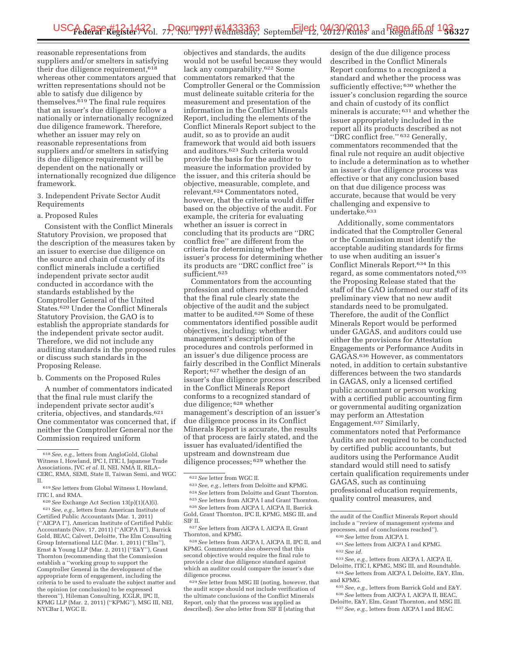reasonable representations from suppliers and/or smelters in satisfying their due diligence requirement,618 whereas other commentators argued that written representations should not be able to satisfy due diligence by themselves.619 The final rule requires that an issuer's due diligence follow a nationally or internationally recognized due diligence framework. Therefore, whether an issuer may rely on reasonable representations from suppliers and/or smelters in satisfying its due diligence requirement will be dependent on the nationally or internationally recognized due diligence framework.

3. Independent Private Sector Audit Requirements

### a. Proposed Rules

Consistent with the Conflict Minerals Statutory Provision, we proposed that the description of the measures taken by an issuer to exercise due diligence on the source and chain of custody of its conflict minerals include a certified independent private sector audit conducted in accordance with the standards established by the Comptroller General of the United States.620 Under the Conflict Minerals Statutory Provision, the GAO is to establish the appropriate standards for the independent private sector audit. Therefore, we did not include any auditing standards in the proposed rules or discuss such standards in the Proposing Release.

b. Comments on the Proposed Rules

A number of commentators indicated that the final rule must clarify the independent private sector audit's criteria, objectives, and standards.621 One commentator was concerned that, if neither the Comptroller General nor the Commission required uniform

620*See* Exchange Act Section 13(p)(1)(A)(i). 621*See, e.g.,* letters from American Institute of Certified Public Accountants (Mar. 1, 2011) (''AICPA I''), American Institute of Certified Public Accountants (Nov. 17, 2011) (''AICPA II''), Barrick Gold, BEAC, Calvert, Deloitte, The Elm Consulting Group International LLC (Mar. 1, 2011) (''Elm''), Ernst & Young LLP (Mar. 2, 2011) (''E&Y''), Grant Thornton (recommending that the Commission establish a ''working group to support the Comptroller General in the development of the appropriate form of engagement, including the criteria to be used to evaluate the subject matter and the opinion (or conclusion) to be expressed thereon''), Hileman Consulting, ICGLR, IPC II, KPMG LLP (Mar. 2, 2011) (''KPMG''), MSG III, NEI, NYCBar I, WGC II.

objectives and standards, the audits would not be useful because they would lack any comparability.622 Some commentators remarked that the Comptroller General or the Commission must delineate suitable criteria for the measurement and presentation of the information in the Conflict Minerals Report, including the elements of the Conflict Minerals Report subject to the audit, so as to provide an audit framework that would aid both issuers and auditors.623 Such criteria would provide the basis for the auditor to measure the information provided by the issuer, and this criteria should be objective, measurable, complete, and relevant.624 Commentators noted, however, that the criteria would differ based on the objective of the audit. For example, the criteria for evaluating whether an issuer is correct in concluding that its products are ''DRC conflict free'' are different from the criteria for determining whether the issuer's process for determining whether its products are ''DRC conflict free'' is sufficient.625

Commentators from the accounting profession and others recommended that the final rule clearly state the objective of the audit and the subject matter to be audited.626 Some of these commentators identified possible audit objectives, including: whether management's description of the procedures and controls performed in an issuer's due diligence process are fairly described in the Conflict Minerals Report; 627 whether the design of an issuer's due diligence process described in the Conflict Minerals Report conforms to a recognized standard of due diligence; 628 whether management's description of an issuer's due diligence process in its Conflict Minerals Report is accurate, the results of that process are fairly stated, and the issuer has evaluated/identified the upstream and downstream due diligence processes; 629 whether the

629*See* letter from MSG III (noting, however, that the audit scope should not include verification of the ultimate conclusions of the Conflict Minerals Report, only that the process was applied as described). *See also* letter from SIF II (stating that

design of the due diligence process described in the Conflict Minerals Report conforms to a recognized a standard and whether the process was sufficiently effective; 630 whether the issuer's conclusion regarding the source and chain of custody of its conflict minerals is accurate; 631 and whether the issuer appropriately included in the report all its products described as not ''DRC conflict free.'' 632 Generally, commentators recommended that the final rule not require an audit objective to include a determination as to whether an issuer's due diligence process was effective or that any conclusion based on that due diligence process was accurate, because that would be very challenging and expensive to undertake.633

Additionally, some commentators indicated that the Comptroller General or the Commission must identify the acceptable auditing standards for firms to use when auditing an issuer's Conflict Minerals Report.634 In this regard, as some commentators noted,635 the Proposing Release stated that the staff of the GAO informed our staff of its preliminary view that no new audit standards need to be promulgated. Therefore, the audit of the Conflict Minerals Report would be performed under GAGAS, and auditors could use either the provisions for Attestation Engagements or Performance Audits in GAGAS.636 However, as commentators noted, in addition to certain substantive differences between the two standards in GAGAS, only a licensed certified public accountant or person working with a certified public accounting firm or governmental auditing organization may perform an Attestation Engagement.637 Similarly, commentators noted that Performance Audits are not required to be conducted by certified public accountants, but auditors using the Performance Audit standard would still need to satisfy certain qualification requirements under GAGAS, such as continuing professional education requirements, quality control measures, and

633*See, e.g.,* letters from AICPA I, AICPA II, Deloitte, ITIC I, KPMG, MSG III, and Roundtable.

<sup>618</sup>*See, e.g.,* letters from AngloGold, Global Witness I, Howland, IPC I, ITIC I, Japanese Trade Associations, JVC *et al.* II, NEI, NMA II, RILA– CERC, RMA, SEMI, State II, Taiwan Semi, and WGC II.

<sup>619</sup>*See* letters from Global Witness I, Howland, ITIC I, and RMA.

<sup>622</sup>*See* letter from WGC II.

<sup>623</sup>*See, e.g.,* letters from Deloitte and KPMG. 624*See* letters from Deloitte and Grant Thornton.

<sup>625</sup>*See* letters from AICPA I and Grant Thornton.

<sup>626</sup>*See* letters from AICPA I, AICPA II, Barrick Gold, Grant Thornton, IPC II, KPMG, MSG III, and SIF II.

<sup>627</sup>*See* letters from AICPA I, AICPA II, Grant Thornton, and KPMG.

<sup>628</sup>*See* letters from AICPA I, AICPA II, IPC II, and KPMG. Commentators also observed that this second objective would require the final rule to provide a clear due diligence standard against which an auditor could compare the issuer's due diligence process.

the audit of the Conflict Minerals Report should include a ''review of management systems and processes, and of conclusions reached''). 630*See* letter from AICPA I.

<sup>631</sup>*See* letters from AICPA I and KPMG. 632*See id.* 

<sup>634</sup>*See* letters from AICPA I, Deloitte, E&Y, Elm, and KPMG.

<sup>635</sup>*See, e.g.,* letters from Barrick Gold and E&Y. 636*See* letters from AICPA I, AICPA II, BEAC,

Deloitte, E&Y, Elm, Grant Thornton, and MSG III. 637*See, e.g.,* letters from AICPA I and BEAC.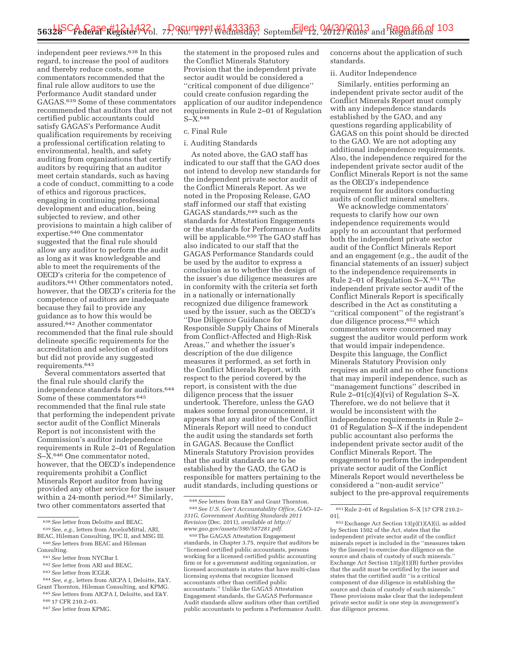independent peer reviews.638 In this regard, to increase the pool of auditors and thereby reduce costs, some commentators recommended that the final rule allow auditors to use the Performance Audit standard under GAGAS.639 Some of these commentators recommended that auditors that are not certified public accountants could satisfy GAGAS's Performance Audit qualification requirements by receiving a professional certification relating to environmental, health, and safety auditing from organizations that certify auditors by requiring that an auditor meet certain standards, such as having a code of conduct, committing to a code of ethics and rigorous practices, engaging in continuing professional development and education, being subjected to review, and other provisions to maintain a high caliber of expertise.640 One commentator suggested that the final rule should allow any auditor to perform the audit as long as it was knowledgeable and able to meet the requirements of the OECD's criteria for the competence of auditors.641 Other commentators noted, however, that the OECD's criteria for the competence of auditors are inadequate because they fail to provide any guidance as to how this would be assured.642 Another commentator recommended that the final rule should delineate specific requirements for the accreditation and selection of auditors but did not provide any suggested requirements.643

Several commentators asserted that the final rule should clarify the independence standards for auditors.644 Some of these commentators 645 recommended that the final rule state that performing the independent private sector audit of the Conflict Minerals Report is not inconsistent with the Commission's auditor independence requirements in Rule 2–01 of Regulation S–X.646 One commentator noted, however, that the OECD's independence requirements prohibit a Conflict Minerals Report auditor from having provided any other service for the issuer within a 24-month period.<sup>647</sup> Similarly, two other commentators asserted that

- 641*See* letter from NYCBar I.
- 642*See* letter from ARI and BEAC.
- 643*See* letter from ICGLR.

the statement in the proposed rules and the Conflict Minerals Statutory Provision that the independent private sector audit would be considered a ''critical component of due diligence'' could create confusion regarding the application of our auditor independence requirements in Rule 2–01 of Regulation S–X.648

### c. Final Rule

#### i. Auditing Standards

As noted above, the GAO staff has indicated to our staff that the GAO does not intend to develop new standards for the independent private sector audit of the Conflict Minerals Report. As we noted in the Proposing Release, GAO staff informed our staff that existing GAGAS standards,649 such as the standards for Attestation Engagements or the standards for Performance Audits will be applicable.<sup>650</sup> The GAO staff has also indicated to our staff that the GAGAS Performance Standards could be used by the auditor to express a conclusion as to whether the design of the issuer's due diligence measures are in conformity with the criteria set forth in a nationally or internationally recognized due diligence framework used by the issuer, such as the OECD's ''Due Diligence Guidance for Responsible Supply Chains of Minerals from Conflict-Affected and High-Risk Areas,'' and whether the issuer's description of the due diligence measures it performed, as set forth in the Conflict Minerals Report, with respect to the period covered by the report, is consistent with the due diligence process that the issuer undertook. Therefore, unless the GAO makes some formal pronouncement, it appears that any auditor of the Conflict Minerals Report will need to conduct the audit using the standards set forth in GAGAS. Because the Conflict Minerals Statutory Provision provides that the audit standards are to be established by the GAO, the GAO is responsible for matters pertaining to the audit standards, including questions or

concerns about the application of such standards.

#### ii. Auditor Independence

Similarly, entities performing an independent private sector audit of the Conflict Minerals Report must comply with any independence standards established by the GAO, and any questions regarding applicability of GAGAS on this point should be directed to the GAO. We are not adopting any additional independence requirements. Also, the independence required for the independent private sector audit of the Conflict Minerals Report is not the same as the OECD's independence requirement for auditors conducting audits of conflict mineral smelters.

We acknowledge commentators' requests to clarify how our own independence requirements would apply to an accountant that performed both the independent private sector audit of the Conflict Minerals Report and an engagement (e.g., the audit of the financial statements of an issuer) subject to the independence requirements in Rule 2–01 of Regulation S–X.651 The independent private sector audit of the Conflict Minerals Report is specifically described in the Act as constituting a "critical component" of the registrant's due diligence process,652 which commentators were concerned may suggest the auditor would perform work that would impair independence. Despite this language, the Conflict Minerals Statutory Provision only requires an audit and no other functions that may imperil independence, such as ''management functions'' described in Rule 2–01(c)(4)(vi) of Regulation S–X. Therefore, we do not believe that it would be inconsistent with the independence requirements in Rule 2– 01 of Regulation S–X if the independent public accountant also performs the independent private sector audit of the Conflict Minerals Report. The engagement to perform the independent private sector audit of the Conflict Minerals Report would nevertheless be considered a ''non-audit service'' subject to the pre-approval requirements

<sup>638</sup>*See* letter from Deloitte and BEAC.

<sup>639</sup>*See, e.g.,* letters from ArcelorMittal, ARI, BEAC, Hileman Consulting, IPC II, and MSG III. 640*See* letters from BEAC and Hileman

Consulting.

<sup>644</sup>*See, e.g.,* letters from AICPA I, Deloitte, E&Y, Grant Thornton, Hileman Consulting, and KPMG. 645*See* letters from AICPA I, Deloitte, and E&Y.

<sup>646</sup> 17 CFR 210.2–01.

<sup>647</sup>*See* letter from KPMG.

<sup>648</sup>*See* letters from E&Y and Grant Thornton. 649*See U.S. Gov't Accountability Office, GAO–12– 331G, Government Auditing Standards 2011 Revision* (Dec. 2011), *available at http:// www.gao.gov/assets/590/587281.pdf*.

<sup>650</sup>The GAGAS Attestation Engagement standards, in Chapter 3.75, require that auditors be ''licensed certified public accountants, persons working for a licensed certified public accounting firm or for a government auditing organization, or licensed accountants in states that have multi-class licensing systems that recognize licensed accountants other than certified public accountants.'' Unlike the GAGAS Attestation Engagement standards, the GAGAS Performance Audit standards allow auditors other than certified public accountants to perform a Performance Audit.

<sup>651</sup>Rule 2–01 of Regulation S–X [17 CFR 210.2– 01].

<sup>652</sup>Exchange Act Section 13(p)(1)(A)(i), as added by Section 1502 of the Act, states that the independent private sector audit of the conflict minerals report is included in the ''measures taken by the [issuer] to exercise due diligence on the source and chain of custody of such minerals.'' Exchange Act Section 13(p)(1)(B) further provides that the audit must be certified by the issuer and states that the certified audit ''is a critical component of due diligence in establishing the source and chain of custody of such minerals. These provisions make clear that the independent private sector audit is one step in *management's*  due diligence process.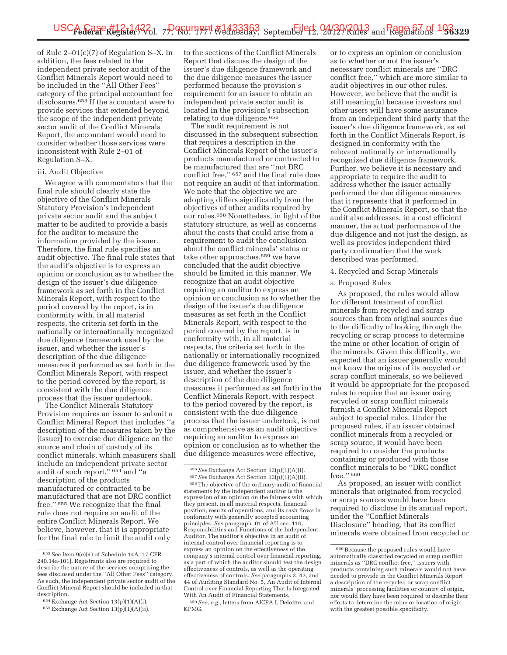of Rule 2–01(c)(7) of Regulation S–X. In addition, the fees related to the independent private sector audit of the Conflict Minerals Report would need to be included in the ''All Other Fees'' category of the principal accountant fee disclosures.653 If the accountant were to provide services that extended beyond the scope of the independent private sector audit of the Conflict Minerals Report, the accountant would need to consider whether those services were inconsistent with Rule 2–01 of Regulation S–X.

#### iii. Audit Objective

We agree with commentators that the final rule should clearly state the objective of the Conflict Minerals Statutory Provision's independent private sector audit and the subject matter to be audited to provide a basis for the auditor to measure the information provided by the issuer. Therefore, the final rule specifies an audit objective. The final rule states that the audit's objective is to express an opinion or conclusion as to whether the design of the issuer's due diligence framework as set forth in the Conflict Minerals Report, with respect to the period covered by the report, is in conformity with, in all material respects, the criteria set forth in the nationally or internationally recognized due diligence framework used by the issuer, and whether the issuer's description of the due diligence measures it performed as set forth in the Conflict Minerals Report, with respect to the period covered by the report, is consistent with the due diligence process that the issuer undertook.

The Conflict Minerals Statutory Provision requires an issuer to submit a Conflict Mineral Report that includes ''a description of the measures taken by the [issuer] to exercise due diligence on the source and chain of custody of its conflict minerals, which measurers shall include an independent private sector audit of such report,'' 654 and ''a description of the products manufactured or contracted to be manufactured that are not DRC conflict free.'' 655 We recognize that the final rule does not require an audit of the entire Conflict Minerals Report. We believe, however, that it is appropriate for the final rule to limit the audit only

to the sections of the Conflict Minerals Report that discuss the design of the issuer's due diligence framework and the due diligence measures the issuer performed because the provision's requirement for an issuer to obtain an independent private sector audit is located in the provision's subsection relating to due diligence.656

The audit requirement is not discussed in the subsequent subsection that requires a description in the Conflict Minerals Report of the issuer's products manufactured or contracted to be manufactured that are ''not DRC conflict free,'' 657 and the final rule does not require an audit of that information. We note that the objective we are adopting differs significantly from the objectives of other audits required by our rules.658 Nonetheless, in light of the statutory structure, as well as concerns about the costs that could arise from a requirement to audit the conclusion about the conflict minerals' status or take other approaches,659 we have concluded that the audit objective should be limited in this manner. We recognize that an audit objective requiring an auditor to express an opinion or conclusion as to whether the design of the issuer's due diligence measures as set forth in the Conflict Minerals Report, with respect to the period covered by the report, is in conformity with, in all material respects, the criteria set forth in the nationally or internationally recognized due diligence framework used by the issuer, and whether the issuer's description of the due diligence measures it performed as set forth in the Conflict Minerals Report, with respect to the period covered by the report, is consistent with the due diligence process that the issuer undertook, is not as comprehensive as an audit objective requiring an auditor to express an opinion or conclusion as to whether the due diligence measures were effective,

659*See, e.g.,* letters from AICPA I, Deloitte, and KPMG.

or to express an opinion or conclusion as to whether or not the issuer's necessary conflict minerals are ''DRC conflict free,'' which are more similar to audit objectives in our other rules. However, we believe that the audit is still meaningful because investors and other users will have some assurance from an independent third party that the issuer's due diligence framework, as set forth in the Conflict Minerals Report, is designed in conformity with the relevant nationally or internationally recognized due diligence framework. Further, we believe it is necessary and appropriate to require the audit to address whether the issuer actually performed the due diligence measures that it represents that it performed in the Conflict Minerals Report, so that the audit also addresses, in a cost efficient manner, the actual performance of the due diligence and not just the design, as well as provides independent third party confirmation that the work described was performed.

# 4. Recycled and Scrap Minerals

#### a. Proposed Rules

As proposed, the rules would allow for different treatment of conflict minerals from recycled and scrap sources than from original sources due to the difficulty of looking through the recycling or scrap process to determine the mine or other location of origin of the minerals. Given this difficulty, we expected that an issuer generally would not know the origins of its recycled or scrap conflict minerals, so we believed it would be appropriate for the proposed rules to require that an issuer using recycled or scrap conflict minerals furnish a Conflict Minerals Report subject to special rules. Under the proposed rules, if an issuer obtained conflict minerals from a recycled or scrap source, it would have been required to consider the products containing or produced with those conflict minerals to be ''DRC conflict free.'' 660

As proposed, an issuer with conflict minerals that originated from recycled or scrap sources would have been required to disclose in its annual report, under the ''Conflict Minerals Disclosure'' heading, that its conflict minerals were obtained from recycled or

<sup>653</sup>See Item 9(e)(4) of Schedule 14A [17 CFR 240.14a-101]. Registrants also are required to describe the nature of the services comprising the fees disclosed under the ''All Other Fees'' category. As such, the independent private sector audit of the Conflict Mineral Report should be included in that description.

<sup>654</sup>Exchange Act Section 13(p)(1)(A)(i).

<sup>655</sup>Exchange Act Section 13(p)(1)(A)(ii).

<sup>&</sup>lt;sup>656</sup> See Exchange Act Section 13(p)(1)(A)(i).<br><sup>657</sup> See Exchange Act Section 13(p)(1)(A)(ii).<br><sup>658</sup> The objective of the ordinary audit of financial statements by the independent auditor is the expression of an opinion on the fairness with which they present, in all material respects, financial position, results of operations, and its cash flows in conformity with generally accepted accounting principles. *See* paragraph .01 of AU sec. 110, Responsibilities and Functions of the Independent Auditor. The auditor's objective in an audit of internal control over financial reporting is to express an opinion on the effectiveness of the company's internal control over financial reporting, as a part of which the auditor should test the design effectiveness of controls, as well as the operating effectiveness of controls. *See* paragraphs 3, 42, and 44 of Auditing Standard No. 5, An Audit of Internal Control over Financial Reporting That Is Integrated With An Audit of Financial Statements.

<sup>660</sup>Because the proposed rules would have automatically classified recycled or scrap conflict minerals as ''DRC conflict free,'' issuers with products containing such minerals would not have needed to provide in the Conflict Minerals Report a description of the recycled or scrap conflict minerals' processing facilities or country of origin, nor would they have been required to describe their efforts to determine the mine or location of origin with the greatest possible specificity.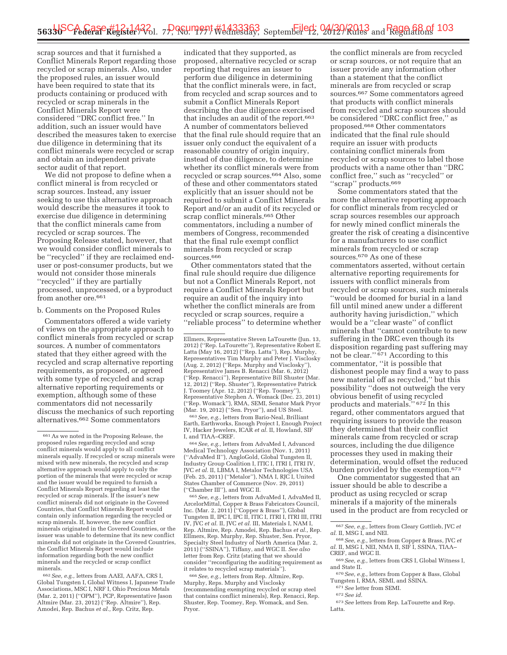scrap sources and that it furnished a Conflict Minerals Report regarding those recycled or scrap minerals. Also, under the proposed rules, an issuer would have been required to state that its products containing or produced with recycled or scrap minerals in the Conflict Minerals Report were considered ''DRC conflict free.'' In addition, such an issuer would have described the measures taken to exercise due diligence in determining that its conflict minerals were recycled or scrap and obtain an independent private sector audit of that report.

We did not propose to define when a conflict mineral is from recycled or scrap sources. Instead, any issuer seeking to use this alternative approach would describe the measures it took to exercise due diligence in determining that the conflict minerals came from recycled or scrap sources. The Proposing Release stated, however, that we would consider conflict minerals to be ''recycled'' if they are reclaimed enduser or post-consumer products, but we would not consider those minerals ''recycled'' if they are partially processed, unprocessed, or a byproduct from another ore.<sup>661</sup>

#### b. Comments on the Proposed Rules

Commentators offered a wide variety of views on the appropriate approach to conflict minerals from recycled or scrap sources. A number of commentators stated that they either agreed with the recycled and scrap alternative reporting requirements, as proposed, or agreed with some type of recycled and scrap alternative reporting requirements or exemption, although some of these commentators did not necessarily discuss the mechanics of such reporting alternatives.662 Some commentators

662*See, e.g.,* letters from AAEI, AAFA, CRS I, Global Tungsten I, Global Witness I, Japanese Trade Associations, MSC I, NRF I, Ohio Precious Metals (Mar. 2, 2011) (''OPM''), PCP, Representative Jason Altmire (Mar. 23, 2012) (''Rep. Altmire''), Rep. Amodei, Rep. Bachus *et al.,* Rep. Critz, Rep.

indicated that they supported, as proposed, alternative recycled or scrap reporting that requires an issuer to perform due diligence in determining that the conflict minerals were, in fact, from recycled and scrap sources and to submit a Conflict Minerals Report describing the due diligence exercised that includes an audit of the report.663 A number of commentators believed that the final rule should require that an issuer only conduct the equivalent of a reasonable country of origin inquiry, instead of due diligence, to determine whether its conflict minerals were from recycled or scrap sources.664 Also, some of these and other commentators stated explicitly that an issuer should not be required to submit a Conflict Minerals Report and/or an audit of its recycled or scrap conflict minerals.665 Other commentators, including a number of members of Congress, recommended that the final rule exempt conflict minerals from recycled or scrap sources.666

Other commentators stated that the final rule should require due diligence but not a Conflict Minerals Report, not require a Conflict Minerals Report but require an audit of the inquiry into whether the conflict minerals are from recycled or scrap sources, require a ''reliable process'' to determine whether

663*See, e.g.,* letters from Bario-Neal, Brilliant Earth, Earthworks, Enough Project I, Enough Project IV, Hacker Jewelers, ICAR *et al.* II, Howland, SIF I, and TIAA–CREF.

664*See, e.g.,* letters from AdvaMed I, Advanced Medical Technology Association (Nov. 1, 2011) (''AdvaMed II''), AngloGold, Global Tungsten II, Industry Group Coalition I, ITIC I, ITRI I, ITRI IV, JVC *et al.* II, LBMA I, Metalor Technologies USA (Feb. 25, 2011) (''Metalor''), NMA I, RJC I, United States Chamber of Commerce (Nov. 29, 2011) (''Chamber III''), and WGC II.

665*See, e.g.,* letters from AdvaMed I, AdvaMed II, ArcelorMittal, Copper & Brass Fabricators Council, Inc. (Mar. 2, 2011) (''Copper & Brass''), Global Tungsten II, IPC I, IPC II, ITIC I, ITRI I, ITRI III, ITRI IV, JVC *et al.* II, JVC *et al.* III, Materials I, NAM I, Rep. Altmire, Rep. Amodei, Rep. Bachus *et al.,* Rep. Ellmers, Rep. Murphy, Rep. Shuster, Sen. Pryor, Specialty Steel Industry of North America (Mar. 2, 2011) (''SSINA''), Tiffany, and WGC II. *See also*  letter from Rep. Critz (stating that we should consider ''reconfiguring the auditing requirement as it relates to recycled scrap materials'').

666*See, e.g.,* letters from Rep. Altmire, Rep. Murphy, Reps. Murphy and Visclosky (recommending exempting recycled or scrap steel that contains conflict minerals), Rep. Renacci, Rep. Shuster, Rep. Toomey, Rep. Womack, and Sen. Pryor.

the conflict minerals are from recycled or scrap sources, or not require that an issuer provide any information other than a statement that the conflict minerals are from recycled or scrap sources.667 Some commentators agreed that products with conflict minerals from recycled and scrap sources should be considered ''DRC conflict free,'' as proposed.668 Other commentators indicated that the final rule should require an issuer with products containing conflict minerals from recycled or scrap sources to label those products with a name other than ''DRC conflict free,'' such as ''recycled'' or "scrap" products.<sup>669</sup>

Some commentators stated that the more the alternative reporting approach for conflict minerals from recycled or scrap sources resembles our approach for newly mined conflict minerals the greater the risk of creating a disincentive for a manufacturers to use conflict minerals from recycled or scrap sources.670 As one of these commentators asserted, without certain alternative reporting requirements for issuers with conflict minerals from recycled or scrap sources, such minerals ''would be doomed for burial in a land fill until mined anew under a different authority having jurisdiction,'' which would be a ''clear waste'' of conflict minerals that ''cannot contribute to new suffering in the DRC even though its disposition regarding past suffering may not be clear.'' 671 According to this commentator, ''it is possible that dishonest people may find a way to pass new material off as recycled,'' but this possibility ''does not outweigh the very obvious benefit of using recycled products and materials." 672 In this regard, other commentators argued that requiring issuers to provide the reason they determined that their conflict minerals came from recycled or scrap sources, including the due diligence processes they used in making their determination, would offset the reduced burden provided by the exemption.673

One commentator suggested that an issuer should be able to describe a product as using recycled or scrap minerals if a majority of the minerals used in the product are from recycled or

- <sup>669</sup> See, e.g., letters from CRS I, Global Witness I, and State II.
- <sup>670</sup> See, e.g., letters from Copper & Bass, Global Tungsten I, RMA, SEMI, and SSINA.<br><sup>671</sup> See letter from SEMI.<br><sup>672</sup> See id.
- 
- 

<sup>661</sup>As we noted in the Proposing Release, the proposed rules regarding recycled and scrap conflict minerals would apply to all conflict minerals equally. If recycled or scrap minerals were mixed with new minerals, the recycled and scrap alternative approach would apply to only the portion of the minerals that were recycled or scrap and the issuer would be required to furnish a Conflict Minerals Report regarding at least the recycled or scrap minerals. If the issuer's new conflict minerals did not originate in the Covered Countries, that Conflict Minerals Report would contain only information regarding the recycled or scrap minerals. If, however, the new conflict minerals originated in the Covered Countries, or the issuer was unable to determine that its new conflict minerals did not originate in the Covered Countries, the Conflict Minerals Report would include information regarding both the new conflict minerals and the recycled or scrap conflict minerals.

Ellmers, Representative Steven LaTourette (Jun. 13, 2012) (''Rep. LaTourette''), Representative Robert E. Latta (May 16, 2012) (''Rep. Latta''), Rep. Murphy, Representatives Tim Murphy and Peter J. Visclosky (Aug. 2, 2012) (''Reps. Murphy and Visclosky''), Representative James B. Renacci (Mar. 6, 2012) (''Rep. Renacci''), Representative Bill Shuster (Mar. 12, 2012) (''Rep. Shuster''), Representative Patrick J. Toomey (Apr. 12, 2012) (''Rep. Toomey''), Representative Stephen A. Womack (Dec. 23, 2011) (''Rep. Womack''), RMA, SEMI, Senator Mark Pryor (Mar. 19, 2012) (''Sen. Pryor''), and US Steel.

<sup>667</sup>*See, e.g.,* letters from Cleary Gottlieb, JVC *et al.* II, MSG I, and NEI.

<sup>668</sup>*See, e.g.,* letters from Copper & Brass, JVC *et al.* II, MSG I, NEI, NMA II, SIF I, SSINA, TIAA–CREF, and WGC II.

<sup>673</sup>*See* letters from Rep. LaTourette and Rep. Latta.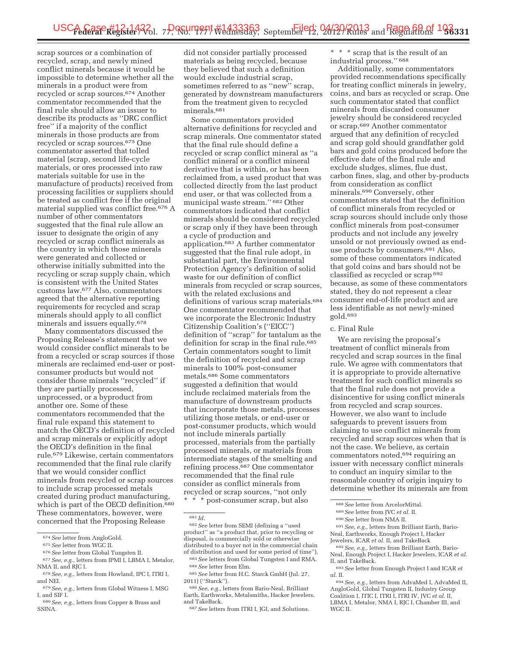scrap sources or a combination of recycled, scrap, and newly mined conflict minerals because it would be impossible to determine whether all the minerals in a product were from recycled or scrap sources.674 Another commentator recommended that the final rule should allow an issuer to describe its products as ''DRC conflict free'' if a majority of the conflict minerals in those products are from recycled or scrap sources.675 One commentator asserted that tolled material (scrap, second life-cycle materials, or ores processed into raw materials suitable for use in the manufacture of products) received from processing facilities or suppliers should be treated as conflict free if the original material supplied was conflict free.676 A number of other commentators suggested that the final rule allow an issuer to designate the origin of any recycled or scrap conflict minerals as the country in which those minerals were generated and collected or otherwise initially submitted into the recycling or scrap supply chain, which is consistent with the United States customs law.677 Also, commentators agreed that the alternative reporting requirements for recycled and scrap minerals should apply to all conflict minerals and issuers equally.678

Many commentators discussed the Proposing Release's statement that we would consider conflict minerals to be from a recycled or scrap sources if those minerals are reclaimed end-user or postconsumer products but would not consider those minerals ''recycled'' if they are partially processed, unprocessed, or a byproduct from another ore. Some of these commentators recommended that the final rule expand this statement to match the OECD's definition of recycled and scrap minerals or explicitly adopt the OECD's definition in the final rule.679 Likewise, certain commentators recommended that the final rule clarify that we would consider conflict minerals from recycled or scrap sources to include scrap processed metals created during product manufacturing, which is part of the OECD definition.<sup>680</sup> These commentators, however, were concerned that the Proposing Release

677*See, e.g.,* letters from IPMI I, LBMA I, Metalor, NMA II, and RIC I.

did not consider partially processed materials as being recycled, because they believed that such a definition would exclude industrial scrap, sometimes referred to as "new" scrap, generated by downstream manufacturers from the treatment given to recycled minerals.<sup>681</sup>

Some commentators provided alternative definitions for recycled and scrap minerals. One commentator stated that the final rule should define a recycled or scrap conflict mineral as ''a conflict mineral or a conflict mineral derivative that is within, or has been reclaimed from, a used product that was collected directly from the last product end user, or that was collected from a municipal waste stream.'' 682 Other commentators indicated that conflict minerals should be considered recycled or scrap only if they have been through a cycle of production and application.683 A further commentator suggested that the final rule adopt, in substantial part, the Environmental Protection Agency's definition of solid waste for our definition of conflict minerals from recycled or scrap sources, with the related exclusions and definitions of various scrap materials.684 One commentator recommended that we incorporate the Electronic Industry Citizenship Coalition's (''EICC'') definition of ''scrap'' for tantalum as the definition for scrap in the final rule.<sup>685</sup> Certain commentators sought to limit the definition of recycled and scrap minerals to 100% post-consumer metals.686 Some commentators suggested a definition that would include reclaimed materials from the manufacture of downstream products that incorporate those metals, processes utilizing those metals, or end-user or post-consumer products, which would not include minerals partially processed, materials from the partially processed minerals, or materials from intermediate stages of the smelting and refining process.687 One commentator recommended that the final rule consider as conflict minerals from recycled or scrap sources, ''not only \* \* \* post-consumer scrap, but also

681 *Id.* 

\* \* \* scrap that is the result of an industrial process.'' 688

Additionally, some commentators provided recommendations specifically for treating conflict minerals in jewelry, coins, and bars as recycled or scrap. One such commentator stated that conflict minerals from discarded consumer jewelry should be considered recycled or scrap.689 Another commentator argued that any definition of recycled and scrap gold should grandfather gold bars and gold coins produced before the effective date of the final rule and exclude sludges, slimes, flue dust, carbon fines, slag, and other by-products from consideration as conflict minerals.690 Conversely, other commentators stated that the definition of conflict minerals from recycled or scrap sources should include only those conflict minerals from post-consumer products and not include any jewelry unsold or not previously owned as enduse products by consumers.691 Also, some of these commentators indicated that gold coins and bars should not be classified as recycled or scrap 692 because, as some of these commentators stated, they do not represent a clear consumer end-of-life product and are less identifiable as not newly-mined gold.693

### c. Final Rule

We are revising the proposal's treatment of conflict minerals from recycled and scrap sources in the final rule. We agree with commentators that it is appropriate to provide alternative treatment for such conflict minerals so that the final rule does not provide a disincentive for using conflict minerals from recycled and scrap sources. However, we also want to include safeguards to prevent issuers from claiming to use conflict minerals from recycled and scrap sources when that is not the case. We believe, as certain commentators noted,694 requiring an issuer with necessary conflict minerals to conduct an inquiry similar to the reasonable country of origin inquiry to determine whether its minerals are from

691*See, e.g.,* letters from Brilliant Earth, Bario-Neal, Earthworks, Enough Project I, Hacker Jewelers, ICAR *et al.* II, and TakeBack

692*See, e.g.,* letters from Brilliant Earth, Bario-Neal, Enough Project I, Hacker Jewelers, ICAR *et al.*  II, and TakeBack.

<sup>674</sup>*See* letter from AngloGold.

<sup>675</sup>*See* letter from WGC II.

<sup>676</sup>*See* letter from Global Tungsten II.

<sup>678</sup>*See, e.g.,* letters from Howland, IPC I, ITRI I, and NEI.

<sup>679</sup>*See, e.g.,* letters from Global Witness I, MSG I, and SIF I.

<sup>680</sup>*See, e.g.,* letters from Copper & Brass and SSINA.

<sup>682</sup>*See* letter from SEMI (defining a ''used product'' as ''a product that, prior to recycling or disposal, is commercially sold or otherwise distributed to a buyer not in the commercial chain of distribution and used for some period of time'').

<sup>683</sup>*See* letters from Global Tungsten I and RMA. 684*See* letter from Elm.

<sup>685</sup>*See* letter from H.C. Starck GmbH (Jul. 27, 2011) (''Starck'').

<sup>686</sup>*See, e.g.,* letters from Bario-Neal, Brilliant Earth, Earthworks, Metalsmiths, Hacker Jewelers, and TakeBack.

<sup>687</sup>*See* letters from ITRI I, JGI, and Solutions.

<sup>688</sup>*See* letter from ArcelorMittal.

<sup>689</sup>*See* letter from JVC *et al.* II.

<sup>690</sup>*See* letter from NMA II.

<sup>693</sup>*See* letter from Enough Project I and ICAR *et al.* II.

<sup>694</sup>*See, e.g.,* letters from AdvaMed I, AdvaMed II, AngloGold, Global Tungsten II, Industry Group Coalition I, ITIC I, ITRI I, ITRI IV, JVC *et al.* II, LBMA I, Metalor, NMA I, RJC I, Chamber III, and WGC II.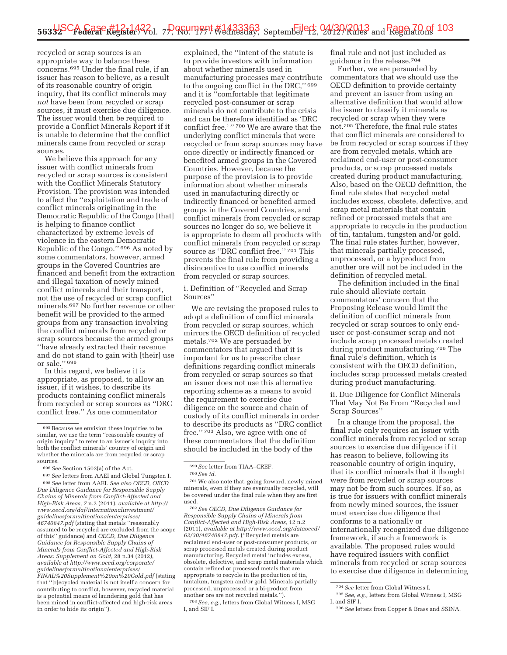recycled or scrap sources is an appropriate way to balance these concerns.695 Under the final rule, if an issuer has reason to believe, as a result of its reasonable country of origin inquiry, that its conflict minerals may *not* have been from recycled or scrap sources, it must exercise due diligence. The issuer would then be required to provide a Conflict Minerals Report if it is unable to determine that the conflict minerals came from recycled or scrap sources.

We believe this approach for any issuer with conflict minerals from recycled or scrap sources is consistent with the Conflict Minerals Statutory Provision. The provision was intended to affect the ''exploitation and trade of conflict minerals originating in the Democratic Republic of the Congo [that] is helping to finance conflict characterized by extreme levels of violence in the eastern Democratic Republic of the Congo.'' 696 As noted by some commentators, however, armed groups in the Covered Countries are financed and benefit from the extraction and illegal taxation of newly mined conflict minerals and their transport, not the use of recycled or scrap conflict minerals.697 No further revenue or other benefit will be provided to the armed groups from any transaction involving the conflict minerals from recycled or scrap sources because the armed groups ''have already extracted their revenue and do not stand to gain with [their] use or sale.'' 698

In this regard, we believe it is appropriate, as proposed, to allow an issuer, if it wishes, to describe its products containing conflict minerals from recycled or scrap sources as ''DRC conflict free.'' As one commentator

explained, the ''intent of the statute is to provide investors with information about whether minerals used in manufacturing processes may contribute to the ongoing conflict in the DRC,'' 699 and it is ''comfortable that legitimate recycled post-consumer or scrap minerals do not contribute to the crisis and can be therefore identified as 'DRC conflict free.'" <sup>700</sup> We are aware that the underlying conflict minerals that were recycled or from scrap sources may have once directly or indirectly financed or benefited armed groups in the Covered Countries. However, because the purpose of the provision is to provide information about whether minerals used in manufacturing directly or indirectly financed or benefited armed groups in the Covered Countries, and conflict minerals from recycled or scrap sources no longer do so, we believe it is appropriate to deem all products with conflict minerals from recycled or scrap source as ''DRC conflict free.'' 701 This prevents the final rule from providing a disincentive to use conflict minerals from recycled or scrap sources.

i. Definition of ''Recycled and Scrap Sources''

We are revising the proposed rules to adopt a definition of conflict minerals from recycled or scrap sources, which mirrors the OECD definition of recycled metals.702 We are persuaded by commentators that argued that it is important for us to prescribe clear definitions regarding conflict minerals from recycled or scrap sources so that an issuer does not use this alternative reporting scheme as a means to avoid the requirement to exercise due diligence on the source and chain of custody of its conflict minerals in order to describe its products as ''DRC conflict free.'' 703 Also, we agree with one of these commentators that the definition should be included in the body of the

702*See OECD, Due Diligence Guidance for Responsible Supply Chains of Minerals from Conflict-Affected and High-Risk Areas,* 12 n.2 (2011), *available at http://www.oecd.org/dataoecd/ 62/30/46740847.pdf*. (''Recycled metals are reclaimed end-user or post-consumer products, or scrap processed metals created during product manufacturing. Recycled metal includes excess, obsolete, defective, and scrap metal materials which contain refined or processed metals that are appropriate to recycle in the production of tin, tantalum, tungsten and/or gold. Minerals partially processed, unprocessed or a bi-product from another ore are not recycled metals.'').

703*See, e.g.,* letters from Global Witness I, MSG I, and SIF I.

final rule and not just included as guidance in the release.704

Further, we are persuaded by commentators that we should use the OECD definition to provide certainty and prevent an issuer from using an alternative definition that would allow the issuer to classify it minerals as recycled or scrap when they were not.705 Therefore, the final rule states that conflict minerals are considered to be from recycled or scrap sources if they are from recycled metals, which are reclaimed end-user or post-consumer products, or scrap processed metals created during product manufacturing. Also, based on the OECD definition, the final rule states that recycled metal includes excess, obsolete, defective, and scrap metal materials that contain refined or processed metals that are appropriate to recycle in the production of tin, tantalum, tungsten and/or gold. The final rule states further, however, that minerals partially processed, unprocessed, or a byproduct from another ore will not be included in the definition of recycled metal.

The definition included in the final rule should alleviate certain commentators' concern that the Proposing Release would limit the definition of conflict minerals from recycled or scrap sources to only enduser or post-consumer scrap and not include scrap processed metals created during product manufacturing.706 The final rule's definition, which is consistent with the OECD definition, includes scrap processed metals created during product manufacturing.

ii. Due Diligence for Conflict Minerals That May Not Be From ''Recycled and Scrap Sources''

In a change from the proposal, the final rule only requires an issuer with conflict minerals from recycled or scrap sources to exercise due diligence if it has reason to believe, following its reasonable country of origin inquiry, that its conflict minerals that it thought were from recycled or scrap sources may not be from such sources. If so, as is true for issuers with conflict minerals from newly mined sources, the issuer must exercise due diligence that conforms to a nationally or internationally recognized due diligence framework, if such a framework is available. The proposed rules would have required issuers with conflict minerals from recycled or scrap sources to exercise due diligence in determining

<sup>695</sup>Because we envision these inquiries to be similar, we use the term ''reasonable country of origin inquiry'' to refer to an issuer's inquiry into both the conflict minerals' country of origin and whether the minerals are from recycled or scrap sources.

<sup>696</sup>*See* Section 1502(a) of the Act.

<sup>697</sup>*See* letters from AAEI and Global Tungsten I. 698*See* letter from AAEI. *See also OECD, OECD Due Diligence Guidance for Responsible Supply Chains of Minerals from Conflict-Affected and High-Risk Areas, 7* n.2 (2011), *available at http:// www.oecd.org/daf/internationalinvestment/ guidelinesformultinationalenterprises/ 46740847.pdf* (stating that metals ''reasonably assumed to be recycled are excluded from the scope of this'' guidance) and *OECD, Due Diligence Guidance for Responsible Supply Chains of Minerals from Conflict-Affected and High-Risk Areas: Supplement on Gold,* 28 n.34 (2012), *available at http://www.oecd.org/corporate/ guidelinesformultinationalenterprises/ FINAL%20Supplement%20on%20Gold.pdf* (stating that ''[r]ecycled material is not itself a concern for contributing to conflict, however, recycled material is a potential means of laundering gold that has been mined in conflict-affected and high-risk areas in order to hide its origin'').

<sup>699</sup>*See* letter from TIAA–CREF.

<sup>700</sup>*See id.* 

<sup>701</sup>We also note that, going forward, newly mined minerals, even if they are eventually recycled, will be covered under the final rule when they are first used.

<sup>704</sup>*See* letter from Global Witness I.

<sup>705</sup>*See, e.g.,* letters from Global Witness I, MSG I, and SIF I.

<sup>706</sup>*See* letters from Copper & Brass and SSINA.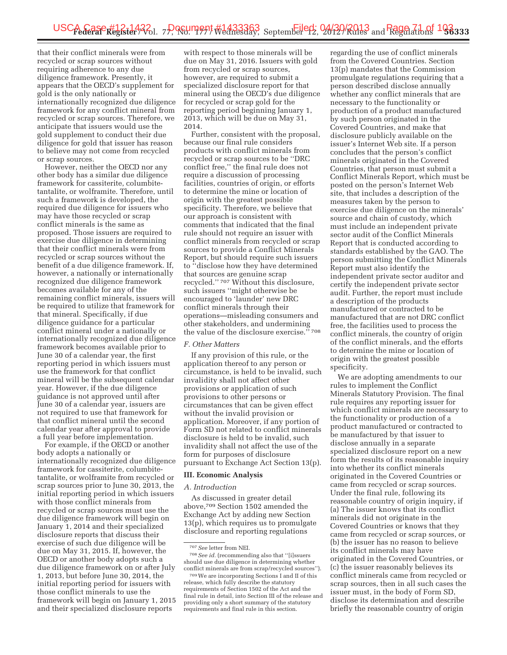that their conflict minerals were from recycled or scrap sources without requiring adherence to any due diligence framework. Presently, it appears that the OECD's supplement for gold is the only nationally or internationally recognized due diligence framework for any conflict mineral from recycled or scrap sources. Therefore, we anticipate that issuers would use the gold supplement to conduct their due diligence for gold that issuer has reason to believe may not come from recycled or scrap sources.

However, neither the OECD nor any other body has a similar due diligence framework for cassiterite, columbitetantalite, or wolframite. Therefore, until such a framework is developed, the required due diligence for issuers who may have those recycled or scrap conflict minerals is the same as proposed. Those issuers are required to exercise due diligence in determining that their conflict minerals were from recycled or scrap sources without the benefit of a due diligence framework. If, however, a nationally or internationally recognized due diligence framework becomes available for any of the remaining conflict minerals, issuers will be required to utilize that framework for that mineral. Specifically, if due diligence guidance for a particular conflict mineral under a nationally or internationally recognized due diligence framework becomes available prior to June 30 of a calendar year, the first reporting period in which issuers must use the framework for that conflict mineral will be the subsequent calendar year. However, if the due diligence guidance is not approved until after June 30 of a calendar year, issuers are not required to use that framework for that conflict mineral until the second calendar year after approval to provide a full year before implementation.

For example, if the OECD or another body adopts a nationally or internationally recognized due diligence framework for cassiterite, columbitetantalite, or wolframite from recycled or scrap sources prior to June 30, 2013, the initial reporting period in which issuers with those conflict minerals from recycled or scrap sources must use the due diligence framework will begin on January 1, 2014 and their specialized disclosure reports that discuss their exercise of such due diligence will be due on May 31, 2015. If, however, the OECD or another body adopts such a due diligence framework on or after July 1, 2013, but before June 30, 2014, the initial reporting period for issuers with those conflict minerals to use the framework will begin on January 1, 2015 and their specialized disclosure reports

with respect to those minerals will be due on May 31, 2016. Issuers with gold from recycled or scrap sources, however, are required to submit a specialized disclosure report for that mineral using the OECD's due diligence for recycled or scrap gold for the reporting period beginning January 1, 2013, which will be due on May 31, 2014.

Further, consistent with the proposal, because our final rule considers products with conflict minerals from recycled or scrap sources to be ''DRC conflict free,'' the final rule does not require a discussion of processing facilities, countries of origin, or efforts to determine the mine or location of origin with the greatest possible specificity. Therefore, we believe that our approach is consistent with comments that indicated that the final rule should not require an issuer with conflict minerals from recycled or scrap sources to provide a Conflict Minerals Report, but should require such issuers to ''disclose how they have determined that sources are genuine scrap recycled.'' 707 Without this disclosure, such issuers ''might otherwise be encouraged to 'launder' new DRC conflict minerals through their operations—misleading consumers and other stakeholders, and undermining the value of the disclosure exercise." 708

# *F. Other Matters*

If any provision of this rule, or the application thereof to any person or circumstance, is held to be invalid, such invalidity shall not affect other provisions or application of such provisions to other persons or circumstances that can be given effect without the invalid provision or application. Moreover, if any portion of Form SD not related to conflict minerals disclosure is held to be invalid, such invalidity shall not affect the use of the form for purposes of disclosure pursuant to Exchange Act Section 13(p).

#### **III. Economic Analysis**

### *A. Introduction*

As discussed in greater detail above,709 Section 1502 amended the Exchange Act by adding new Section 13(p), which requires us to promulgate disclosure and reporting regulations

regarding the use of conflict minerals from the Covered Countries. Section 13(p) mandates that the Commission promulgate regulations requiring that a person described disclose annually whether any conflict minerals that are necessary to the functionality or production of a product manufactured by such person originated in the Covered Countries, and make that disclosure publicly available on the issuer's Internet Web site. If a person concludes that the person's conflict minerals originated in the Covered Countries, that person must submit a Conflict Minerals Report, which must be posted on the person's Internet Web site, that includes a description of the measures taken by the person to exercise due diligence on the minerals' source and chain of custody, which must include an independent private sector audit of the Conflict Minerals Report that is conducted according to standards established by the GAO. The person submitting the Conflict Minerals Report must also identify the independent private sector auditor and certify the independent private sector audit. Further, the report must include a description of the products manufactured or contracted to be manufactured that are not DRC conflict free, the facilities used to process the conflict minerals, the country of origin of the conflict minerals, and the efforts to determine the mine or location of origin with the greatest possible specificity.

We are adopting amendments to our rules to implement the Conflict Minerals Statutory Provision. The final rule requires any reporting issuer for which conflict minerals are necessary to the functionality or production of a product manufactured or contracted to be manufactured by that issuer to disclose annually in a separate specialized disclosure report on a new form the results of its reasonable inquiry into whether its conflict minerals originated in the Covered Countries or came from recycled or scrap sources. Under the final rule, following its reasonable country of origin inquiry, if (a) The issuer knows that its conflict minerals did not originate in the Covered Countries or knows that they came from recycled or scrap sources, or (b) the issuer has no reason to believe its conflict minerals may have originated in the Covered Countries, or (c) the issuer reasonably believes its conflict minerals came from recycled or scrap sources, then in all such cases the issuer must, in the body of Form SD, disclose its determination and describe briefly the reasonable country of origin

<sup>707</sup>*See* letter from NEI.

<sup>708</sup>*See id.* (recommending also that ''[i]ssuers should use due diligence in determining whether conflict minerals are from scrap/recycled sources'').

<sup>709</sup>We are incorporating Sections I and II of this release, which fully describe the statutory requirements of Section 1502 of the Act and the final rule in detail, into Section III of the release and providing only a short summary of the statutory requirements and final rule in this section.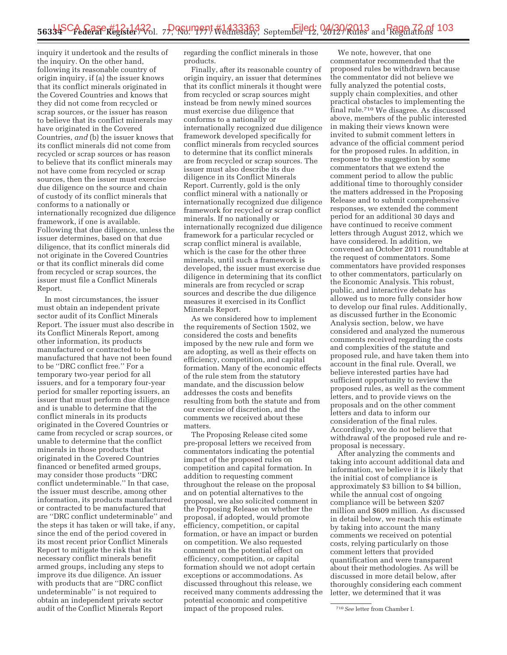inquiry it undertook and the results of the inquiry. On the other hand, following its reasonable country of origin inquiry, if (a) the issuer knows that its conflict minerals originated in the Covered Countries and knows that they did not come from recycled or scrap sources, or the issuer has reason to believe that its conflict minerals may have originated in the Covered Countries, *and* (b) the issuer knows that its conflict minerals did not come from recycled or scrap sources or has reason to believe that its conflict minerals may not have come from recycled or scrap sources, then the issuer must exercise due diligence on the source and chain of custody of its conflict minerals that conforms to a nationally or internationally recognized due diligence framework, if one is available. Following that due diligence, unless the issuer determines, based on that due diligence, that its conflict minerals did not originate in the Covered Countries or that its conflict minerals did come from recycled or scrap sources, the issuer must file a Conflict Minerals Report.

In most circumstances, the issuer must obtain an independent private sector audit of its Conflict Minerals Report. The issuer must also describe in its Conflict Minerals Report, among other information, its products manufactured or contracted to be manufactured that have not been found to be ''DRC conflict free.'' For a temporary two-year period for all issuers, and for a temporary four-year period for smaller reporting issuers, an issuer that must perform due diligence and is unable to determine that the conflict minerals in its products originated in the Covered Countries or came from recycled or scrap sources, or unable to determine that the conflict minerals in those products that originated in the Covered Countries financed or benefited armed groups, may consider those products ''DRC conflict undeterminable.'' In that case, the issuer must describe, among other information, its products manufactured or contracted to be manufactured that are ''DRC conflict undeterminable'' and the steps it has taken or will take, if any, since the end of the period covered in its most recent prior Conflict Minerals Report to mitigate the risk that its necessary conflict minerals benefit armed groups, including any steps to improve its due diligence. An issuer with products that are ''DRC conflict undeterminable'' is not required to obtain an independent private sector audit of the Conflict Minerals Report

regarding the conflict minerals in those products.

Finally, after its reasonable country of origin inquiry, an issuer that determines that its conflict minerals it thought were from recycled or scrap sources might instead be from newly mined sources must exercise due diligence that conforms to a nationally or internationally recognized due diligence framework developed specifically for conflict minerals from recycled sources to determine that its conflict minerals are from recycled or scrap sources. The issuer must also describe its due diligence in its Conflict Minerals Report. Currently, gold is the only conflict mineral with a nationally or internationally recognized due diligence framework for recycled or scrap conflict minerals. If no nationally or internationally recognized due diligence framework for a particular recycled or scrap conflict mineral is available, which is the case for the other three minerals, until such a framework is developed, the issuer must exercise due diligence in determining that its conflict minerals are from recycled or scrap sources and describe the due diligence measures it exercised in its Conflict Minerals Report.

As we considered how to implement the requirements of Section 1502, we considered the costs and benefits imposed by the new rule and form we are adopting, as well as their effects on efficiency, competition, and capital formation. Many of the economic effects of the rule stem from the statutory mandate, and the discussion below addresses the costs and benefits resulting from both the statute and from our exercise of discretion, and the comments we received about these matters.

The Proposing Release cited some pre-proposal letters we received from commentators indicating the potential impact of the proposed rules on competition and capital formation. In addition to requesting comment throughout the release on the proposal and on potential alternatives to the proposal, we also solicited comment in the Proposing Release on whether the proposal, if adopted, would promote efficiency, competition, or capital formation, or have an impact or burden on competition. We also requested comment on the potential effect on efficiency, competition, or capital formation should we not adopt certain exceptions or accommodations. As discussed throughout this release, we received many comments addressing the potential economic and competitive impact of the proposed rules.

We note, however, that one commentator recommended that the proposed rules be withdrawn because the commentator did not believe we fully analyzed the potential costs, supply chain complexities, and other practical obstacles to implementing the final rule.710 We disagree. As discussed above, members of the public interested in making their views known were invited to submit comment letters in advance of the official comment period for the proposed rules. In addition, in response to the suggestion by some commentators that we extend the comment period to allow the public additional time to thoroughly consider the matters addressed in the Proposing Release and to submit comprehensive responses, we extended the comment period for an additional 30 days and have continued to receive comment letters through August 2012, which we have considered. In addition, we convened an October 2011 roundtable at the request of commentators. Some commentators have provided responses to other commentators, particularly on the Economic Analysis. This robust, public, and interactive debate has allowed us to more fully consider how to develop our final rules. Additionally, as discussed further in the Economic Analysis section, below, we have considered and analyzed the numerous comments received regarding the costs and complexities of the statute and proposed rule, and have taken them into account in the final rule. Overall, we believe interested parties have had sufficient opportunity to review the proposed rules, as well as the comment letters, and to provide views on the proposals and on the other comment letters and data to inform our consideration of the final rules. Accordingly, we do not believe that withdrawal of the proposed rule and reproposal is necessary.

After analyzing the comments and taking into account additional data and information, we believe it is likely that the initial cost of compliance is approximately \$3 billion to \$4 billion, while the annual cost of ongoing compliance will be between \$207 million and \$609 million. As discussed in detail below, we reach this estimate by taking into account the many comments we received on potential costs, relying particularly on those comment letters that provided quantification and were transparent about their methodologies. As will be discussed in more detail below, after thoroughly considering each comment letter, we determined that it was

<sup>710</sup>*See* letter from Chamber I.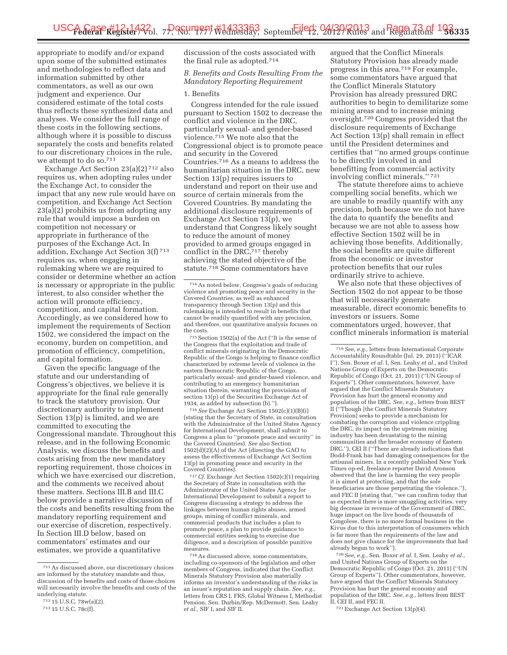appropriate to modify and/or expand upon some of the submitted estimates and methodologies to reflect data and information submitted by other commentators, as well as our own judgment and experience. Our considered estimate of the total costs thus reflects these synthesized data and analyses. We consider the full range of these costs in the following sections, although where it is possible to discuss separately the costs and benefits related to our discretionary choices in the rule, we attempt to do so.711

Exchange Act Section 23(a)(2) 712 also requires us, when adopting rules under the Exchange Act, to consider the impact that any new rule would have on competition, and Exchange Act Section 23(a)(2) prohibits us from adopting any rule that would impose a burden on competition not necessary or appropriate in furtherance of the purposes of the Exchange Act. In addition, Exchange Act Section 3(f) 713 requires us, when engaging in rulemaking where we are required to consider or determine whether an action is necessary or appropriate in the public interest, to also consider whether the action will promote efficiency, competition, and capital formation. Accordingly, as we considered how to implement the requirements of Section 1502, we considered the impact on the economy, burden on competition, and promotion of efficiency, competition, and capital formation.

Given the specific language of the statute and our understanding of Congress's objectives, we believe it is appropriate for the final rule generally to track the statutory provision. Our discretionary authority to implement Section 13(p) is limited, and we are committed to executing the Congressional mandate. Throughout this release, and in the following Economic Analysis, we discuss the benefits and costs arising from the new mandatory reporting requirement, those choices in which we have exercised our discretion, and the comments we received about these matters. Sections III.B and III.C below provide a narrative discussion of the costs and benefits resulting from the mandatory reporting requirement and our exercise of discretion, respectively. In Section III.D below, based on commentators' estimates and our estimates, we provide a quantitative

discussion of the costs associated with the final rule as adopted.714

*B. Benefits and Costs Resulting From the Mandatory Reporting Requirement* 

#### 1. Benefits

Congress intended for the rule issued pursuant to Section 1502 to decrease the conflict and violence in the DRC, particularly sexual- and gender-based violence.715 We note also that the Congressional object is to promote peace and security in the Covered Countries.716 As a means to address the humanitarian situation in the DRC, new Section 13(p) requires issuers to understand and report on their use and source of certain minerals from the Covered Countries. By mandating the additional disclosure requirements of Exchange Act Section 13(p), we understand that Congress likely sought to reduce the amount of money provided to armed groups engaged in conflict in the DRC,<sup>717</sup> thereby achieving the stated objective of the statute.718 Some commentators have

715Section 1502(a) of the Act (''It is the sense of the Congress that the exploitation and trade of conflict minerals originating in the Democratic Republic of the Congo is helping to finance conflict characterized by extreme levels of violence in the eastern Democratic Republic of the Congo, particularly sexual- and gender-based violence, and contributing to an emergency humanitarian situation therein, warranting the provisions of section 13(p) of the Securities Exchange Act of 1934, as added by subsection (b).'').

716*See* Exchange Act Section 1502(c)(1)(B)(i) (stating that the Secretary of State, in consultation with the Administrator of the United States Agency for International Development, shall submit to Congress a plan to "promote peace and security' the Covered Countries). *See* also Section 1502(d)(2)(A) of the Act (directing the GAO to assess the effectiveness of Exchange Act Section 13(p) in promoting peace and security in the Covered Countries).

717*Cf.* Exchange Act Section 1502(c)(1) requiring the Secretary of State in consultation with the Administrator of the United States Agency for International Development to submit a report to Congress discussing a strategy to address the linkages between human rights abuses, armed groups, mining of conflict minerals, and commercial products that includes a plan to promote peace, a plan to provide guidance to commercial entities seeking to exercise due diligence, and a description of possible punitive measures.

718As discussed above, some commentators, including co-sponsors of the legislation and other members of Congress, indicated that the Conflict Minerals Statutory Provision also materially informs an investor's understanding of the risks in an issuer's reputation and supply chain. *See, e.g.,*  letters from CRS I, FRS, Global Witness I, Methodist Pension, Sen. Durbin/Rep. McDermott, Sen. Leahy *et al.,* SIF I, and SIF II.

argued that the Conflict Minerals Statutory Provision has already made progress in this area.719 For example, some commentators have argued that the Conflict Minerals Statutory Provision has already pressured DRC authorities to begin to demilitarize some mining areas and to increase mining oversight.720 Congress provided that the disclosure requirements of Exchange Act Section 13(p) shall remain in effect until the President determines and certifies that ''no armed groups continue to be directly involved in and benefitting from commercial activity involving conflict minerals.'' 721

The statute therefore aims to achieve compelling social benefits, which we are unable to readily quantify with any precision, both because we do not have the data to quantify the benefits and because we are not able to assess how effective Section 1502 will be in achieving those benefits. Additionally, the social benefits are quite different from the economic or investor protection benefits that our rules ordinarily strive to achieve.

We also note that these objectives of Section 1502 do not appear to be those that will necessarily generate measurable, direct economic benefits to investors or issuers. Some commentators urged, however, that conflict minerals information is material

719*See, e.g.,* letters from International Corporate Accountability Roundtable (Jul. 29, 2011) (''ICAR I''), Sen. Boxer *et al.* I, Sen. Leahy *et al.,* and United Nations Group of Experts on the Democratic Republic of Congo (Oct. 21, 2011) ("UN Group of Experts''). Other commentators, however, have argued that the Conflict Minerals Statutory Provision has hurt the general economy and population of the DRC. *See, e.g.,* letters from BEST II (''Though [the Conflict Minerals Statutory Provision] seeks to provide a mechanism for combating the corruption and violence crippling the DRC, its impact on the upstream mining industry has been devastating to the mining communities and the broader economy of Eastern DRC.''), CEI II (''There are already indications that Dodd-Frank has had damaging consequences for the artisanal miners. In a recently published New York Times op-ed, freelance reporter David Aronson observed that the law is harming the very people it is aimed at protecting, and that the sole beneficiaries are those perpetrating the violence.''), and FEC II (stating that, ''we can confirm today that as expected there is more smuggling activities, very big decrease in revenue of the Government of DRC, huge impact on the live hoods of thousands of Congolese, there is no more formal business in the Kivus due to this interpretation of consumers which is far more than the requirements of the law and does not give chance for the improvements that had already begun to work'').

720*See, e.g.,* Sen. Boxer *et al.* I, Sen. Leahy *et al.,*  and United Nations Group of Experts on the Democratic Republic of Congo (Oct. 21, 2011) (''UN Group of Experts''). Other commentators, however, have argued that the Conflict Minerals Statutory Provision has hurt the general economy and population of the DRC. *See, e.g.,* letters from BEST II, CEI II, and FEC II.

721Exchange Act Section 13(p)(4).

<sup>711</sup>As discussed above, our discretionary choices are informed by the statutory mandate and thus, discussion of the benefits and costs of those choices will necessarily involve the benefits and costs of the underlying statute.

<sup>712</sup> 15 U.S.C. 78w(a)(2).

<sup>713</sup> 15 U.S.C. 78c(f).

<sup>714</sup>As noted below, Congress's goals of reducing violence and promoting peace and security in the Covered Countries, as well as enhanced transparency through Section 13(p) and this rulemaking is intended to result in benefits that cannot be readily quantified with any precision, and therefore, our quantitative analysis focuses on the costs.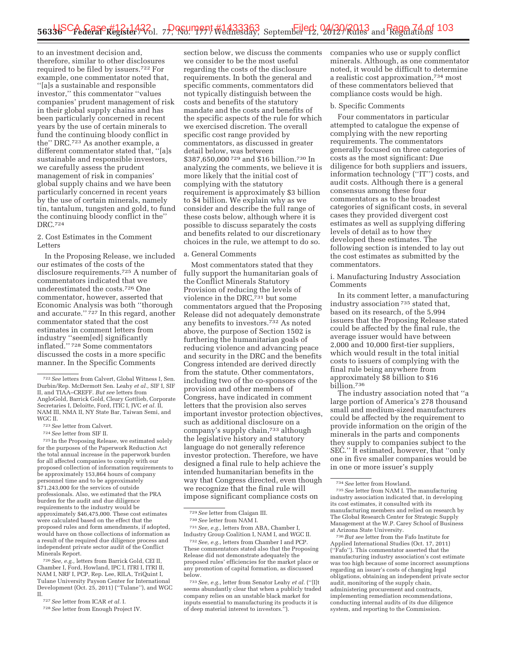to an investment decision and, therefore, similar to other disclosures required to be filed by issuers.722 For example, one commentator noted that, ''[a]s a sustainable and responsible investor,'' this commentator ''values companies' prudent management of risk in their global supply chains and has been particularly concerned in recent years by the use of certain minerals to fund the continuing bloody conflict in the'' DRC.723 As another example, a different commentator stated that, ''[a]s sustainable and responsible investors, we carefully assess the prudent management of risk in companies' global supply chains and we have been particularly concerned in recent years by the use of certain minerals, namely tin, tantalum, tungsten and gold, to fund the continuing bloody conflict in the'' DRC.724

### 2. Cost Estimates in the Comment Letters

In the Proposing Release, we included our estimates of the costs of the disclosure requirements.725 A number of commentators indicated that we underestimated the costs.726 One commentator, however, asserted that Economic Analysis was both ''thorough and accurate."  $727$  In this regard, another commentator stated that the cost estimates in comment letters from industry ''seem[ed] significantly inflated.'' 728 Some commentators discussed the costs in a more specific manner. In the Specific Comments

723*See* letter from Calvert.

724*See* letter from SIF II.

725 In the Proposing Release, we estimated solely for the purposes of the Paperwork Reduction Act the total annual increase in the paperwork burden for all affected companies to comply with our proposed collection of information requirements to be approximately 153,864 hours of company personnel time and to be approximately \$71,243,000 for the services of outside professionals. Also, we estimated that the PRA burden for the audit and due diligence requirements to the industry would be approximately \$46,475,000. These cost estimates were calculated based on the effect that the proposed rules and form amendments, if adopted, would have on those collections of information as a result of the required due diligence process and independent private sector audit of the Conflict Minerals Report.

726*See, e.g.,* letters from Barrick Gold, CEI II, Chamber I, Ford, Howland, IPC I, ITRI I, ITRI II, NAM I, NRF I, PCP, Rep. Lee, RILA, TriQuint I, Tulane University Payson Center for International Development (Oct. 25, 2011) (''Tulane''), and WGC II.

727*See* letter from ICAR *et al.* I.

section below, we discuss the comments we consider to be the most useful regarding the costs of the disclosure requirements. In both the general and specific comments, commentators did not typically distinguish between the costs and benefits of the statutory mandate and the costs and benefits of the specific aspects of the rule for which we exercised discretion. The overall specific cost range provided by commentators, as discussed in greater detail below, was between \$387,650,000 729 and \$16 billion.730 In analyzing the comments, we believe it is more likely that the initial cost of complying with the statutory requirement is approximately \$3 billion to \$4 billion. We explain why as we consider and describe the full range of these costs below, although where it is possible to discuss separately the costs and benefits related to our discretionary choices in the rule, we attempt to do so.

#### a. General Comments

Most commentators stated that they fully support the humanitarian goals of the Conflict Minerals Statutory Provision of reducing the levels of violence in the DRC,731 but some commentators argued that the Proposing Release did not adequately demonstrate any benefits to investors.732 As noted above, the purpose of Section 1502 is furthering the humanitarian goals of reducing violence and advancing peace and security in the DRC and the benefits Congress intended are derived directly from the statute. Other commentators, including two of the co-sponsors of the provision and other members of Congress, have indicated in comment letters that the provision also serves important investor protection objectives, such as additional disclosure on a company's supply chain,733 although the legislative history and statutory language do not generally reference investor protection. Therefore, we have designed a final rule to help achieve the intended humanitarian benefits in the way that Congress directed, even though we recognize that the final rule will impose significant compliance costs on

731*See, e.g.,* letters from ABA, Chamber I, Industry Group Coalition I, NAM I, and WGC II.

733*See, e.g.,* letter from Senator Leahy *et al.* (''[I]t seems abundantly clear that when a publicly traded company relies on an unstable black market for inputs essential to manufacturing its products it is of deep material interest to investors.'').

companies who use or supply conflict minerals. Although, as one commentator noted, it would be difficult to determine a realistic cost approximation,734 most of these commentators believed that compliance costs would be high.

#### b. Specific Comments

Four commentators in particular attempted to catalogue the expense of complying with the new reporting requirements. The commentators generally focused on three categories of costs as the most significant: Due diligence for both suppliers and issuers, information technology (''IT'') costs, and audit costs. Although there is a general consensus among these four commentators as to the broadest categories of significant costs, in several cases they provided divergent cost estimates as well as supplying differing levels of detail as to how they developed these estimates. The following section is intended to lay out the cost estimates as submitted by the commentators.

i. Manufacturing Industry Association Comments

In its comment letter, a manufacturing industry association 735 stated that, based on its research, of the 5,994 issuers that the Proposing Release stated could be affected by the final rule, the average issuer would have between 2,000 and 10,000 first-tier suppliers, which would result in the total initial costs to issuers of complying with the final rule being anywhere from approximately \$8 billion to \$16 billion.736

The industry association noted that ''a large portion of America's 278 thousand small and medium-sized manufacturers could be affected by the requirement to provide information on the origin of the minerals in the parts and components they supply to companies subject to the SEC.'' It estimated, however, that ''only one in five smaller companies would be in one or more issuer's supply

736*But see* letter from the Fafo Institute for Applied International Studies (Oct. 17, 2011) (''Fafo''). This commentator asserted that the manufacturing industry association's cost estimate was too high because of some incorrect assumptions regarding an issuer's costs of changing legal obligations, obtaining an independent private sector audit, monitoring of the supply chain, administering procurement and contracts, implementing remediation recommendations, conducting internal audits of its due diligence system, and reporting to the Commission.

<sup>722</sup>*See* letters from Calvert, Global Witness I, Sen. Durbin/Rep. McDermott Sen. Leahy *et al.,* SIF I, SIF II, and TIAA–CREFF. *But see* letters from AngloGold, Barrick Gold, Cleary Gottlieb, Corporate Secretaries I, Deloitte, Ford, ITIC I, JVC *et al.* II, NAM III, NMA II, NY State Bar, Taiwan Semi, and WGC II.

<sup>728</sup>*See* letter from Enough Project IV.

<sup>729</sup>*See* letter from Claigan III.

<sup>730</sup>*See* letter from NAM I.

<sup>732</sup>*See, e.g.,* letters from Chamber I and PCP. These commentators stated also that the Proposing Release did not demonstrate adequately the proposed rules' efficiencies for the market place or any promotion of capital formation, as discussed below.

<sup>734</sup>*See* letter from Howland. 735*See* letter from NAM I. The manufacturing industry association indicated that, in developing its cost estimates, it consulted with its manufacturing members and relied on research by The Global Research Center for Strategic Supply Management at the W.P. Carey School of Business at Arizona State University.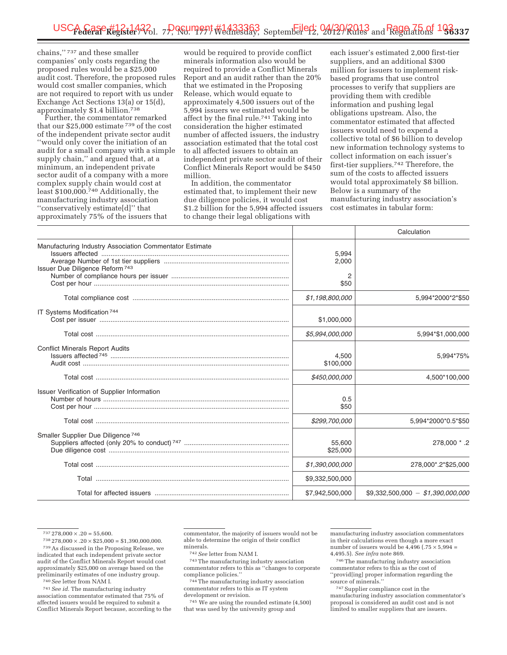chains,'' 737 and these smaller companies' only costs regarding the proposed rules would be a \$25,000 audit cost. Therefore, the proposed rules would cost smaller companies, which are not required to report with us under Exchange Act Sections 13(a) or 15(d), approximately \$1.4 billion.738

Further, the commentator remarked that our \$25,000 estimate 739 of the cost of the independent private sector audit ''would only cover the initiation of an audit for a small company with a simple supply chain,'' and argued that, at a minimum, an independent private sector audit of a company with a more complex supply chain would cost at least \$100,000.740 Additionally, the manufacturing industry association ''conservatively estimate[d]'' that approximately 75% of the issuers that

would be required to provide conflict minerals information also would be required to provide a Conflict Minerals Report and an audit rather than the 20% that we estimated in the Proposing Release, which would equate to approximately 4,500 issuers out of the 5,994 issuers we estimated would be affect by the final rule.741 Taking into consideration the higher estimated number of affected issuers, the industry association estimated that the total cost to all affected issuers to obtain an independent private sector audit of their Conflict Minerals Report would be \$450 million.

In addition, the commentator estimated that, to implement their new due diligence policies, it would cost \$1.2 billion for the 5,994 affected issuers to change their legal obligations with

each issuer's estimated 2,000 first-tier suppliers, and an additional \$300 million for issuers to implement riskbased programs that use control processes to verify that suppliers are providing them with credible information and pushing legal obligations upstream. Also, the commentator estimated that affected issuers would need to expend a collective total of \$6 billion to develop new information technology systems to collect information on each issuer's first-tier suppliers.742 Therefore, the sum of the costs to affected issuers would total approximately \$8 billion. Below is a summary of the manufacturing industry association's cost estimates in tabular form:

|                                                                                            |                     | Calculation                       |
|--------------------------------------------------------------------------------------------|---------------------|-----------------------------------|
| Manufacturing Industry Association Commentator Estimate<br>Issuer Due Diligence Reform 743 | 5,994<br>2,000<br>2 |                                   |
|                                                                                            | \$50                |                                   |
|                                                                                            | \$1,198,800,000     | 5,994*2000*2*\$50                 |
| IT Systems Modification 744                                                                | \$1,000,000         |                                   |
|                                                                                            | \$5,994,000,000     | 5,994*\$1,000,000                 |
| <b>Conflict Minerals Report Audits</b>                                                     | 4,500<br>\$100,000  | 5,994*75%                         |
|                                                                                            | \$450,000,000       | 4,500*100,000                     |
| Issuer Verification of Supplier Information                                                | 0.5<br>\$50         |                                   |
|                                                                                            | \$299,700,000       | 5,994*2000*0.5*\$50               |
| Smaller Supplier Due Diligence <sup>746</sup>                                              | 55,600<br>\$25,000  | 2. * 278,000                      |
|                                                                                            | \$1,390,000,000     | 278,000*.2*\$25,000               |
|                                                                                            | \$9,332,500,000     |                                   |
|                                                                                            | \$7,942,500,000     | $$9,332,500,000 - $1,390,000,000$ |

 $737\,278,000 \times 0.20 = 55,600.$ 

741*See id.* The manufacturing industry association commentator estimated that 75% of affected issuers would be required to submit a Conflict Minerals Report because, according to the 742*See* letter from NAM I.

743The manufacturing industry association commentator refers to this as ''changes to corporate compliance policies.''

744The manufacturing industry association commentator refers to this as IT system development or revision.

745 We are using the rounded estimate (4,500) that was used by the university group and

manufacturing industry association commentators in their calculations even though a more exact number of issuers would be  $4,496$  (.75  $\times$  5,994 = 4,495.5). *See infra* note 869.

746The manufacturing industry association commentator refers to this as the cost of ''provid[ing] proper information regarding the source of minerals.

747Supplier compliance cost in the manufacturing industry association commentator's proposal is considered an audit cost and is not limited to smaller suppliers that are issuers.

 $738278,000 \times .20 \times $25,000 = $1,390,000,000.$ 

<sup>739</sup>As discussed in the Proposing Release, we indicated that each independent private sector audit of the Conflict Minerals Report would cost approximately \$25,000 on average based on the preliminarily estimates of one industry group.

<sup>740</sup>*See* letter from NAM I.

commentator, the majority of issuers would not be able to determine the origin of their conflict minerals.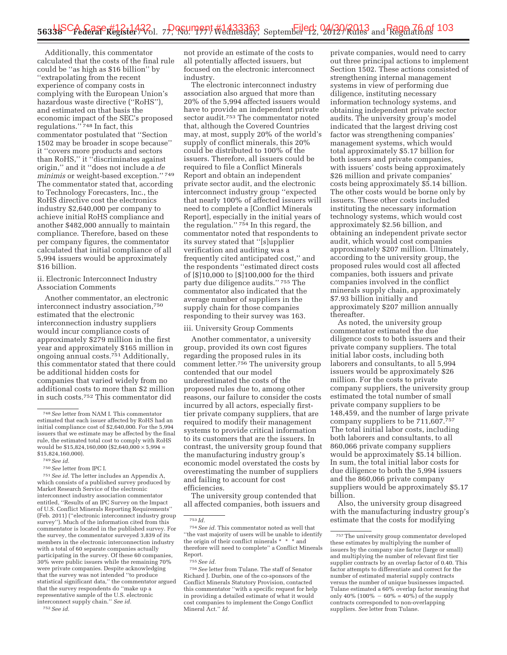Additionally, this commentator calculated that the costs of the final rule could be ''as high as \$16 billion'' by ''extrapolating from the recent experience of company costs in complying with the European Union's hazardous waste directive (''RoHS''), and estimated on that basis the economic impact of the SEC's proposed regulations."<sup>748</sup> In fact, this commentator postulated that ''Section 1502 may be broader in scope because'' it ''covers more products and sectors than RoHS,'' it ''discriminates against origin,'' and it ''does not include a *de minimis* or weight-based exception.'' 749 The commentator stated that, according to Technology Forecasters, Inc., the RoHS directive cost the electronics industry \$2,640,000 per company to achieve initial RoHS compliance and another \$482,000 annually to maintain compliance. Therefore, based on these per company figures, the commentator calculated that initial compliance of all 5,994 issuers would be approximately \$16 billion.

ii. Electronic Interconnect Industry Association Comments

Another commentator, an electronic interconnect industry association,750 estimated that the electronic interconnection industry suppliers would incur compliance costs of approximately \$279 million in the first year and approximately \$165 million in ongoing annual costs.751 Additionally, this commentator stated that there could be additional hidden costs for companies that varied widely from no additional costs to more than \$2 million in such costs.752 This commentator did

751*See id.* The letter includes an Appendix A, which consists of a published survey produced by Market Research Service of the electronic interconnect industry association commentator entitled, ''Results of an IPC Survey on the Impact of U.S. Conflict Minerals Reporting Requirements'' (Feb. 2011) (''electronic interconnect industry group survey''). Much of the information cited from this commentator is located in the published survey. For the survey, the commentator surveyed 3,839 of its members in the electronic interconnection industry with a total of 60 separate companies actually participating in the survey. Of these 60 companies, 30% were public issuers while the remaining 70% were private companies. Despite acknowledging that the survey was not intended ''to produce statistical significant data,'' the commentator argued that the survey respondents do ''make up a representative sample of the U.S. electronic interconnect supply chain.'' *See id.* 

752*See id.* 

not provide an estimate of the costs to all potentially affected issuers, but focused on the electronic interconnect industry.

The electronic interconnect industry association also argued that more than 20% of the 5,994 affected issuers would have to provide an independent private sector audit.753 The commentator noted that, although the Covered Countries may, at most, supply 20% of the world's supply of conflict minerals, this 20% could be distributed to 100% of the issuers. Therefore, all issuers could be required to file a Conflict Minerals Report and obtain an independent private sector audit, and the electronic interconnect industry group ''expected that nearly 100% of affected issuers will need to complete a [Conflict Minerals Report], especially in the initial years of the regulation.'' 754 In this regard, the commentator noted that respondents to its survey stated that ''[s]upplier verification and auditing was a frequently cited anticipated cost,'' and the respondents ''estimated direct costs of [\$]10,000 to [\$]100,000 for the third party due diligence audits.'' 755 The commentator also indicated that the average number of suppliers in the supply chain for those companies responding to their survey was 163.

#### iii. University Group Comments

Another commentator, a university group, provided its own cost figures regarding the proposed rules in its comment letter.756 The university group contended that our model underestimated the costs of the proposed rules due to, among other reasons, our failure to consider the costs incurred by all actors, especially firsttier private company suppliers, that are required to modify their management systems to provide critical information to its customers that are the issuers. In contrast, the university group found that the manufacturing industry group's economic model overstated the costs by overestimating the number of suppliers and failing to account for cost efficiencies.

The university group contended that all affected companies, both issuers and

756*See* letter from Tulane. The staff of Senator Richard J. Durbin, one of the co-sponsors of the Conflict Minerals Statutory Provision, contacted this commentator ''with a specific request for help in providing a detailed estimate of what it would cost companies to implement the Congo Conflict Mineral Act.'' *Id.* 

private companies, would need to carry out three principal actions to implement Section 1502. These actions consisted of strengthening internal management systems in view of performing due diligence, instituting necessary information technology systems, and obtaining independent private sector audits. The university group's model indicated that the largest driving cost factor was strengthening companies' management systems, which would total approximately \$5.17 billion for both issuers and private companies, with issuers' costs being approximately \$26 million and private companies' costs being approximately \$5.14 billion. The other costs would be borne only by issuers. These other costs included instituting the necessary information technology systems, which would cost approximately \$2.56 billion, and obtaining an independent private sector audit, which would cost companies approximately \$207 million. Ultimately, according to the university group, the proposed rules would cost all affected companies, both issuers and private companies involved in the conflict minerals supply chain, approximately \$7.93 billion initially and approximately \$207 million annually thereafter.

As noted, the university group commentator estimated the due diligence costs to both issuers and their private company suppliers. The total initial labor costs, including both laborers and consultants, to all 5,994 issuers would be approximately \$26 million. For the costs to private company suppliers, the university group estimated the total number of small private company suppliers to be 148,459, and the number of large private company suppliers to be 711,607.757 The total initial labor costs, including both laborers and consultants, to all 860,066 private company suppliers would be approximately \$5.14 billion. In sum, the total initial labor costs for due diligence to both the 5,994 issuers and the 860,066 private company suppliers would be approximately \$5.17 billion.

Also, the university group disagreed with the manufacturing industry group's estimate that the costs for modifying

<sup>748</sup>*See* letter from NAM I. This commentator estimated that each issuer affected by RoHS had an initial compliance cost of \$2,640,000. For the 5,994 issuers that we estimate may be affected by the final rule, the estimated total cost to comply with RoHS would be  $$15,824,160,000$  (\$2,640,000  $\times 5,994 =$ \$15,824,160,000).

<sup>749</sup>*See id.* 

<sup>750</sup>*See* letter from IPC I.

<sup>753</sup> *Id.* 

<sup>754</sup>*See id.* This commentator noted as well that ''the vast majority of users will be unable to identify the origin of their conflict minerals \* \* \* and therefore will need to complete'' a Conflict Minerals Report.

<sup>755</sup>*See id.* 

 $^{\rm 757}\!$  The university group commentator developed these estimates by multiplying the number of issuers by the company size factor (large or small) and multiplying the number of relevant first tier supplier contracts by an overlap factor of 0.40. This factor attempts to differentiate and correct for the number of estimated material supply contracts versus the number of unique businesses impacted. Tulane estimated a 60% overlap factor meaning that only 40% (100%  $-60\% = 40\%$ ) of the supply contracts corresponded to non-overlapping suppliers. *See* letter from Tulane.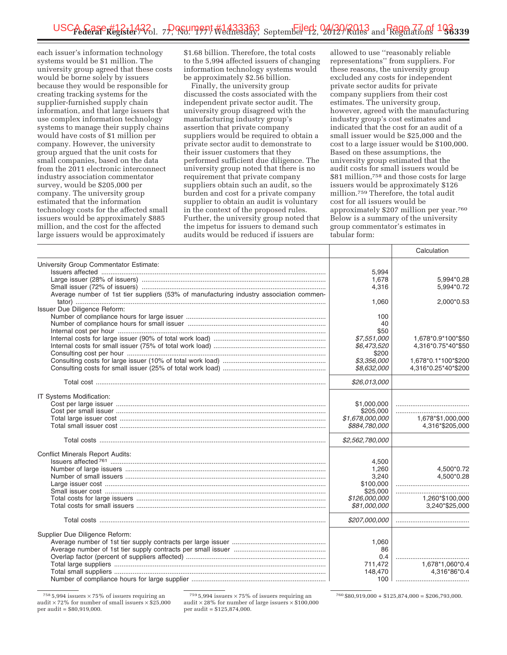each issuer's information technology systems would be \$1 million. The university group agreed that these costs would be borne solely by issuers because they would be responsible for creating tracking systems for the supplier-furnished supply chain information, and that large issuers that use complex information technology systems to manage their supply chains would have costs of \$1 million per company. However, the university group argued that the unit costs for small companies, based on the data from the 2011 electronic interconnect industry association commentator survey, would be \$205,000 per company. The university group estimated that the information technology costs for the affected small issuers would be approximately \$885 million, and the cost for the affected large issuers would be approximately

\$1.68 billion. Therefore, the total costs to the 5,994 affected issuers of changing information technology systems would be approximately \$2.56 billion.

Finally, the university group discussed the costs associated with the independent private sector audit. The university group disagreed with the manufacturing industry group's assertion that private company suppliers would be required to obtain a private sector audit to demonstrate to their issuer customers that they performed sufficient due diligence. The university group noted that there is no requirement that private company suppliers obtain such an audit, so the burden and cost for a private company supplier to obtain an audit is voluntary in the context of the proposed rules. Further, the university group noted that the impetus for issuers to demand such audits would be reduced if issuers are

allowed to use ''reasonably reliable representations'' from suppliers. For these reasons, the university group excluded any costs for independent private sector audits for private company suppliers from their cost estimates. The university group, however, agreed with the manufacturing industry group's cost estimates and indicated that the cost for an audit of a small issuer would be \$25,000 and the cost to a large issuer would be \$100,000. Based on these assumptions, the university group estimated that the audit costs for small issuers would be \$81 million,758 and those costs for large issuers would be approximately \$126 million.759 Therefore, the total audit cost for all issuers would be approximately \$207 million per year.760 Below is a summary of the university group commentator's estimates in tabular form:

|                                                                                         |                 | Calculation         |
|-----------------------------------------------------------------------------------------|-----------------|---------------------|
| University Group Commentator Estimate:                                                  |                 |                     |
|                                                                                         | 5,994           |                     |
|                                                                                         | 1,678           | 5,994*0.28          |
|                                                                                         | 4,316           | 5,994*0.72          |
| Average number of 1st tier suppliers (53% of manufacturing industry association commen- |                 |                     |
|                                                                                         | 1,060           | 2,000*0.53          |
| Issuer Due Diligence Reform:                                                            |                 |                     |
|                                                                                         | 100             |                     |
|                                                                                         |                 |                     |
|                                                                                         | 40              |                     |
|                                                                                         | \$50            |                     |
|                                                                                         | \$7,551,000     | 1,678*0.9*100*\$50  |
|                                                                                         | \$6,473,520     | 4,316*0.75*40*\$50  |
|                                                                                         | \$200           |                     |
|                                                                                         | \$3,356,000     | 1,678*0.1*100*\$200 |
|                                                                                         | \$8,632,000     | 4,316*0.25*40*\$200 |
|                                                                                         | \$26,013,000    |                     |
| IT Systems Modification:                                                                |                 |                     |
|                                                                                         | \$1,000,000     |                     |
|                                                                                         | \$205,000       |                     |
|                                                                                         | \$1,678,000,000 | 1,678*\$1,000,000   |
|                                                                                         | \$884,780,000   | 4,316*\$205,000     |
|                                                                                         |                 |                     |
|                                                                                         | \$2,562,780,000 |                     |
| <b>Conflict Minerals Report Audits:</b>                                                 |                 |                     |
|                                                                                         | 4,500           |                     |
|                                                                                         | 1,260           | 4,500*0.72          |
|                                                                                         | 3,240           | 4,500*0.28          |
|                                                                                         | \$100,000       |                     |
|                                                                                         | \$25,000        |                     |
|                                                                                         | \$126,000,000   | 1,260*\$100,000     |
|                                                                                         | \$81,000,000    | 3,240*\$25,000      |
|                                                                                         | \$207,000,000   |                     |
|                                                                                         |                 |                     |
| Supplier Due Diligence Reform:                                                          |                 |                     |
|                                                                                         | 1,060           |                     |
|                                                                                         | 86              |                     |
|                                                                                         | 0.4             |                     |
|                                                                                         | 711,472         | 1,678*1,060*0.4     |
|                                                                                         | 148,470         | 4,316*86*0.4        |
|                                                                                         | 100             |                     |

 $7585,994$  issuers  $\times 75\%$  of issuers requiring an audit  $\times$  72% for number of small issuers  $\times$  \$25,000 per audit = \$80,919,000.

 $7595,994$  issuers  $\times 75\%$  of issuers requiring an audit  $\times$  28% for number of large issuers  $\times$  \$100,000 per audit = \$125,874,000.

 $760 $80,919,000 + $125,874,000 = $206,793,000.$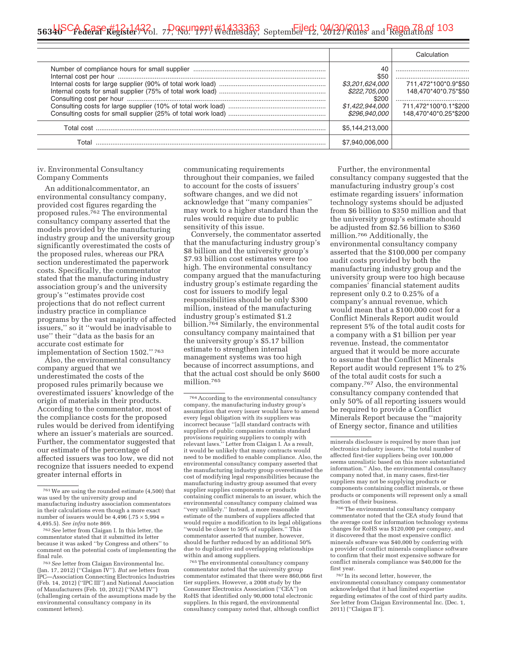# 5**634b<sup>SC</sup>A Gase #12-142**2 1, 7P, 9GU ment #1433363 September 2, 2012 / Rules and Rage 78 of 103

|       |                                                                                             | Calculation                                                                                    |
|-------|---------------------------------------------------------------------------------------------|------------------------------------------------------------------------------------------------|
|       | 40<br>\$50<br>\$3,201,624,000<br>\$222,705,000<br>\$200<br>\$1,422,944,000<br>\$296.940.000 | 711.472*100*0.9*\$50<br>148,470*40*0.75*\$50<br>711,472*100*0.1*\$200<br>148.470*40*0.25*\$200 |
|       | \$5,144,213,000                                                                             |                                                                                                |
| Total | \$7.940.006.000                                                                             |                                                                                                |
|       |                                                                                             |                                                                                                |

# iv. Environmental Consultancy Company Comments

An additionalcommentator, an environmental consultancy company, provided cost figures regarding the proposed rules.762 The environmental consultancy company asserted that the models provided by the manufacturing industry group and the university group significantly overestimated the costs of the proposed rules, whereas our PRA section underestimated the paperwork costs. Specifically, the commentator stated that the manufacturing industry association group's and the university group's ''estimates provide cost projections that do not reflect current industry practice in compliance programs by the vast majority of affected issuers,'' so it ''would be inadvisable to use'' their ''data as the basis for an accurate cost estimate for implementation of Section 1502.'' 763

Also, the environmental consultancy company argued that we underestimated the costs of the proposed rules primarily because we overestimated issuers' knowledge of the origin of materials in their products. According to the commentator, most of the compliance costs for the proposed rules would be derived from identifying where an issuer's materials are sourced. Further, the commentator suggested that our estimate of the percentage of affected issuers was too low, we did not recognize that issuers needed to expend greater internal efforts in

communicating requirements throughout their companies, we failed to account for the costs of issuers' software changes, and we did not acknowledge that ''many companies'' may work to a higher standard than the rules would require due to public sensitivity of this issue.

Conversely, the commentator asserted that the manufacturing industry group's \$8 billion and the university group's \$7.93 billion cost estimates were too high. The environmental consultancy company argued that the manufacturing industry group's estimate regarding the cost for issuers to modify legal responsibilities should be only \$300 million, instead of the manufacturing industry group's estimated \$1.2 billion.764 Similarly, the environmental consultancy company maintained that the university group's \$5.17 billion estimate to strengthen internal management systems was too high because of incorrect assumptions, and that the actual cost should be only \$600 million.765

764According to the environmental consultancy company, the manufacturing industry group's assumption that every issuer would have to amend every legal obligation with its suppliers was incorrect because ''[a]ll standard contracts with suppliers of public companies contain standard provisions requiring suppliers to comply with relevant laws.'' Letter from Claigan I. As a result, it would be unlikely that many contracts would need to be modified to enable compliance. Also, the environmental consultancy company asserted that the manufacturing industry group overestimated the cost of modifying legal responsibilities because the manufacturing industry group assumed that every supplier supplies components or products containing conflict minerals to an issuer, which the environmental consultancy company claimed was ''very unlikely.'' Instead, a more reasonable estimate of the numbers of suppliers affected that would require a modification to its legal obligations ''would be closer to 50% of suppliers.'' This commentator asserted that number, however, should be further reduced by an additional 50% due to duplicative and overlapping relationships within and among suppliers.

765The environmental consultancy company commentator noted that the university group commentator estimated that there were 860,066 first tier suppliers. However, a 2008 study by the Consumer Electronics Association (''CEA'') on RoHS that identified only 90,000 total electronic suppliers. In this regard, the environmental consultancy company noted that, although conflict

Further, the environmental consultancy company suggested that the manufacturing industry group's cost estimate regarding issuers' information technology systems should be adjusted from \$6 billion to \$350 million and that the university group's estimate should be adjusted from \$2.56 billion to \$360 million.766 Additionally, the environmental consultancy company asserted that the \$100,000 per company audit costs provided by both the manufacturing industry group and the university group were too high because companies' financial statement audits represent only 0.2 to 0.25% of a company's annual revenue, which would mean that a \$100,000 cost for a Conflict Minerals Report audit would represent 5% of the total audit costs for a company with a \$1 billion per year revenue. Instead, the commentator argued that it would be more accurate to assume that the Conflict Minerals Report audit would represent 1% to 2% of the total audit costs for such a company.767 Also, the environmental consultancy company contended that only 50% of all reporting issuers would be required to provide a Conflict Minerals Report because the ''majority of Energy sector, finance and utilities

minerals disclosure is required by more than just electronics industry issuers, ''the total number of affected first-tier suppliers being over 100,000 seems unrealistic based on this more substantiated information.'' Also, the environmental consultancy company noted that, in many cases, first-tier suppliers may not be supplying products or components containing conflict minerals, or these products or components will represent only a small fraction of their business.

766The environmental consultancy company commentator noted that the CEA study found that the average cost for information technology systems changes for RoHS was \$120,000 per company, and it discovered that the most expensive conflict minerals software was \$40,000 by conferring with a provider of conflict minerals compliance software to confirm that their most expensive software for conflict minerals compliance was \$40,000 for the first year.

767 In its second letter, however, the environmental consultancy company commentator acknowledged that it had limited expertise regarding estimates of the cost of third party audits. *See* letter from Claigan Environmental Inc. (Dec. 1, 2011) ("Claigan II").

<sup>761</sup>We are using the rounded estimate (4,500) that was used by the university group and manufacturing industry association commentators in their calculations even though a more exact number of issuers would be  $4,496$  (.75  $\times$  5,994 = 4,495.5). *See infra* note 869.

<sup>&</sup>lt;sup>762</sup> See letter from Claigan I. In this letter, the commentator stated that it submitted its letter because it was asked ''by Congress and others'' to comment on the potential costs of implementing the

<sup>&</sup>lt;sup>763</sup> See letter from Claigan Environmental Inc. (Jan. 17, 2012) (''Claigan IV''). *But see* letters from IPC—Association Connecting Electronics Industries (Feb. 14, 2012) (''IPC III'') and National Association of Manufacturers (Feb. 10, 2012) (''NAM IV'') (challenging certain of the assumptions made by the environmental consultancy company in its comment letters).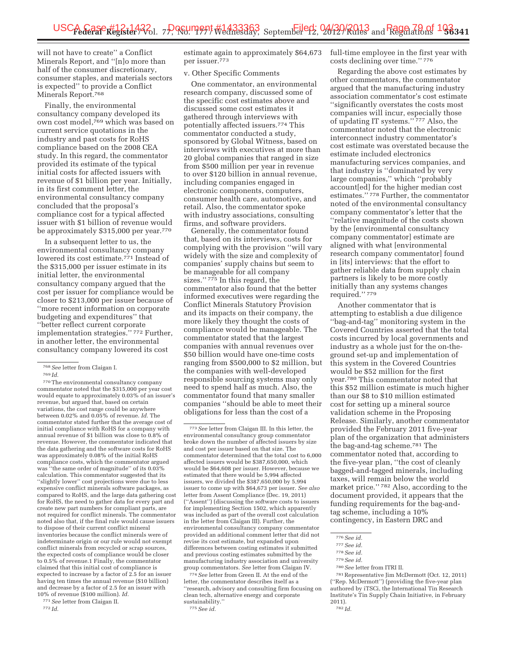will not have to create'' a Conflict Minerals Report, and ''[n]o more than half of the consumer discretionary, consumer staples, and materials sectors is expected'' to provide a Conflict Minerals Report.768

Finally, the environmental consultancy company developed its own cost model,769 which was based on current service quotations in the industry and past costs for RoHS compliance based on the 2008 CEA study. In this regard, the commentator provided its estimate of the typical initial costs for affected issuers with revenue of \$1 billion per year. Initially, in its first comment letter, the environmental consultancy company concluded that the proposal's compliance cost for a typical affected issuer with \$1 billion of revenue would be approximately \$315,000 per year.770

In a subsequent letter to us, the environmental consultancy company lowered its cost estimate.771 Instead of the \$315,000 per issuer estimate in its initial letter, the environmental consultancy company argued that the cost per issuer for compliance would be closer to \$213,000 per issuer because of ''more recent information on corporate budgeting and expenditures'' that ''better reflect current corporate implementation strategies.'' 772 Further, in another letter, the environmental consultancy company lowered its cost

768*See* letter from Claigan I.

770The environmental consultancy company commentator noted that the \$315,000 per year cost would equate to approximately 0.03% of an issuer's revenue, but argued that, based on certain variations, the cost range could be anywhere between 0.02% and 0.05% of revenue. *Id.* The commentator stated further that the average cost of initial compliance with RoHS for a company with annual revenue of \$1 billion was close to 0.8% of revenue. However, the commentator indicated that the data gathering and the software costs for RoHS was approximately 0.08% of the initial RoHS compliance costs, which the commentator argued was ''the same order of magnitude'' of its 0.03% calculation. This commentator suggested that its ''slightly lower'' cost projections were due to less expensive conflict minerals software packages, as compared to RoHS, and the large data gathering cost for RoHS, the need to gather data for every part and create new part numbers for compliant parts, are not required for conflict minerals. The commentator noted also that, if the final rule would cause issuers to dispose of their current conflict mineral inventories because the conflict minerals were of indeterminate origin or our rule would not exempt conflict minerals from recycled or scrap sources, the expected costs of compliance would be closer to 0.5% of revenue.1 Finally, the commentator claimed that this initial cost of compliance is expected to increase by a factor of 2.5 for an issuer having ten times the annual revenue (\$10 billion) and decrease by a factor of 2.5 for an issuer with 10% of revenue (\$100 million). *Id.* 

771*See* letter from Claigan II.

772 *Id.* 

estimate again to approximately \$64,673 per issuer.773

#### v. Other Specific Comments

One commentator, an environmental research company, discussed some of the specific cost estimates above and discussed some cost estimates it gathered through interviews with potentially affected issuers.774 This commentator conducted a study, sponsored by Global Witness, based on interviews with executives at more than 20 global companies that ranged in size from \$500 million per year in revenue to over \$120 billion in annual revenue, including companies engaged in electronic components, computers, consumer health care, automotive, and retail. Also, the commentator spoke with industry associations, consulting firms, and software providers.

Generally, the commentator found that, based on its interviews, costs for complying with the provision ''will vary widely with the size and complexity of companies' supply chains but seem to be manageable for all company sizes."<sup>775</sup> In this regard, the commentator also found that the better informed executives were regarding the Conflict Minerals Statutory Provision and its impacts on their company, the more likely they thought the costs of compliance would be manageable. The commentator stated that the largest companies with annual revenues over \$50 billion would have one-time costs ranging from \$500,000 to \$2 million, but the companies with well-developed responsible sourcing systems may only need to spend half as much. Also, the commentator found that many smaller companies ''should be able to meet their obligations for less than the cost of a

774*See* letter from Green II. At the end of the letter, the commentator describes itself as a ''research, advisory and consulting firm focusing on clean tech, alternative energy and corporate sustainability. 775*See id.* 

full-time employee in the first year with costs declining over time.'' 776

Regarding the above cost estimates by other commentators, the commentator argued that the manufacturing industry association commentator's cost estimate ''significantly overstates the costs most companies will incur, especially those of updating IT systems.'' 777 Also, the commentator noted that the electronic interconnect industry commentator's cost estimate was overstated because the estimate included electronics manufacturing services companies, and that industry is ''dominated by very large companies,'' which ''probably account[ed] for the higher median cost estimates.'' 778 Further, the commentator noted of the environmental consultancy company commentator's letter that the ''relative magnitude of the costs shown by the [environmental consultancy company commentator] estimate are aligned with what [environmental research company commentator] found in [its] interviews: that the effort to gather reliable data from supply chain partners is likely to be more costly initially than any systems changes required.'' 779

Another commentator that is attempting to establish a due diligence ''bag-and-tag'' monitoring system in the Covered Countries asserted that the total costs incurred by local governments and industry as a whole just for the on-theground set-up and implementation of this system in the Covered Countries would be \$52 million for the first year.780 This commentator noted that this \$52 million estimate is much higher than our \$8 to \$10 million estimated cost for setting up a mineral source validation scheme in the Proposing Release. Similarly, another commentator provided the February 2011 five-year plan of the organization that administers the bag-and-tag scheme.781 The commentator noted that, according to the five-year plan, ''the cost of cleanly bagged-and-tagged minerals, including taxes, will remain below the world market price.'' 782 Also, according to the document provided, it appears that the funding requirements for the bag-andtag scheme, including a 10% contingency, in Eastern DRC and

781Representative Jim McDermott (Oct. 12, 2011) (''Rep. McDermott'') (providing the five-year plan authored by iTSCi, the International Tin Research Institute's Tin Supply Chain Initiative, in February 2011). 782 *Id.* 

<sup>769</sup> *Id.* 

<sup>773</sup>*See* letter from Claigan III. In this letter, the environmental consultancy group commentator broke down the number of affected issuers by size and cost per issuer based on that size. The commentator determined that the total cost to 6,000 affected issuers would be \$387,650,000, which would be \$64,608 per issuer. However, because we estimated that there would be 5,994 affected issuers, we divided the \$387,650,000 by 5,994 issuer to come up with \$64,673 per issuer. *See also*  letter from Assent Compliance (Dec. 19, 2011) (''Assent'') (discussing the software costs to issuers for implementing Section 1502, which apparently was included as part of the overall cost calculation in the letter from Claigan III). Further, the environmental consultancy company commentator provided an additional comment letter that did not revise its cost estimate, but expanded upon differences between costing estimates it submitted and previous costing estimates submitted by the manufacturing industry association and university group commentators. *See* letter from Claigan IV.

<sup>776</sup>*See id.* 

<sup>777</sup>*See id.* 

<sup>778</sup>*See id.* 

<sup>779</sup>*See id.* 

<sup>780</sup>*See* letter from ITRI II.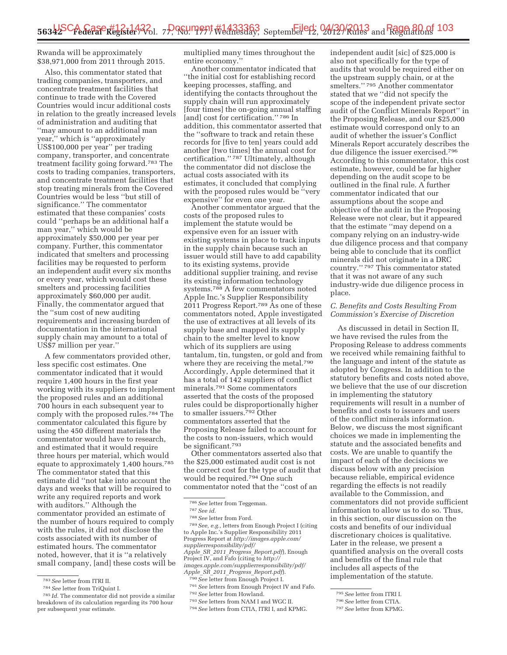Rwanda will be approximately \$38,971,000 from 2011 through 2015.

Also, this commentator stated that trading companies, transporters, and concentrate treatment facilities that continue to trade with the Covered Countries would incur additional costs in relation to the greatly increased levels of administration and auditing that ''may amount to an additional man year,'' which is ''approximately US\$100,000 per year'' per trading company, transporter, and concentrate treatment facility going forward.783 The costs to trading companies, transporters, and concentrate treatment facilities that stop treating minerals from the Covered Countries would be less ''but still of significance.'' The commentator estimated that these companies' costs could ''perhaps be an additional half a man year,'' which would be approximately \$50,000 per year per company. Further, this commentator indicated that smelters and processing facilities may be requested to perform an independent audit every six months or every year, which would cost these smelters and processing facilities approximately \$60,000 per audit. Finally, the commentator argued that the ''sum cost of new auditing requirements and increasing burden of documentation in the international supply chain may amount to a total of US\$7 million per year.''

A few commentators provided other, less specific cost estimates. One commentator indicated that it would require 1,400 hours in the first year working with its suppliers to implement the proposed rules and an additional 700 hours in each subsequent year to comply with the proposed rules.784 The commentator calculated this figure by using the 450 different materials the commentator would have to research, and estimated that it would require three hours per material, which would equate to approximately 1,400 hours.785 The commentator stated that this estimate did ''not take into account the days and weeks that will be required to write any required reports and work with auditors.'' Although the commentator provided an estimate of the number of hours required to comply with the rules, it did not disclose the costs associated with its number of estimated hours. The commentator noted, however, that it is ''a relatively small company, [and] these costs will be multiplied many times throughout the entire economy.''

Another commentator indicated that ''the initial cost for establishing record keeping processes, staffing, and identifying the contacts throughout the supply chain will run approximately [four times] the on-going annual staffing [and] cost for certification."<sup>786</sup> In addition, this commentator asserted that the ''software to track and retain these records for [five to ten] years could add another [two times] the annual cost for certification.'' 787 Ultimately, although the commentator did not disclose the actual costs associated with its estimates, it concluded that complying with the proposed rules would be ''very expensive'' for even one year.

Another commentator argued that the costs of the proposed rules to implement the statute would be expensive even for an issuer with existing systems in place to track inputs in the supply chain because such an issuer would still have to add capability to its existing systems, provide additional supplier training, and revise its existing information technology systems.788 A few commentators noted Apple Inc.'s Supplier Responsibility 2011 Progress Report.789 As one of these commentators noted, Apple investigated the use of extractives at all levels of its supply base and mapped its supply chain to the smelter level to know which of its suppliers are using tantalum, tin, tungsten, or gold and from where they are receiving the metal.790 Accordingly, Apple determined that it has a total of 142 suppliers of conflict minerals.791 Some commentators asserted that the costs of the proposed rules could be disproportionally higher to smaller issuers.792 Other commentators asserted that the Proposing Release failed to account for the costs to non-issuers, which would be significant.793

Other commentators asserted also that the \$25,000 estimated audit cost is not the correct cost for the type of audit that would be required.794 One such commentator noted that the ''cost of an

789*See, e.g.,* letters from Enough Project I (citing to Apple Inc.'s Supplier Responsibility 2011 Progress Report at *http://images.apple.com/ supplierresponsibility/pdf/ Apple*\_*SR*\_*2011*\_*Progress*\_*Report.pdf*), Enough Project IV, and Fafo (citing to *http:// images.apple.com/supplierresponsibility/pdf/ Apple*\_*SR*\_*2011*\_*Progress*\_*Report.pdf*). 790*See* letter from Enough Project I.

independent audit [sic] of \$25,000 is also not specifically for the type of audits that would be required either on the upstream supply chain, or at the smelters.'' 795 Another commentator stated that we ''did not specify the scope of the independent private sector audit of the Conflict Minerals Report'' in the Proposing Release, and our \$25,000 estimate would correspond only to an audit of whether the issuer's Conflict Minerals Report accurately describes the due diligence the issuer exercised.796 According to this commentator, this cost estimate, however, could be far higher depending on the audit scope to be outlined in the final rule. A further commentator indicated that our assumptions about the scope and objective of the audit in the Proposing Release were not clear, but it appeared that the estimate ''may depend on a company relying on an industry-wide due diligence process and that company being able to conclude that its conflict minerals did not originate in a DRC country.'' 797 This commentator stated that it was not aware of any such industry-wide due diligence process in place.

### *C. Benefits and Costs Resulting From Commission's Exercise of Discretion*

As discussed in detail in Section II, we have revised the rules from the Proposing Release to address comments we received while remaining faithful to the language and intent of the statute as adopted by Congress. In addition to the statutory benefits and costs noted above, we believe that the use of our discretion in implementing the statutory requirements will result in a number of benefits and costs to issuers and users of the conflict minerals information. Below, we discuss the most significant choices we made in implementing the statute and the associated benefits and costs. We are unable to quantify the impact of each of the decisions we discuss below with any precision because reliable, empirical evidence regarding the effects is not readily available to the Commission, and commentators did not provide sufficient information to allow us to do so. Thus, in this section, our discussion on the costs and benefits of our individual discretionary choices is qualitative. Later in the release, we present a quantified analysis on the overall costs and benefits of the final rule that includes all aspects of the implementation of the statute.

<sup>783</sup>*See* letter from ITRI II.

<sup>784</sup>*See* letter from TriQuint I.

<sup>785</sup> *Id.* The commentator did not provide a similar breakdown of its calculation regarding its 700 hour per subsequent year estimate.

<sup>786</sup>*See* letter from Teggeman.

<sup>787</sup>*See id.* 

<sup>788</sup>*See* letter from Ford.

<sup>791</sup>*See* letters from Enough Project IV and Fafo.

<sup>792</sup>*See* letter from Howland.

<sup>793</sup>*See* letters from NAM I and WGC II.

<sup>794</sup>*See* letters from CTIA, ITRI I, and KPMG.

<sup>795</sup>*See* letter from ITRI I.

<sup>796</sup>*See* letter from CTIA.

<sup>797</sup>*See* letter from KPMG.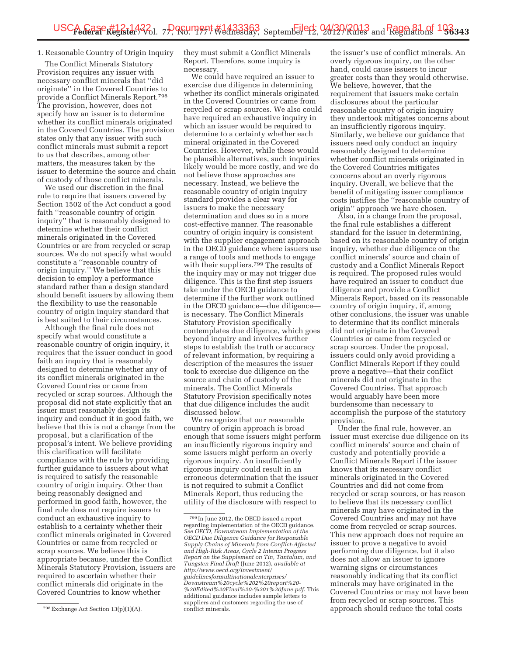# 1. Reasonable Country of Origin Inquiry

The Conflict Minerals Statutory Provision requires any issuer with necessary conflict minerals that ''did originate'' in the Covered Countries to provide a Conflict Minerals Report.798 The provision, however, does not specify how an issuer is to determine whether its conflict minerals originated in the Covered Countries. The provision states only that any issuer with such conflict minerals must submit a report to us that describes, among other matters, the measures taken by the issuer to determine the source and chain of custody of those conflict minerals.

We used our discretion in the final rule to require that issuers covered by Section 1502 of the Act conduct a good faith "reasonable country of origin inquiry'' that is reasonably designed to determine whether their conflict minerals originated in the Covered Countries or are from recycled or scrap sources. We do not specify what would constitute a ''reasonable country of origin inquiry.'' We believe that this decision to employ a performance standard rather than a design standard should benefit issuers by allowing them the flexibility to use the reasonable country of origin inquiry standard that is best suited to their circumstances.

Although the final rule does not specify what would constitute a reasonable country of origin inquiry, it requires that the issuer conduct in good faith an inquiry that is reasonably designed to determine whether any of its conflict minerals originated in the Covered Countries or came from recycled or scrap sources. Although the proposal did not state explicitly that an issuer must reasonably design its inquiry and conduct it in good faith, we believe that this is not a change from the proposal, but a clarification of the proposal's intent. We believe providing this clarification will facilitate compliance with the rule by providing further guidance to issuers about what is required to satisfy the reasonable country of origin inquiry. Other than being reasonably designed and performed in good faith, however, the final rule does not require issuers to conduct an exhaustive inquiry to establish to a certainty whether their conflict minerals originated in Covered Countries or came from recycled or scrap sources. We believe this is appropriate because, under the Conflict Minerals Statutory Provision, issuers are required to ascertain whether their conflict minerals did originate in the Covered Countries to know whether

they must submit a Conflict Minerals Report. Therefore, some inquiry is necessary.

We could have required an issuer to exercise due diligence in determining whether its conflict minerals originated in the Covered Countries or came from recycled or scrap sources. We also could have required an exhaustive inquiry in which an issuer would be required to determine to a certainty whether each mineral originated in the Covered Countries. However, while these would be plausible alternatives, such inquiries likely would be more costly, and we do not believe those approaches are necessary. Instead, we believe the reasonable country of origin inquiry standard provides a clear way for issuers to make the necessary determination and does so in a more cost-effective manner. The reasonable country of origin inquiry is consistent with the supplier engagement approach in the OECD guidance where issuers use a range of tools and methods to engage with their suppliers.<sup>799</sup> The results of the inquiry may or may not trigger due diligence. This is the first step issuers take under the OECD guidance to determine if the further work outlined in the OECD guidance—due diligence is necessary. The Conflict Minerals Statutory Provision specifically contemplates due diligence, which goes beyond inquiry and involves further steps to establish the truth or accuracy of relevant information, by requiring a description of the measures the issuer took to exercise due diligence on the source and chain of custody of the minerals. The Conflict Minerals Statutory Provision specifically notes that due diligence includes the audit discussed below.

We recognize that our reasonable country of origin approach is broad enough that some issuers might perform an insufficiently rigorous inquiry and some issuers might perform an overly rigorous inquiry. An insufficiently rigorous inquiry could result in an erroneous determination that the issuer is not required to submit a Conflict Minerals Report, thus reducing the utility of the disclosure with respect to

the issuer's use of conflict minerals. An overly rigorous inquiry, on the other hand, could cause issuers to incur greater costs than they would otherwise. We believe, however, that the requirement that issuers make certain disclosures about the particular reasonable country of origin inquiry they undertook mitigates concerns about an insufficiently rigorous inquiry. Similarly, we believe our guidance that issuers need only conduct an inquiry reasonably designed to determine whether conflict minerals originated in the Covered Countries mitigates concerns about an overly rigorous inquiry. Overall, we believe that the benefit of mitigating issuer compliance costs justifies the ''reasonable country of origin'' approach we have chosen.

Also, in a change from the proposal, the final rule establishes a different standard for the issuer in determining, based on its reasonable country of origin inquiry, whether due diligence on the conflict minerals' source and chain of custody and a Conflict Minerals Report is required. The proposed rules would have required an issuer to conduct due diligence and provide a Conflict Minerals Report, based on its reasonable country of origin inquiry, if, among other conclusions, the issuer was unable to determine that its conflict minerals did not originate in the Covered Countries or came from recycled or scrap sources. Under the proposal, issuers could only avoid providing a Conflict Minerals Report if they could prove a negative—that their conflict minerals did not originate in the Covered Countries. That approach would arguably have been more burdensome than necessary to accomplish the purpose of the statutory provision.

Under the final rule, however, an issuer must exercise due diligence on its conflict minerals' source and chain of custody and potentially provide a Conflict Minerals Report if the issuer knows that its necessary conflict minerals originated in the Covered Countries and did not come from recycled or scrap sources, or has reason to believe that its necessary conflict minerals may have originated in the Covered Countries and may not have come from recycled or scrap sources. This new approach does not require an issuer to prove a negative to avoid performing due diligence, but it also does not allow an issuer to ignore warning signs or circumstances reasonably indicating that its conflict minerals may have originated in the Covered Countries or may not have been from recycled or scrap sources. This approach should reduce the total costs

<sup>798</sup>Exchange Act Section 13(p)(1)(A).

<sup>799</sup> In June 2012, the OECD issued a report regarding implementation of the OECD guidance. *See OECD, Downstream Implementation of the OECD Due Diligence Guidance for Responsible Supply Chains of Minerals from Conflict-Affected and High-Risk Areas, Cycle 2 Interim Progress Report on the Supplement on Tin, Tantalum, and Tungsten Final Draft* (June 2012), *available at http://www.oecd.org/investment/ guidelinesformultinationalenterprises/ Downstream%20cycle%202%20report%20- %20Edited%20Final%20-%201%20June.pdf*. This additional guidance includes sample letters to suppliers and customers regarding the use of conflict minerals.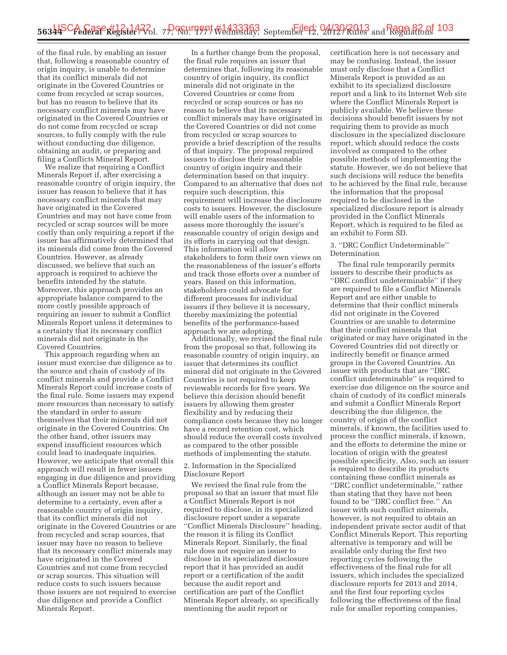of the final rule, by enabling an issuer that, following a reasonable country of origin inquiry, is unable to determine that its conflict minerals did not originate in the Covered Countries or come from recycled or scrap sources, but has no reason to believe that its necessary conflict minerals may have originated in the Covered Countries or do not come from recycled or scrap sources, to fully comply with the rule without conducting due diligence, obtaining an audit, or preparing and filing a Conflicts Mineral Report.

We realize that requiring a Conflict Minerals Report if, after exercising a reasonable country of origin inquiry, the issuer has reason to believe that it has necessary conflict minerals that may have originated in the Covered Countries and may not have come from recycled or scrap sources will be more costly than only requiring a report if the issuer has affirmatively determined that its minerals did come from the Covered Countries. However, as already discussed, we believe that such an approach is required to achieve the benefits intended by the statute. Moreover, this approach provides an appropriate balance compared to the more costly possible approach of requiring an issuer to submit a Conflict Minerals Report unless it determines to a certainty that its necessary conflict minerals did not originate in the Covered Countries.

This approach regarding when an issuer must exercise due diligence as to the source and chain of custody of its conflict minerals and provide a Conflict Minerals Report could increase costs of the final rule. Some issuers may expend more resources than necessary to satisfy the standard in order to assure themselves that their minerals did not originate in the Covered Countries. On the other hand, other issuers may expend insufficient resources which could lead to inadequate inquiries. However, we anticipate that overall this approach will result in fewer issuers engaging in due diligence and providing a Conflict Minerals Report because, although an issuer may not be able to determine to a certainty, even after a reasonable country of origin inquiry, that its conflict minerals did not originate in the Covered Countries or are from recycled and scrap sources, that issuer may have no reason to believe that its necessary conflict minerals may have originated in the Covered Countries and not come from recycled or scrap sources. This situation will reduce costs to such issuers because those issuers are not required to exercise due diligence and provide a Conflict Minerals Report.

In a further change from the proposal, the final rule requires an issuer that determines that, following its reasonable country of origin inquiry, its conflict minerals did not originate in the Covered Countries or come from recycled or scrap sources or has no reason to believe that its necessary conflict minerals may have originated in the Covered Countries or did not come from recycled or scrap sources to provide a brief description of the results of that inquiry. The proposal required issuers to disclose their reasonable country of origin inquiry and their determination based on that inquiry. Compared to an alternative that does not require such description, this requirement will increase the disclosure costs to issuers. However, the disclosure will enable users of the information to assess more thoroughly the issuer's reasonable country of origin design and its efforts in carrying out that design. This information will allow stakeholders to form their own views on the reasonableness of the issuer's efforts and track those efforts over a number of years. Based on this information, stakeholders could advocate for different processes for individual issuers if they believe it is necessary, thereby maximizing the potential benefits of the performance-based approach we are adopting.

Additionally, we revised the final rule from the proposal so that, following its reasonable country of origin inquiry, an issuer that determines its conflict mineral did not originate in the Covered Countries is not required to keep reviewable records for five years. We believe this decision should benefit issuers by allowing them greater flexibility and by reducing their compliance costs because they no longer have a record retention cost, which should reduce the overall costs involved as compared to the other possible methods of implementing the statute.

2. Information in the Specialized Disclosure Report

We revised the final rule from the proposal so that an issuer that must file a Conflict Minerals Report is not required to disclose, in its specialized disclosure report under a separate ''Conflict Minerals Disclosure'' heading, the reason it is filing its Conflict Minerals Report. Similarly, the final rule does not require an issuer to disclose in its specialized disclosure report that it has provided an audit report or a certification of the audit because the audit report and certification are part of the Conflict Minerals Report already, so specifically mentioning the audit report or

certification here is not necessary and may be confusing. Instead, the issuer must only disclose that a Conflict Minerals Report is provided as an exhibit to its specialized disclosure report and a link to its Internet Web site where the Conflict Minerals Report is publicly available. We believe these decisions should benefit issuers by not requiring them to provide as much disclosure in the specialized disclosure report, which should reduce the costs involved as compared to the other possible methods of implementing the statute. However, we do not believe that such decisions will reduce the benefits to be achieved by the final rule, because the information that the proposal required to be disclosed in the specialized disclosure report is already provided in the Conflict Minerals Report, which is required to be filed as an exhibit to Form SD.

### 3. ''DRC Conflict Undeterminable'' Determination

The final rule temporarily permits issuers to describe their products as ''DRC conflict undeterminable'' if they are required to file a Conflict Minerals Report and are either unable to determine that their conflict minerals did not originate in the Covered Countries or are unable to determine that their conflict minerals that originated or may have originated in the Covered Countries did not directly or indirectly benefit or finance armed groups in the Covered Countries. An issuer with products that are ''DRC conflict undeterminable'' is required to exercise due diligence on the source and chain of custody of its conflict minerals and submit a Conflict Minerals Report describing the due diligence, the country of origin of the conflict minerals, if known, the facilities used to process the conflict minerals, if known, and the efforts to determine the mine or location of origin with the greatest possible specificity. Also, such an issuer is required to describe its products containing these conflict minerals as ''DRC conflict undeterminable,'' rather than stating that they have not been found to be ''DRC conflict free.'' An issuer with such conflict minerals, however, is not required to obtain an independent private sector audit of that Conflict Minerals Report. This reporting alternative is temporary and will be available only during the first two reporting cycles following the effectiveness of the final rule for all issuers, which includes the specialized disclosure reports for 2013 and 2014, and the first four reporting cycles following the effectiveness of the final rule for smaller reporting companies,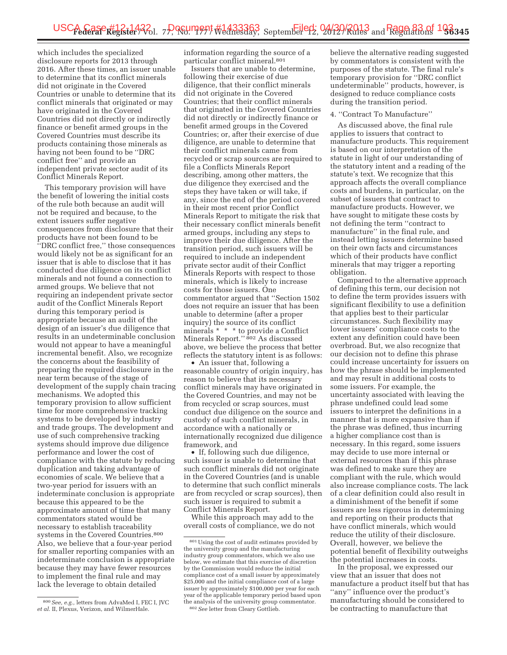which includes the specialized disclosure reports for 2013 through 2016. After these times, an issuer unable to determine that its conflict minerals did not originate in the Covered Countries or unable to determine that its conflict minerals that originated or may have originated in the Covered Countries did not directly or indirectly finance or benefit armed groups in the Covered Countries must describe its products containing those minerals as having not been found to be ''DRC conflict free'' and provide an independent private sector audit of its Conflict Minerals Report.

This temporary provision will have the benefit of lowering the initial costs of the rule both because an audit will not be required and because, to the extent issuers suffer negative consequences from disclosure that their products have not been found to be ''DRC conflict free,'' those consequences would likely not be as significant for an issuer that is able to disclose that it has conducted due diligence on its conflict minerals and not found a connection to armed groups. We believe that not requiring an independent private sector audit of the Conflict Minerals Report during this temporary period is appropriate because an audit of the design of an issuer's due diligence that results in an undeterminable conclusion would not appear to have a meaningful incremental benefit. Also, we recognize the concerns about the feasibility of preparing the required disclosure in the near term because of the stage of development of the supply chain tracing mechanisms. We adopted this temporary provision to allow sufficient time for more comprehensive tracking systems to be developed by industry and trade groups. The development and use of such comprehensive tracking systems should improve due diligence performance and lower the cost of compliance with the statute by reducing duplication and taking advantage of economies of scale. We believe that a two-year period for issuers with an indeterminate conclusion is appropriate because this appeared to be the approximate amount of time that many commentators stated would be necessary to establish traceability systems in the Covered Countries.800 Also, we believe that a four-year period for smaller reporting companies with an indeterminate conclusion is appropriate because they may have fewer resources to implement the final rule and may lack the leverage to obtain detailed

information regarding the source of a particular conflict mineral.801

Issuers that are unable to determine, following their exercise of due diligence, that their conflict minerals did not originate in the Covered Countries; that their conflict minerals that originated in the Covered Countries did not directly or indirectly finance or benefit armed groups in the Covered Countries; or, after their exercise of due diligence, are unable to determine that their conflict minerals came from recycled or scrap sources are required to file a Conflicts Minerals Report describing, among other matters, the due diligence they exercised and the steps they have taken or will take, if any, since the end of the period covered in their most recent prior Conflict Minerals Report to mitigate the risk that their necessary conflict minerals benefit armed groups, including any steps to improve their due diligence. After the transition period, such issuers will be required to include an independent private sector audit of their Conflict Minerals Reports with respect to those minerals, which is likely to increase costs for those issuers. One commentator argued that ''Section 1502 does not require an issuer that has been unable to determine (after a proper inquiry) the source of its conflict minerals \* \* \* to provide a Conflict Minerals Report.'' 802 As discussed above, we believe the process that better reflects the statutory intent is as follows:

• An issuer that, following a reasonable country of origin inquiry, has reason to believe that its necessary conflict minerals may have originated in the Covered Countries, and may not be from recycled or scrap sources, must conduct due diligence on the source and custody of such conflict minerals, in accordance with a nationally or internationally recognized due diligence framework, and

• If, following such due diligence, such issuer is unable to determine that such conflict minerals did not originate in the Covered Countries (and is unable to determine that such conflict minerals are from recycled or scrap sources), then such issuer is required to submit a Conflict Minerals Report.

While this approach may add to the overall costs of compliance, we do not believe the alternative reading suggested by commentators is consistent with the purposes of the statute. The final rule's temporary provision for ''DRC conflict undeterminable'' products, however, is designed to reduce compliance costs during the transition period.

### 4. ''Contract To Manufacture''

As discussed above, the final rule applies to issuers that contract to manufacture products. This requirement is based on our interpretation of the statute in light of our understanding of the statutory intent and a reading of the statute's text. We recognize that this approach affects the overall compliance costs and burdens, in particular, on the subset of issuers that contract to manufacture products. However, we have sought to mitigate these costs by not defining the term ''contract to manufacture'' in the final rule, and instead letting issuers determine based on their own facts and circumstances which of their products have conflict minerals that may trigger a reporting obligation.

Compared to the alternative approach of defining this term, our decision not to define the term provides issuers with significant flexibility to use a definition that applies best to their particular circumstances. Such flexibility may lower issuers' compliance costs to the extent any definition could have been overbroad. But, we also recognize that our decision not to define this phrase could increase uncertainty for issuers on how the phrase should be implemented and may result in additional costs to some issuers. For example, the uncertainty associated with leaving the phrase undefined could lead some issuers to interpret the definitions in a manner that is more expansive than if the phrase was defined, thus incurring a higher compliance cost than is necessary. In this regard, some issuers may decide to use more internal or external resources than if this phrase was defined to make sure they are compliant with the rule, which would also increase compliance costs. The lack of a clear definition could also result in a diminishment of the benefit if some issuers are less rigorous in determining and reporting on their products that have conflict minerals, which would reduce the utility of their disclosure. Overall, however, we believe the potential benefit of flexibility outweighs the potential increases in costs.

In the proposal, we expressed our view that an issuer that does not manufacture a product itself but that has "any" influence over the product's manufacturing should be considered to be contracting to manufacture that

<sup>800</sup>*See, e.g.,* letters from AdvaMed I, FEC I, JVC *et al.* II, Plexus, Verizon, and WilmerHale.

<sup>801</sup>Using the cost of audit estimates provided by the university group and the manufacturing industry group commentators, which we also use below, we estimate that this exercise of discretion by the Commission would reduce the initial compliance cost of a small issuer by approximately \$25,000 and the initial compliance cost of a large issuer by approximately \$100,000 per year for each year of the applicable temporary period based upon the analysis of the university group commentator. 802*See* letter from Cleary Gottlieb.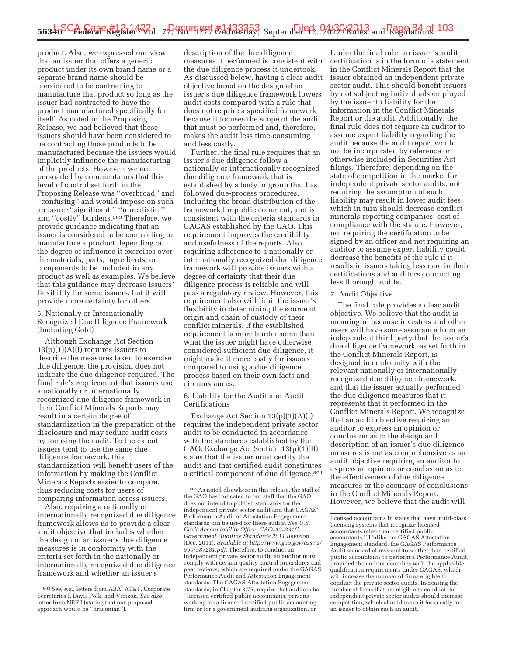product. Also, we expressed our view that an issuer that offers a generic product under its own brand name or a separate brand name should be considered to be contracting to manufacture that product so long as the issuer had contracted to have the product manufactured specifically for itself. As noted in the Proposing Release, we had believed that these issuers should have been considered to be contracting those products to be manufactured because the issuers would implicitly influence the manufacturing of the products. However, we are persuaded by commentators that this level of control set forth in the Proposing Release was ''overbroad'' and ''confusing'' and would impose on such an issuer ''significant,'' ''unrealistic,'' and ''costly'' burdens.803 Therefore, we provide guidance indicating that an issuer is considered to be contracting to manufacture a product depending on the degree of influence it exercises over the materials, parts, ingredients, or components to be included in any product as well as examples. We believe that this guidance may decrease issuers' flexibility for some issuers, but it will provide more certainty for others.

5. Nationally or Internationally Recognized Due Diligence Framework (Including Gold)

Although Exchange Act Section  $13(p)(1)(A)(i)$  requires issuers to describe the measures taken to exercise due diligence, the provision does not indicate the due diligence required. The final rule's requirement that issuers use a nationally or internationally recognized due diligence framework in their Conflict Minerals Reports may result in a certain degree of standardization in the preparation of the disclosure and may reduce audit costs by focusing the audit. To the extent issuers tend to use the same due diligence framework, this standardization will benefit users of the information by making the Conflict Minerals Reports easier to compare, thus reducing costs for users of comparing information across issuers.

Also, requiring a nationally or internationally recognized due diligence framework allows us to provide a clear audit objective that includes whether the design of an issuer's due diligence measures is in conformity with the criteria set forth in the nationally or internationally recognized due diligence framework and whether an issuer's

description of the due diligence measures it performed is consistent with the due diligence process it undertook. As discussed below, having a clear audit objective based on the design of an issuer's due diligence framework lowers audit costs compared with a rule that does not require a specified framework because it focuses the scope of the audit that must be performed and, therefore, makes the audit less time-consuming and less costly.

Further, the final rule requires that an issuer's due diligence follow a nationally or internationally recognized due diligence framework that is established by a body or group that has followed due-process procedures, including the broad distribution of the framework for public comment, and is consistent with the criteria standards in GAGAS established by the GAO. This requirement improves the credibility and usefulness of the reports. Also, requiring adherence to a nationally or internationally recognized due diligence framework will provide issuers with a degree of certainty that their due diligence process is reliable and will pass a regulatory review. However, this requirement also will limit the issuer's flexibility in determining the source of origin and chain of custody of their conflict minerals. If the established requirement is more burdensome than what the issuer might have otherwise considered sufficient due diligence, it might make it more costly for issuers compared to using a due diligence process based on their own facts and circumstances.

6. Liability for the Audit and Audit **Certifications** 

Exchange Act Section 13(p)(1)(A)(i) requires the independent private sector audit to be conducted in accordance with the standards established by the GAO. Exchange Act Section 13(p)(1)(B) states that the issuer must certify the audit and that certified audit constitutes a critical component of due diligence.804

Under the final rule, an issuer's audit certification is in the form of a statement in the Conflict Minerals Report that the issuer obtained an independent private sector audit. This should benefit issuers by not subjecting individuals employed by the issuer to liability for the information in the Conflict Minerals Report or the audit. Additionally, the final rule does not require an auditor to assume expert liability regarding the audit because the audit report would not be incorporated by reference or otherwise included in Securities Act filings. Therefore, depending on the state of competition in the market for independent private sector audits, not requiring the assumption of such liability may result in lower audit fees, which in turn should decrease conflict minerals-reporting companies' cost of compliance with the statute. However, not requiring the certification to be signed by an officer and not requiring an auditor to assume expert liability could decrease the benefits of the rule if it results in issuers taking less care in their certifications and auditors conducting less thorough audits.

#### 7. Audit Objective

The final rule provides a clear audit objective. We believe that the audit is meaningful because investors and other users will have some assurance from an independent third party that the issuer's due diligence framework, as set forth in the Conflict Minerals Report, is designed in conformity with the relevant nationally or internationally recognized due diligence framework, and that the issuer actually performed the due diligence measures that it represents that it performed in the Conflict Minerals Report. We recognize that an audit objective requiring an auditor to express an opinion or conclusion as to the design and description of an issuer's due diligence measures is not as comprehensive as an audit objective requiring an auditor to express an opinion or conclusion as to the effectiveness of due diligence measures or the accuracy of conclusions in the Conflict Minerals Report. However, we believe that the audit will

<sup>803</sup>*See, e.g.,* letters from ABA, AT&T, Corporate Secretaries I, Davis Polk, and Verizon. *See also*  letter from NRF I (stating that our proposed approach would be ''draconian'').

<sup>804</sup>As noted elsewhere in this release, the staff of the GAO has indicated to our staff that the GAO does not intend to publish standards for the independent private sector audit and that GAGAS' Performance Audit or Attestation Engagement standards can be used for these audits. *See U.S. Gov't Accountability Office, GAO–12–331G, Government Auditing Standards 2011 Revision*  (Dec. 2011), *available at http://www.gao.gov/assets/ 590/587281.pdf.* Therefore, to conduct an independent private sector audit, an auditor must comply with certain quality control procedures and peer reviews, which are required under the GAGAS Performance Audit and Attestation Engagement standards. The GAGAS Attestation Engagement standards, in Chapter 3.75, require that auditors be ''licensed certified public accountants, persons working for a licensed certified public accounting firm or for a government auditing organization, or

licensed accountants in states that have multi-class licensing systems that recognize licensed accountants other than certified public accountants.'' Unlike the GAGAS Attestation Engagement standard, the GAGAS Performance Audit standard allows auditors other than certified public accountants to perform a Performance Audit, provided the auditor complies with the applicable qualification requirements under GAGAS, which will increase the number of firms eligible to conduct the private sector audits. Increasing the number of firms that are eligible to conduct the independent private sector audits should increase competition, which should make it less costly for an issuer to obtain such an audit.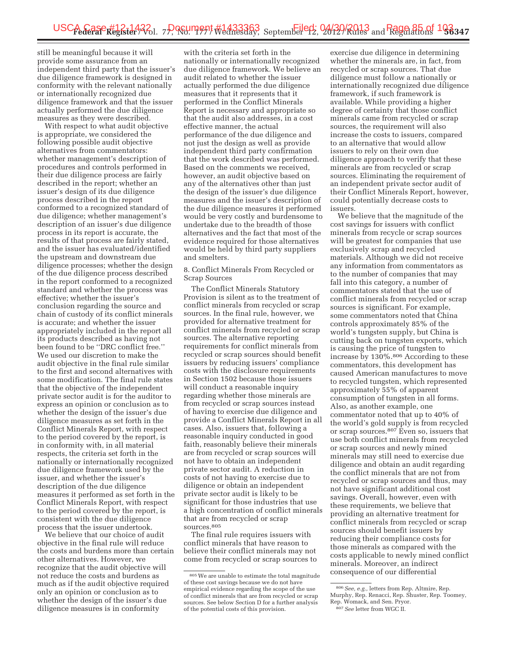still be meaningful because it will provide some assurance from an independent third party that the issuer's due diligence framework is designed in conformity with the relevant nationally or internationally recognized due diligence framework and that the issuer actually performed the due diligence measures as they were described.

With respect to what audit objective is appropriate, we considered the following possible audit objective alternatives from commentators: whether management's description of procedures and controls performed in their due diligence process are fairly described in the report; whether an issuer's design of its due diligence process described in the report conformed to a recognized standard of due diligence; whether management's description of an issuer's due diligence process in its report is accurate, the results of that process are fairly stated, and the issuer has evaluated/identified the upstream and downstream due diligence processes; whether the design of the due diligence process described in the report conformed to a recognized standard and whether the process was effective; whether the issuer's conclusion regarding the source and chain of custody of its conflict minerals is accurate; and whether the issuer appropriately included in the report all its products described as having not been found to be ''DRC conflict free.'' We used our discretion to make the audit objective in the final rule similar to the first and second alternatives with some modification. The final rule states that the objective of the independent private sector audit is for the auditor to express an opinion or conclusion as to whether the design of the issuer's due diligence measures as set forth in the Conflict Minerals Report, with respect to the period covered by the report, is in conformity with, in all material respects, the criteria set forth in the nationally or internationally recognized due diligence framework used by the issuer, and whether the issuer's description of the due diligence measures it performed as set forth in the Conflict Minerals Report, with respect to the period covered by the report, is consistent with the due diligence process that the issuer undertook.

We believe that our choice of audit objective in the final rule will reduce the costs and burdens more than certain other alternatives. However, we recognize that the audit objective will not reduce the costs and burdens as much as if the audit objective required only an opinion or conclusion as to whether the design of the issuer's due diligence measures is in conformity

with the criteria set forth in the nationally or internationally recognized due diligence framework. We believe an audit related to whether the issuer actually performed the due diligence measures that it represents that it performed in the Conflict Minerals Report is necessary and appropriate so that the audit also addresses, in a cost effective manner, the actual performance of the due diligence and not just the design as well as provide independent third party confirmation that the work described was performed. Based on the comments we received, however, an audit objective based on any of the alternatives other than just the design of the issuer's due diligence measures and the issuer's description of the due diligence measures it performed would be very costly and burdensome to undertake due to the breadth of those alternatives and the fact that most of the evidence required for those alternatives would be held by third party suppliers and smelters.

8. Conflict Minerals From Recycled or Scrap Sources

The Conflict Minerals Statutory Provision is silent as to the treatment of conflict minerals from recycled or scrap sources. In the final rule, however, we provided for alternative treatment for conflict minerals from recycled or scrap sources. The alternative reporting requirements for conflict minerals from recycled or scrap sources should benefit issuers by reducing issuers' compliance costs with the disclosure requirements in Section 1502 because those issuers will conduct a reasonable inquiry regarding whether those minerals are from recycled or scrap sources instead of having to exercise due diligence and provide a Conflict Minerals Report in all cases. Also, issuers that, following a reasonable inquiry conducted in good faith, reasonably believe their minerals are from recycled or scrap sources will not have to obtain an independent private sector audit. A reduction in costs of not having to exercise due to diligence or obtain an independent private sector audit is likely to be significant for those industries that use a high concentration of conflict minerals that are from recycled or scrap sources.805

The final rule requires issuers with conflict minerals that have reason to believe their conflict minerals may not come from recycled or scrap sources to

exercise due diligence in determining whether the minerals are, in fact, from recycled or scrap sources. That due diligence must follow a nationally or internationally recognized due diligence framework, if such framework is available. While providing a higher degree of certainty that those conflict minerals came from recycled or scrap sources, the requirement will also increase the costs to issuers, compared to an alternative that would allow issuers to rely on their own due diligence approach to verify that these minerals are from recycled or scrap sources. Eliminating the requirement of an independent private sector audit of their Conflict Minerals Report, however, could potentially decrease costs to issuers.

We believe that the magnitude of the cost savings for issuers with conflict minerals from recycle or scrap sources will be greatest for companies that use exclusively scrap and recycled materials. Although we did not receive any information from commentators as to the number of companies that may fall into this category, a number of commentators stated that the use of conflict minerals from recycled or scrap sources is significant. For example, some commentators noted that China controls approximately 85% of the world's tungsten supply, but China is cutting back on tungsten exports, which is causing the price of tungsten to increase by 130%.806 According to these commentators, this development has caused American manufactures to move to recycled tungsten, which represented approximately 55% of apparent consumption of tungsten in all forms. Also, as another example, one commentator noted that up to 40% of the world's gold supply is from recycled or scrap sources.<sup>807</sup> Even so, issuers that use both conflict minerals from recycled or scrap sources and newly mined minerals may still need to exercise due diligence and obtain an audit regarding the conflict minerals that are not from recycled or scrap sources and thus, may not have significant additional cost savings. Overall, however, even with these requirements, we believe that providing an alternative treatment for conflict minerals from recycled or scrap sources should benefit issuers by reducing their compliance costs for those minerals as compared with the costs applicable to newly mined conflict minerals. Moreover, an indirect consequence of our differential

<sup>805</sup>We are unable to estimate the total magnitude of these cost savings because we do not have empirical evidence regarding the scope of the use of conflict minerals that are from recycled or scrap sources. See below Section D for a further analysis of the potential costs of this provision.

<sup>806</sup>*See, e.g.,* letters from Rep. Altmire, Rep. Murphy, Rep. Renacci, Rep. Shuster, Rep. Toomey, Rep. Womack, and Sen. Pryor. 807*See* letter from WGC II.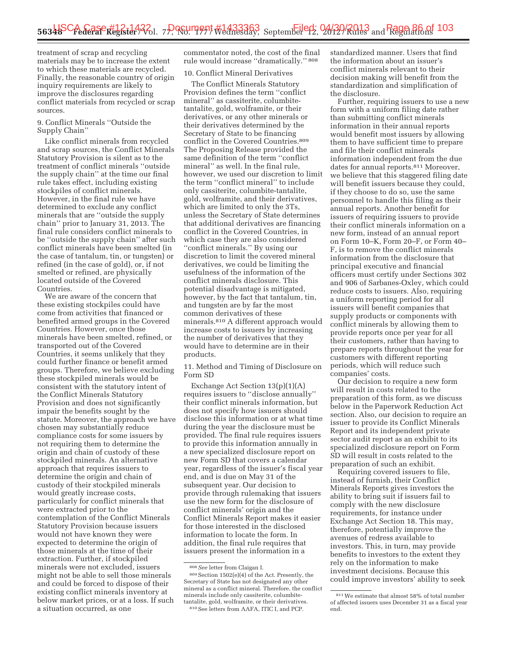treatment of scrap and recycling materials may be to increase the extent to which these materials are recycled. Finally, the reasonable country of origin inquiry requirements are likely to improve the disclosures regarding conflict materials from recycled or scrap sources.

9. Conflict Minerals ''Outside the Supply Chain''

Like conflict minerals from recycled and scrap sources, the Conflict Minerals Statutory Provision is silent as to the treatment of conflict minerals ''outside the supply chain'' at the time our final rule takes effect, including existing stockpiles of conflict minerals. However, in the final rule we have determined to exclude any conflict minerals that are ''outside the supply chain'' prior to January 31, 2013. The final rule considers conflict minerals to be ''outside the supply chain'' after such conflict minerals have been smelted (in the case of tantalum, tin, or tungsten) or refined (in the case of gold), or, if not smelted or refined, are physically located outside of the Covered Countries.

We are aware of the concern that these existing stockpiles could have come from activities that financed or benefited armed groups in the Covered Countries. However, once those minerals have been smelted, refined, or transported out of the Covered Countries, it seems unlikely that they could further finance or benefit armed groups. Therefore, we believe excluding these stockpiled minerals would be consistent with the statutory intent of the Conflict Minerals Statutory Provision and does not significantly impair the benefits sought by the statute. Moreover, the approach we have chosen may substantially reduce compliance costs for some issuers by not requiring them to determine the origin and chain of custody of these stockpiled minerals. An alternative approach that requires issuers to determine the origin and chain of custody of their stockpiled minerals would greatly increase costs, particularly for conflict minerals that were extracted prior to the contemplation of the Conflict Minerals Statutory Provision because issuers would not have known they were expected to determine the origin of those minerals at the time of their extraction. Further, if stockpiled minerals were not excluded, issuers might not be able to sell those minerals and could be forced to dispose of their existing conflict minerals inventory at below market prices, or at a loss. If such a situation occurred, as one

commentator noted, the cost of the final rule would increase ''dramatically.'' 808

10. Conflict Mineral Derivatives

The Conflict Minerals Statutory Provision defines the term ''conflict mineral'' as cassiterite, columbitetantalite, gold, wolframite, or their derivatives, or any other minerals or their derivatives determined by the Secretary of State to be financing conflict in the Covered Countries.<sup>809</sup> The Proposing Release provided the same definition of the term ''conflict mineral'' as well. In the final rule, however, we used our discretion to limit the term ''conflict mineral'' to include only cassiterite, columbite-tantalite, gold, wolframite, and their derivatives, which are limited to only the 3Ts, unless the Secretary of State determines that additional derivatives are financing conflict in the Covered Countries, in which case they are also considered ''conflict minerals.'' By using our discretion to limit the covered mineral derivatives, we could be limiting the usefulness of the information of the conflict minerals disclosure. This potential disadvantage is mitigated, however, by the fact that tantalum, tin, and tungsten are by far the most common derivatives of these minerals.810 A different approach would increase costs to issuers by increasing the number of derivatives that they would have to determine are in their products.

11. Method and Timing of Disclosure on Form SD

Exchange Act Section 13(p)(1)(A) requires issuers to ''disclose annually'' their conflict minerals information, but does not specify how issuers should disclose this information or at what time during the year the disclosure must be provided. The final rule requires issuers to provide this information annually in a new specialized disclosure report on new Form SD that covers a calendar year, regardless of the issuer's fiscal year end, and is due on May 31 of the subsequent year. Our decision to provide through rulemaking that issuers use the new form for the disclosure of conflict minerals' origin and the Conflict Minerals Report makes it easier for those interested in the disclosed information to locate the form. In addition, the final rule requires that issuers present the information in a

standardized manner. Users that find the information about an issuer's conflict minerals relevant to their decision making will benefit from the standardization and simplification of the disclosure.

Further, requiring issuers to use a new form with a uniform filing date rather than submitting conflict minerals information in their annual reports would benefit most issuers by allowing them to have sufficient time to prepare and file their conflict minerals information independent from the due dates for annual reports.811 Moreover, we believe that this staggered filing date will benefit issuers because they could, if they choose to do so, use the same personnel to handle this filing as their annual reports. Another benefit for issuers of requiring issuers to provide their conflict minerals information on a new form, instead of an annual report on Form 10–K, Form 20–F, or Form 40– F, is to remove the conflict minerals information from the disclosure that principal executive and financial officers must certify under Sections 302 and 906 of Sarbanes-Oxley, which could reduce costs to issuers. Also, requiring a uniform reporting period for all issuers will benefit companies that supply products or components with conflict minerals by allowing them to provide reports once per year for all their customers, rather than having to prepare reports throughout the year for customers with different reporting periods, which will reduce such companies' costs.

Our decision to require a new form will result in costs related to the preparation of this form, as we discuss below in the Paperwork Reduction Act section. Also, our decision to require an issuer to provide its Conflict Minerals Report and its independent private sector audit report as an exhibit to its specialized disclosure report on Form SD will result in costs related to the preparation of such an exhibit.

Requiring covered issuers to file, instead of furnish, their Conflict Minerals Reports gives investors the ability to bring suit if issuers fail to comply with the new disclosure requirements, for instance under Exchange Act Section 18. This may, therefore, potentially improve the avenues of redress available to investors. This, in turn, may provide benefits to investors to the extent they rely on the information to make investment decisions. Because this could improve investors' ability to seek

<sup>808</sup>*See* letter from Claigan I.

 $^{809}\rm\, Section$   $\,1502(e)(4)$  of the Act. Presently, the Secretary of State has not designated any other mineral as a conflict mineral. Therefore, the conflict minerals include only cassiterite, columbitetantalite, gold, wolframite, or their derivatives. 810See letters from AAFA, ITIC I, and PCP.

<sup>811</sup>We estimate that almost 58% of total number of affected issuers uses December 31 as a fiscal year end.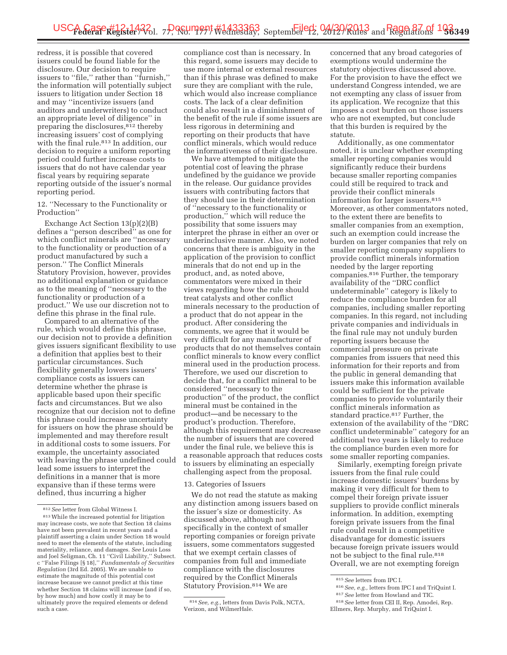redress, it is possible that covered issuers could be found liable for the disclosure. Our decision to require issuers to ''file,'' rather than ''furnish,'' the information will potentially subject issuers to litigation under Section 18 and may ''incentivize issuers (and auditors and underwriters) to conduct an appropriate level of diligence'' in preparing the disclosures,812 thereby increasing issuers' cost of complying with the final rule.<sup>813</sup> In addition, our decision to require a uniform reporting period could further increase costs to issuers that do not have calendar year fiscal years by requiring separate reporting outside of the issuer's normal reporting period.

12. ''Necessary to the Functionality or Production''

Exchange Act Section 13(p)(2)(B) defines a ''person described'' as one for which conflict minerals are ''necessary to the functionality or production of a product manufactured by such a person.'' The Conflict Minerals Statutory Provision, however, provides no additional explanation or guidance as to the meaning of ''necessary to the functionality or production of a product.'' We use our discretion not to define this phrase in the final rule.

Compared to an alternative of the rule, which would define this phrase, our decision not to provide a definition gives issuers significant flexibility to use a definition that applies best to their particular circumstances. Such flexibility generally lowers issuers' compliance costs as issuers can determine whether the phrase is applicable based upon their specific facts and circumstances. But we also recognize that our decision not to define this phrase could increase uncertainty for issuers on how the phrase should be implemented and may therefore result in additional costs to some issuers. For example, the uncertainty associated with leaving the phrase undefined could lead some issuers to interpret the definitions in a manner that is more expansive than if these terms were defined, thus incurring a higher

compliance cost than is necessary. In this regard, some issuers may decide to use more internal or external resources than if this phrase was defined to make sure they are compliant with the rule, which would also increase compliance costs. The lack of a clear definition could also result in a diminishment of the benefit of the rule if some issuers are less rigorous in determining and reporting on their products that have conflict minerals, which would reduce the informativeness of their disclosure.

We have attempted to mitigate the potential cost of leaving the phrase undefined by the guidance we provide in the release. Our guidance provides issuers with contributing factors that they should use in their determination of ''necessary to the functionality or production,'' which will reduce the possibility that some issuers may interpret the phrase in either an over or underinclusive manner. Also, we noted concerns that there is ambiguity in the application of the provision to conflict minerals that do not end up in the product, and, as noted above, commentators were mixed in their views regarding how the rule should treat catalysts and other conflict minerals necessary to the production of a product that do not appear in the product. After considering the comments, we agree that it would be very difficult for any manufacturer of products that do not themselves contain conflict minerals to know every conflict mineral used in the production process. Therefore, we used our discretion to decide that, for a conflict mineral to be considered ''necessary to the production'' of the product, the conflict mineral must be contained in the product—and be necessary to the product's production. Therefore, although this requirement may decrease the number of issuers that are covered under the final rule, we believe this is a reasonable approach that reduces costs to issuers by eliminating an especially challenging aspect from the proposal.

#### 13. Categories of Issuers

We do not read the statute as making any distinction among issuers based on the issuer's size or domesticity. As discussed above, although not specifically in the context of smaller reporting companies or foreign private issuers, some commentators suggested that we exempt certain classes of companies from full and immediate compliance with the disclosures required by the Conflict Minerals Statutory Provision.814 We are

concerned that any broad categories of exemptions would undermine the statutory objectives discussed above. For the provision to have the effect we understand Congress intended, we are not exempting any class of issuer from its application. We recognize that this imposes a cost burden on those issuers who are not exempted, but conclude that this burden is required by the statute.

Additionally, as one commentator noted, it is unclear whether exempting smaller reporting companies would significantly reduce their burdens because smaller reporting companies could still be required to track and provide their conflict minerals information for larger issuers.815 Moreover, as other commentators noted, to the extent there are benefits to smaller companies from an exemption, such an exemption could increase the burden on larger companies that rely on smaller reporting company suppliers to provide conflict minerals information needed by the larger reporting companies.816 Further, the temporary availability of the ''DRC conflict undeterminable'' category is likely to reduce the compliance burden for all companies, including smaller reporting companies. In this regard, not including private companies and individuals in the final rule may not unduly burden reporting issuers because the commercial pressure on private companies from issuers that need this information for their reports and from the public in general demanding that issuers make this information available could be sufficient for the private companies to provide voluntarily their conflict minerals information as standard practice.817 Further, the extension of the availability of the ''DRC conflict undeterminable'' category for an additional two years is likely to reduce the compliance burden even more for some smaller reporting companies.

Similarly, exempting foreign private issuers from the final rule could increase domestic issuers' burdens by making it very difficult for them to compel their foreign private issuer suppliers to provide conflict minerals information. In addition, exempting foreign private issuers from the final rule could result in a competitive disadvantage for domestic issuers because foreign private issuers would not be subject to the final rule.818 Overall, we are not exempting foreign

<sup>812</sup>*See* letter from Global Witness I.

<sup>813</sup>While the increased potential for litigation may increase costs, we note that Section 18 claims have not been prevalent in recent years and a plaintiff asserting a claim under Section 18 would need to meet the elements of the statute, including materiality, reliance, and damages. *See* Louis Loss and Joel Seligman, Ch. 11 ''Civil Liability,'' Subsect. c ''False Filings [§ 18],'' *Fundamentals of Securities Regulation* (3rd Ed. 2005). We are unable to estimate the magnitude of this potential cost increase because we cannot predict at this time whether Section 18 claims will increase (and if so, by how much) and how costly it may be to ultimately prove the required elements or defend such a case.

<sup>814</sup>*See, e.g.,* letters from Davis Polk, NCTA, Verizon, and WilmerHale.

<sup>815</sup>*See* letters from IPC I.

<sup>816</sup>*See, e.g.,* letters from IPC I and TriQuint I.

<sup>817</sup>*See* letter from Howland and TIC.

<sup>818</sup>*See* letter from CEI II, Rep. Amodei, Rep. Ellmers, Rep. Murphy, and TriQuint I.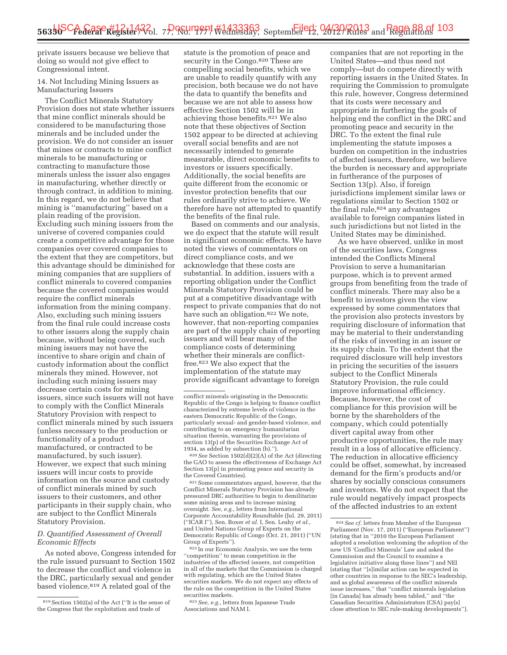private issuers because we believe that doing so would not give effect to Congressional intent.

# 14. Not Including Mining Issuers as Manufacturing Issuers

The Conflict Minerals Statutory Provision does not state whether issuers that mine conflict minerals should be considered to be manufacturing those minerals and be included under the provision. We do not consider an issuer that mines or contracts to mine conflict minerals to be manufacturing or contracting to manufacture those minerals unless the issuer also engages in manufacturing, whether directly or through contract, in addition to mining. In this regard, we do not believe that mining is ''manufacturing'' based on a plain reading of the provision. Excluding such mining issuers from the universe of covered companies could create a competitive advantage for those companies over covered companies to the extent that they are competitors, but this advantage should be diminished for mining companies that are suppliers of conflict minerals to covered companies because the covered companies would require the conflict minerals information from the mining company. Also, excluding such mining issuers from the final rule could increase costs to other issuers along the supply chain because, without being covered, such mining issuers may not have the incentive to share origin and chain of custody information about the conflict minerals they mined. However, not including such mining issuers may decrease certain costs for mining issuers, since such issuers will not have to comply with the Conflict Minerals Statutory Provision with respect to conflict minerals mined by such issuers (unless necessary to the production or functionality of a product manufactured, or contracted to be manufactured, by such issuer). However, we expect that such mining issuers will incur costs to provide information on the source and custody of conflict minerals mined by such issuers to their customers, and other participants in their supply chain, who are subject to the Conflict Minerals Statutory Provision.

### *D. Quantified Assessment of Overall Economic Effects*

As noted above, Congress intended for the rule issued pursuant to Section 1502 to decrease the conflict and violence in the DRC, particularly sexual and gender based violence.<sup>819</sup> A related goal of the

statute is the promotion of peace and security in the Congo.<sup>820</sup> These are compelling social benefits, which we are unable to readily quantify with any precision, both because we do not have the data to quantify the benefits and because we are not able to assess how effective Section 1502 will be in achieving those benefits.821 We also note that these objectives of Section 1502 appear to be directed at achieving overall social benefits and are not necessarily intended to generate measurable, direct economic benefits to investors or issuers specifically. Additionally, the social benefits are quite different from the economic or investor protection benefits that our rules ordinarily strive to achieve. We therefore have not attempted to quantify the benefits of the final rule.

Based on comments and our analysis, we do expect that the statute will result in significant economic effects. We have noted the views of commentators on direct compliance costs, and we acknowledge that these costs are substantial. In addition, issuers with a reporting obligation under the Conflict Minerals Statutory Provision could be put at a competitive disadvantage with respect to private companies that do not have such an obligation.822 We note, however, that non-reporting companies are part of the supply chain of reporting issuers and will bear many of the compliance costs of determining whether their minerals are conflictfree.823 We also expect that the implementation of the statute may provide significant advantage to foreign

820*See* Section 1502(d)(2)(A) of the Act (directing the GAO to assess the effectiveness of Exchange Act Section 13(p) in promoting peace and security in the Covered Countries).

821Some commentators argued, however, that the Conflict Minerals Statutory Provision has already pressured DRC authorities to begin to demilitarize some mining areas and to increase mining oversight. *See, e.g.,* letters from International Corporate Accountability Roundtable (Jul. 29, 2011) (''ICAR I''), Sen. Boxer *et al.* I, Sen. Leahy *et al.,*  and United Nations Group of Experts on the Democratic Republic of Congo (Oct. 21, 2011) (''UN Group of Experts'').

822 In our Economic Analysis, we use the term ''competition'' to mean competition in the industries of the affected issuers, not competition in all of the markets that the Commission is charged with regulating, which are the United States securities markets. We do not expect any effects of the rule on the competition in the United States securities markets.

823*See, e.g.,* letters from Japanese Trade Associations and NAM I.

companies that are not reporting in the United States—and thus need not comply—but do compete directly with reporting issuers in the United States. In requiring the Commission to promulgate this rule, however, Congress determined that its costs were necessary and appropriate in furthering the goals of helping end the conflict in the DRC and promoting peace and security in the DRC. To the extent the final rule implementing the statute imposes a burden on competition in the industries of affected issuers, therefore, we believe the burden is necessary and appropriate in furtherance of the purposes of Section 13(p). Also, if foreign jurisdictions implement similar laws or regulations similar to Section 1502 or the final rule,824 any advantages available to foreign companies listed in such jurisdictions but not listed in the United States may be diminished.

As we have observed, unlike in most of the securities laws, Congress intended the Conflicts Mineral Provision to serve a humanitarian purpose, which is to prevent armed groups from benefiting from the trade of conflict minerals. There may also be a benefit to investors given the view expressed by some commentators that the provision also protects investors by requiring disclosure of information that may be material to their understanding of the risks of investing in an issuer or its supply chain. To the extent that the required disclosure will help investors in pricing the securities of the issuers subject to the Conflict Minerals Statutory Provision, the rule could improve informational efficiency. Because, however, the cost of compliance for this provision will be borne by the shareholders of the company, which could potentially divert capital away from other productive opportunities, the rule may result in a loss of allocative efficiency. The reduction in allocative efficiency could be offset, somewhat, by increased demand for the firm's products and/or shares by socially conscious consumers and investors. We do not expect that the rule would negatively impact prospects of the affected industries to an extent

<sup>819</sup>Section 1502(a) of the Act (''It is the sense of the Congress that the exploitation and trade of

conflict minerals originating in the Democratic Republic of the Congo is helping to finance conflict characterized by extreme levels of violence in the eastern Democratic Republic of the Congo, particularly sexual- and gender-based violence, and contributing to an emergency humanitarian situation therein, warranting the provisions of section 13(p) of the Securities Exchange Act of 1934, as added by subsection (b).'').

 $^{824}\,See$   $cf.$  letters from Member of the European Parliament (Nov. 17, 2011) (''European Parliament'') (stating that in ''2010 the European Parliament adopted a resolution welcoming the adoption of the new US 'Conflict Minerals' Law and asked the Commission and the Council to examine a legislative initiative along these lines'') and NEI (stating that ''[s]imilar action can be expected in other countries in response to the SEC's leadership, and as global awareness of the conflict minerals issue increases,'' that ''conflict minerals legislation [in Canada] has already been tabled,'' and ''the Canadian Securities Administrators (CSA) pay[s] close attention to SEC rule-making developments'').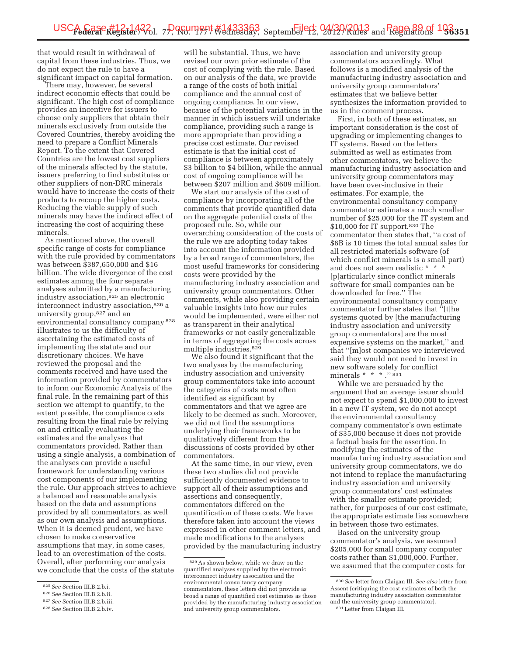that would result in withdrawal of capital from these industries. Thus, we do not expect the rule to have a significant impact on capital formation.

There may, however, be several indirect economic effects that could be significant. The high cost of compliance provides an incentive for issuers to choose only suppliers that obtain their minerals exclusively from outside the Covered Countries, thereby avoiding the need to prepare a Conflict Minerals Report. To the extent that Covered Countries are the lowest cost suppliers of the minerals affected by the statute, issuers preferring to find substitutes or other suppliers of non-DRC minerals would have to increase the costs of their products to recoup the higher costs. Reducing the viable supply of such minerals may have the indirect effect of increasing the cost of acquiring these minerals.

As mentioned above, the overall specific range of costs for compliance with the rule provided by commentators was between \$387,650,000 and \$16 billion. The wide divergence of the cost estimates among the four separate analyses submitted by a manufacturing industry association,<sup>825</sup> an electronic interconnect industry association,826 a university group,827 and an environmental consultancy company 828 illustrates to us the difficulty of ascertaining the estimated costs of implementing the statute and our discretionary choices. We have reviewed the proposal and the comments received and have used the information provided by commentators to inform our Economic Analysis of the final rule. In the remaining part of this section we attempt to quantify, to the extent possible, the compliance costs resulting from the final rule by relying on and critically evaluating the estimates and the analyses that commentators provided. Rather than using a single analysis, a combination of the analyses can provide a useful framework for understanding various cost components of our implementing the rule. Our approach strives to achieve a balanced and reasonable analysis based on the data and assumptions provided by all commentators, as well as our own analysis and assumptions. When it is deemed prudent, we have chosen to make conservative assumptions that may, in some cases, lead to an overestimation of the costs. Overall, after performing our analysis we conclude that the costs of the statute

will be substantial. Thus, we have revised our own prior estimate of the cost of complying with the rule. Based on our analysis of the data, we provide a range of the costs of both initial compliance and the annual cost of ongoing compliance. In our view, because of the potential variations in the manner in which issuers will undertake compliance, providing such a range is more appropriate than providing a precise cost estimate. Our revised estimate is that the initial cost of compliance is between approximately \$3 billion to \$4 billion, while the annual cost of ongoing compliance will be between \$207 million and \$609 million.

We start our analysis of the cost of compliance by incorporating all of the comments that provide quantified data on the aggregate potential costs of the proposed rule. So, while our overarching consideration of the costs of the rule we are adopting today takes into account the information provided by a broad range of commentators, the most useful frameworks for considering costs were provided by the manufacturing industry association and university group commentators. Other comments, while also providing certain valuable insights into how our rules would be implemented, were either not as transparent in their analytical frameworks or not easily generalizable in terms of aggregating the costs across multiple industries.829

We also found it significant that the two analyses by the manufacturing industry association and university group commentators take into account the categories of costs most often identified as significant by commentators and that we agree are likely to be deemed as such. Moreover, we did not find the assumptions underlying their frameworks to be qualitatively different from the discussions of costs provided by other commentators.

At the same time, in our view, even these two studies did not provide sufficiently documented evidence to support all of their assumptions and assertions and consequently, commentators differed on the quantification of these costs. We have therefore taken into account the views expressed in other comment letters, and made modifications to the analyses provided by the manufacturing industry

association and university group commentators accordingly. What follows is a modified analysis of the manufacturing industry association and university group commentators' estimates that we believe better synthesizes the information provided to us in the comment process.

First, in both of these estimates, an important consideration is the cost of upgrading or implementing changes to IT systems. Based on the letters submitted as well as estimates from other commentators, we believe the manufacturing industry association and university group commentators may have been over-inclusive in their estimates. For example, the environmental consultancy company commentator estimates a much smaller number of \$25,000 for the IT system and \$10,000 for IT support.<sup>830</sup> The commentator then states that, ''a cost of \$6B is 10 times the total annual sales for all restricted materials software (of which conflict minerals is a small part) and does not seem realistic \* \* \* [p]articularly since conflict minerals software for small companies can be downloaded for free.'' The environmental consultancy company commentator further states that ''[t]he systems quoted by [the manufacturing industry association and university group commentators] are the most expensive systems on the market,'' and that ''[m]ost companies we interviewed said they would not need to invest in new software solely for conflict minerals \* \* \* .''831

While we are persuaded by the argument that an average issuer should not expect to spend \$1,000,000 to invest in a new IT system, we do not accept the environmental consultancy company commentator's own estimate of \$35,000 because it does not provide a factual basis for the assertion. In modifying the estimates of the manufacturing industry association and university group commentators, we do not intend to replace the manufacturing industry association and university group commentators' cost estimates with the smaller estimate provided; rather, for purposes of our cost estimate, the appropriate estimate lies somewhere in between those two estimates.

Based on the university group commentator's analysis, we assumed \$205,000 for small company computer costs rather than \$1,000,000. Further, we assumed that the computer costs for

<sup>825</sup>*See* Section III.B.2.b.i.

<sup>826</sup>*See* Section III.B.2.b.ii.

<sup>827</sup>*See* Section III.B.2.b.iii.

<sup>828</sup>*See* Section III.B.2.b.iv.

<sup>829</sup>As shown below, while we draw on the quantified analyses supplied by the electronic interconnect industry association and the environmental consultancy company commentators, these letters did not provide as broad a range of quantified cost estimates as those provided by the manufacturing industry association and university group commentators.

<sup>830</sup>*See* letter from Claigan III. *See also* letter from Assent (critiquing the cost estimates of both the manufacturing industry association commentator and the university group commentator). 831Letter from Claigan III.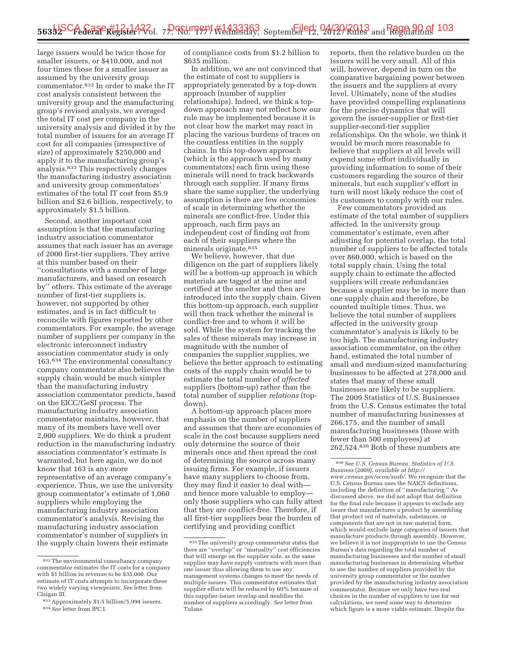large issuers would be twice those for smaller issuers, or \$410,000, and not four times those for a smaller issuer as assumed by the university group commentator.832 In order to make the IT cost analysis consistent between the university group and the manufacturing group's revised analysis, we averaged the total IT cost per company in the university analysis and divided it by the total number of issuers for an average IT cost for all companies (irrespective of size) of approximately \$250,000 and apply it to the manufacturing group's analysis.833 This respectively changes the manufacturing industry association and university group commentators' estimates of the total IT cost from \$5.9 billion and \$2.6 billion, respectively, to approximately \$1.5 billion.

Second, another important cost assumption is that the manufacturing industry association commentator assumes that each issuer has an average of 2000 first-tier suppliers. They arrive at this number based on their ''consultations with a number of large manufacturers, and based on research by'' others. This estimate of the average number of first-tier suppliers is, however, not supported by other estimates, and is in fact difficult to reconcile with figures reported by other commentators. For example, the average number of suppliers per company in the electronic interconnect industry association commentator study is only 163.834 The environmental consultancy company commentator also believes the supply chain would be much simpler than the manufacturing industry association commentator predicts, based on the EICC/GeSI process. The manufacturing industry association commentator maintains, however, that many of its members have well over 2,000 suppliers. We do think a prudent reduction in the manufacturing industry association commentator's estimate is warranted, but here again, we do not know that 163 is any more representative of an average company's experience. Thus, we use the university group commentator's estimate of 1,060 suppliers while employing the manufacturing industry association commentator's analysis. Revising the manufacturing industry association commentator's number of suppliers in the supply chain lowers their estimate

of compliance costs from \$1.2 billion to \$635 million.

In addition, we are not convinced that the estimate of cost to suppliers is appropriately generated by a top-down approach (number of supplier relationships). Indeed, we think a topdown approach may not reflect how our rule may be implemented because it is not clear how the market may react in placing the various burdens of traces on the countless entities in the supply chains. In this top-down approach (which is the approach used by many commentators) each firm using these minerals will need to track backwards through each supplier. If many firms share the same supplier, the underlying assumption is there are few economies of scale in determining whether the minerals are conflict-free. Under this approach, each firm pays an independent cost of finding out from each of their suppliers where the minerals originate.835

We believe, however, that due diligence on the part of suppliers likely will be a bottom-up approach in which materials are tagged at the mine and certified at the smelter and then are introduced into the supply chain. Given this bottom-up approach, each supplier will then track whether the mineral is conflict-free and to whom it will be sold. While the system for tracking the sales of these minerals may increase in magnitude with the number of companies the supplier supplies, we believe the better approach to estimating costs of the supply chain would be to estimate the total number of *affected*  suppliers (bottom-up) rather than the total number of supplier *relations* (topdown).

A bottom-up approach places more emphasis on the number of suppliers and assumes that there are economies of scale in the cost because suppliers need only determine the source of their minerals once and then spread the cost of determining the source across many issuing firms. For example, if issuers have many suppliers to choose from, they may find it easier to deal with and hence more valuable to employ only those suppliers who can fully attest that they are conflict-free. Therefore, if all first-tier suppliers bear the burden of certifying and providing conflict

reports, then the relative burden on the issuers will be very small. All of this will, however, depend in turn on the comparative bargaining power between the issuers and the suppliers at every level. Ultimately, none of the studies have provided compelling explanations for the precise dynamics that will govern the issuer-supplier or first-tier supplier-second-tier supplier relationships. On the whole, we think it would be much more reasonable to believe that suppliers at all levels will expend some effort individually in providing information to some of their customers regarding the source of their minerals, but each supplier's effort in turn will most likely reduce the cost of its customers to comply with our rules.

Few commentators provided an estimate of the total number of suppliers affected. In the university group commentator's estimate, even after adjusting for potential overlap, the total number of suppliers to be affected totals over 860,000, which is based on the total supply chain. Using the total supply chain to estimate the affected suppliers will create redundancies because a supplier may be in more than one supply chain and therefore, be counted multiple times. Thus, we believe the total number of suppliers affected in the university group commentator's analysis is likely to be too high. The manufacturing industry association commentator, on the other hand, estimated the total number of small and medium-sized manufacturing businesses to be affected at 278,000 and states that many of these small businesses are likely to be suppliers. The 2009 Statistics of U.S. Businesses from the U.S. Census estimates the total number of manufacturing businesses at 266,175, and the number of small manufacturing businesses (those with fewer than 500 employees) at 262,524.836 Both of these numbers are

<sup>832</sup>The environmental consultancy company commentator estimates the IT costs for a company with \$1 billion in revenue to be \$35,000. Our estimate of IT costs attempts to incorporate these two widely varying viewpoints. *See* letter from Claigan III.

<sup>833</sup>Approximately \$1.5 billion/5,994 issuers. 834*See* letter from IPC I.

<sup>835</sup>The university group commentator states that there are ''overlap'' or ''mutuality'' cost efficiencies that will emerge on the supplier side, as the same supplier may have supply contracts with more than one issuer thus allowing them to use any management systems changes to meet the needs of multiple issuers. This commentator estimates that supplier efforts will be reduced by 60% because of this supplier-issuer overlap and modifies the number of suppliers accordingly. *See* letter from Tulane.

<sup>836</sup>*See U.S. Census Bureau, Statistics of U.S. Business* (2009), *available at http:// www.census.gov/econ/susb/*. We recognize that the U.S. Census Bureau uses the NAICS definitions, including the definition of ''manufacturing.'' As discussed above, we did not adopt that definition for the final rule because it appears to exclude any issuer that manufactures a product by assembling that product out of materials, substances, or components that are not in raw material form, which would exclude large categories of issuers that manufacture products through assembly. However, we believe it is not inappropriate to use the Census Bureau's data regarding the total number of manufacturing businesses and the number of small manufacturing businesses in determining whether to use the number of suppliers provided by the university group commentator or the number provided by the manufacturing industry association commentator. Because we only have two real choices in the number of suppliers to use for our calculations, we need some way to determine which figure is a more viable estimate. Despite the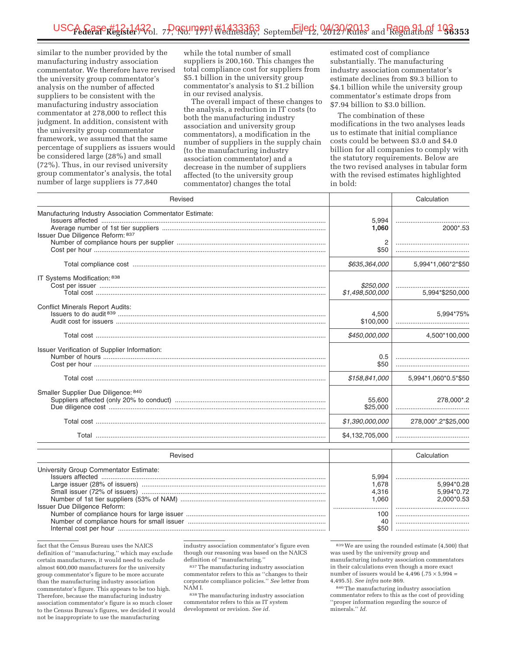similar to the number provided by the manufacturing industry association commentator. We therefore have revised the university group commentator's analysis on the number of affected suppliers to be consistent with the manufacturing industry association commentator at 278,000 to reflect this judgment. In addition, consistent with the university group commentator framework, we assumed that the same percentage of suppliers as issuers would be considered large (28%) and small (72%). Thus, in our revised university group commentator's analysis, the total number of large suppliers is 77,840

while the total number of small suppliers is 200,160. This changes the total compliance cost for suppliers from \$5.1 billion in the university group commentator's analysis to \$1.2 billion in our revised analysis.

The overall impact of these changes to the analysis, a reduction in IT costs (to both the manufacturing industry association and university group commentators), a modification in the number of suppliers in the supply chain (to the manufacturing industry association commentator) and a decrease in the number of suppliers affected (to the university group commentator) changes the total

estimated cost of compliance substantially. The manufacturing industry association commentator's estimate declines from \$9.3 billion to \$4.1 billion while the university group commentator's estimate drops from \$7.94 billion to \$3.0 billion.

The combination of these modifications in the two analyses leads us to estimate that initial compliance costs could be between \$3.0 and \$4.0 billion for all companies to comply with the statutory requirements. Below are the two revised analyses in tabular form with the revised estimates highlighted in bold:

| Revised                                                                                      |                              | Calculation                  |
|----------------------------------------------------------------------------------------------|------------------------------|------------------------------|
| Manufacturing Industry Association Commentator Estimate:<br>Issuer Due Diligence Reform: 837 | 5,994<br>1,060               | <br>2000*.53                 |
|                                                                                              | 2<br>\$50                    |                              |
|                                                                                              | \$635,364,000                | 5,994*1,060*2*\$50           |
| IT Systems Modification: 838                                                                 | \$250,000<br>\$1,498,500,000 | 5,994*\$250,000              |
| <b>Conflict Minerals Report Audits:</b>                                                      | 4,500<br>\$100,000           | 5,994*75%                    |
|                                                                                              | \$450,000,000                | 4,500*100,000                |
| Issuer Verification of Supplier Information:                                                 | 0.5<br>\$50                  |                              |
|                                                                                              | \$158,841,000                | 5,994*1,060*0.5*\$50         |
| Smaller Supplier Due Diligence: 840                                                          | 55.600<br>\$25,000           | 278.000*.2                   |
|                                                                                              | \$1,390,000,000              | 278,000*.2*\$25,000          |
|                                                                                              | \$4,132,705,000              |                              |
| Revised                                                                                      |                              | Calculation                  |
| University Group Commentator Estimate:                                                       | 5,994<br>1,678<br>4,316      | <br>5,994*0.28<br>5.994*0.72 |

Number of 1st tier suppliers (53% of NAM) ............................................................................... 1,060 2,000\*0.53 Issuer Due Diligence Reform: .............................. ........................................ Number of compliance hours for large issuer ............................................................................ 100 ........................................ Number of compliance hours for small issuer ........................................................................... 40 ........................................ Internal cost per hour ................................................................................................................. \$50 ........................................

fact that the Census Bureau uses the NAICS definition of ''manufacturing,'' which may exclude certain manufacturers, it would need to exclude almost 600,000 manufacturers for the university group commentator's figure to be more accurate than the manufacturing industry association commentator's figure. This appears to be too high. Therefore, because the manufacturing industry association commentator's figure is so much closer to the Census Bureau's figures, we decided it would not be inappropriate to use the manufacturing

industry association commentator's figure even though our reasoning was based on the NAICS definition of ''manufacturing.''

837The manufacturing industry association commentator refers to this as ''changes to their corporate compliance policies.'' *See* letter from NAM I.

838The manufacturing industry association commentator refers to this as IT system development or revision. *See id.* 

839We are using the rounded estimate (4,500) that was used by the university group and manufacturing industry association commentators in their calculations even though a more exact number of issuers would be  $4,496$  (.75  $\times$  5,994 = 4,495.5). *See infra* note 869.

840The manufacturing industry association commentator refers to this as the cost of providing ''proper information regarding the source of minerals.'' *Id.*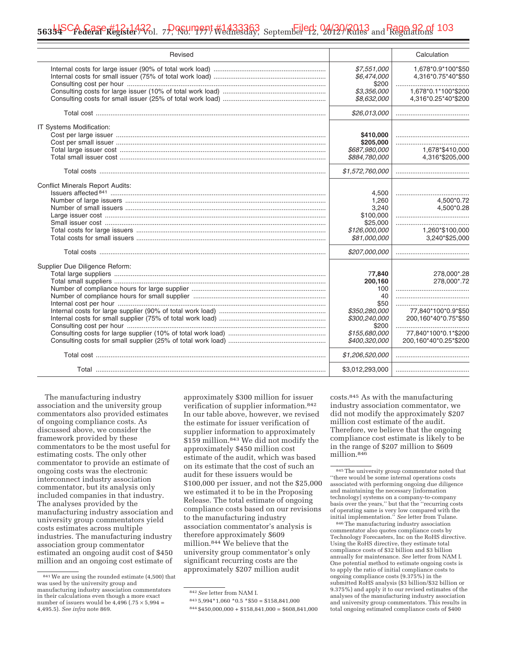| Revised                                 |                                                                                                                                        | Calculation                                                                                                                |
|-----------------------------------------|----------------------------------------------------------------------------------------------------------------------------------------|----------------------------------------------------------------------------------------------------------------------------|
|                                         | \$7,551,000<br>\$6,474,000<br>\$200                                                                                                    | 1,678*0.9*100*\$50<br>4,316*0.75*40*\$50                                                                                   |
|                                         | \$3,356,000<br>\$8,632,000                                                                                                             | 1,678*0.1*100*\$200<br>4,316*0.25*40*\$200                                                                                 |
|                                         | \$26,013,000                                                                                                                           |                                                                                                                            |
| IT Systems Modification:                | \$410,000                                                                                                                              |                                                                                                                            |
|                                         | \$205,000<br>\$687,980,000<br>\$884,780,000                                                                                            | <br>1,678*\$410,000<br>4,316*\$205,000                                                                                     |
|                                         | \$1,572,760,000                                                                                                                        |                                                                                                                            |
| <b>Conflict Minerals Report Audits:</b> | 4,500<br>1,260<br>3,240<br>\$100,000<br>\$25,000<br>\$126,000,000<br>\$81,000,000<br>\$207,000,000                                     | <br>4,500*0.72<br>4,500*0.28<br>1,260*\$100,000<br>3,240*\$25,000                                                          |
| Supplier Due Diligence Reform:          | 77,840<br>200,160<br>100<br>40<br>\$50<br>\$350,280,000<br>\$300,240,000<br>\$200<br>\$155,680,000<br>\$400,320,000<br>\$1,206,520,000 | 278,000*.28<br>278,000*.72<br>77,840*100*0.9*\$50<br>200,160*40*0.75*\$50<br>77,840*100*0.1*\$200<br>200,160*40*0.25*\$200 |
|                                         |                                                                                                                                        |                                                                                                                            |
|                                         | \$3,012,293,000                                                                                                                        |                                                                                                                            |

The manufacturing industry association and the university group commentators also provided estimates of ongoing compliance costs. As discussed above, we consider the framework provided by these commentators to be the most useful for estimating costs. The only other commentator to provide an estimate of ongoing costs was the electronic interconnect industry association commentator, but its analysis only included companies in that industry. The analyses provided by the manufacturing industry association and university group commentators yield costs estimates across multiple industries. The manufacturing industry association group commentator estimated an ongoing audit cost of \$450 million and an ongoing cost estimate of

approximately \$300 million for issuer verification of supplier information.842 In our table above, however, we revised the estimate for issuer verification of supplier information to approximately \$159 million.843 We did not modify the approximately \$450 million cost estimate of the audit, which was based on its estimate that the cost of such an audit for these issuers would be \$100,000 per issuer, and not the \$25,000 we estimated it to be in the Proposing Release. The total estimate of ongoing compliance costs based on our revisions to the manufacturing industry association commentator's analysis is therefore approximately \$609 million.844 We believe that the university group commentator's only significant recurring costs are the approximately \$207 million audit

costs.845 As with the manufacturing industry association commentator, we did not modify the approximately \$207 million cost estimate of the audit. Therefore, we believe that the ongoing compliance cost estimate is likely to be in the range of \$207 million to \$609 million.846

846The manufacturing industry association commentator also quotes compliance costs by Technology Forecasters, Inc on the RoHS directive. Using the RoHS directive, they estimate total compliance costs of \$32 billion and \$3 billion annually for maintenance. *See* letter from NAM I. One potential method to estimate ongoing costs is to apply the ratio of initial compliance costs to ongoing compliance costs (9.375%) in the submitted RoHS analysis (\$3 billion/\$32 billion or 9.375%) and apply it to our revised estimates of the analyses of the manufacturing industry association and university group commentators. This results in total ongoing estimated compliance costs of \$400

<sup>841</sup>We are using the rounded estimate (4,500) that was used by the university group and manufacturing industry association commentators in their calculations even though a more exact number of issuers would be  $4,496$  (.75  $\times$  5,994 = 4,495.5). *See infra* note 869.

<sup>842</sup>*See* letter from NAM I.

 $843\,5,994*1,060*0.5*50 = $158,841,000$ 

 $844 $450,000,000 + $158,841,000 = $608,841,000$ 

<sup>845</sup>The university group commentator noted that ''there would be some internal operations costs associated with performing ongoing due diligence and maintaining the necessary [information technology] systems on a company-to-company basis over the years,'' but that the ''recurring costs of operating same is very low compared with the initial implementation.'' *See* letter from Tulane.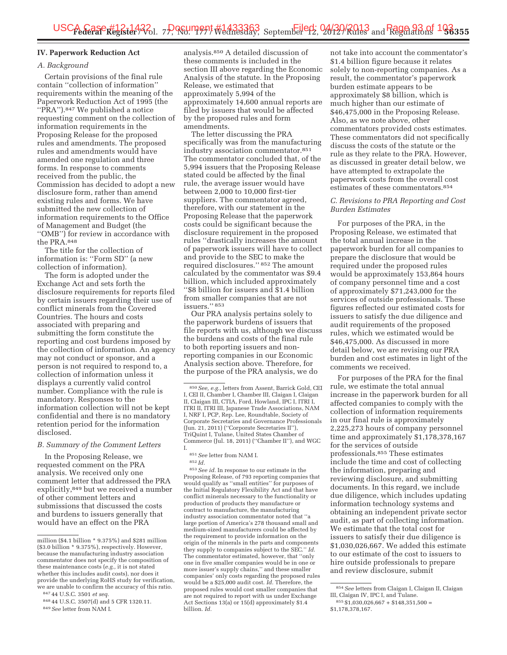# **IV. Paperwork Reduction Act**

### *A. Background*

Certain provisions of the final rule contain ''collection of information'' requirements within the meaning of the Paperwork Reduction Act of 1995 (the ''PRA'').847 We published a notice requesting comment on the collection of information requirements in the Proposing Release for the proposed rules and amendments. The proposed rules and amendments would have amended one regulation and three forms. In response to comments received from the public, the Commission has decided to adopt a new disclosure form, rather than amend existing rules and forms. We have submitted the new collection of information requirements to the Office of Management and Budget (the ''OMB'') for review in accordance with the PRA.848

The title for the collection of information is: ''Form SD'' (a new collection of information).

The form is adopted under the Exchange Act and sets forth the disclosure requirements for reports filed by certain issuers regarding their use of conflict minerals from the Covered Countries. The hours and costs associated with preparing and submitting the form constitute the reporting and cost burdens imposed by the collection of information. An agency may not conduct or sponsor, and a person is not required to respond to, a collection of information unless it displays a currently valid control number. Compliance with the rule is mandatory. Responses to the information collection will not be kept confidential and there is no mandatory retention period for the information disclosed.

### *B. Summary of the Comment Letters*

In the Proposing Release, we requested comment on the PRA analysis. We received only one comment letter that addressed the PRA explicitly,849 but we received a number of other comment letters and submissions that discussed the costs and burdens to issuers generally that would have an effect on the PRA

analysis.850 A detailed discussion of these comments is included in the section III above regarding the Economic Analysis of the statute. In the Proposing Release, we estimated that approximately 5,994 of the approximately 14,600 annual reports are filed by issuers that would be affected by the proposed rules and form amendments.

The letter discussing the PRA specifically was from the manufacturing industry association commentator.851 The commentator concluded that, of the 5,994 issuers that the Proposing Release stated could be affected by the final rule, the average issuer would have between 2,000 to 10,000 first-tier suppliers. The commentator agreed, therefore, with our statement in the Proposing Release that the paperwork costs could be significant because the disclosure requirement in the proposed rules ''drastically increases the amount of paperwork issuers will have to collect and provide to the SEC to make the required disclosures.'' 852 The amount calculated by the commentator was \$9.4 billion, which included approximately ''\$8 billion for issuers and \$1.4 billion from smaller companies that are not issuers.'' 853

Our PRA analysis pertains solely to the paperwork burdens of issuers that file reports with us, although we discuss the burdens and costs of the final rule to both reporting issuers and nonreporting companies in our Economic Analysis section above. Therefore, for the purpose of the PRA analysis, we do

851*See* letter from NAM I.

853*See id.* In response to our estimate in the Proposing Release, of 793 reporting companies that would qualify as ''small entities'' for purposes of the Initial Regulatory Flexibility Act and that have conflict minerals necessary to the functionality or production of products they manufacture or contract to manufacture, the manufacturing industry association commentator noted that ''a large portion of America's 278 thousand small and medium-sized manufacturers could be affected by the requirement to provide information on the origin of the minerals in the parts and components they supply to companies subject to the SEC.'' *Id.*  The commentator estimated, however, that ''only one in five smaller companies would be in one or more issuer's supply chains,'' and these smaller companies' only costs regarding the proposed rules would be a \$25,000 audit cost. *Id.* Therefore, the proposed rules would cost smaller companies that are not required to report with us under Exchange Act Sections 13(a) or 15(d) approximately \$1.4 billion. *Id.* 

not take into account the commentator's \$1.4 billion figure because it relates solely to non-reporting companies. As a result, the commentator's paperwork burden estimate appears to be approximately \$8 billion, which is much higher than our estimate of \$46,475,000 in the Proposing Release. Also, as we note above, other commentators provided costs estimates. These commentators did not specifically discuss the costs of the statute or the rule as they relate to the PRA. However, as discussed in greater detail below, we have attempted to extrapolate the paperwork costs from the overall cost estimates of these commentators.854

### *C. Revisions to PRA Reporting and Cost Burden Estimates*

For purposes of the PRA, in the Proposing Release, we estimated that the total annual increase in the paperwork burden for all companies to prepare the disclosure that would be required under the proposed rules would be approximately 153,864 hours of company personnel time and a cost of approximately \$71,243,000 for the services of outside professionals. These figures reflected our estimated costs for issuers to satisfy the due diligence and audit requirements of the proposed rules, which we estimated would be \$46,475,000. As discussed in more detail below, we are revising our PRA burden and cost estimates in light of the comments we received.

For purposes of the PRA for the final rule, we estimate the total annual increase in the paperwork burden for all affected companies to comply with the collection of information requirements in our final rule is approximately 2,225,273 hours of company personnel time and approximately \$1,178,378,167 for the services of outside professionals.855 These estimates include the time and cost of collecting the information, preparing and reviewing disclosure, and submitting documents. In this regard, we include due diligence, which includes updating information technology systems and obtaining an independent private sector audit, as part of collecting information. We estimate that the total cost for issuers to satisfy their due diligence is \$1,030,026,667. We added this estimate to our estimate of the cost to issuers to hire outside professionals to prepare and review disclosure, submit

million (\$4.1 billion \* 9.375%) and \$281 million (\$3.0 billion \* 9.375%), respectively. However, because the manufacturing industry association commentator does not specify the composition of these maintenance costs (*e.g.,* it is not stated whether this includes audit costs), nor does it provide the underlying RoHS study for verification, we are unable to confirm the accuracy of this ratio.

<sup>847</sup> 44 U.S.C. 3501 *et seq.* 

<sup>848</sup> 44 U.S.C. 3507(d) and 5 CFR 1320.11. 849*See* letter from NAM I.

<sup>850</sup>*See, e.g.,* letters from Assent, Barrick Gold, CEI I, CEI II, Chamber I, Chamber III, Claigan I, Claigan II, Claigan III, CTIA, Ford, Howland, IPC I, ITRI I, ITRI II, ITRI III, Japanese Trade Associations, NAM I, NRF I, PCP, Rep. Lee, Roundtable, Society of Corporate Secretaries and Governance Professionals (Jun. 21, 2011) (''Corporate Secretaries II''), TriQuint I, Tulane, United States Chamber of Commerce (Jul. 18, 2011) (''Chamber II''), and WGC I.

<sup>852</sup> *Id.* 

<sup>854</sup>*See* letters from Claigan I, Claigan II, Claigan III, Claigan IV, IPC I, and Tulane.

 $855$  \$1,030,026,667 + \$148,351,500 =

<sup>\$1,178,378,167.</sup>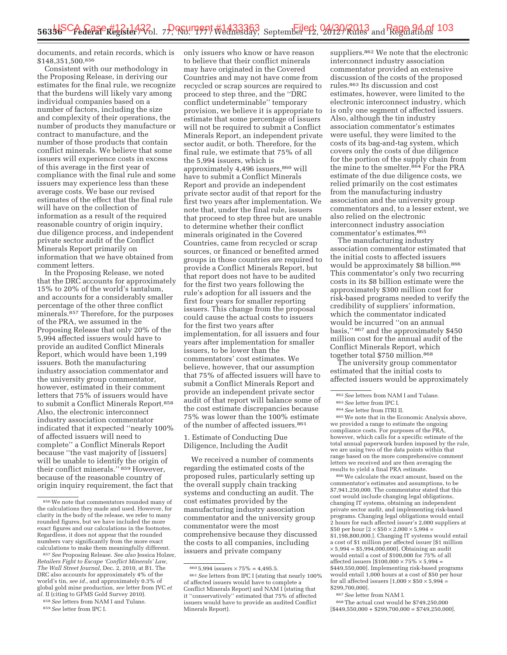documents, and retain records, which is \$148,351,500.856

Consistent with our methodology in the Proposing Release, in deriving our estimates for the final rule, we recognize that the burdens will likely vary among individual companies based on a number of factors, including the size and complexity of their operations, the number of products they manufacture or contract to manufacture, and the number of those products that contain conflict minerals. We believe that some issuers will experience costs in excess of this average in the first year of compliance with the final rule and some issuers may experience less than these average costs. We base our revised estimates of the effect that the final rule will have on the collection of information as a result of the required reasonable country of origin inquiry, due diligence process, and independent private sector audit of the Conflict Minerals Report primarily on information that we have obtained from comment letters.

In the Proposing Release, we noted that the DRC accounts for approximately 15% to 20% of the world's tantalum, and accounts for a considerably smaller percentage of the other three conflict minerals.857 Therefore, for the purposes of the PRA, we assumed in the Proposing Release that only 20% of the 5,994 affected issuers would have to provide an audited Conflict Minerals Report, which would have been 1,199 issuers. Both the manufacturing industry association commentator and the university group commentator, however, estimated in their comment letters that 75% of issuers would have to submit a Conflict Minerals Report.858 Also, the electronic interconnect industry association commentator indicated that it expected ''nearly 100% of affected issuers will need to complete'' a Conflict Minerals Report because ''the vast majority of [issuers] will be unable to identify the origin of their conflict minerals.'' 859 However, because of the reasonable country of origin inquiry requirement, the fact that

858*See* letters from NAM I and Tulane.

only issuers who know or have reason to believe that their conflict minerals may have originated in the Covered Countries and may not have come from recycled or scrap sources are required to proceed to step three, and the ''DRC conflict undeterminable'' temporary provision, we believe it is appropriate to estimate that some percentage of issuers will not be required to submit a Conflict Minerals Report, an independent private sector audit, or both. Therefore, for the final rule, we estimate that 75% of all the 5,994 issuers, which is approximately 4,496 issuers, 860 will have to submit a Conflict Minerals Report and provide an independent private sector audit of that report for the first two years after implementation. We note that, under the final rule, issuers that proceed to step three but are unable to determine whether their conflict minerals originated in the Covered Countries, came from recycled or scrap sources, or financed or benefited armed groups in those countries are required to provide a Conflict Minerals Report, but that report does not have to be audited for the first two years following the rule's adoption for all issuers and the first four years for smaller reporting issuers. This change from the proposal could cause the actual costs to issuers for the first two years after implementation, for all issuers and four years after implementation for smaller issuers, to be lower than the commentators' cost estimates. We believe, however, that our assumption that 75% of affected issuers will have to submit a Conflict Minerals Report and provide an independent private sector audit of that report will balance some of the cost estimate discrepancies because 75% was lower than the 100% estimate of the number of affected issuers.<sup>861</sup>

1. Estimate of Conducting Due Diligence, Including the Audit

We received a number of comments regarding the estimated costs of the proposed rules, particularly setting up the overall supply chain tracking systems and conducting an audit. The cost estimates provided by the manufacturing industry association commentator and the university group commentator were the most comprehensive because they discussed the costs to all companies, including issuers and private company

suppliers.<sup>862</sup> We note that the electronic interconnect industry association commentator provided an extensive discussion of the costs of the proposed rules.863 Its discussion and cost estimates, however, were limited to the electronic interconnect industry, which is only one segment of affected issuers. Also, although the tin industry association commentator's estimates were useful, they were limited to the costs of its bag-and-tag system, which covers only the costs of due diligence for the portion of the supply chain from the mine to the smelter.864 For the PRA estimate of the due diligence costs, we relied primarily on the cost estimates from the manufacturing industry association and the university group commentators and, to a lesser extent, we also relied on the electronic interconnect industry association commentator's estimates.865

The manufacturing industry association commentator estimated that the initial costs to affected issuers would be approximately \$8 billion.866 This commentator's only two recurring costs in its \$8 billion estimate were the approximately \$300 million cost for risk-based programs needed to verify the credibility of suppliers' information, which the commentator indicated would be incurred ''on an annual basis,'' 867 and the approximately \$450 million cost for the annual audit of the Conflict Minerals Report, which together total \$750 million.868

The university group commentator estimated that the initial costs to affected issuers would be approximately

<sup>862</sup> See letters from NAM I and Tulane.<br><sup>863</sup> See letter from ITRI II.<br><sup>864</sup> See letter from ITRI II. <sup>865</sup> We note that in the Economic Analysis above, we provided a range to estimate the ongoing compliance costs. For purposes of the PRA, however, which calls for a specific estimate of the total annual paperwork burden imposed by the rule, we are using two of the data points within that range based on the more comprehensive comment letters we received and are then averaging the results to yield a final PRA estimate.

866We calculate the exact amount, based on the commentator's estimates and assumptions, to be \$7,941,250,000. The commentator stated that this cost would include changing legal obligations, changing IT systems, obtaining an independent private sector audit, and implementing risk-based programs. Changing legal obligations would entail 2 hours for each affected issuer's 2,000 suppliers at \$50 per hour [2 × \$50 × 2,000 × 5,994 = \$1,198,800,000.]. Changing IT systems would entail a cost of \$1 million per affected issuer [\$1 million  $\times 5{,}994= \$ 5{,}994{,}000{,}000].$  Obtaining an audit would entail a cost of \$100,000 for 75% of all affected issuers  $$100,000 \times 75\% \times 5.994 =$ \$449,550,000]. Implementing risk-based programs would entail 1,000 hours at a cost of \$50 per hour for all affected issuers  $[1,000 \times $50 \times 5,994 =$ \$299,700,000].

867*See* letter from NAM I.

868The actual cost would be \$749,250,000  $[ $449,550,000 + $299,700,000 = $749,250,000].$ 

<sup>856</sup>We note that commentators rounded many of the calculations they made and used. However, for clarity in the body of the release, we refer to many rounded figures, but we have included the more exact figures and our calculations in the footnotes. Regardless, it does not appear that the rounded numbers vary significantly from the more exact calculations to make them meaningfully different.

<sup>857</sup>*See* Proposing Release. *See also* Jessica Holzer, *Retailers Fight to Escape 'Conflict Minerals' Law, The Wall Street Journal,* Dec. 2, 2010, at B1. The DRC also accounts for approximately 4% of the world's tin, *see id.,* and approximately 0.3% of global gold mine production, *see* letter from JVC *et al.* II (citing to GFMS Gold Survey 2010).

<sup>859</sup>*See* letter from IPC I.

 $^{860}5,994$  issuers  $\times\,75\%$  = 4,495.5.

<sup>861</sup>*See* letters from IPC I (stating that nearly 100% of affected issuers would have to complete a Conflict Minerals Report) and NAM I (stating that it ''conservatively'' estimated that 75% of affected issuers would have to provide an audited Conflict Minerals Report).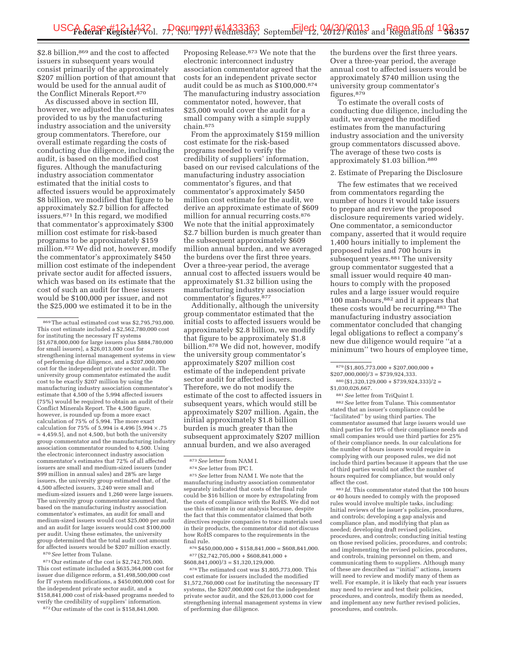\$2.8 billion,<sup>869</sup> and the cost to affected issuers in subsequent years would consist primarily of the approximately \$207 million portion of that amount that would be used for the annual audit of the Conflict Minerals Report.870

As discussed above in section III, however, we adjusted the cost estimates provided to us by the manufacturing industry association and the university group commentators. Therefore, our overall estimate regarding the costs of conducting due diligence, including the audit, is based on the modified cost figures. Although the manufacturing industry association commentator estimated that the initial costs to affected issuers would be approximately \$8 billion, we modified that figure to be approximately \$2.7 billion for affected issuers.871 In this regard, we modified that commentator's approximately \$300 million cost estimate for risk-based programs to be approximately \$159 million.872 We did not, however, modify the commentator's approximately \$450 million cost estimate of the independent private sector audit for affected issuers, which was based on its estimate that the cost of such an audit for these issuers would be \$100,000 per issuer, and not the \$25,000 we estimated it to be in the

871Our estimate of the cost is \$2,742,705,000. This cost estimate included a \$635,364,000 cost for issuer due diligence reform, a \$1,498,500,000 cost for IT system modifications, a \$450,000,000 cost for the independent private sector audit, and a \$158,841,000 cost of risk-based programs needed to verify the credibility of suppliers' information.

872Our estimate of the cost is \$158,841,000.

Proposing Release.873 We note that the electronic interconnect industry association commentator agreed that the costs for an independent private sector audit could be as much as \$100,000.874 The manufacturing industry association commentator noted, however, that \$25,000 would cover the audit for a small company with a simple supply chain.875

From the approximately \$159 million cost estimate for the risk-based programs needed to verify the credibility of suppliers' information, based on our revised calculations of the manufacturing industry association commentator's figures, and that commentator's approximately \$450 million cost estimate for the audit, we derive an approximate estimate of \$609 million for annual recurring costs.876 We note that the initial approximately \$2.7 billion burden is much greater than the subsequent approximately \$609 million annual burden, and we averaged the burdens over the first three years. Over a three-year period, the average annual cost to affected issuers would be approximately \$1.32 billion using the manufacturing industry association commentator's figures.<sup>877</sup>

Additionally, although the university group commentator estimated that the initial costs to affected issuers would be approximately \$2.8 billion, we modify that figure to be approximately \$1.8 billion.878 We did not, however, modify the university group commentator's approximately \$207 million cost estimate of the independent private sector audit for affected issuers. Therefore, we do not modify the estimate of the cost to affected issuers in subsequent years, which would still be approximately \$207 million. Again, the initial approximately \$1.8 billion burden is much greater than the subsequent approximately \$207 million annual burden, and we also averaged

875*See* letter from NAM I. We note that the manufacturing industry association commentator separately indicated that costs of the final rule could be \$16 billion or more by extrapolating from the costs of compliance with the RoHS. We did not use this estimate in our analysis because, despite the fact that this commentator claimed that both directives require companies to trace materials used in their products, the commentator did not discuss how RoHS compares to the requirements in the final rule.

 $^{876}\, \$450,\!000,\!000 + \$158,\!841,\!000 = \$608,\!841,\!000.$  $^{877}$  (\$2,742,705,000 + \$608,841,000 +  $\,$  $$608,841,000)/3 = $1,320,129,000.$ 

878The estimated cost was \$1,805,773,000. This cost estimate for issuers included the modified \$1,572,760,000 cost for instituting the necessary IT systems, the \$207,000,000 cost for the independent private sector audit, and the \$26,013,000 cost for strengthening internal management systems in view of performing due diligence.

the burdens over the first three years. Over a three-year period, the average annual cost to affected issuers would be approximately \$740 million using the university group commentator's figures.<sup>879</sup>

To estimate the overall costs of conducting due diligence, including the audit, we averaged the modified estimates from the manufacturing industry association and the university group commentators discussed above. The average of these two costs is approximately \$1.03 billion.880

### 2. Estimate of Preparing the Disclosure

The few estimates that we received from commentators regarding the number of hours it would take issuers to prepare and review the proposed disclosure requirements varied widely. One commentator, a semiconductor company, asserted that it would require 1,400 hours initially to implement the proposed rules and 700 hours in subsequent years.<sup>881</sup> The university group commentator suggested that a small issuer would require 40 manhours to comply with the proposed rules and a large issuer would require 100 man-hours,882 and it appears that these costs would be recurring.883 The manufacturing industry association commentator concluded that changing legal obligations to reflect a company's new due diligence would require ''at a minimum'' two hours of employee time,

881*See* letter from TriQuint I.

882*See* letter from Tulane. This commentator stated that an issuer's compliance could be ''facilitated'' by using third parties. The commentator assumed that large issuers would use third parties for 10% of their compliance needs and small companies would use third parties for 25% of their compliance needs. In our calculations for the number of hours issuers would require in complying with our proposed rules, we did not include third parties because it appears that the use of third parties would not affect the number of hours required for compliance, but would only affect the cost.

883 *Id.* This commentator stated that the 100 hours or 40 hours needed to comply with the proposed rules would involve multiple tasks, including: Initial reviews of the issuer's policies, procedures, and controls; developing a gap analysis and compliance plan, and modifying that plan as needed; developing draft revised policies, procedures, and controls; conducting initial testing on those revised policies, procedures, and controls; and implementing the revised policies, procedures, and controls, training personnel on them, and communicating them to suppliers. Although many of these are described as ''initial'' actions, issuers will need to review and modify many of them as well. For example, it is likely that each year issuers may need to review and test their policies, procedures, and controls, modify them as needed, and implement any new further revised policies, procedures, and controls.

<sup>869</sup>The actual estimated cost was \$2,795,793,000. This cost estimate included a \$2,562,780,000 cost for instituting the necessary IT systems [\$1,678,000,000 for large issuers plus \$884,780,000 for small issuers], a \$26,013,000 cost for strengthening internal management systems in view of performing due diligence, and a \$207,000,000 cost for the independent private sector audit. The university group commentator estimated the audit cost to be exactly \$207 million by using the manufacturing industry association commentator's estimate that  $4,500$  of the 5,994 affected issuers (75%) would be required to obtain an audit of their Conflict Minerals Report. The 4,500 figure, however, is rounded up from a more exact calculation of 75% of 5,994. The more exact calculation for 75% of 5,994 is 4,496 [5,994 × .75  $= 4,459.5$ ], and not 4,500, but both the university group commentator and the manufacturing industry association commentator rounded to 4,500. Using the electronic interconnect industry association commentator's estimates that 72% of all affected issuers are small and medium-sized issuers (under \$99 million in annual sales) and 28% are large issuers, the university group estimated that, of the 4,500 affected issuers, 3,240 were small and medium-sized issuers and 1,260 were large issuers. The university group commentator assumed that, based on the manufacturing industry association commentator's estimates, an audit for small and medium-sized issuers would cost \$25,000 per audit and an audit for large issuers would cost \$100,000 per audit. Using these estimates, the university group determined that the total audit cost amount for affected issuers would be \$207 million exactly. 870*See* letter from Tulane.

<sup>873</sup>*See* letter from NAM I. 874*See* letter from IPC I.

 $879 (\$1,805,773,000 + \$207,000,000 +$ 

 $$207,000,000)/3 = $739,924,333.$ 

 $880 (\$1,320,129,000 + \$739,924,333)/2 =$ \$1,030,026,667.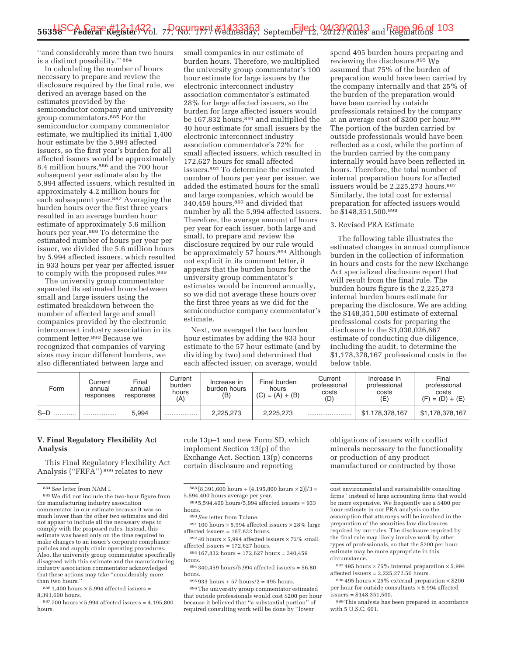''and considerably more than two hours is a distinct possibility.'' 884

In calculating the number of hours necessary to prepare and review the disclosure required by the final rule, we derived an average based on the estimates provided by the semiconductor company and university group commentators.885 For the semiconductor company commentator estimate, we multiplied its initial 1,400 hour estimate by the 5,994 affected issuers, so the first year's burden for all affected issuers would be approximately 8.4 million hours,886 and the 700 hour subsequent year estimate also by the 5,994 affected issuers, which resulted in approximately 4.2 million hours for each subsequent year.887 Averaging the burden hours over the first three years resulted in an average burden hour estimate of approximately 5.6 million hours per year.888 To determine the estimated number of hours per year per issuer, we divided the 5.6 million hours by 5,994 affected issuers, which resulted in 933 hours per year per affected issuer to comply with the proposed rules.<sup>889</sup>

The university group commentator separated its estimated hours between small and large issuers using the estimated breakdown between the number of affected large and small companies provided by the electronic interconnect industry association in its comment letter.890 Because we recognized that companies of varying sizes may incur different burdens, we also differentiated between large and

small companies in our estimate of burden hours. Therefore, we multiplied the university group commentator's 100 hour estimate for large issuers by the electronic interconnect industry association commentator's estimated 28% for large affected issuers, so the burden for large affected issuers would be 167,832 hours,<sup>891</sup> and multiplied the 40 hour estimate for small issuers by the electronic interconnect industry association commentator's 72% for small affected issuers, which resulted in 172,627 hours for small affected issuers.892 To determine the estimated number of hours per year per issuer, we added the estimated hours for the small and large companies, which would be 340,459 hours,893 and divided that number by all the 5,994 affected issuers. Therefore, the average amount of hours per year for each issuer, both large and small, to prepare and review the disclosure required by our rule would be approximately 57 hours.<sup>894</sup> Although not explicit in its comment letter, it appears that the burden hours for the university group commentator's estimates would be incurred annually, so we did not average these hours over the first three years as we did for the semiconductor company commentator's estimate.

Next, we averaged the two burden hour estimates by adding the 933 hour estimate to the 57 hour estimate (and by dividing by two) and determined that each affected issuer, on average, would

spend 495 burden hours preparing and reviewing the disclosure.<sup>895</sup> We assumed that 75% of the burden of preparation would have been carried by the company internally and that 25% of the burden of the preparation would have been carried by outside professionals retained by the company at an average cost of \$200 per hour.896 The portion of the burden carried by outside professionals would have been reflected as a cost, while the portion of the burden carried by the company internally would have been reflected in hours. Therefore, the total number of internal preparation hours for affected issuers would be 2,225,273 hours.<sup>897</sup> Similarly, the total cost for external preparation for affected issuers would be \$148,351,500.898

#### 3. Revised PRA Estimate

The following table illustrates the estimated changes in annual compliance burden in the collection of information in hours and costs for the new Exchange Act specialized disclosure report that will result from the final rule. The burden hours figure is the 2,225,273 internal burden hours estimate for preparing the disclosure. We are adding the \$148,351,500 estimate of external professional costs for preparing the disclosure to the \$1,030,026,667 estimate of conducting due diligence, including the audit, to determine the \$1,178,378,167 professional costs in the below table.

| Form      | Current<br>annual<br>responses | Final<br>annual<br>responses | Current<br>burden<br>hours<br>(A | Increase in<br>burden hours<br>(B | Final burden<br>hours<br>$(C) = (A) + (B)$ | Current<br>professional<br>costs<br>(D) | Increase in<br>professional<br>costs<br>(E) | Final<br>professional<br>costs<br>$(F) = (D) + (E)$ |
|-----------|--------------------------------|------------------------------|----------------------------------|-----------------------------------|--------------------------------------------|-----------------------------------------|---------------------------------------------|-----------------------------------------------------|
| $S-D$<br> |                                | 5.994                        |                                  | 2,225,273                         | 2,225,273                                  |                                         | \$1.178.378.167                             | \$1,178,378,167                                     |

### **V. Final Regulatory Flexibility Act Analysis**

This Final Regulatory Flexibility Act Analysis ("FRFA")<sup>899</sup> relates to new

 $886$  1,400 hours  $\times$  5,994 affected issuers = 8,391,600 hours.

 $887700$  hours  $\times$  5,994 affected issuers = 4,195,800 hours.

rule 13p–1 and new Form SD, which implement Section 13(p) of the Exchange Act. Section 13(p) concerns certain disclosure and reporting

 $^{895}\,933$  hours + 57 hours/2 = 495 hours.

896The university group commentator estimated that outside professionals would cost \$200 per hour because it believed that ''a substantial portion'' of required consulting work will be done by ''lower

obligations of issuers with conflict minerals necessary to the functionality or production of any product manufactured or contracted by those

<sup>897</sup> 495 hours  $\times$  75% internal preparation  $\times$  5,994 affected issuers = 2,225,272.50 hours.

<sup>898</sup> 495 hours  $\times$  25% external preparation  $\times$  \$200 per hour for outside consultants  $\times$  5,994 affected issuers = \$148,351,500.

899This analysis has been prepared in accordance with 5 U.S.C. 601.

<sup>884</sup>*See* letter from NAM I.

<sup>885</sup>We did not include the two-hour figure from the manufacturing industry association commentator in our estimate because it was so much lower than the other two estimates and did not appear to include all the necessary steps to comply with the proposed rules. Instead, this estimate was based only on the time required to make changes to an issuer's corporate compliance policies and supply chain operating procedures. Also, the university group commentator specifically disagreed with this estimate and the manufacturing industry association commentator acknowledged that these actions may take ''considerably more than two hours.''

 $888 [8,391,600 hours + (4,195,800 hours \times 2)]/3 =$ 5,594,400 hours average per year.

<sup>889</sup> 5,594,400 hours/5,994 affected issuers = 933 hours.

<sup>890</sup>*See* letter from Tulane.

<sup>&</sup>lt;sup>891</sup> 100 hours  $\times$  5,994 affected issuers  $\times$  28% large affected issuers = 167,832 hours.

 $89240$  hours  $\times 5,994$  affected issuers  $\times 72\%$  small affected issuers = 172,627 hours.

 $893167832$  hours + 172,627 hours = 340,459 hours.

 $894,340.459$  hours/5,994 affected issuers = 56.80 hours.

cost environmental and sustainability consulting firms'' instead of large accounting firms that would be more expensive. We frequently use a \$400 per hour estimate in our PRA analysis on the assumption that attorneys will be involved in the preparation of the securities law disclosures required by our rules. The disclosure required by the final rule may likely involve work by other types of professionals, so that the \$200 per hour estimate may be more appropriate in this circumstance.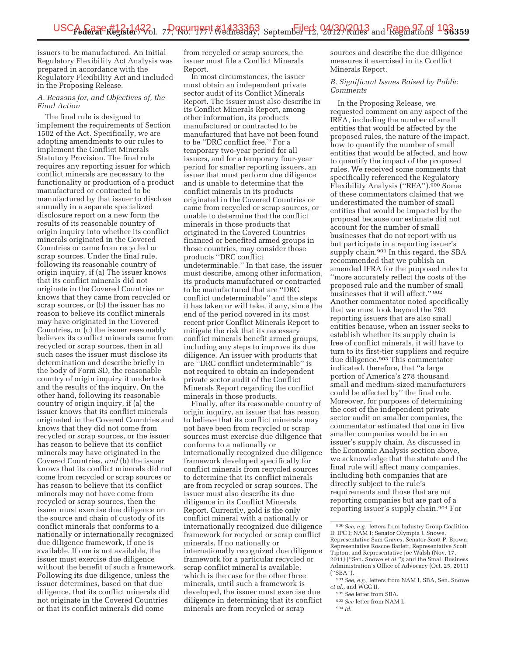issuers to be manufactured. An Initial Regulatory Flexibility Act Analysis was prepared in accordance with the Regulatory Flexibility Act and included in the Proposing Release.

### *A. Reasons for, and Objectives of, the Final Action*

The final rule is designed to implement the requirements of Section 1502 of the Act. Specifically, we are adopting amendments to our rules to implement the Conflict Minerals Statutory Provision. The final rule requires any reporting issuer for which conflict minerals are necessary to the functionality or production of a product manufactured or contracted to be manufactured by that issuer to disclose annually in a separate specialized disclosure report on a new form the results of its reasonable country of origin inquiry into whether its conflict minerals originated in the Covered Countries or came from recycled or scrap sources. Under the final rule, following its reasonable country of origin inquiry, if (a) The issuer knows that its conflict minerals did not originate in the Covered Countries or knows that they came from recycled or scrap sources, or (b) the issuer has no reason to believe its conflict minerals may have originated in the Covered Countries, or (c) the issuer reasonably believes its conflict minerals came from recycled or scrap sources, then in all such cases the issuer must disclose its determination and describe briefly in the body of Form SD, the reasonable country of origin inquiry it undertook and the results of the inquiry. On the other hand, following its reasonable country of origin inquiry, if (a) the issuer knows that its conflict minerals originated in the Covered Countries and knows that they did not come from recycled or scrap sources, or the issuer has reason to believe that its conflict minerals may have originated in the Covered Countries, *and* (b) the issuer knows that its conflict minerals did not come from recycled or scrap sources or has reason to believe that its conflict minerals may not have come from recycled or scrap sources, then the issuer must exercise due diligence on the source and chain of custody of its conflict minerals that conforms to a nationally or internationally recognized due diligence framework, if one is available. If one is not available, the issuer must exercise due diligence without the benefit of such a framework. Following its due diligence, unless the issuer determines, based on that due diligence, that its conflict minerals did not originate in the Covered Countries or that its conflict minerals did come

from recycled or scrap sources, the issuer must file a Conflict Minerals Report.

In most circumstances, the issuer must obtain an independent private sector audit of its Conflict Minerals Report. The issuer must also describe in its Conflict Minerals Report, among other information, its products manufactured or contracted to be manufactured that have not been found to be ''DRC conflict free.'' For a temporary two-year period for all issuers, and for a temporary four-year period for smaller reporting issuers, an issuer that must perform due diligence and is unable to determine that the conflict minerals in its products originated in the Covered Countries or came from recycled or scrap sources, or unable to determine that the conflict minerals in those products that originated in the Covered Countries financed or benefited armed groups in those countries, may consider those products ''DRC conflict undeterminable.'' In that case, the issuer must describe, among other information, its products manufactured or contracted to be manufactured that are ''DRC conflict undeterminable'' and the steps it has taken or will take, if any, since the end of the period covered in its most recent prior Conflict Minerals Report to mitigate the risk that its necessary conflict minerals benefit armed groups, including any steps to improve its due diligence. An issuer with products that are ''DRC conflict undeterminable'' is not required to obtain an independent private sector audit of the Conflict Minerals Report regarding the conflict minerals in those products.

Finally, after its reasonable country of origin inquiry, an issuer that has reason to believe that its conflict minerals may not have been from recycled or scrap sources must exercise due diligence that conforms to a nationally or internationally recognized due diligence framework developed specifically for conflict minerals from recycled sources to determine that its conflict minerals are from recycled or scrap sources. The issuer must also describe its due diligence in its Conflict Minerals Report. Currently, gold is the only conflict mineral with a nationally or internationally recognized due diligence framework for recycled or scrap conflict minerals. If no nationally or internationally recognized due diligence framework for a particular recycled or scrap conflict mineral is available, which is the case for the other three minerals, until such a framework is developed, the issuer must exercise due diligence in determining that its conflict minerals are from recycled or scrap

sources and describe the due diligence measures it exercised in its Conflict Minerals Report.

### *B. Significant Issues Raised by Public Comments*

In the Proposing Release, we requested comment on any aspect of the IRFA, including the number of small entities that would be affected by the proposed rules, the nature of the impact, how to quantify the number of small entities that would be affected, and how to quantify the impact of the proposed rules. We received some comments that specifically referenced the Regulatory Flexibility Analysis (''RFA'').900 Some of these commentators claimed that we underestimated the number of small entities that would be impacted by the proposal because our estimate did not account for the number of small businesses that do not report with us but participate in a reporting issuer's supply chain.<sup>901</sup> In this regard, the SBA recommended that we publish an amended IFRA for the proposed rules to ''more accurately reflect the costs of the proposed rule and the number of small businesses that it will affect.''  $\rm{^{902}}$ Another commentator noted specifically that we must look beyond the 793 reporting issuers that are also small entities because, when an issuer seeks to establish whether its supply chain is free of conflict minerals, it will have to turn to its first-tier suppliers and require due diligence.903 This commentator indicated, therefore, that ''a large portion of America's 278 thousand small and medium-sized manufacturers could be affected by'' the final rule. Moreover, for purposes of determining the cost of the independent private sector audit on smaller companies, the commentator estimated that one in five smaller companies would be in an issuer's supply chain. As discussed in the Economic Analysis section above, we acknowledge that the statute and the final rule will affect many companies, including both companies that are directly subject to the rule's requirements and those that are not reporting companies but are part of a reporting issuer's supply chain.904 For

<sup>900</sup>*See, e.g.,* letters from Industry Group Coalition II; IPC I; NAM I; Senator Olympia J. Snowe, Representative Sam Graves, Senator Scott P. Brown, Representative Roscoe Barlett, Representative Scott Tipton, and Representative Joe Walsh (Nov. 17, 2011) (''Sen. Snowe *et al.''*); and the Small Business Administration's Office of Advocacy (Oct. 25, 2011) (''SBA'').

<sup>901</sup>*See, e.g.,* letters from NAM I, SBA, Sen. Snowe *et al.,* and WGC II.

<sup>902</sup>*See* letter from SBA.

<sup>903</sup>*See* letter from NAM I.

<sup>904</sup> *Id.*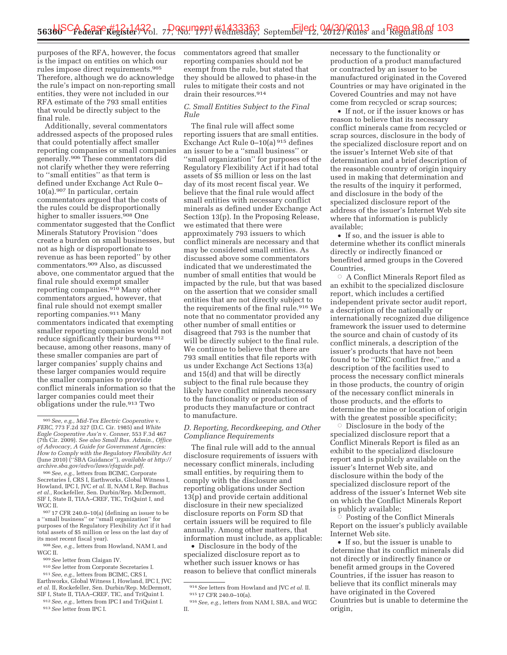purposes of the RFA, however, the focus is the impact on entities on which our rules impose direct requirements.905 Therefore, although we do acknowledge the rule's impact on non-reporting small entities, they were not included in our RFA estimate of the 793 small entities that would be directly subject to the final rule.

Additionally, several commentators addressed aspects of the proposed rules that could potentially affect smaller reporting companies or small companies generally.906 These commentators did not clarify whether they were referring to ''small entities'' as that term is defined under Exchange Act Rule 0– 10(a).907 In particular, certain commentators argued that the costs of the rules could be disproportionally higher to smaller issuers.908 One commentator suggested that the Conflict Minerals Statutory Provision ''does create a burden on small businesses, but not as high or disproportionate to revenue as has been reported'' by other commentators.909 Also, as discussed above, one commentator argued that the final rule should exempt smaller reporting companies.910 Many other commentators argued, however, that final rule should not exempt smaller reporting companies.911 Many commentators indicated that exempting smaller reporting companies would not reduce significantly their burdens 912 because, among other reasons, many of these smaller companies are part of larger companies' supply chains and these larger companies would require the smaller companies to provide conflict minerals information so that the larger companies could meet their obligations under the rule.913 Two

908*See, e.g.,* letters from Howland, NAM I, and WGC II.

- 909*See* letter from Claigan IV.
- 910*See* letter from Corporate Secretaries I.

commentators agreed that smaller reporting companies should not be exempt from the rule, but stated that they should be allowed to phase-in the rules to mitigate their costs and not drain their resources.914

### *C. Small Entities Subject to the Final Rule*

The final rule will affect some reporting issuers that are small entities. Exchange Act Rule 0–10(a) 915 defines an issuer to be a ''small business'' or ''small organization'' for purposes of the Regulatory Flexibility Act if it had total assets of \$5 million or less on the last day of its most recent fiscal year. We believe that the final rule would affect small entities with necessary conflict minerals as defined under Exchange Act Section 13(p). In the Proposing Release, we estimated that there were approximately 793 issuers to which conflict minerals are necessary and that may be considered small entities. As discussed above some commentators indicated that we underestimated the number of small entities that would be impacted by the rule, but that was based on the assertion that we consider small entities that are not directly subject to the requirements of the final rule.916 We note that no commentator provided any other number of small entities or disagreed that 793 is the number that will be directly subject to the final rule. We continue to believe that there are 793 small entities that file reports with us under Exchange Act Sections 13(a) and 15(d) and that will be directly subject to the final rule because they likely have conflict minerals necessary to the functionality or production of products they manufacture or contract to manufacture.

### *D. Reporting, Recordkeeping, and Other Compliance Requirements*

The final rule will add to the annual disclosure requirements of issuers with necessary conflict minerals, including small entities, by requiring them to comply with the disclosure and reporting obligations under Section 13(p) and provide certain additional disclosure in their new specialized disclosure reports on Form SD that certain issuers will be required to file annually. Among other matters, that information must include, as applicable:

• Disclosure in the body of the specialized disclosure report as to whether such issuer knows or has reason to believe that conflict minerals

necessary to the functionality or production of a product manufactured or contracted by an issuer to be manufactured originated in the Covered Countries or may have originated in the Covered Countries and may not have come from recycled or scrap sources;

• If not, or if the issuer knows or has reason to believe that its necessary conflict minerals came from recycled or scrap sources, disclosure in the body of the specialized disclosure report and on the issuer's Internet Web site of that determination and a brief description of the reasonable country of origin inquiry used in making that determination and the results of the inquiry it performed, and disclosure in the body of the specialized disclosure report of the address of the issuer's Internet Web site where that information is publicly available;

• If so, and the issuer is able to determine whether its conflict minerals directly or indirectly financed or benefited armed groups in the Covered Countries,

 $\circ$  A Conflict Minerals Report filed as an exhibit to the specialized disclosure report, which includes a certified independent private sector audit report, a description of the nationally or internationally recognized due diligence framework the issuer used to determine the source and chain of custody of its conflict minerals, a description of the issuer's products that have not been found to be ''DRC conflict free,'' and a description of the facilities used to process the necessary conflict minerals in those products, the country of origin of the necessary conflict minerals in those products, and the efforts to determine the mine or location of origin with the greatest possible specificity;

 $\circ$  Disclosure in the body of the specialized disclosure report that a Conflict Minerals Report is filed as an exhibit to the specialized disclosure report and is publicly available on the issuer's Internet Web site, and disclosure within the body of the specialized disclosure report of the address of the issuer's Internet Web site on which the Conflict Minerals Report is publicly available;

 $\circ$  Posting of the Conflict Minerals Report on the issuer's publicly available Internet Web site.

• If so, but the issuer is unable to determine that its conflict minerals did not directly or indirectly finance or benefit armed groups in the Covered Countries, if the issuer has reason to believe that its conflict minerals may have originated in the Covered Countries but is unable to determine the origin,

<sup>905</sup>*See, e.g., Mid-Tex Electric Cooperative* v. *FERC,* 773 F.2d 327 (D.C. Cir. 1985) and *White Eagle Cooperative Ass'n* v. *Conner,* 553 F.3d 467 (7th Cir. 2009). *See also Small Bus. Admin., Office of Advocacy, A Guide for Government Agencies: How to Comply with the Regulatory Flexibility Act*  (June 2010) (''SBA Guidance''), *available at http:// archive.sba.gov/advo/laws/rfaguide.pdf*. 906*See, e.g.,* letters from BCIMC, Corporate

Secretaries I, CRS I, Earthworks, Global Witness I, Howland, IPC I, JVC *et al.* II, NAM I, Rep. Bachus *et al.,* Rockefeller, Sen. Durbin/Rep. McDermott, SIF I, State II, TIAA–CREF, TIC, TriQuint I, and<br>WGC II.

 $907$  17 CFR 240.0–10(a) (defining an issuer to be a ''small business'' or ''small organization'' for purposes of the Regulatory Flexibility Act if it had total assets of \$5 million or less on the last day of its most recent fiscal year).

<sup>911</sup>*See, e.g.,* letters from BCIMC, CRS I, Earthworks, Global Witness I, Howland, IPC I, JVC

*et al.* II, Rockefeller, Sen. Durbin/Rep. McDermott, SIF I, State II, TIAA–CREF, TIC, and TriQuint I.

<sup>912</sup>*See, e.g.,* letters from IPC I and TriQuint I. 913*See* letter from IPC I.

<sup>914</sup>*See* letters from Howland and JVC *et al.* II. 915 17 CFR 240.0–10(a).

<sup>916</sup>*See, e.g.,* letters from NAM I, SBA, and WGC II.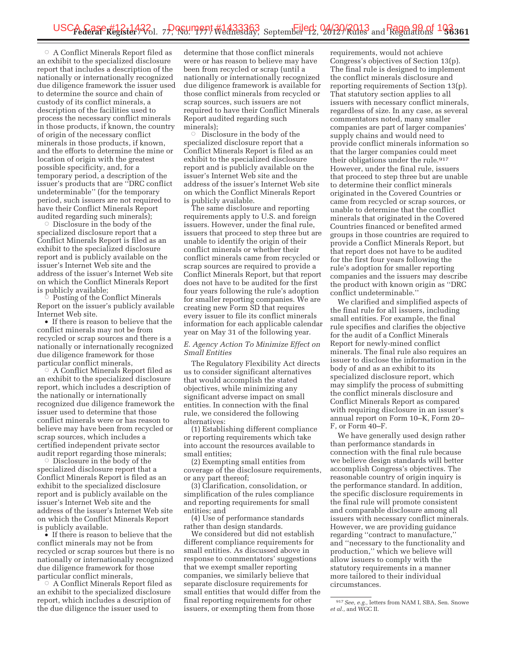$\circ$  A Conflict Minerals Report filed as an exhibit to the specialized disclosure report that includes a description of the nationally or internationally recognized due diligence framework the issuer used to determine the source and chain of custody of its conflict minerals, a description of the facilities used to process the necessary conflict minerals in those products, if known, the country of origin of the necessary conflict minerals in those products, if known, and the efforts to determine the mine or location of origin with the greatest possible specificity, and, for a temporary period, a description of the issuer's products that are ''DRC conflict undeterminable'' (for the temporary period, such issuers are not required to have their Conflict Minerals Report audited regarding such minerals);

 $\circ$  Disclosure in the body of the specialized disclosure report that a Conflict Minerals Report is filed as an exhibit to the specialized disclosure report and is publicly available on the issuer's Internet Web site and the address of the issuer's Internet Web site on which the Conflict Minerals Report is publicly available; Æ

 Posting of the Conflict Minerals Report on the issuer's publicly available Internet Web site.

• If there is reason to believe that the conflict minerals may not be from recycled or scrap sources and there is a nationally or internationally recognized due diligence framework for those particular conflict minerals,

 $\circ$  A Conflict Minerals,<br> $\circ$  A Conflict Minerals Report filed as an exhibit to the specialized disclosure report, which includes a description of the nationally or internationally recognized due diligence framework the issuer used to determine that those conflict minerals were or has reason to believe may have been from recycled or scrap sources, which includes a certified independent private sector audit report regarding those minerals;

 $\circ$  Disclosure in the body of the specialized disclosure report that a Conflict Minerals Report is filed as an exhibit to the specialized disclosure report and is publicly available on the issuer's Internet Web site and the address of the issuer's Internet Web site on which the Conflict Minerals Report is publicly available.

• If there is reason to believe that the conflict minerals may not be from recycled or scrap sources but there is no nationally or internationally recognized due diligence framework for those particular conflict minerals,

 $\circ$  A Conflict Minerals,<br> $\circ$  A Conflict Minerals Report filed as an exhibit to the specialized disclosure report, which includes a description of the due diligence the issuer used to

determine that those conflict minerals were or has reason to believe may have been from recycled or scrap (until a nationally or internationally recognized due diligence framework is available for those conflict minerals from recycled or scrap sources, such issuers are not required to have their Conflict Minerals Report audited regarding such minerals);<br>Comicale

 Disclosure in the body of the specialized disclosure report that a Conflict Minerals Report is filed as an exhibit to the specialized disclosure report and is publicly available on the issuer's Internet Web site and the address of the issuer's Internet Web site on which the Conflict Minerals Report is publicly available.

The same disclosure and reporting requirements apply to U.S. and foreign issuers. However, under the final rule, issuers that proceed to step three but are unable to identify the origin of their conflict minerals or whether their conflict minerals came from recycled or scrap sources are required to provide a Conflict Minerals Report, but that report does not have to be audited for the first four years following the rule's adoption for smaller reporting companies. We are creating new Form SD that requires every issuer to file its conflict minerals information for each applicable calendar year on May 31 of the following year.

### *E. Agency Action To Minimize Effect on Small Entities*

The Regulatory Flexibility Act directs us to consider significant alternatives that would accomplish the stated objectives, while minimizing any significant adverse impact on small entities. In connection with the final rule, we considered the following alternatives:

(1) Establishing different compliance or reporting requirements which take into account the resources available to small entities;

(2) Exempting small entities from coverage of the disclosure requirements, or any part thereof;

(3) Clarification, consolidation, or simplification of the rules compliance and reporting requirements for small entities; and

(4) Use of performance standards rather than design standards.

We considered but did not establish different compliance requirements for small entities. As discussed above in response to commentators' suggestions that we exempt smaller reporting companies, we similarly believe that separate disclosure requirements for small entities that would differ from the final reporting requirements for other issuers, or exempting them from those

requirements, would not achieve Congress's objectives of Section 13(p). The final rule is designed to implement the conflict minerals disclosure and reporting requirements of Section 13(p). That statutory section applies to all issuers with necessary conflict minerals, regardless of size. In any case, as several commentators noted, many smaller companies are part of larger companies' supply chains and would need to provide conflict minerals information so that the larger companies could meet their obligations under the rule.<sup>917</sup> However, under the final rule, issuers that proceed to step three but are unable to determine their conflict minerals originated in the Covered Countries or came from recycled or scrap sources, or unable to determine that the conflict minerals that originated in the Covered Countries financed or benefited armed groups in those countries are required to provide a Conflict Minerals Report, but that report does not have to be audited for the first four years following the rule's adoption for smaller reporting companies and the issuers may describe the product with known origin as ''DRC conflict undeterminable.''

We clarified and simplified aspects of the final rule for all issuers, including small entities. For example, the final rule specifies and clarifies the objective for the audit of a Conflict Minerals Report for newly-mined conflict minerals. The final rule also requires an issuer to disclose the information in the body of and as an exhibit to its specialized disclosure report, which may simplify the process of submitting the conflict minerals disclosure and Conflict Minerals Report as compared with requiring disclosure in an issuer's annual report on Form 10–K, Form 20– F, or Form 40–F.

We have generally used design rather than performance standards in connection with the final rule because we believe design standards will better accomplish Congress's objectives. The reasonable country of origin inquiry is the performance standard. In addition, the specific disclosure requirements in the final rule will promote consistent and comparable disclosure among all issuers with necessary conflict minerals. However, we are providing guidance regarding ''contract to manufacture,'' and ''necessary to the functionality and production,'' which we believe will allow issuers to comply with the statutory requirements in a manner more tailored to their individual circumstances.

<sup>917</sup>*See, e.g.,* letters from NAM I, SBA, Sen. Snowe *et al.,* and WGC II.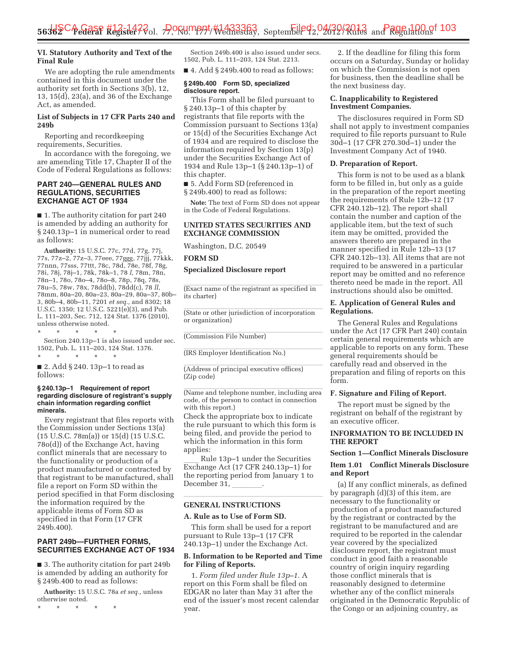# **VI. Statutory Authority and Text of the Final Rule**

We are adopting the rule amendments contained in this document under the authority set forth in Sections 3(b), 12, 13, 15(d), 23(a), and 36 of the Exchange Act, as amended.

# **List of Subjects in 17 CFR Parts 240 and 249b**

Reporting and recordkeeping requirements, Securities.

In accordance with the foregoing, we are amending Title 17, Chapter II of the Code of Federal Regulations as follows:

### **PART 240—GENERAL RULES AND REGULATIONS, SECURITIES EXCHANGE ACT OF 1934**

■ 1. The authority citation for part 240 is amended by adding an authority for § 240.13p–1 in numerical order to read as follows:

**Authority:** 15 U.S.C. 77c, 77d, 77g, 77j, 77s, 77z–2, 77z–3, 77eee, 77ggg, 77jjj, 77kkk, 77nnn, 77sss, 77ttt, 78c, 78d, 78e, 78f, 78g, 78i, 78j, 78j–1, 78k, 78k–1, 78 *l,* 78m, 78n, 78n–1, 78o, 78o–4, 78o–8, 78p, 78q, 78s, 78u–5, 78w, 78x, 78dd(b), 78dd(c), 78 *ll,*  78mm, 80a–20, 80a–23, 80a–29, 80a–37, 80b– 3, 80b–4, 80b–11, 7201 *et seq.,* and 8302; 18 U.S.C. 1350; 12 U.S.C. 5221(e)(3), and Pub. L. 111–203, Sec. 712, 124 Stat. 1376 (2010), unless otherwise noted.

\* \* \* \* \* Section 240.13p–1 is also issued under sec. 1502, Pub. L. 111–203, 124 Stat. 1376. \* \* \* \* \*

■ 2. Add § 240. 13p-1 to read as follows:

#### **§ 240.13p–1 Requirement of report regarding disclosure of registrant's supply chain information regarding conflict minerals.**

Every registrant that files reports with the Commission under Sections 13(a) (15 U.S.C. 78m(a)) or 15(d) (15 U.S.C. 78o(d)) of the Exchange Act, having conflict minerals that are necessary to the functionality or production of a product manufactured or contracted by that registrant to be manufactured, shall file a report on Form SD within the period specified in that Form disclosing the information required by the applicable items of Form SD as specified in that Form (17 CFR 249b.400).

# **PART 249b—FURTHER FORMS, SECURITIES EXCHANGE ACT OF 1934**

■ 3. The authority citation for part 249b is amended by adding an authority for § 249b.400 to read as follows:

**Authority:** 15 U.S.C. 78a *et seq.,* unless otherwise noted.

\* \* \* \* \*

Section 249b.400 is also issued under secs. 1502, Pub. L. 111–203, 124 Stat. 2213.

 $\blacksquare$  4. Add § 249b.400 to read as follows:

#### **§ 249b.400 Form SD, specialized disclosure report.**

This Form shall be filed pursuant to § 240.13p–1 of this chapter by registrants that file reports with the Commission pursuant to Sections 13(a) or 15(d) of the Securities Exchange Act of 1934 and are required to disclose the information required by Section 13(p) under the Securities Exchange Act of 1934 and Rule 13p–1 (§ 240.13p–1) of this chapter.

■ 5. Add Form SD (referenced in § 249b.400) to read as follows:

**Note:** The text of Form SD does not appear in the Code of Federal Regulations.

# **UNITED STATES SECURITIES AND EXCHANGE COMMISSION**

Washington, D.C. 20549

**FORM SD** 

**Specialized Disclosure report** 

(Exact name of the registrant as specified in<br>its charter)<br>(State or other jurisdiction of incorporation<br>or organization)<br>(Commission File Number) (Exact name of the registrant as specified in its charter)

(State or other jurisdiction of incorporation<br>or organization)<br>(Commission File Number)<br>(IRS Employer Identification No.) or organization)

(Commission File Number)

(IRS Employer Identification No.)

(Commission File Number)<br>(IRS Employer Identification No.)<br>(Address of principal executive offices)<br>(Zip code) (IRS Employer Identification No.)<br>(Address of principal executive offices)<br>(Zip code)<br>(Name and telephone number, including area<br>sode, of the parson to contact in connection (Address of principal executive offices) (Zip code)

(Address of principal executive offices)<br>(Zip code)<br>(Name and telephone number, including area<br>code, of the person to contact in connection<br>with this report.)<br>Chock the appropriate hey to indicate (Name and telephone number, including area code, of the person to contact in connection with this report.)

(Name and telephone number, including area<br>code, of the person to contact in connection<br>with this report.)<br>Check the appropriate box to indicate<br>the rule pursuant to which this form is<br>being filed, and provide the period t Check the appropriate box to indicate the rule pursuant to which this form is which the information in this form applies:

Rule 13p–1 under the Securities<br>Exchange Act (17 CFR 240.13p–1) for<br>the reporting period from January 1 to<br>December 31, \_\_\_\_\_\_\_\_\_\_.<br>GENERAL INSTRUCTIONS<br>A. Rule as to Use of Form SD. Exchange Act (17 CFR 240.13p–1) for the reporting period from January 1 to December 31,

# **GENERAL INSTRUCTIONS**

### **A. Rule as to Use of Form SD.**

**FRUCTIC**<br>**STRUCTIC**<br>Jse of Form<br>all be use<br>alle 13p–1<br>der the Ex GENERAL INSTRUCTIONS<br>A. Rule as to Use of Form SD.<br>This form shall be used for a report<br>pursuant to Rule 13p–1 (17 CFR<br>240.13p–1) under the Exchange Act. This form shall be used for a report pursuant to Rule 13p–1 (17 CFR

# **B. Information to be Reported and Time for Filing of Reports.**

1. *Form filed under Rule 13p–1.* A report on this Form shall be filed on EDGAR no later than May 31 after the end of the issuer's most recent calendar year.

2. If the deadline for filing this form occurs on a Saturday, Sunday or holiday on which the Commission is not open for business, then the deadline shall be the next business day.

# **C. Inapplicability to Registered Investment Companies.**

The disclosures required in Form SD shall not apply to investment companies required to file reports pursuant to Rule 30d–1 (17 CFR 270.30d–1) under the Investment Company Act of 1940.

### **D. Preparation of Report.**

This form is not to be used as a blank form to be filled in, but only as a guide in the preparation of the report meeting the requirements of Rule 12b–12 (17 CFR 240.12b–12). The report shall contain the number and caption of the applicable item, but the text of such item may be omitted, provided the answers thereto are prepared in the manner specified in Rule 12b–13 (17 CFR 240.12b–13). All items that are not required to be answered in a particular report may be omitted and no reference thereto need be made in the report. All instructions should also be omitted.

### **E. Application of General Rules and Regulations.**

The General Rules and Regulations under the Act (17 CFR Part 240) contain certain general requirements which are applicable to reports on any form. These general requirements should be carefully read and observed in the preparation and filing of reports on this form.

### **F. Signature and Filing of Report.**

The report must be signed by the registrant on behalf of the registrant by an executive officer.

### **INFORMATION TO BE INCLUDED IN THE REPORT**

### **Section 1—Conflict Minerals Disclosure**

# **Item 1.01 Conflict Minerals Disclosure and Report**

(a) If any conflict minerals, as defined by paragraph (d)(3) of this item, are necessary to the functionality or production of a product manufactured by the registrant or contracted by the registrant to be manufactured and are required to be reported in the calendar year covered by the specialized disclosure report, the registrant must conduct in good faith a reasonable country of origin inquiry regarding those conflict minerals that is reasonably designed to determine whether any of the conflict minerals originated in the Democratic Republic of the Congo or an adjoining country, as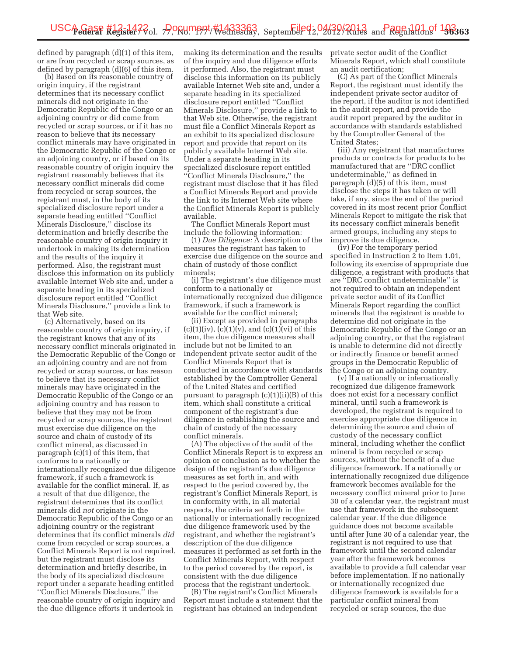defined by paragraph (d)(1) of this item, or are from recycled or scrap sources, as defined by paragraph (d)(6) of this item.

(b) Based on its reasonable country of origin inquiry, if the registrant determines that its necessary conflict minerals did not originate in the Democratic Republic of the Congo or an adjoining country or did come from recycled or scrap sources, or if it has no reason to believe that its necessary conflict minerals may have originated in the Democratic Republic of the Congo or an adjoining country, or if based on its reasonable country of origin inquiry the registrant reasonably believes that its necessary conflict minerals did come from recycled or scrap sources, the registrant must, in the body of its specialized disclosure report under a separate heading entitled ''Conflict Minerals Disclosure,'' disclose its determination and briefly describe the reasonable country of origin inquiry it undertook in making its determination and the results of the inquiry it performed. Also, the registrant must disclose this information on its publicly available Internet Web site and, under a separate heading in its specialized disclosure report entitled ''Conflict Minerals Disclosure,'' provide a link to that Web site.

(c) Alternatively, based on its reasonable country of origin inquiry, if the registrant knows that any of its necessary conflict minerals originated in the Democratic Republic of the Congo or an adjoining country and are not from recycled or scrap sources, or has reason to believe that its necessary conflict minerals may have originated in the Democratic Republic of the Congo or an adjoining country and has reason to believe that they may not be from recycled or scrap sources, the registrant must exercise due diligence on the source and chain of custody of its conflict mineral, as discussed in paragraph (c)(1) of this item, that conforms to a nationally or internationally recognized due diligence framework, if such a framework is available for the conflict mineral. If, as a result of that due diligence, the registrant determines that its conflict minerals did *not* originate in the Democratic Republic of the Congo or an adjoining country or the registrant determines that its conflict minerals *did*  come from recycled or scrap sources, a Conflict Minerals Report is not required, but the registrant must disclose its determination and briefly describe, in the body of its specialized disclosure report under a separate heading entitled ''Conflict Minerals Disclosure,'' the reasonable country of origin inquiry and the due diligence efforts it undertook in

making its determination and the results of the inquiry and due diligence efforts it performed. Also, the registrant must disclose this information on its publicly available Internet Web site and, under a separate heading in its specialized disclosure report entitled ''Conflict Minerals Disclosure,'' provide a link to that Web site. Otherwise, the registrant must file a Conflict Minerals Report as an exhibit to its specialized disclosure report and provide that report on its publicly available Internet Web site. Under a separate heading in its specialized disclosure report entitled ''Conflict Minerals Disclosure,'' the registrant must disclose that it has filed a Conflict Minerals Report and provide the link to its Internet Web site where the Conflict Minerals Report is publicly available.

The Conflict Minerals Report must include the following information:

(1) *Due Diligence:* A description of the measures the registrant has taken to exercise due diligence on the source and chain of custody of those conflict minerals;

(i) The registrant's due diligence must conform to a nationally or internationally recognized due diligence framework, if such a framework is available for the conflict mineral;

(ii) Except as provided in paragraphs  $(c)(1)(iv)$ ,  $(c)(1)(v)$ , and  $(c)(1)(vi)$  of this item, the due diligence measures shall include but not be limited to an independent private sector audit of the Conflict Minerals Report that is conducted in accordance with standards established by the Comptroller General of the United States and certified pursuant to paragraph  $(c)(1)(ii)(B)$  of this item, which shall constitute a critical component of the registrant's due diligence in establishing the source and chain of custody of the necessary conflict minerals.

(A) The objective of the audit of the Conflict Minerals Report is to express an opinion or conclusion as to whether the design of the registrant's due diligence measures as set forth in, and with respect to the period covered by, the registrant's Conflict Minerals Report, is in conformity with, in all material respects, the criteria set forth in the nationally or internationally recognized due diligence framework used by the registrant, and whether the registrant's description of the due diligence measures it performed as set forth in the Conflict Minerals Report, with respect to the period covered by the report, is consistent with the due diligence process that the registrant undertook.

(B) The registrant's Conflict Minerals Report must include a statement that the registrant has obtained an independent

private sector audit of the Conflict Minerals Report, which shall constitute an audit certification;

(C) As part of the Conflict Minerals Report, the registrant must identify the independent private sector auditor of the report, if the auditor is not identified in the audit report, and provide the audit report prepared by the auditor in accordance with standards established by the Comptroller General of the United States;

(iii) Any registrant that manufactures products or contracts for products to be manufactured that are ''DRC conflict undeterminable,'' as defined in paragraph (d)(5) of this item, must disclose the steps it has taken or will take, if any, since the end of the period covered in its most recent prior Conflict Minerals Report to mitigate the risk that its necessary conflict minerals benefit armed groups, including any steps to improve its due diligence.

(iv) For the temporary period specified in Instruction 2 to Item 1.01, following its exercise of appropriate due diligence, a registrant with products that are ''DRC conflict undeterminable'' is not required to obtain an independent private sector audit of its Conflict Minerals Report regarding the conflict minerals that the registrant is unable to determine did not originate in the Democratic Republic of the Congo or an adjoining country, or that the registrant is unable to determine did not directly or indirectly finance or benefit armed groups in the Democratic Republic of the Congo or an adjoining country.

(v) If a nationally or internationally recognized due diligence framework does not exist for a necessary conflict mineral, until such a framework is developed, the registrant is required to exercise appropriate due diligence in determining the source and chain of custody of the necessary conflict mineral, including whether the conflict mineral is from recycled or scrap sources, without the benefit of a due diligence framework. If a nationally or internationally recognized due diligence framework becomes available for the necessary conflict mineral prior to June 30 of a calendar year, the registrant must use that framework in the subsequent calendar year. If the due diligence guidance does not become available until after June 30 of a calendar year, the registrant is not required to use that framework until the second calendar year after the framework becomes available to provide a full calendar year before implementation. If no nationally or internationally recognized due diligence framework is available for a particular conflict mineral from recycled or scrap sources, the due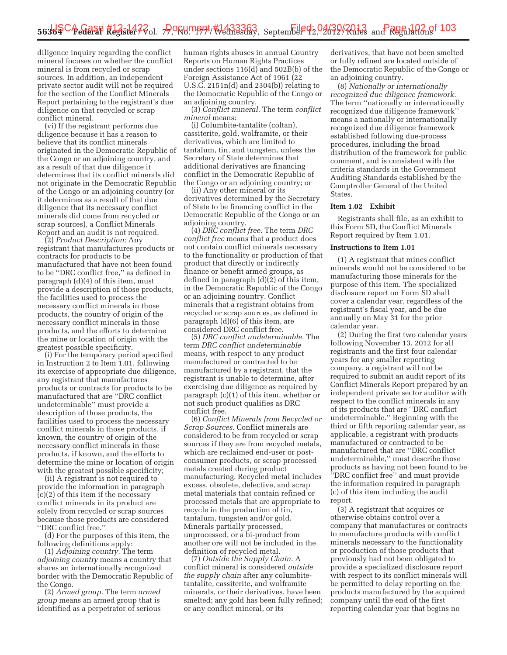diligence inquiry regarding the conflict mineral focuses on whether the conflict mineral is from recycled or scrap sources. In addition, an independent private sector audit will not be required for the section of the Conflict Minerals Report pertaining to the registrant's due diligence on that recycled or scrap conflict mineral.

(vi) If the registrant performs due diligence because it has a reason to believe that its conflict minerals originated in the Democratic Republic of the Congo or an adjoining country, and as a result of that due diligence it determines that its conflict minerals did not originate in the Democratic Republic of the Congo or an adjoining country (or it determines as a result of that due diligence that its necessary conflict minerals did come from recycled or scrap sources), a Conflict Minerals Report and an audit is not required.

(2) *Product Description:* Any registrant that manufactures products or contracts for products to be manufactured that have not been found to be ''DRC conflict free,'' as defined in paragraph (d)(4) of this item, must provide a description of those products, the facilities used to process the necessary conflict minerals in those products, the country of origin of the necessary conflict minerals in those products, and the efforts to determine the mine or location of origin with the greatest possible specificity.

(i) For the temporary period specified in Instruction 2 to Item 1.01, following its exercise of appropriate due diligence, any registrant that manufactures products or contracts for products to be manufactured that are ''DRC conflict undeterminable'' must provide a description of those products, the facilities used to process the necessary conflict minerals in those products, if known, the country of origin of the necessary conflict minerals in those products, if known, and the efforts to determine the mine or location of origin with the greatest possible specificity;

(ii) A registrant is not required to provide the information in paragraph (c)(2) of this item if the necessary conflict minerals in its product are solely from recycled or scrap sources because those products are considered ''DRC conflict free.''

(d) For the purposes of this item, the following definitions apply:

(1) *Adjoining country.* The term *adjoining country* means a country that shares an internationally recognized border with the Democratic Republic of the Congo.

(2) *Armed group.* The term *armed group* means an armed group that is identified as a perpetrator of serious

human rights abuses in annual Country Reports on Human Rights Practices under sections 116(d) and 502B(b) of the Foreign Assistance Act of 1961 (22 U.S.C. 2151n(d) and 2304(b)) relating to the Democratic Republic of the Congo or an adjoining country.

(3) *Conflict mineral.* The term *conflict mineral* means:

(i) Columbite-tantalite (coltan), cassiterite, gold, wolframite, or their derivatives, which are limited to tantalum, tin, and tungsten, unless the Secretary of State determines that additional derivatives are financing conflict in the Democratic Republic of the Congo or an adjoining country; or

(ii) Any other mineral or its derivatives determined by the Secretary of State to be financing conflict in the Democratic Republic of the Congo or an adjoining country.

(4) *DRC conflict free.* The term *DRC conflict free* means that a product does not contain conflict minerals necessary to the functionality or production of that product that directly or indirectly finance or benefit armed groups, as defined in paragraph (d)(2) of this item, in the Democratic Republic of the Congo or an adjoining country. Conflict minerals that a registrant obtains from recycled or scrap sources, as defined in paragraph (d)(6) of this item, are considered DRC conflict free.

(5) *DRC conflict undeterminable.* The term *DRC conflict undeterminable*  means, with respect to any product manufactured or contracted to be manufactured by a registrant, that the registrant is unable to determine, after exercising due diligence as required by paragraph (c)(1) of this item, whether or not such product qualifies as DRC conflict free.

(6) *Conflict Minerals from Recycled or Scrap Sources.* Conflict minerals are considered to be from recycled or scrap sources if they are from recycled metals, which are reclaimed end-user or postconsumer products, or scrap processed metals created during product manufacturing. Recycled metal includes excess, obsolete, defective, and scrap metal materials that contain refined or processed metals that are appropriate to recycle in the production of tin, tantalum, tungsten and/or gold. Minerals partially processed, unprocessed, or a bi-product from another ore will not be included in the definition of recycled metal.

(7) *Outside the Supply Chain.* A conflict mineral is considered *outside the supply chain* after any columbitetantalite, cassiterite, and wolframite minerals, or their derivatives, have been smelted; any gold has been fully refined; or any conflict mineral, or its

derivatives, that have not been smelted or fully refined are located outside of the Democratic Republic of the Congo or an adjoining country.

(8) *Nationally or internationally recognized due diligence framework.*  The term ''nationally or internationally recognized due diligence framework'' means a nationally or internationally recognized due diligence framework established following due-process procedures, including the broad distribution of the framework for public comment, and is consistent with the criteria standards in the Government Auditing Standards established by the Comptroller General of the United States.

#### **Item 1.02 Exhibit**

Registrants shall file, as an exhibit to this Form SD, the Conflict Minerals Report required by Item 1.01.

#### **Instructions to Item 1.01**

(1) A registrant that mines conflict minerals would not be considered to be manufacturing those minerals for the purpose of this item. The specialized disclosure report on Form SD shall cover a calendar year, regardless of the registrant's fiscal year, and be due annually on May 31 for the prior calendar year.

(2) During the first two calendar years following November 13, 2012 for all registrants and the first four calendar years for any smaller reporting company, a registrant will not be required to submit an audit report of its Conflict Minerals Report prepared by an independent private sector auditor with respect to the conflict minerals in any of its products that are ''DRC conflict undeterminable.'' Beginning with the third or fifth reporting calendar year, as applicable, a registrant with products manufactured or contracted to be manufactured that are ''DRC conflict undeterminable,'' must describe those products as having not been found to be ''DRC conflict free'' and must provide the information required in paragraph (c) of this item including the audit report.

(3) A registrant that acquires or otherwise obtains control over a company that manufactures or contracts to manufacture products with conflict minerals necessary to the functionality or production of those products that previously had not been obligated to provide a specialized disclosure report with respect to its conflict minerals will be permitted to delay reporting on the products manufactured by the acquired company until the end of the first reporting calendar year that begins no